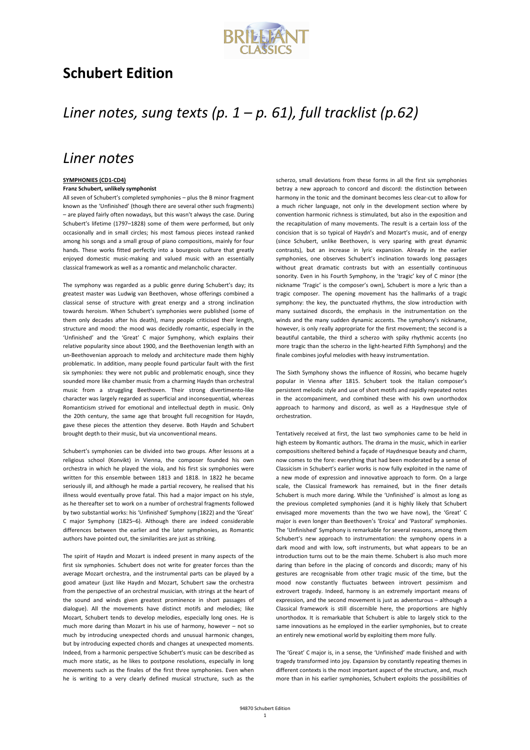

## Schubert Edition

# Liner notes, sung texts (p.  $1-p.61$ ), full tracklist (p.62)

## Liner notes

## SYMPHONIES (CD1-CD4)

Franz Schubert, unlikely symphonist

All seven of Schubert's completed symphonies – plus the B minor fragment known as the 'Unfinished' (though there are several other such fragments) – are played fairly often nowadays, but this wasn't always the case. During Schubert's lifetime (1797–1828) some of them were performed, but only occasionally and in small circles; his most famous pieces instead ranked among his songs and a small group of piano compositions, mainly for four hands. These works fitted perfectly into a bourgeois culture that greatly enjoyed domestic music-making and valued music with an essentially classical framework as well as a romantic and melancholic character.

The symphony was regarded as a public genre during Schubert's day; its greatest master was Ludwig van Beethoven, whose offerings combined a classical sense of structure with great energy and a strong inclination towards heroism. When Schubert's symphonies were published (some of them only decades after his death), many people criticised their length, structure and mood: the mood was decidedly romantic, especially in the 'Unfinished' and the 'Great' C major Symphony, which explains their relative popularity since about 1900, and the Beethovenian length with an un-Beethovenian approach to melody and architecture made them highly problematic. In addition, many people found particular fault with the first six symphonies: they were not public and problematic enough, since they sounded more like chamber music from a charming Haydn than orchestral music from a struggling Beethoven. Their strong divertimento-like character was largely regarded as superficial and inconsequential, whereas Romanticism strived for emotional and intellectual depth in music. Only the 20th century, the same age that brought full recognition for Haydn, gave these pieces the attention they deserve. Both Haydn and Schubert brought depth to their music, but via unconventional means.

Schubert's symphonies can be divided into two groups. After lessons at a religious school (Konvikt) in Vienna, the composer founded his own orchestra in which he played the viola, and his first six symphonies were written for this ensemble between 1813 and 1818. In 1822 he became seriously ill, and although he made a partial recovery, he realised that his illness would eventually prove fatal. This had a major impact on his style, as he thereafter set to work on a number of orchestral fragments followed by two substantial works: his 'Unfinished' Symphony (1822) and the 'Great' C major Symphony (1825–6). Although there are indeed considerable differences between the earlier and the later symphonies, as Romantic authors have pointed out, the similarities are just as striking.

The spirit of Haydn and Mozart is indeed present in many aspects of the first six symphonies. Schubert does not write for greater forces than the average Mozart orchestra, and the instrumental parts can be played by a good amateur (just like Haydn and Mozart, Schubert saw the orchestra from the perspective of an orchestral musician, with strings at the heart of the sound and winds given greatest prominence in short passages of dialogue). All the movements have distinct motifs and melodies; like Mozart, Schubert tends to develop melodies, especially long ones. He is much more daring than Mozart in his use of harmony, however – not so much by introducing unexpected chords and unusual harmonic changes, but by introducing expected chords and changes at unexpected moments. Indeed, from a harmonic perspective Schubert's music can be described as much more static, as he likes to postpone resolutions, especially in long movements such as the finales of the first three symphonies. Even when he is writing to a very clearly defined musical structure, such as the

scherzo, small deviations from these forms in all the first six symphonies betray a new approach to concord and discord: the distinction between harmony in the tonic and the dominant becomes less clear-cut to allow for a much richer language, not only in the development section where by convention harmonic richness is stimulated, but also in the exposition and the recapitulation of many movements. The result is a certain loss of the concision that is so typical of Haydn's and Mozart's music, and of energy (since Schubert, unlike Beethoven, is very sparing with great dynamic contrasts), but an increase in lyric expansion. Already in the earlier symphonies, one observes Schubert's inclination towards long passages without great dramatic contrasts but with an essentially continuous sonority. Even in his Fourth Symphony, in the 'tragic' key of C minor (the nickname 'Tragic' is the composer's own), Schubert is more a lyric than a tragic composer. The opening movement has the hallmarks of a tragic symphony: the key, the punctuated rhythms, the slow introduction with many sustained discords, the emphasis in the instrumentation on the winds and the many sudden dynamic accents. The symphony's nickname, however, is only really appropriate for the first movement; the second is a beautiful cantabile, the third a scherzo with spiky rhythmic accents (no more tragic than the scherzo in the light-hearted Fifth Symphony) and the finale combines joyful melodies with heavy instrumentation.

The Sixth Symphony shows the influence of Rossini, who became hugely popular in Vienna after 1815. Schubert took the Italian composer's persistent melodic style and use of short motifs and rapidly repeated notes in the accompaniment, and combined these with his own unorthodox approach to harmony and discord, as well as a Haydnesque style of orchestration.

Tentatively received at first, the last two symphonies came to be held in high esteem by Romantic authors. The drama in the music, which in earlier compositions sheltered behind a façade of Haydnesque beauty and charm, now comes to the fore: everything that had been moderated by a sense of Classicism in Schubert's earlier works is now fully exploited in the name of a new mode of expression and innovative approach to form. On a large scale, the Classical framework has remained, but in the finer details Schubert is much more daring. While the 'Unfinished' is almost as long as the previous completed symphonies (and it is highly likely that Schubert envisaged more movements than the two we have now), the 'Great' C major is even longer than Beethoven's 'Eroica' and 'Pastoral' symphonies. The 'Unfinished' Symphony is remarkable for several reasons, among them Schubert's new approach to instrumentation: the symphony opens in a dark mood and with low, soft instruments, but what appears to be an introduction turns out to be the main theme. Schubert is also much more daring than before in the placing of concords and discords; many of his gestures are recognisable from other tragic music of the time, but the mood now constantly fluctuates between introvert pessimism and extrovert tragedy. Indeed, harmony is an extremely important means of expression, and the second movement is just as adventurous – although a Classical framework is still discernible here, the proportions are highly unorthodox. It is remarkable that Schubert is able to largely stick to the same innovations as he employed in the earlier symphonies, but to create an entirely new emotional world by exploiting them more fully.

The 'Great' C major is, in a sense, the 'Unfinished' made finished and with tragedy transformed into joy. Expansion by constantly repeating themes in different contexts is the most important aspect of the structure, and, much more than in his earlier symphonies, Schubert exploits the possibilities of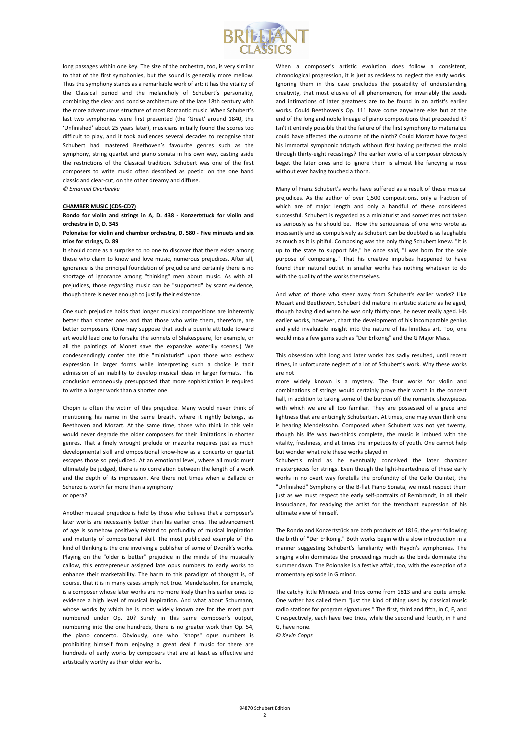

long passages within one key. The size of the orchestra, too, is very similar to that of the first symphonies, but the sound is generally more mellow. Thus the symphony stands as a remarkable work of art: it has the vitality of the Classical period and the melancholy of Schubert's personality, combining the clear and concise architecture of the late 18th century with the more adventurous structure of most Romantic music. When Schubert's last two symphonies were first presented (the 'Great' around 1840, the 'Unfinished' about 25 years later), musicians initially found the scores too difficult to play, and it took audiences several decades to recognise that Schubert had mastered Beethoven's favourite genres such as the symphony, string quartet and piano sonata in his own way, casting aside the restrictions of the Classical tradition. Schubert was one of the first composers to write music often described as poetic: on the one hand classic and clear-cut, on the other dreamy and diffuse.

## © Emanuel Overbeeke

#### CHAMBER MUSIC (CD5-CD7)

#### Rondo for violin and strings in A, D. 438 - Konzertstuck for violin and orchestra in D, D. 345

## Polonaise for violin and chamber orchestra, D. 580 - Five minuets and six trios for strings, D. 89

It should come as a surprise to no one to discover that there exists among those who claim to know and love music, numerous prejudices. After all, ignorance is the principal foundation of prejudice and certainly there is no shortage of ignorance among "thinking" men about music. As with all prejudices, those regarding music can be "supported" by scant evidence, though there is never enough to justify their existence.

One such prejudice holds that longer musical compositions are inherently better than shorter ones and that those who write them, therefore, are better composers. (One may suppose that such a puerile attitude toward art would lead one to forsake the sonnets of Shakespeare, for example, or all the paintings of Monet save the expansive waterlily scenes.) We condescendingly confer the title "miniaturist" upon those who eschew expression in larger forms while interpreting such a choice is tacit admission of an inability to develop musical ideas in larger formats. This conclusion erroneously presupposed that more sophistication is required to write a longer work than a shorter one.

Chopin is often the victim of this prejudice. Many would never think of mentioning his name in the same breath, where it rightly belongs, as Beethoven and Mozart. At the same time, those who think in this vein would never degrade the older composers for their limitations in shorter genres. That a finely wrought prelude or mazurka requires just as much developmental skill and ompositional know-how as a concerto or quartet escapes those so prejudiced. At an emotional level, where all music must ultimately be judged, there is no correlation between the length of a work and the depth of its impression. Are there not times when a Ballade or Scherzo is worth far more than a symphony or opera?

Another musical prejudice is held by those who believe that a composer's later works are necessarily better than his earlier ones. The advancement of age is somehow positively related to profundity of musical inspiration and maturity of compositional skill. The most publicized example of this kind of thinking is the one involving a publisher of some of Dvorák's works. Playing on the "older is better" prejudice in the minds of the musically callow, this entrepreneur assigned late opus numbers to early works to enhance their marketability. The harm to this paradigm of thought is, of course, that it is in many cases simply not true. Mendelssohn, for example, is a composer whose later works are no more likely than his earlier ones to evidence a high level of musical inspiration. And what about Schumann, whose works by which he is most widely known are for the most part numbered under Op. 20? Surely in this same composer's output, numbering into the one hundreds, there is no greater work than Op. 54, the piano concerto. Obviously, one who "shops" opus numbers is prohibiting himself from enjoying a great deal f music for there are hundreds of early works by composers that are at least as effective and artistically worthy as their older works.

When a composer's artistic evolution does follow a consistent, chronological progression, it is just as reckless to neglect the early works. Ignoring them in this case precludes the possibility of understanding creativity, that most elusive of all phenomenon, for invariably the seeds and intimations of later greatness are to be found in an artist's earlier works. Could Beethoven's Op. 111 have come anywhere else but at the end of the long and noble lineage of piano compositions that preceeded it? Isn't it entirely possible that the failure of the first symphony to materialize could have affected the outcome of the ninth? Could Mozart have forged his immortal symphonic triptych without first having perfected the mold through thirty-eight recastings? The earlier works of a composer obviously beget the later ones and to ignore them is almost like fancying a rose without ever having touched a thorn.

Many of Franz Schubert's works have suffered as a result of these musical prejudices. As the author of over 1,500 compositions, only a fraction of which are of major length and only a handful of these considered successful. Schubert is regarded as a miniaturist and sometimes not taken as seriously as he should be. How the seriousness of one who wrote as incessantly and as compulsively as Schubert can be doubted is as laughable as much as it is pitiful. Composing was the only thing Schubert knew. "It is up to the state to support Me," he once said, "I was born for the sole purpose of composing." That his creative impulses happened to have found their natural outlet in smaller works has nothing whatever to do with the quality of the works themselves.

And what of those who steer away from Schubert's earlier works? Like Mozart and Beethoven, Schubert did mature in artistic stature as he aged, though having died when he was only thirty-one, he never really aged. His earlier works, however, chart the development of his incomparable genius and yield invaluable insight into the nature of his limitless art. Too, one would miss a few gems such as "Der Erlkönig" and the G Major Mass.

This obsession with long and later works has sadly resulted, until recent times, in unfortunate neglect of a lot of Schubert's work. Why these works are not

more widely known is a mystery. The four works for violin and combinations of strings would certainly prove their worth in the concert hall, in addition to taking some of the burden off the romantic showpieces with which we are all too familiar. They are possessed of a grace and lightness that are enticingly Schubertian. At times, one may even think one is hearing Mendelssohn. Composed when Schubert was not yet twenty, though his life was two-thirds complete, the music is imbued with the vitality, freshness, and at times the impetuosity of youth. One cannot help but wonder what role these works played in

Schubert's mind as he eventually conceived the later chamber masterpieces for strings. Even though the light-heartedness of these early works in no overt way foretells the profundity of the Cello Quintet, the "Unfinished" Symphony or the B-flat Piano Sonata, we must respect them just as we must respect the early self-portraits of Rembrandt, in all their insouciance, for readying the artist for the trenchant expression of his ultimate view of himself.

The Rondo and Konzertstück are both products of 1816, the year following the birth of "Der Erlkönig." Both works begin with a slow introduction in a manner suggesting Schubert's familiarity with Haydn's symphonies. The singing violin dominates the proceedings much as the birds dominate the summer dawn. The Polonaise is a festive affair, too, with the exception of a momentary episode in G minor.

The catchy little Minuets and Trios come from 1813 and are quite simple. One writer has called them "just the kind of thing used by classical music radio stations for program signatures." The first, third and fifth, in C, F, and C respectively, each have two trios, while the second and fourth, in F and G, have none.

© Kevin Copps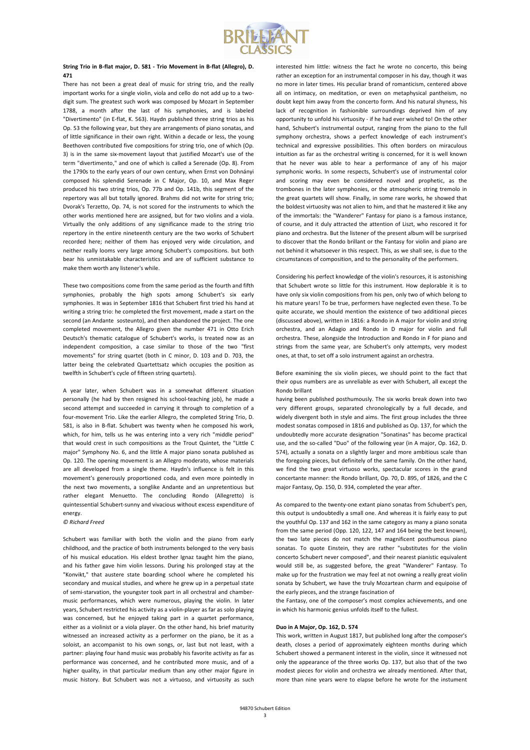

## String Trio in B-flat major, D. 581 - Trio Movement in B-flat (Allegro), D. 471

There has not been a great deal of music for string trio, and the really important works for a single violin, viola and cello do not add up to a twodigit sum. The greatest such work was composed by Mozart in September 1788, a month after the last of his symphonies, and is labeled "Divertimento" (in E-flat, K. 563). Haydn published three string trios as his Op. 53 the following year, but they are arrangements of piano sonatas, and of little significance in their own right. Within a decade or less, the young Beethoven contributed five compositions for string trio, one of which (Op. 3) is in the same six-movement layout that justified Mozart's use of the term "divertimento," and one of which is called a Serenade (Op. 8). From the 1790s to the early years of our own century, when Ernst von Dohnányi composed his splendid Serenade in C Major, Op. 10, and Max Reger produced his two string trios, Op. 77b and Op. 141b, this segment of the repertory was all but totally ignored. Brahms did not write for string trio; Dvorak's Terzetto, Op. 74, is not scored for the instruments to which the other works mentioned here are assigned, but for two violins and a viola. Virtually the only additions of any significance made to the string trio repertory in the entire nineteenth century are the two works of Schubert recorded here; neither of them has enjoyed very wide circulation, and neither really looms very large among Schubert's compositions. but both bear his unmistakable characteristics and are of sufficient substance to make them worth any listener's while.

These two compositions come from the same period as the fourth and fifth symphonies, probably the high spots among Schubert's six early symphonies. It was in September 1816 that Schubert first tried his hand at writing a string trio: he completed the first movement, made a start on the second (an Andante sosteunto), and then abandoned the project. The one completed movement, the Allegro given the number 471 in Otto Erich Deutsch's thematic catalogue of Schubert's works, is treated now as an independent composition, a case similar to those of the two "first movements" for string quartet (both in C minor, D. 103 and D. 703, the latter being the celebrated Quartettsatz which occupies the position as twelfth in Schubert's cycle of fifteen string quartets).

A year later, when Schubert was in a somewhat different situation personally (he had by then resigned his school-teaching job), he made a second attempt and succeeded in carrying it through to completion of a four-movement Trio. Like the earlier Allegro, the completed String Trio, D. 581, is also in B-flat. Schubert was twenty when he composed his work, which, for him, tells us he was entering into a very rich "middle period" that would crest in such compositions as the Trout Quintet, the "Little C major" Symphony No. 6, and the little A major piano sonata published as Op. 120. The opening movement is an Allegro moderato, whose materials are all developed from a single theme. Haydn's influence is felt in this movement's generously proportioned coda, and even more pointedly in the next two movements, a songlike Andante and an unpretentious but rather elegant Menuetto. The concluding Rondo (Allegretto) is quintessential Schubert-sunny and vivacious without excess expenditure of energy.

## © Richard Freed

Schubert was familiar with both the violin and the piano from early childhood, and the practice of both instruments belonged to the very basis of his musical education. His eldest brother Ignaz taught him the piano, and his father gave him violin lessons. During his prolonged stay at the "Konvikt," that austere state boarding school where he completed his secondary and musical studies, and where he grew up in a perpetual state of semi-starvation, the youngster took part in all orchestral and chambermusic performances, which were numerous, playing the violin. In later years, Schubert restricted his activity as a violin-player as far as solo playing was concerned, but he enjoyed taking part in a quartet performance, either as a violinist or a viola player. On the other hand, his brief maturity witnessed an increased activity as a performer on the piano, be it as a soloist, an accompanist to his own songs, or, last but not least, with a partner: playing four hand music was probably his favorite activity as far as performance was concerned, and he contributed more music, and of a higher quality, in that particular medium than any other major figure in music history. But Schubert was not a virtuoso, and virtuosity as such

interested him little: witness the fact he wrote no concerto, this being rather an exception for an instrumental composer in his day, though it was no more in later times. His peculiar brand of romanticism, centered above all on intimacy, on meditation, or even on metaphysical pantheism, no doubt kept him away from the concerto form. And his natural shyness, his lack of recognition in fashionible surroundings deprived him of any opportunity to unfold his virtuosity - if he had ever wished to! On the other hand, Schubert's instrumental output, ranging from the piano to the full symphony orchestra, shows a perfect knowledge of each instrument's technical and expressive possibilities. This often borders on miraculous intuition as far as the orchestral writing is concerned, for it is well known that he never was able to hear a performance of any of his major symphonic works. In some respects, Schubert's use of instrumental color and scoring may even be considered novel and prophetic, as the trombones in the later symphonies, or the atmospheric string tremolo in the great quartets will show. Finally, in some rare works, he showed that the boldest virtuosity was not alien to him, and that he mastered it like any of the immortals: the "Wanderer" Fantasy for piano is a famous instance, of course, and it duly attracted the attention of Liszt, who rescored it for piano and orchestra. But the listener of the present album will be surprised to discover that the Rondo brillant or the Fantasy for violin and piano are not behind it whatsoever in this respect. This, as we shall see, is due to the circumstances of composition, and to the personality of the performers.

Considering his perfect knowledge of the violin's resources, it is astonishing that Schubert wrote so little for this instrument. How deplorable it is to have only six violin compositions from his pen, only two of which belong to his mature years! To be true, performers have neglected even these. To be quite accurate, we should mention the existence of two additional pieces (discussed above), written in 1816: a Rondo in A major for violin and string orchestra, and an Adagio and Rondo in D major for violin and full orchestra. These, alongside the Introduction and Rondo in F for piano and strings from the same year, are Schubert's only attempts, very modest ones, at that, to set off a solo instrument against an orchestra.

Before examining the six violin pieces, we should point to the fact that their opus numbers are as unreliable as ever with Schubert, all except the Rondo brillant

having been published posthumously. The six works break down into two very different groups, separated chronologically by a full decade, and widely divergent both in style and aims. The first group includes the three modest sonatas composed in 1816 and published as Op. 137, for which the undoubtedly more accurate designation "Sonatinas" has become practical use, and the so-called "Duo" of the following year (in A major, Op. 162, D. 574), actually a sonata on a slightly larger and more ambitious scale than the foregoing pieces, but definitely of the same family. On the other hand, we find the two great virtuoso works, spectacular scores in the grand concertante manner: the Rondo brillant, Op. 70, D. 895, of 1826, and the C major Fantasy, Op. 150, D. 934, completed the year after.

As compared to the twenty-one extant piano sonatas from Schubert's pen, this output is undoubtedly a small one. And whereas it is fairly easy to put the youthful Op. 137 and 162 in the same category as many a piano sonata from the same period (Opp. 120, 122, 147 and 164 being the best known), the two late pieces do not match the magnificent posthumous piano sonatas. To quote Einstein, they are rather "substitutes for the violin concerto Schubert never composed", and their nearest pianistic equivalent would still be, as suggested before, the great "Wanderer" Fantasy. To make up for the frustration we may feel at not owning a really great violin sonata by Schubert, we have the truly Mozartean charm and equipoise of the early pieces, and the strange fascination of

the Fantasy, one of the composer's most complex achievements, and one in which his harmonic genius unfolds itself to the fullest.

#### Duo in A Major, Op. 162, D. 574

This work, written in August 1817, but published long after the composer's death, closes a period of approximately eighteen months during which Schubert showed a permanent interest in the violin, since it witnessed not only the appearance of the three works Op. 137, but also that of the two modest pieces for violin and orchestra we already mentioned. After that, more than nine years were to elapse before he wrote for the instument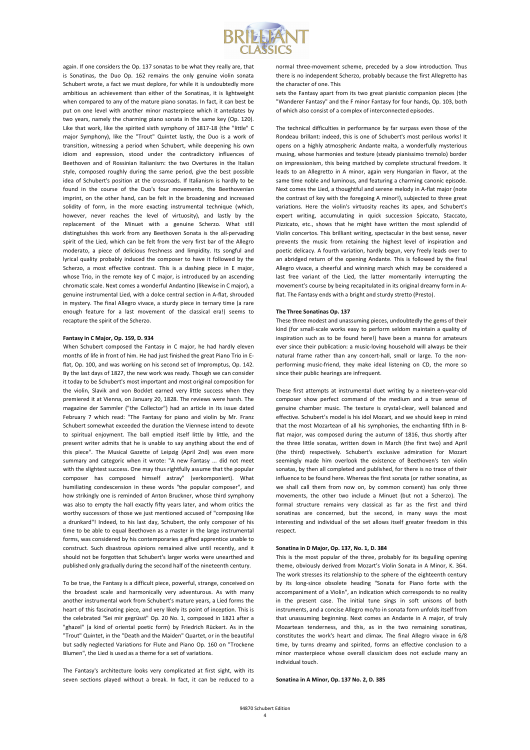

again. If one considers the Op. 137 sonatas to be what they really are, that is Sonatinas, the Duo Op. 162 remains the only genuine violin sonata Schubert wrote, a fact we must deplore, for while it is undoubtedly more ambitious an achievement than either of the Sonatinas, it is lightweight when compared to any of the mature piano sonatas. In fact, it can best be put on one level with another minor masterpiece which it antedates by two years, namely the charming piano sonata in the same key (Op. 120). Like that work, like the spirited sixth symphony of 1817-18 (the "little" C major Symphony), like the "Trout" Quintet lastly, the Duo is a work of transition, witnessing a period when Schubert, while deepening his own idiom and expression, stood under the contradictory influences of Beethoven and of Rossinian Italianism: the two Overtures in the Italian style, composed roughly during the same period, give the best possible idea of Schubert's position at the crossroads. If Italianism is hardly to be found in the course of the Duo's four movements, the Beethovenian imprint, on the other hand, can be felt in the broadening and increased solidity of form, in the more exacting instrumental technique (which, however, never reaches the level of virtuosity), and lastly by the replacement of the Minuet with a genuine Scherzo. What still distingtuishes this work from any Beethoven Sonata is the all-pervading spirit of the Lied, which can be felt from the very first bar of the Allegro moderato, a piece of delicious freshness and limpidity. Its songful and lyrical quality probably induced the composer to have it followed by the Scherzo, a most effective contrast. This is a dashing piece in E major, whose Trio, in the remote key of C major, is introduced by an ascending chromatic scale. Next comes a wonderful Andantino (likewise in C major), a genuine instrumental Lied, with a dolce central section in A-flat, shrouded in mystery. The final Allegro vivace, a sturdy piece in ternary time (a rare enough feature for a last movement of the classical era!) seems to recapture the spirit of the Scherzo.

## Fantasy in C Major, Op. 159, D. 934

When Schubert composed the Fantasy in C major, he had hardly eleven months of life in front of him. He had just finished the great Piano Trio in Eflat, Op. 100, and was working on his second set of Impromptus, Op. 142. By the last days of 1827, the new work was ready. Though we can consider it today to be Schubert's most important and most original composition for the violin, Slavik and von Bocklet earned very little success when they premiered it at Vienna, on January 20, 1828. The reviews were harsh. The magazine der Sammler ("the Collector") had an article in its issue dated February 7 which read: "The Fantasy for piano and violin by Mr. Franz Schubert somewhat exceeded the duration the Viennese intend to devote to spiritual enjoyment. The ball emptied itself little by little, and the present writer admits that he is unable to say anything about the end of this piece". The Musical Gazette of Leipzig (April 2nd) was even more summary and categoric when it wrote: "A new Fantasy ... did not meet with the slightest success. One may thus rightfully assume that the popular composer has composed himself astray" (verkomponiert). What humiliating condescension in these words "the popular composer", and how strikingly one is reminded of Anton Bruckner, whose third symphony was also to empty the hall exactly fifty years later, and whom critics the worthy successors of those we just mentioned accused of "composing like a drunkard"! Indeed, to his last day, Schubert, the only composer of his time to be able to equal Beethoven as a master in the large instrumental forms, was considered by his contemporaries a gifted apprentice unable to construct. Such disastrous opinions remained alive until recently, and it should not be forgotten that Schubert's larger works were unearthed and published only gradually during the second half of the nineteenth century.

To be true, the Fantasy is a difficult piece, powerful, strange, conceived on the broadest scale and harmonically very adventurous. As with many another instrumental work from Schubert's mature years, a Lied forms the heart of this fascinating piece, and very likely its point of inception. This is the celebrated "Sei mir gegrüsst" Op. 20 No. 1, composed in 1821 after a "ghazel" (a kind of oriental poetic form) by Friedrich Rückert. As in the "Trout" Quintet, in the "Death and the Maiden" Quartet, or in the beautiful but sadly neglected Variations for Flute and Piano Op. 160 on "Trockene Blumen", the Lied is used as a theme for a set of variations.

The Fantasy's architecture looks very complicated at first sight, with its seven sections played without a break. In fact, it can be reduced to a

normal three-movement scheme, preceded by a slow introduction. Thus there is no independent Scherzo, probably because the first Allegretto has the character of one. This

sets the Fantasy apart from its two great pianistic companion pieces (the "Wanderer Fantasy" and the F minor Fantasy for four hands, Op. 103, both of which also consist of a complex of interconnected episodes.

The technical difficulties in performance by far surpass even those of the Rondeau brillant: indeed, this is one of Schubert's most perilous works! It opens on a highly atmospheric Andante malta, a wonderfully mysterious musing, whose harmonies and texture (steady pianissimo tremolo) border on impressionism, this being matched by complete structural freedom. It leads to an Allegretto in A minor, again very Hungarian in flavor, at the same time noble and luminous, and featuring a charming canonic episode. Next comes the Lied, a thoughtful and serene melody in A-flat major (note the contrast of key with the foregoing A minor!), subjected to three great variations. Here the violin's virtuosity reaches its apex, and Schubert's expert writing, accumulating in quick succession Spiccato, Staccato, Pizzicato, etc., shows that he might have written the most splendid of Violin concertos. This brilliant writing, spectacular in the best sense, never prevents the music from retaining the highest level of inspiration and poetic delicacy. A fourth variation, hardly begun, very freely leads over to an abridged return of the opening Andante. This is followed by the final Allegro vivace, a cheerful and winning march which may be considered a last free variant of the Lied, the latter momentarily interrupting the movement's course by being recapitulated in its original dreamy form in Aflat. The Fantasy ends with a bright and sturdy stretto (Presto).

#### The Three Sonatinas Op. 137

These three modest and unassuming pieces, undoubtedly the gems of their kind (for small-scale works easy to perform seldom maintain a quality of inspiration such as to be found here!) have been a manna for amateurs ever since their publication: a music-loving household will always be their natural frame rather than any concert-hall, small or large. To the nonperforming music-friend, they make ideal listening on CD, the more so since their public hearings are infrequent.

These first attempts at instrumental duet writing by a nineteen-year-old composer show perfect command of the medium and a true sense of genuine chamber music. The texture is crystal-clear, well balanced and effective. Schubert's model is his idol Mozart, and we should keep in mind that the most Mozartean of all his symphonies, the enchanting fifth in Bflat major, was composed during the autumn of 1816, thus shortly after the three little sonatas, written down in March (the first two) and April (the third) respectively. Schubert's exclusive admiration for Mozart seemingly made him overlook the existence of Beethoven's ten violin sonatas, by then all completed and published, for there is no trace of their influence to be found here. Whereas the first sonata (or rather sonatina, as we shall call them from now on, by common consent) has only three movements, the other two include a Minuet (but not a Scherzo). The formal structure remains very classical as far as the first and third sonatinas are concerned, but the second, in many ways the most interesting and individual of the set allows itself greater freedom in this respect.

#### Sonatina in D Major, Op. 137, No. 1, D. 384

This is the most popular of the three, probably for its beguiling opening theme, obviously derived from Mozart's Violin Sonata in A Minor, K. 364. The work stresses its relationship to the sphere of the eighteenth century by its long-since obsolete heading "Sonata for Piano forte with the accompaniment of a Violin", an indication which corresponds to no reality in the present case. The initial tune sings in soft unisons of both instruments, and a concise Allegro mo/to in sonata form unfolds itself from that unassuming beginning. Next comes an Andante in A major, of truly Mozartean tenderness, and this, as in the two remaining sonatinas, constitutes the work's heart and climax. The final Allegro vivace in 6/8 time, by turns dreamy and spirited, forms an effective conclusion to a minor masterpiece whose overall classicism does not exclude many an individual touch.

Sonatina in A Minor, Op. 137 No. 2, D. 385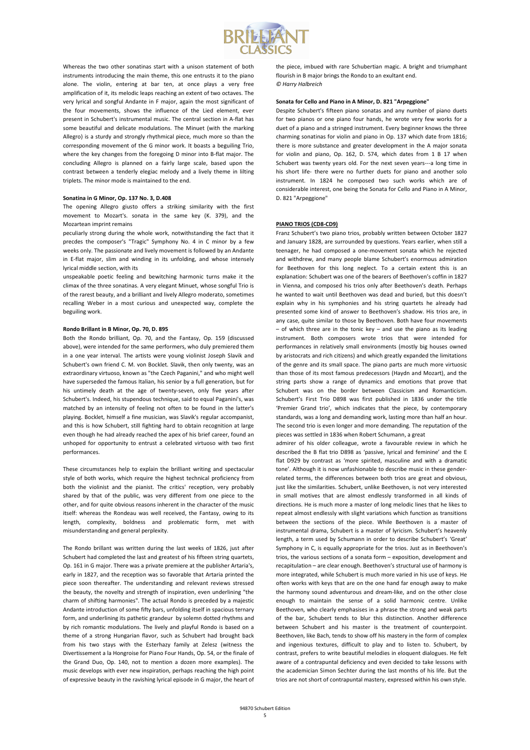

Whereas the two other sonatinas start with a unison statement of both instruments introducing the main theme, this one entrusts it to the piano alone. The violin, entering at bar ten, at once plays a very free amplification of it, its melodic leaps reaching an extent of two octaves. The very lyrical and songful Andante in F major, again the most significant of the four movements, shows the influence of the Lied element, ever present in Schubert's instrumental music. The central section in A-flat has some beautiful and delicate modulations. The Minuet (with the marking Allegro) is a sturdy and strongly rhythmical piece, much more so than the corresponding movement of the G minor work. It boasts a beguiling Trio, where the key changes from the foregoing D minor into B-flat major. The concluding Allegro is planned on a fairly large scale, based upon the contrast between a tenderly elegiac melody and a lively theme in lilting triplets. The minor mode is maintained to the end.

#### Sonatina in G Minor, Op. 137 No. 3, D.408

The opening Allegro giusto offers a striking similarity with the first movement to Mozart's. sonata in the same key (K. 379), and the Mozartean imprint remains

peculiarly strong during the whole work, notwithstanding the fact that it precdes the composer's "Tragic" Symphony No. 4 in C minor by a few weeks only. The passionate and lively movement is followed by an Andante in E-flat major, slim and winding in its unfolding, and whose intensely lyrical middle section, with its

unspeakable poetic feeling and bewitching harmonic turns make it the climax of the three sonatinas. A very elegant Minuet, whose songful Trio is of the rarest beauty, and a brilliant and lively Allegro moderato, sometimes recalling Weber in a most curious and unexpected way, complete the beguiling work.

#### Rondo Brillant in B Minor, Op. 70, D. 895

Both the Rondo brilliant, Op. 70, and the Fantasy, Op. 159 (discussed above), were intended for the same performers, who duly premiered them in a one year interval. The artists were young violinist Joseph Slavik and Schubert's own friend C. M. von Bocklet. Slavik, then only twenty, was an extraordinary virtuoso, known as "the Czech Paganini," and who might well have superseded the famous Italian, his senior by a full generation, but for his untimely death at the age of twenty-seven, only five years after Schubert's. Indeed, his stupendous technique, said to equal Paganini's, was matched by an intensity of feeling not often to be found in the latter's playing. Bocklet, himself a fine musician, was Slavik's regular accompanist, and this is how Schubert, still fighting hard to obtain recognition at large even though he had already reached the apex of his brief career, found an unhoped for opportunity to entrust a celebrated virtuoso with two first performances.

These circumstances help to explain the brilliant writing and spectacular style of both works, which require the highest technical proficiency from both the violinist and the pianist. The critics' reception, very probably shared by that of the public, was very different from one piece to the other, and for quite obvious reasons inherent in the character of the music itself: whereas the Rondeau was well received, the Fantasy, owing to its length, complexity, boldness and problematic form, met with misunderstanding and general perplexity.

The Rondo brillant was written during the last weeks of 1826, just after Schubert had completed the last and greatest of his fifteen string quartets, Op. 161 in G major. There was a private premiere at the publisher Artaria's, early in 1827, and the reception was so favorable that Artaria printed the piece soon thereafter. The understanding and relevant reviews stressed the beauty, the novelty and strength of inspiration, even underlining "the charm of shifting harmonies". The actual Rondo is preceded by a majestic Andante introduction of some fifty bars, unfolding itself in spacious ternary form, and underlining its pathetic grandeur by solemn dotted rhythms and by rich romantic modulations. The lively and playful Rondo is based on a theme of a strong Hungarian flavor, such as Schubert had brought back from his two stays with the Esterhazy family at Zelesz (witness the Divertissement a la Hongroise for Piano Four Hands, Op. 54, or the finale of the Grand Duo, Op. 140, not to mention a dozen more examples). The music develops with ever new inspiration, perhaps reaching the high point of expressive beauty in the ravishing lyrical episode in G major, the heart of

the piece, imbued with rare Schubertian magic. A bright and triumphant flourish in B major brings the Rondo to an exultant end. © Harry Halbreich

## Sonata for Cello and Piano in A Minor, D. 821 "Arpeggione"

Despite Schubert's fifteen piano sonatas and any number of piano duets for two pianos or one piano four hands, he wrote very few works for a duet of a piano and a stringed instrument. Every beginner knows the three charming sonatinas for violin and piano in Op. 137 which date from 1816; there is more substance and greater development in the A major sonata for violin and piano, Op. 162, D. 574, which dates from 1 B 17 when Schubert was twenty years old. For the next seven years---a long time in his short life- there were no further duets for piano and another solo instrument. In 1824 he composed two such works which are of considerable interest, one being the Sonata for Cello and Piano in A Minor, D. 821 "Arpeggione"

#### PIANO TRIOS (CD8-CD9)

Franz Schubert's two piano trios, probably written between October 1827 and January 1828, are surrounded by questions. Years earlier, when still a teenager, he had composed a one-movement sonata which he rejected and withdrew, and many people blame Schubert's enormous admiration for Beethoven for this long neglect. To a certain extent this is an explanation: Schubert was one of the bearers of Beethoven's coffin in 1827 in Vienna, and composed his trios only after Beethoven's death. Perhaps he wanted to wait until Beethoven was dead and buried, but this doesn't explain why in his symphonies and his string quartets he already had presented some kind of answer to Beethoven's shadow. His trios are, in any case, quite similar to those by Beethoven. Both have four movements  $-$  of which three are in the tonic key  $-$  and use the piano as its leading instrument. Both composers wrote trios that were intended for performances in relatively small environments (mostly big houses owned by aristocrats and rich citizens) and which greatly expanded the limitations of the genre and its small space. The piano parts are much more virtuosic than those of its most famous predecessors (Haydn and Mozart), and the string parts show a range of dynamics and emotions that prove that Schubert was on the border between Classicism and Romanticism. Schubert's First Trio D898 was first published in 1836 under the title 'Premier Grand trio', which indicates that the piece, by contemporary standards, was a long and demanding work, lasting more than half an hour. The second trio is even longer and more demanding. The reputation of the pieces was settled in 1836 when Robert Schumann, a great

admirer of his older colleague, wrote a favourable review in which he described the B flat trio D898 as 'passive, lyrical and feminine' and the E flat D929 by contrast as 'more spirited, masculine and with a dramatic tone'. Although it is now unfashionable to describe music in these genderrelated terms, the differences between both trios are great and obvious, just like the similarities. Schubert, unlike Beethoven, is not very interested in small motives that are almost endlessly transformed in all kinds of directions. He is much more a master of long melodic lines that he likes to repeat almost endlessly with slight variations which function as transitions between the sections of the piece. While Beethoven is a master of instrumental drama, Schubert is a master of lyricism. Schubert's heavenly length, a term used by Schumann in order to describe Schubert's 'Great' Symphony in C, is equally appropriate for the trios. Just as in Beethoven's trios, the various sections of a sonata form – exposition, development and recapitulation – are clear enough. Beethoven's structural use of harmony is more integrated, while Schubert is much more varied in his use of keys. He often works with keys that are on the one hand far enough away to make the harmony sound adventurous and dream-like, and on the other close enough to maintain the sense of a solid harmonic centre. Unlike Beethoven, who clearly emphasises in a phrase the strong and weak parts of the bar, Schubert tends to blur this distinction. Another difference between Schubert and his master is the treatment of counterpoint. Beethoven, like Bach, tends to show off his mastery in the form of complex and ingenious textures, difficult to play and to listen to. Schubert, by contrast, prefers to write beautiful melodies in eloquent dialogues. He felt aware of a contrapuntal deficiency and even decided to take lessons with the academician Simon Sechter during the last months of his life. But the trios are not short of contrapuntal mastery, expressed within his own style.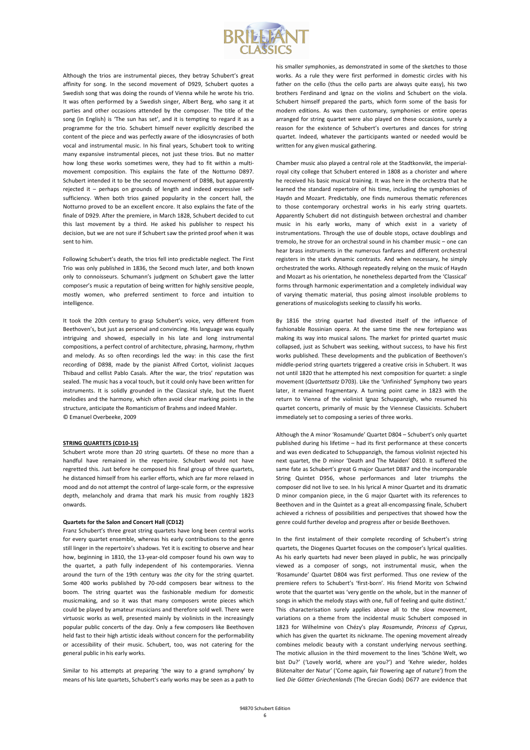

Although the trios are instrumental pieces, they betray Schubert's great affinity for song. In the second movement of D929, Schubert quotes a Swedish song that was doing the rounds of Vienna while he wrote his trio. It was often performed by a Swedish singer, Albert Berg, who sang it at parties and other occasions attended by the composer. The title of the song (in English) is 'The sun has set', and it is tempting to regard it as a programme for the trio. Schubert himself never explicitly described the content of the piece and was perfectly aware of the idiosyncrasies of both vocal and instrumental music. In his final years, Schubert took to writing many expansive instrumental pieces, not just these trios. But no matter how long these works sometimes were, they had to fit within a multimovement composition. This explains the fate of the Notturno D897. Schubert intended it to be the second movement of D898, but apparently rejected it – perhaps on grounds of length and indeed expressive selfsufficiency. When both trios gained popularity in the concert hall, the Notturno proved to be an excellent encore. It also explains the fate of the finale of D929. After the premiere, in March 1828, Schubert decided to cut this last movement by a third. He asked his publisher to respect his decision, but we are not sure if Schubert saw the printed proof when it was sent to him.

Following Schubert's death, the trios fell into predictable neglect. The First Trio was only published in 1836, the Second much later, and both known only to connoisseurs. Schumann's judgment on Schubert gave the latter composer's music a reputation of being written for highly sensitive people, mostly women, who preferred sentiment to force and intuition to intelligence.

It took the 20th century to grasp Schubert's voice, very different from Beethoven's, but just as personal and convincing. His language was equally intriguing and showed, especially in his late and long instrumental compositions, a perfect control of architecture, phrasing, harmony, rhythm and melody. As so often recordings led the way: in this case the first recording of D898, made by the pianist Alfred Cortot, violinist Jacques Thibaud and cellist Pablo Casals. After the war, the trios' reputation was sealed. The music has a vocal touch, but it could only have been written for instruments. It is solidly grounded in the Classical style, but the fluent melodies and the harmony, which often avoid clear marking points in the structure, anticipate the Romanticism of Brahms and indeed Mahler. © Emanuel Overbeeke, 2009

#### STRING QUARTETS (CD10-15)

Schubert wrote more than 20 string quartets. Of these no more than a handful have remained in the repertoire. Schubert would not have regretted this. Just before he composed his final group of three quartets, he distanced himself from his earlier efforts, which are far more relaxed in mood and do not attempt the control of large-scale form, or the expressive depth, melancholy and drama that mark his music from roughly 1823 onwards.

## Quartets for the Salon and Concert Hall (CD12)

Franz Schubert's three great string quartets have long been central works for every quartet ensemble, whereas his early contributions to the genre still linger in the repertoire's shadows. Yet it is exciting to observe and hear how, beginning in 1810, the 13-year-old composer found his own way to the quartet, a path fully independent of his contemporaries. Vienna around the turn of the 19th century was the city for the string quartet. Some 400 works published by 70-odd composers bear witness to the boom. The string quartet was the fashionable medium for domestic musicmaking, and so it was that many composers wrote pieces which could be played by amateur musicians and therefore sold well. There were virtuosic works as well, presented mainly by violinists in the increasingly popular public concerts of the day. Only a few composers like Beethoven held fast to their high artistic ideals without concern for the performability or accessibility of their music. Schubert, too, was not catering for the general public in his early works.

Similar to his attempts at preparing 'the way to a grand symphony' by means of his late quartets, Schubert's early works may be seen as a path to his smaller symphonies, as demonstrated in some of the sketches to those works. As a rule they were first performed in domestic circles with his father on the cello (thus the cello parts are always quite easy), his two brothers Ferdinand and Ignaz on the violins and Schubert on the viola. Schubert himself prepared the parts, which form some of the basis for modern editions. As was then customary, symphonies or entire operas arranged for string quartet were also played on these occasions, surely a reason for the existence of Schubert's overtures and dances for string quartet. Indeed, whatever the participants wanted or needed would be written for any given musical gathering.

Chamber music also played a central role at the Stadtkonvikt, the imperialroyal city college that Schubert entered in 1808 as a chorister and where he received his basic musical training. It was here in the orchestra that he learned the standard repertoire of his time, including the symphonies of Haydn and Mozart. Predictably, one finds numerous thematic references to those contemporary orchestral works in his early string quartets. Apparently Schubert did not distinguish between orchestral and chamber music in his early works, many of which exist in a variety of instrumentations. Through the use of double stops, octave doublings and tremolo, he strove for an orchestral sound in his chamber music – one can hear brass instruments in the numerous fanfares and different orchestral registers in the stark dynamic contrasts. And when necessary, he simply orchestrated the works. Although repeatedly relying on the music of Haydn and Mozart as his orientation, he nonetheless departed from the 'Classical' forms through harmonic experimentation and a completely individual way of varying thematic material, thus posing almost insoluble problems to generations of musicologists seeking to classify his works.

By 1816 the string quartet had divested itself of the influence of fashionable Rossinian opera. At the same time the new fortepiano was making its way into musical salons. The market for printed quartet music collapsed, just as Schubert was seeking, without success, to have his first works published. These developments and the publication of Beethoven's middle-period string quartets triggered a creative crisis in Schubert. It was not until 1820 that he attempted his next composition for quartet: a single movement (Quartettsatz D703). Like the 'Unfinished' Symphony two years later, it remained fragmentary. A turning point came in 1823 with the return to Vienna of the violinist Ignaz Schuppanzigh, who resumed his quartet concerts, primarily of music by the Viennese Classicists. Schubert immediately set to composing a series of three works.

Although the A minor 'Rosamunde' Quartet D804 – Schubert's only quartet published during his lifetime – had its first performance at these concerts and was even dedicated to Schuppanzigh, the famous violinist rejected his next quartet, the D minor 'Death and The Maiden' D810. It suffered the same fate as Schubert's great G major Quartet D887 and the incomparable String Quintet D956, whose performances and later triumphs the composer did not live to see. In his lyrical A minor Quartet and its dramatic D minor companion piece, in the G major Quartet with its references to Beethoven and in the Quintet as a great all-encompassing finale, Schubert achieved a richness of possibilities and perspectives that showed how the genre could further develop and progress after or beside Beethoven.

In the first instalment of their complete recording of Schubert's string quartets, the Diogenes Quartet focuses on the composer's lyrical qualities. As his early quartets had never been played in public, he was principally viewed as a composer of songs, not instrumental music, when the 'Rosamunde' Quartet D804 was first performed. Thus one review of the premiere refers to Schubert's 'first-born'. His friend Moritz von Schwind wrote that the quartet was 'very gentle on the whole, but in the manner of songs in which the melody stays with one, full of feeling and quite distinct.' This characterisation surely applies above all to the slow movement, variations on a theme from the incidental music Schubert composed in 1823 for Wilhelmine von Chézy's play Rosamunde, Princess of Cyprus, which has given the quartet its nickname. The opening movement already combines melodic beauty with a constant underlying nervous seething. The motivic allusion in the third movement to the lines 'Schöne Welt, wo bist Du?' ('Lovely world, where are you?') and 'Kehre wieder, holdes Blütenalter der Natur' ('Come again, fair flowering age of nature') from the lied Die Götter Griechenlands (The Grecian Gods) D677 are evidence that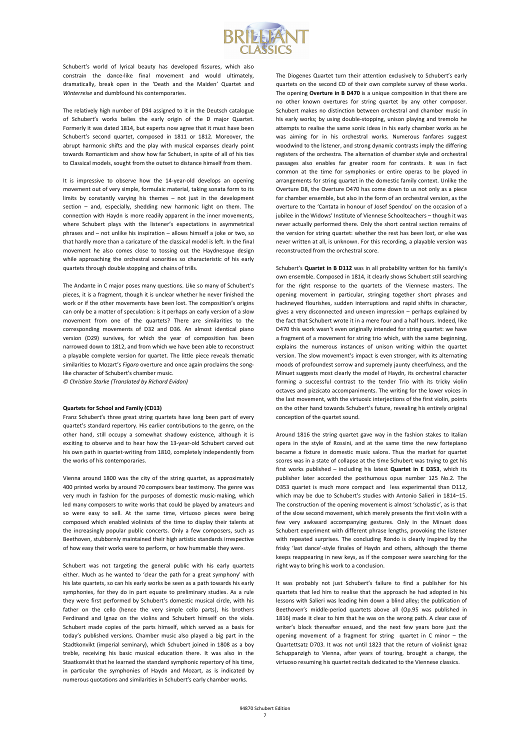

Schubert's world of lyrical beauty has developed fissures, which also constrain the dance-like final movement and would ultimately, dramatically, break open in the 'Death and the Maiden' Quartet and Winterreise and dumbfound his contemporaries.

The relatively high number of D94 assigned to it in the Deutsch catalogue of Schubert's works belies the early origin of the D major Quartet. Formerly it was dated 1814, but experts now agree that it must have been Schubert's second quartet, composed in 1811 or 1812. Moreover, the abrupt harmonic shifts and the play with musical expanses clearly point towards Romanticism and show how far Schubert, in spite of all of his ties to Classical models, sought from the outset to distance himself from them.

It is impressive to observe how the 14-year-old develops an opening movement out of very simple, formulaic material, taking sonata form to its limits by constantly varying his themes – not just in the development section – and, especially, shedding new harmonic light on them. The connection with Haydn is more readily apparent in the inner movements, where Schubert plays with the listener's expectations in asymmetrical phrases and – not unlike his inspiration – allows himself a joke or two, so that hardly more than a caricature of the classical model is left. In the final movement he also comes close to tossing out the Haydnesque design while approaching the orchestral sonorities so characteristic of his early quartets through double stopping and chains of trills.

The Andante in C major poses many questions. Like so many of Schubert's pieces, it is a fragment, though it is unclear whether he never finished the work or if the other movements have been lost. The composition's origins can only be a matter of speculation: is it perhaps an early version of a slow movement from one of the quartets? There are similarities to the corresponding movements of D32 and D36. An almost identical piano version (D29) survives, for which the year of composition has been narrowed down to 1812, and from which we have been able to reconstruct a playable complete version for quartet. The little piece reveals thematic similarities to Mozart's Figaro overture and once again proclaims the songlike character of Schubert's chamber music.

© Christian Starke (Translated by Richard Evidon)

#### Quartets for School and Family (CD13)

Franz Schubert's three great string quartets have long been part of every quartet's standard repertory. His earlier contributions to the genre, on the other hand, still occupy a somewhat shadowy existence, although it is exciting to observe and to hear how the 13-year-old Schubert carved out his own path in quartet-writing from 1810, completely independently from the works of his contemporaries.

Vienna around 1800 was the city of the string quartet, as approximately 400 printed works by around 70 composers bear testimony. The genre was very much in fashion for the purposes of domestic music-making, which led many composers to write works that could be played by amateurs and so were easy to sell. At the same time, virtuoso pieces were being composed which enabled violinists of the time to display their talents at the increasingly popular public concerts. Only a few composers, such as Beethoven, stubbornly maintained their high artistic standards irrespective of how easy their works were to perform, or how hummable they were.

Schubert was not targeting the general public with his early quartets either. Much as he wanted to 'clear the path for a great symphony' with his late quartets, so can his early works be seen as a path towards his early symphonies, for they do in part equate to preliminary studies. As a rule they were first performed by Schubert's domestic musical circle, with his father on the cello (hence the very simple cello parts), his brothers Ferdinand and Ignaz on the violins and Schubert himself on the viola. Schubert made copies of the parts himself, which served as a basis for today's published versions. Chamber music also played a big part in the Stadtkonvikt (imperial seminary), which Schubert joined in 1808 as a boy treble, receiving his basic musical education there. It was also in the Staatkonvikt that he learned the standard symphonic repertory of his time, in particular the symphonies of Haydn and Mozart, as is indicated by numerous quotations and similarities in Schubert's early chamber works.

The Diogenes Quartet turn their attention exclusively to Schubert's early quartets on the second CD of their own complete survey of these works. The opening Overture in B D470 is a unique composition in that there are no other known overtures for string quartet by any other composer. Schubert makes no distinction between orchestral and chamber music in his early works; by using double-stopping, unison playing and tremolo he attempts to realise the same sonic ideas in his early chamber works as he was aiming for in his orchestral works. Numerous fanfares suggest woodwind to the listener, and strong dynamic contrasts imply the differing registers of the orchestra. The alternation of chamber style and orchestral passages also enables far greater room for contrasts. It was in fact common at the time for symphonies or entire operas to be played in arrangements for string quartet in the domestic family context. Unlike the Overture D8, the Overture D470 has come down to us not only as a piece for chamber ensemble, but also in the form of an orchestral version, as the overture to the 'Cantata in honour of Josef Spendou' on the occasion of a jubilee in the Widows' Institute of Viennese Schoolteachers – though it was never actually performed there. Only the short central section remains of the version for string quartet: whether the rest has been lost, or else was never written at all, is unknown. For this recording, a playable version was reconstructed from the orchestral score.

Schubert's **Quartet in B D112** was in all probability written for his family's own ensemble. Composed in 1814, it clearly shows Schubert still searching for the right response to the quartets of the Viennese masters. The opening movement in particular, stringing together short phrases and hackneyed flourishes, sudden interruptions and rapid shifts in character, gives a very disconnected and uneven impression – perhaps explained by the fact that Schubert wrote it in a mere four and a half hours. Indeed, like D470 this work wasn't even originally intended for string quartet: we have a fragment of a movement for string trio which, with the same beginning, explains the numerous instances of unison writing within the quartet version. The slow movement's impact is even stronger, with its alternating moods of profoundest sorrow and supremely jaunty cheerfulness, and the Minuet suggests most clearly the model of Haydn, its orchestral character forming a successful contrast to the tender Trio with its tricky violin octaves and pizzicato accompaniments. The writing for the lower voices in the last movement, with the virtuosic interjections of the first violin, points on the other hand towards Schubert's future, revealing his entirely original conception of the quartet sound.

Around 1816 the string quartet gave way in the fashion stakes to Italian opera in the style of Rossini, and at the same time the new fortepiano became a fixture in domestic music salons. Thus the market for quartet scores was in a state of collapse at the time Schubert was trying to get his first works published – including his latest Quartet in E D353, which its publisher later accorded the posthumous opus number 125 No.2. The D353 quartet is much more compact and less experimental than D112, which may be due to Schubert's studies with Antonio Salieri in 1814–15. The construction of the opening movement is almost 'scholastic', as is that of the slow second movement, which merely presents the first violin with a few very awkward accompanying gestures. Only in the Minuet does Schubert experiment with different phrase lengths, provoking the listener with repeated surprises. The concluding Rondo is clearly inspired by the frisky 'last dance'-style finales of Haydn and others, although the theme keeps reappearing in new keys, as if the composer were searching for the right way to bring his work to a conclusion.

It was probably not just Schubert's failure to find a publisher for his quartets that led him to realise that the approach he had adopted in his lessons with Salieri was leading him down a blind alley; the publication of Beethoven's middle-period quartets above all (Op.95 was published in 1816) made it clear to him that he was on the wrong path. A clear case of writer's block thereafter ensued, and the next few years bore just the opening movement of a fragment for string quartet in C minor – the Quartettsatz D703. It was not until 1823 that the return of violinist Ignaz Schuppanzigh to Vienna, after years of touring, brought a change, the virtuoso resuming his quartet recitals dedicated to the Viennese classics.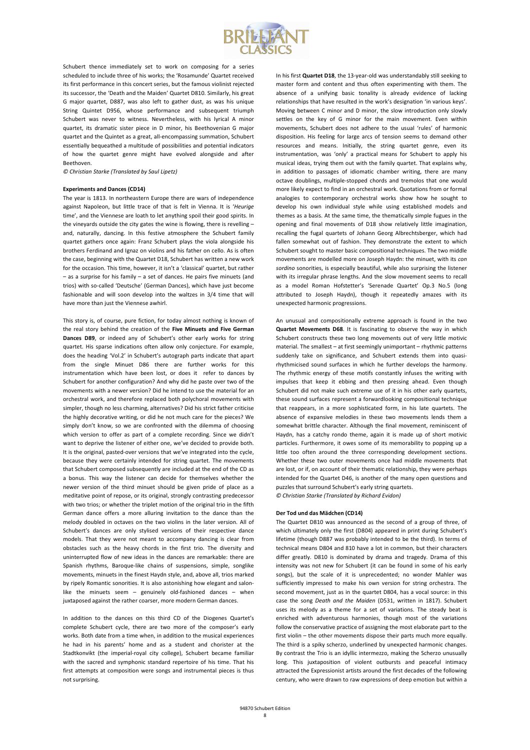

Schubert thence immediately set to work on composing for a series scheduled to include three of his works; the 'Rosamunde' Quartet received its first performance in this concert series, but the famous violinist rejected its successor, the 'Death and the Maiden' Quartet D810. Similarly, his great G major quartet, D887, was also left to gather dust, as was his unique String Quintet D956, whose performance and subsequent triumph Schubert was never to witness. Nevertheless, with his lyrical A minor quartet, its dramatic sister piece in D minor, his Beethovenian G major quartet and the Quintet as a great, all-encompassing summation, Schubert essentially bequeathed a multitude of possibilities and potential indicators of how the quartet genre might have evolved alongside and after Beethoven.

© Christian Starke (Translated by Saul Lipetz)

## Experiments and Dances (CD14)

The year is 1813. In northeastern Europe there are wars of independence against Napoleon, but little trace of that is felt in Vienna. It is 'Heurige time', and the Viennese are loath to let anything spoil their good spirits. In the vineyards outside the city gates the wine is flowing, there is revelling – and, naturally, dancing. In this festive atmosphere the Schubert family quartet gathers once again: Franz Schubert plays the viola alongside his brothers Ferdinand and Ignaz on violins and his father on cello. As is often the case, beginning with the Quartet D18, Schubert has written a new work for the occasion. This time, however, it isn't a 'classical' quartet, but rather – as a surprise for his family – a set of dances. He pairs five minuets (and trios) with so-called 'Deutsche' (German Dances), which have just become fashionable and will soon develop into the waltzes in 3/4 time that will have more than just the Viennese awhirl.

This story is, of course, pure fiction, for today almost nothing is known of the real story behind the creation of the Five Minuets and Five German Dances D89, or indeed any of Schubert's other early works for string quartet. His sparse indications often allow only conjecture. For example, does the heading 'Vol.2' in Schubert's autograph parts indicate that apart from the single Minuet D86 there are further works for this instrumentation which have been lost, or does it refer to dances by Schubert for another configuration? And why did he paste over two of the movements with a newer version? Did he intend to use the material for an orchestral work, and therefore replaced both polychoral movements with simpler, though no less charming, alternatives? Did his strict father criticise the highly decorative writing, or did he not much care for the pieces? We simply don't know, so we are confronted with the dilemma of choosing which version to offer as part of a complete recording. Since we didn't want to deprive the listener of either one, we've decided to provide both. It is the original, pasted-over versions that we've integrated into the cycle, because they were certainly intended for string quartet. The movements that Schubert composed subsequently are included at the end of the CD as a bonus. This way the listener can decide for themselves whether the newer version of the third minuet should be given pride of place as a meditative point of repose, or its original, strongly contrasting predecessor with two trios; or whether the triplet motion of the original trio in the fifth German dance offers a more alluring invitation to the dance than the melody doubled in octaves on the two violins in the later version. All of Schubert's dances are only stylised versions of their respective dance models. That they were not meant to accompany dancing is clear from obstacles such as the heavy chords in the first trio. The diversity and uninterrupted flow of new ideas in the dances are remarkable: there are Spanish rhythms, Baroque-like chains of suspensions, simple, songlike movements, minuets in the finest Haydn style, and, above all, trios marked by ripely Romantic sonorities. It is also astonishing how elegant and salonlike the minuets seem – genuinely old-fashioned dances – when juxtaposed against the rather coarser, more modern German dances.

In addition to the dances on this third CD of the Diogenes Quartet's complete Schubert cycle, there are two more of the composer's early works. Both date from a time when, in addition to the musical experiences he had in his parents' home and as a student and chorister at the Stadtkonvikt (the imperial-royal city college), Schubert became familiar with the sacred and symphonic standard repertoire of his time. That his first attempts at composition were songs and instrumental pieces is thus not surprising.

In his first Quartet D18, the 13-year-old was understandably still seeking to master form and content and thus often experimenting with them. The absence of a unifying basic tonality is already evidence of lacking relationships that have resulted in the work's designation 'in various keys'. Moving between C minor and D minor, the slow introduction only slowly settles on the key of G minor for the main movement. Even within movements, Schubert does not adhere to the usual 'rules' of harmonic disposition. His feeling for large arcs of tension seems to demand other resources and means. Initially, the string quartet genre, even its instrumentation, was 'only' a practical means for Schubert to apply his musical ideas, trying them out with the family quartet. That explains why in addition to passages of idiomatic chamber writing, there are many octave doublings, multiple-stopped chords and tremolos that one would more likely expect to find in an orchestral work. Quotations from or formal analogies to contemporary orchestral works show how he sought to develop his own individual style while using established models and themes as a basis. At the same time, the thematically simple fugues in the opening and final movements of D18 show relatively little imagination, recalling the fugal quartets of Johann Georg Albrechtsberger, which had fallen somewhat out of fashion. They demonstrate the extent to which Schubert sought to master basic compositional techniques. The two middle movements are modelled more on Joseph Haydn: the minuet, with its con sordino sonorities, is especially beautiful, while also surprising the listener with its irregular phrase lengths. And the slow movement seems to recall as a model Roman Hofstetter's 'Serenade Quartet' Op.3 No.5 (long attributed to Joseph Haydn), though it repeatedly amazes with its unexpected harmonic progressions.

An unusual and compositionally extreme approach is found in the two Quartet Movements D68. It is fascinating to observe the way in which Schubert constructs these two long movements out of very little motivic material. The smallest – at first seemingly unimportant – rhythmic patterns suddenly take on significance, and Schubert extends them into quasirhythmicised sound surfaces in which he further develops the harmony. The rhythmic energy of these motifs constantly infuses the writing with impulses that keep it ebbing and then pressing ahead. Even though Schubert did not make such extreme use of it in his other early quartets, these sound surfaces represent a forwardlooking compositional technique that reappears, in a more sophisticated form, in his late quartets. The absence of expansive melodies in these two movements lends them a somewhat brittle character. Although the final movement, reminiscent of Haydn, has a catchy rondo theme, again it is made up of short motivic particles. Furthermore, it owes some of its memorability to popping up a little too often around the three corresponding development sections. Whether these two outer movements once had middle movements that are lost, or if, on account of their thematic relationship, they were perhaps intended for the Quartet D46, is another of the many open questions and puzzles that surround Schubert's early string quartets. © Christian Starke (Translated by Richard Evidon)

#### Der Tod und das Mädchen (CD14)

The Quartet D810 was announced as the second of a group of three, of which ultimately only the first (D804) appeared in print during Schubert's lifetime (though D887 was probably intended to be the third). In terms of technical means D804 and 810 have a lot in common, but their characters differ greatly. D810 is dominated by drama and tragedy. Drama of this intensity was not new for Schubert (it can be found in some of his early songs), but the scale of it is unprecedented; no wonder Mahler was sufficiently impressed to make his own version for string orchestra. The second movement, just as in the quartet D804, has a vocal source: in this case the song Death and the Maiden (D531, written in 1817). Schubert uses its melody as a theme for a set of variations. The steady beat is enriched with adventurous harmonies, though most of the variations follow the conservative practice of assigning the most elaborate part to the first violin – the other movements dispose their parts much more equally. The third is a spiky scherzo, underlined by unexpected harmonic changes. By contrast the Trio is an idyllic intermezzo, making the Scherzo unusually long. This juxtaposition of violent outbursts and peaceful intimacy attracted the Expressionist artists around the first decades of the following century, who were drawn to raw expressions of deep emotion but within a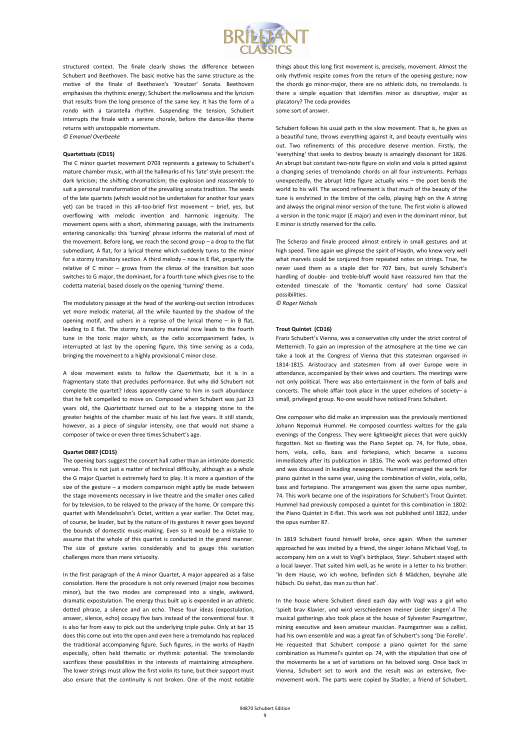

structured context. The finale clearly shows the difference between Schubert and Beethoven. The basic motive has the same structure as the motive of the finale of Beethoven's 'Kreutzer' Sonata. Beethoven emphasises the rhythmic energy; Schubert the mellowness and the lyricism that results from the long presence of the same key. It has the form of a rondo with a tarantella rhythm. Suspending the tension, Schubert interrupts the finale with a serene chorale, before the dance-like theme returns with unstoppable momentum. © Emanuel Overbeeke

#### Quartettsatz (CD15)

The C minor quartet movement D703 represents a gateway to Schubert's mature chamber music, with all the hallmarks of his 'late' style present: the dark lyricism; the shifting chromaticism; the explosion and reassembly to suit a personal transformation of the prevailing sonata tradition. The seeds of the late quartets (which would not be undertaken for another four years yet) can be traced in this all-too-brief first movement – brief, yes, but overflowing with melodic invention and harmonic ingenuity. The movement opens with a short, shimmering passage, with the instruments entering canonically: this 'turning' phrase informs the material of most of the movement. Before long, we reach the second group – a drop to the flat submediant, A flat, for a lyrical theme which suddenly turns to the minor for a stormy transitory section. A third melody – now in E flat, properly the relative of C minor – grows from the climax of the transition but soon switches to G major, the dominant, for a fourth tune which gives rise to the codetta material, based closely on the opening 'turning' theme.

The modulatory passage at the head of the working-out section introduces yet more melodic material, all the while haunted by the shadow of the opening motif, and ushers in a reprise of the lyrical theme – in B flat, leading to E flat. The stormy transitory material now leads to the fourth tune in the tonic major which, as the cello accompaniment fades, is interrupted at last by the opening figure, this time serving as a coda, bringing the movement to a highly provisional C minor close.

A slow movement exists to follow the Quartettsatz, but it is in a fragmentary state that precludes performance. But why did Schubert not complete the quartet? Ideas apparently came to him in such abundance that he felt compelled to move on. Composed when Schubert was just 23 years old, the Quartettsatz turned out to be a stepping stone to the greater heights of the chamber music of his last five years. It still stands, however, as a piece of singular intensity, one that would not shame a composer of twice or even three times Schubert's age.

## Quartet D887 (CD15)

The opening bars suggest the concert hall rather than an intimate domestic venue. This is not just a matter of technical difficulty, although as a whole the G major Quartet is extremely hard to play. It is more a question of the size of the gesture – a modern comparison might aptly be made between the stage movements necessary in live theatre and the smaller ones called for by television, to be relayed to the privacy of the home. Or compare this quartet with Mendelssohn's Octet, written a year earlier. The Octet may, of course, be louder, but by the nature of its gestures it never goes beyond the bounds of domestic music-making. Even so it would be a mistake to assume that the whole of this quartet is conducted in the grand manner. The size of gesture varies considerably and to gauge this variation challenges more than mere virtuosity.

In the first paragraph of the A minor Quartet, A major appeared as a false consolation. Here the procedure is not only reversed (major now becomes minor), but the two modes are compressed into a single, awkward, dramatic expostulation. The energy thus built up is expended in an athletic dotted phrase, a silence and an echo. These four ideas (expostulation, answer, silence, echo) occupy five bars instead of the conventional four. It is also far from easy to pick out the underlying triple pulse. Only at bar 15 does this come out into the open and even here a tremolando has replaced the traditional accompanying figure. Such figures, in the works of Haydn especially, often held thematic or rhythmic potential. The tremolando sacrifices these possibilities in the interests of maintaining atmosphere. The lower strings must allow the first violin its tune, but their support must also ensure that the continuity is not broken. One of the most notable

things about this long first movement is, precisely, movement. Almost the only rhythmic respite comes from the return of the opening gesture; now the chords go minor-major, there are no athletic dots, no tremolando. Is there a simple equation that identifies minor as disruptive, major as placatory? The coda provides

some sort of answer.

Schubert follows his usual path in the slow movement. That is, he gives us a beautiful tune, throws everything against it, and beauty eventually wins out. Two refinements of this procedure deserve mention. Firstly, the 'everything' that seeks to destroy beauty is amazingly dissonant for 1826. An abrupt but constant two-note figure on violin and viola is pitted against a changing series of tremolando chords on all four instruments. Perhaps unexpectedly, the abrupt little figure actually wins – the poet bends the world to his will. The second refinement is that much of the beauty of the tune is enshrined in the timbre of the cello, playing high on the A string and always the original minor version of the tune. The first violin is allowed a version in the tonic major (E major) and even in the dominant minor, but E minor is strictly reserved for the cello.

The Scherzo and finale proceed almost entirely in small gestures and at high speed. Time again we glimpse the spirit of Haydn, who knew very well what marvels could be conjured from repeated notes on strings. True, he never used them as a staple diet for 707 bars, but surely Schubert's handling of double- and treble-bluff would have reassured him that the extended timescale of the 'Romantic century' had some Classical possibilities.

© Roger Nichols

#### Trout Quintet (CD16)

Franz Schubert's Vienna, was a conservative city under the strict control of Metternich. To gain an impression of the atmosphere at the time we can take a look at the Congress of Vienna that this statesman organised in 1814-1815. Aristocracy and statesmen from all over Europe were in attendance, accompanied by their wives and courtiers. The meetings were not only political. There was also entertainment in the form of balls and concerts. The whole affair took place in the upper echelons of society– a small, privileged group. No-one would have noticed Franz Schubert.

One composer who did make an impression was the previously mentioned Johann Nepomuk Hummel. He composed countless waltzes for the gala evenings of the Congress. They were lightweight pieces that were quickly forgotten. Not so fleeting was the Piano Septet op. 74, for flute, oboe, horn, viola, cello, bass and fortepiano, which became a success immediately after its publication in 1816. The work was performed often and was discussed in leading newspapers. Hummel arranged the work for piano quintet in the same year, using the combination of violin, viola, cello, bass and fortepiano. The arrangement was given the same opus number, 74. This work became one of the inspirations for Schubert's Trout Quintet. Hummel had previously composed a quintet for this combination in 1802: the Piano Quintet in E-flat. This work was not published until 1822, under the opus number 87.

In 1819 Schubert found himself broke, once again. When the summer approached he was invited by a friend, the singer Johann Michael Vogl, to accompany him on a visit to Vogl's birthplace, Steyr. Schubert stayed with a local lawyer. That suited him well, as he wrote in a letter to his brother: 'In dem Hause, wo ich wohne, befinden sich 8 Mädchen, beynahe alle hübsch. Du siehst, das man zu thun hat'.

In the house where Schubert dined each day with Vogl was a girl who 'spielt brav Klavier, und wird verschiedenen meiner Lieder singen'.4 The musical gatherings also took place at the house of Sylvester Paumgartner, mining executive and keen amateur musician. Paumgartner was a cellist, had his own ensemble and was a great fan of Schubert's song 'Die Forelle'. He requested that Schubert compose a piano quintet for the same combination as Hummel's quintet op. 74, with the stipulation that one of the movements be a set of variations on his beloved song. Once back in Vienna, Schubert set to work and the result was an extensive, fivemovement work. The parts were copied by Stadler, a friend of Schubert,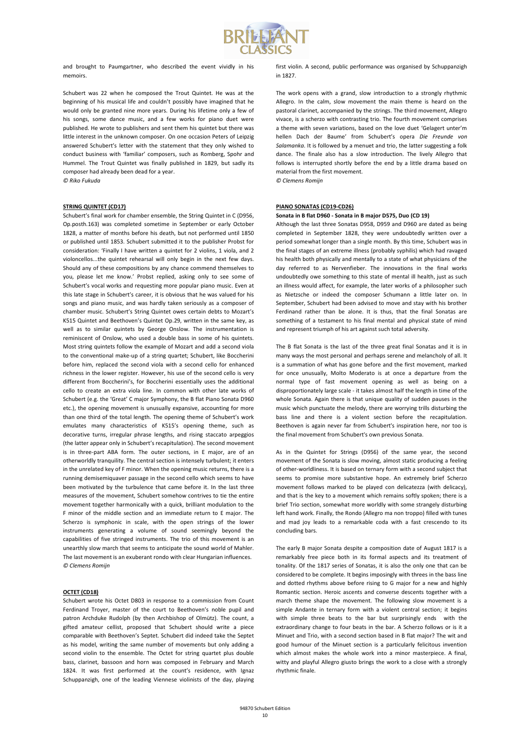

and brought to Paumgartner, who described the event vividly in his memoirs.

Schubert was 22 when he composed the Trout Quintet. He was at the beginning of his musical life and couldn't possibly have imagined that he would only be granted nine more years. During his lifetime only a few of his songs, some dance music, and a few works for piano duet were published. He wrote to publishers and sent them his quintet but there was little interest in the unknown composer. On one occasion Peters of Leipzig answered Schubert's letter with the statement that they only wished to conduct business with 'familiar' composers, such as Romberg, Spohr and Hummel. The Trout Quintet was finally published in 1829, but sadly its composer had already been dead for a year. © Riko Fukuda

## STRING QUINTET (CD17)

Schubert's final work for chamber ensemble, the String Quintet in C (D956, Op.posth.163) was completed sometime in September or early October 1828, a matter of months before his death, but not performed until 1850 or published until 1853. Schubert submitted it to the publisher Probst for consideration: 'Finally I have written a quintet for 2 violins, 1 viola, and 2 violoncellos...the quintet rehearsal will only begin in the next few days. Should any of these compositions by any chance commend themselves to you, please let me know.' Probst replied, asking only to see some of Schubert's vocal works and requesting more popular piano music. Even at this late stage in Schubert's career, it is obvious that he was valued for his songs and piano music, and was hardly taken seriously as a composer of chamber music. Schubert's String Quintet owes certain debts to Mozart's K515 Quintet and Beethoven's Quintet Op.29, written in the same key, as well as to similar quintets by George Onslow. The instrumentation is reminiscent of Onslow, who used a double bass in some of his quintets. Most string quintets follow the example of Mozart and add a second viola to the conventional make-up of a string quartet; Schubert, like Boccherini before him, replaced the second viola with a second cello for enhanced richness in the lower register. However, his use of the second cello is very different from Boccherini's, for Boccherini essentially uses the additional cello to create an extra viola line. In common with other late works of Schubert (e.g. the 'Great' C major Symphony, the B flat Piano Sonata D960 etc.), the opening movement is unusually expansive, accounting for more than one third of the total length. The opening theme of Schubert's work emulates many characteristics of K515's opening theme, such as decorative turns, irregular phrase lengths, and rising staccato arpeggios (the latter appear only in Schubert's recapitulation). The second movement is in three-part ABA form. The outer sections, in E major, are of an otherworldly tranquility. The central section is intensely turbulent; it enters in the unrelated key of F minor. When the opening music returns, there is a running demisemiquaver passage in the second cello which seems to have been motivated by the turbulence that came before it. In the last three measures of the movement, Schubert somehow contrives to tie the entire movement together harmonically with a quick, brilliant modulation to the F minor of the middle section and an immediate return to E major. The Scherzo is symphonic in scale, with the open strings of the lower instruments generating a volume of sound seemingly beyond the capabilities of five stringed instruments. The trio of this movement is an unearthly slow march that seems to anticipate the sound world of Mahler. The last movement is an exuberant rondo with clear Hungarian influences. © Clemens Romijn

#### OCTET (CD18)

Schubert wrote his Octet D803 in response to a commission from Count Ferdinand Troyer, master of the court to Beethoven's noble pupil and patron Archduke Rudolph (by then Archbishop of Olmütz). The count, a gifted amateur cellist, proposed that Schubert should write a piece comparable with Beethoven's Septet. Schubert did indeed take the Septet as his model, writing the same number of movements but only adding a second violin to the ensemble. The Octet for string quartet plus double bass, clarinet, bassoon and horn was composed in February and March 1824. It was first performed at the count's residence, with Jgnaz Schuppanzigh, one of the leading Viennese violinists of the day, playing

first violin. A second, public performance was organised by Schuppanzigh in 1827.

The work opens with a grand, slow introduction to a strongly rhythmic Allegro. In the calm, slow movement the main theme is heard on the pastoral clarinet, accompanied by the strings. The third movement, Allegro vivace, is a scherzo with contrasting trio. The fourth movement comprises a theme with seven variations, based on the love duet 'Gelagert unter'm hellen Dach der Baume' from Schubert's opera Die Freunde von Salamanka. It is followed by a menuet and trio, the latter suggesting a folk dance. The finale also has a slow introduction. The lively Allegro that follows is interrupted shortly before the end by a little drama based on material from the first movement.

© Clemens Romijn

#### PIANO SONATAS (CD19-CD26)

#### Sonata in B flat D960 - Sonata in B major D575, Duo (CD 19)

Although the last three Sonatas D958, D959 and D960 are dated as being completed in September 1828, they were undoubtedly written over a period somewhat longer than a single month. By this time, Schubert was in the final stages of an extreme illness (probably syphilis) which had ravaged his health both physically and mentally to a state of what physicians of the day referred to as Nervenfieber. The innovations in the final works undoubtedly owe something to this state of mental ill health, just as such an illness would affect, for example, the later works of a philosopher such as Nietzsche or indeed the composer Schumann a little later on. In September, Schubert had been advised to move and stay with his brother Ferdinand rather than be alone. It is thus, that the final Sonatas are something of a testament to his final mental and physical state of mind and represent triumph of his art against such total adversity.

The B flat Sonata is the last of the three great final Sonatas and it is in many ways the most personal and perhaps serene and melancholy of all. It is a summation of what has gone before and the first movement, marked for once unusually, Molto Moderato is at once a departure from the normal type of fast movement opening as well as being on a disproportionately large scale - it takes almost half the length in time of the whole Sonata. Again there is that unique quality of sudden pauses in the music which punctuate the melody, there are worrying trills disturbing the bass line and there is a violent section before the recapitulation. Beethoven is again never far from Schubert's inspiration here, nor too is the final movement from Schubert's own previous Sonata.

As in the Quintet for Strings (D956) of the same year, the second movement of the Sonata is slow moving, almost static producing a feeling of other-worldliness. It is based on ternary form with a second subject that seems to promise more substantive hope. An extremely brief Scherzo movement follows marked to be played con delicatezza (with delicacy), and that is the key to a movement which remains softly spoken; there is a brief Trio section, somewhat more worldly with some strangely disturbing left hand work. Finally, the Rondo (Allegro ma non troppo) filled with tunes and mad joy leads to a remarkable coda with a fast crescendo to its concluding bars.

The early B major Sonata despite a composition date of August 1817 is a remarkably free piece both in its formal aspects and its treatment of tonality. Of the 1817 series of Sonatas, it is also the only one that can be considered to be complete. It begins imposingly with threes in the bass line and dotted rhythms above before rising to G major for a new and highly Romantic section. Heroic ascents and converse descents together with a march theme shape the movement. The following slow movement is a simple Andante in ternary form with a violent central section; it begins with simple three beats to the bar but surprisingly ends with the extraordinary change to four beats in the bar. A Scherzo follows or is it a Minuet and Trio, with a second section based in B flat major? The wit and good humour of the Minuet section is a particularly felicitous invention which almost makes the whole work into a minor masterpiece. A final, witty and playful Allegro giusto brings the work to a close with a strongly rhythmic finale.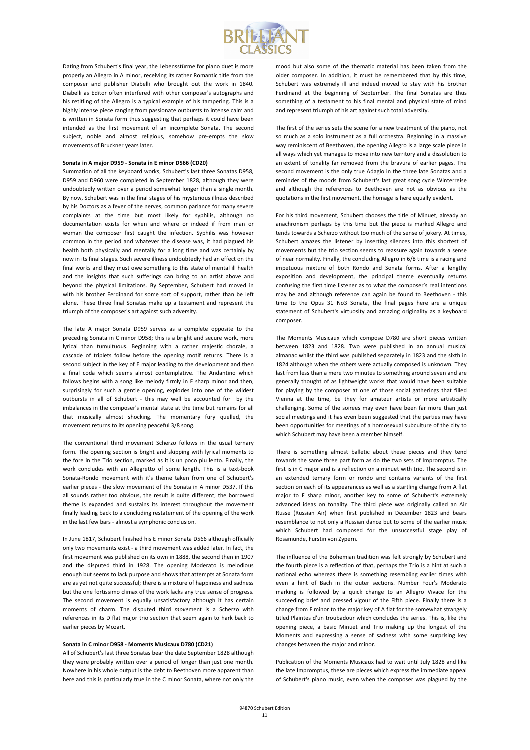

Dating from Schubert's final year, the Lebensstürme for piano duet is more properly an Allegro in A minor, receiving its rather Romantic title from the composer and publisher Diabelli who brought out the work in 1840. Diabelli as Editor often interfered with other composer's autographs and his retitling of the Allegro is a typical example of his tampering. This is a highly intense piece ranging from passionate outbursts to intense calm and is written in Sonata form thus suggesting that perhaps it could have been intended as the first movement of an incomplete Sonata. The second subject, noble and almost religious, somehow pre-empts the slow movements of Bruckner years later.

## Sonata in A major D959 - Sonata in E minor D566 (CD20)

Summation of all the keyboard works, Schubert's last three Sonatas D958, D959 and D960 were completed in September 1828, although they were undoubtedly written over a period somewhat longer than a single month. By now, Schubert was in the final stages of his mysterious illness described by his Doctors as a fever of the nerves, common parlance for many severe complaints at the time but most likely for syphilis, although no documentation exists for when and where or indeed if from man or woman the composer first caught the infection. Syphilis was however common in the period and whatever the disease was, it had plagued his health both physically and mentally for a long time and was certainly by now in its final stages. Such severe illness undoubtedly had an effect on the final works and they must owe something to this state of mental ill health and the insights that such sufferings can bring to an artist above and beyond the physical limitations. By September, Schubert had moved in with his brother Ferdinand for some sort of support, rather than be left alone. These three final Sonatas make up a testament and represent the triumph of the composer's art against such adversity.

The late A major Sonata D959 serves as a complete opposite to the preceding Sonata in C minor D958; this is a bright and secure work, more lyrical than tumultuous. Beginning with a rather majestic chorale, a cascade of triplets follow before the opening motif returns. There is a second subject in the key of E major leading to the development and then a final coda which seems almost contemplative. The Andantino which follows begins with a song like melody firmly in F sharp minor and then, surprisingly for such a gentle opening, explodes into one of the wildest outbursts in all of Schubert - this may well be accounted for by the imbalances in the composer's mental state at the time but remains for all that musically almost shocking. The momentary fury quelled, the movement returns to its opening peaceful 3/8 song.

The conventional third movement Scherzo follows in the usual ternary form. The opening section is bright and skipping with lyrical moments to the fore in the Trio section, marked as it is un poco piu lento. Finally, the work concludes with an Allegretto of some length. This is a text-book Sonata-Rondo movement with it's theme taken from one of Schubert's earlier pieces - the slow movement of the Sonata in A minor D537. If this all sounds rather too obvious, the result is quite different; the borrowed theme is expanded and sustains its interest throughout the movement finally leading back to a concluding restatement of the opening of the work in the last few bars - almost a symphonic conclusion.

In June 1817, Schubert finished his E minor Sonata D566 although officially only two movements exist - a third movement was added later. In fact, the first movement was published on its own in 1888, the second then in 1907 and the disputed third in 1928. The opening Moderato is melodious enough but seems to lack purpose and shows that attempts at Sonata form are as yet not quite successful; there is a mixture of happiness and sadness but the one fortissimo climax of the work lacks any true sense of progress. The second movement is equally unsatisfactory although it has certain moments of charm. The disputed third movement is a Scherzo with references in its D flat major trio section that seem again to hark back to earlier pieces by Mozart.

#### Sonata in C minor D958 - Moments Musicaux D780 (CD21)

All of Schubert's last three Sonatas bear the date September 1828 although they were probably written over a period of longer than just one month. Nowhere in his whole output is the debt to Beethoven more apparent than here and this is particularly true in the C minor Sonata, where not only the

mood but also some of the thematic material has been taken from the older composer. In addition, it must be remembered that by this time, Schubert was extremely ill and indeed moved to stay with his brother Ferdinand at the beginning of September. The final Sonatas are thus something of a testament to his final mental and physical state of mind and represent triumph of his art against such total adversity.

The first of the series sets the scene for a new treatment of the piano, not so much as a solo instrument as a full orchestra. Beginning in a massive way reminiscent of Beethoven, the opening Allegro is a large scale piece in all ways which yet manages to move into new territory and a dissolution to an extent of tonality far removed from the bravura of earlier pages. The second movement is the only true Adagio in the three late Sonatas and a reminder of the moods from Schubert's last great song cycle Winterreise and although the references to Beethoven are not as obvious as the quotations in the first movement, the homage is here equally evident.

For his third movement, Schubert chooses the title of Minuet, already an anachronism perhaps by this time but the piece is marked Allegro and tends towards a Scherzo without too much of the sense of jokery. At times, Schubert amazes the listener by inserting silences into this shortest of movements but the trio section seems to reassure again towards a sense of near normality. Finally, the concluding Allegro in 6/8 time is a racing and impetuous mixture of both Rondo and Sonata forms. After a lengthy exposition and development, the principal theme eventually returns confusing the first time listener as to what the composer's real intentions may be and although reference can again be found to Beethoven - this time to the Opus 31 No3 Sonata, the final pages here are a unique statement of Schubert's virtuosity and amazing originality as a keyboard composer.

The Moments Musicaux which compose D780 are short pieces written between 1823 and 1828. Two were published in an annual musical almanac whilst the third was published separately in 1823 and the sixth in 1824 although when the others were actually composed is unknown. They last from less than a mere two minutes to something around seven and are generally thought of as lightweight works that would have been suitable for playing by the composer at one of those social gatherings that filled Vienna at the time, be they for amateur artists or more artistically challenging. Some of the soirees may even have been far more than just social meetings and it has even been suggested that the parties may have been opportunities for meetings of a homosexual subculture of the city to which Schubert may have been a member himself.

There is something almost balletic about these pieces and they tend towards the same three part form as do the two sets of Impromptus. The first is in C major and is a reflection on a minuet with trio. The second is in an extended temary form or rondo and contains variants of the first section on each of its appearances as well as a startling change from A flat major to E sharp minor, another key to some of Schubert's extremely advanced ideas on tonality. The third piece was originally called an Air Russe (Russian Air) when first published in December 1823 and bears resemblance to not only a Russian dance but to some of the earlier music which Schubert had composed for the unsuccessful stage play of Rosamunde, Furstin von Zypern.

The influence of the Bohemian tradition was felt strongly by Schubert and the fourth piece is a reflection of that, perhaps the Trio is a hint at such a national echo whereas there is something resembling earlier times with even a hint of Bach in the outer sections. Number Four's Moderato marking is followed by a quick change to an Allegro Vivace for the succeeding brief and pressed vigour of the Fifth piece. Finally there is a change from F minor to the major key of A flat for the somewhat strangely titled Plaintes d'un troubadour which concludes the series. This is, like the opening piece, a basic Minuet and Trio making up the longest of the Moments and expressing a sense of sadness with some surprising key changes between the major and minor.

Publication of the Moments Musicaux had to wait until July 1828 and like the late Impromptus, these are pieces which express the immediate appeal of Schubert's piano music, even when the composer was plagued by the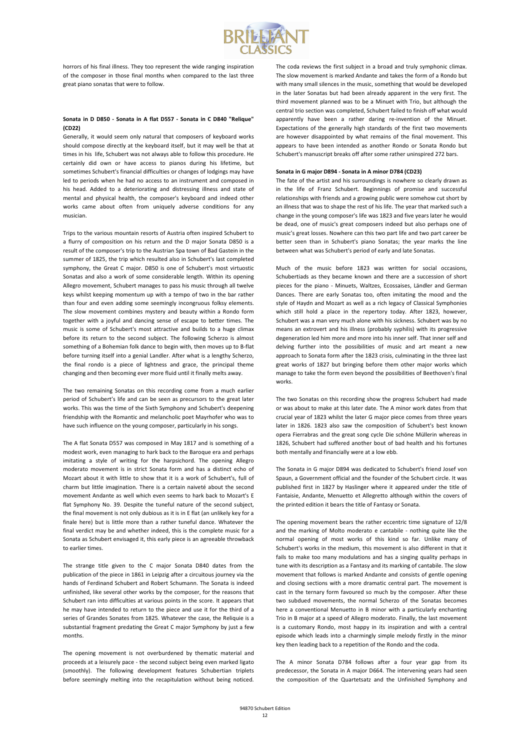

horrors of his final illness. They too represent the wide ranging inspiration of the composer in those final months when compared to the last three great piano sonatas that were to follow.

## Sonata in D D850 - Sonata in A flat D557 - Sonata in C D840 "Relique" (CD22)

Generally, it would seem only natural that composers of keyboard works should compose directly at the keyboard itself, but it may well be that at times in his life, Schubert was not always able to follow this procedure. He certainly did own or have access to pianos during his lifetime, but sometimes Schubert's financial difficulties or changes of lodgings may have led to periods when he had no access to an instrument and composed in his head. Added to a deteriorating and distressing illness and state of mental and physical health, the composer's keyboard and indeed other works came about often from uniquely adverse conditions for any musician.

Trips to the various mountain resorts of Austria often inspired Schubert to a flurry of composition on his return and the D major Sonata D850 is a result of the composer's trip to the Austrian Spa town of Bad Gastein in the summer of 1825, the trip which resulted also in Schubert's last completed symphony, the Great C major. D850 is one of Schubert's most virtuostic Sonatas and also a work of some considerable length. Within its opening Allegro movement, Schubert manages to pass his music through all twelve keys whilst keeping momentum up with a tempo of two in the bar rather than four and even adding some seemingly incongruous folksy elements. The slow movement combines mystery and beauty within a Rondo form together with a joyful and dancing sense of escape to better times. The music is some of Schubert's most attractive and builds to a huge climax before its return to the second subject. The following Scherzo is almost something of a Bohemian folk dance to begin with, then moves up to B-flat before turning itself into a genial Landler. After what is a lengthy Scherzo, the final rondo is a piece of lightness and grace, the principal theme changing and then becoming ever more fluid until it finally melts away.

The two remaining Sonatas on this recording come from a much earlier period of Schubert's life and can be seen as precursors to the great later works. This was the time of the Sixth Symphony and Schubert's deepening friendship with the Romantic and melancholic poet Mayrhofer who was to have such influence on the young composer, particularly in his songs.

The A flat Sonata D557 was composed in May 1817 and is something of a modest work, even managing to hark back to the Baroque era and perhaps imitating a style of writing for the harpsichord. The opening Allegro moderato movement is in strict Sonata form and has a distinct echo of Mozart about it with little to show that it is a work of Schubert's, full of charm but little imagination. There is a certain naiveté about the second movement Andante as well which even seems to hark back to Mozart's E flat Symphony No. 39. Despite the tuneful nature of the second subject, the final movement is not only dubious as it is in E flat (an unlikely key for a finale here) but is little more than a rather tuneful dance. Whatever the final verdict may be and whether indeed, this is the complete music for a Sonata as Schubert envisaged it, this early piece is an agreeable throwback to earlier times.

The strange title given to the C major Sonata D840 dates from the publication of the piece in 1861 in Leipzig after a circuitous journey via the hands of Ferdinand Schubert and Robert Schumann. The Sonata is indeed unfinished, like several other works by the composer, for the reasons that Schubert ran into difficulties at various points in the score. It appears that he may have intended to return to the piece and use it for the third of a series of Grandes Sonates from 1825. Whatever the case, the Reliquie is a substantial fragment predating the Great C major Symphony by just a few months.

The opening movement is not overburdened by thematic material and proceeds at a leisurely pace - the second subject being even marked ligato (smoothly). The following development features Schubertian triplets before seemingly melting into the recapitulation without being noticed.

The coda reviews the first subject in a broad and truly symphonic climax. The slow movement is marked Andante and takes the form of a Rondo but with many small silences in the music, something that would be developed in the later Sonatas but had been already apparent in the very first. The third movement planned was to be a Minuet with Trio, but although the central trio section was completed, Schubert failed to finish off what would apparently have been a rather daring re-invention of the Minuet. Expectations of the generally high standards of the first two movements are however disappointed by what remains of the final movement. This appears to have been intended as another Rondo or Sonata Rondo but Schubert's manuscript breaks off after some rather uninspired 272 bars.

#### Sonata in G major D894 - Sonata in A minor D784 (CD23)

The fate of the artist and his surroundings is nowhere so clearly drawn as in the life of Franz Schubert. Beginnings of promise and successful relationships with friends and a growing public were somehow cut short by an illness that was to shape the rest of his life. The year that marked such a change in the young composer's life was 1823 and five years later he would be dead, one of music's great composers indeed but also perhaps one of music's great losses. Nowhere can this two part life and two part career be better seen than in Schubert's piano Sonatas; the year marks the line between what was Schubert's period of early and late Sonatas.

Much of the music before 1823 was written for social occasions, Schubertiads as they became known and there are a succession of short pieces for the piano - Minuets, Waltzes, Ecossaises, Ländler and German Dances. There are early Sonatas too, often imitating the mood and the style of Haydn and Mozart as well as a rich legacy of Classical Symphonies which still hold a place in the repertory today. After 1823, however, Schubert was a man very much alone with his sickness. Schubert was by no means an extrovert and his illness (probably syphilis) with its progressive degeneration led him more and more into his inner self. That inner self and delving further into the possibilities of music and art meant a new approach to Sonata form after the 1823 crisis, culminating in the three last great works of 1827 but bringing before them other major works which manage to take the form even beyond the possibilities of Beethoven's final works.

The two Sonatas on this recording show the progress Schubert had made or was about to make at this later date. The A minor work dates from that crucial year of 1823 whilst the later G major piece comes from three years later in 1826. 1823 also saw the composition of Schubert's best known opera Fierrabras and the great song cycle Die schöne Müllerin whereas in 1826, Schubert had suffered another bout of bad health and his fortunes both mentally and financially were at a low ebb.

The Sonata in G major D894 was dedicated to Schubert's friend Josef von Spaun, a Government official and the founder of the Schubert circle. It was published first in 1827 by Haslinger where it appeared under the title of Fantaisie, Andante, Menuetto et Allegretto although within the covers of the printed edition it bears the title of Fantasy or Sonata.

The opening movement bears the rather eccentric time signature of 12/8 and the marking of Molto moderato e cantabile - nothing quite like the normal opening of most works of this kind so far. Unlike many of Schubert's works in the medium, this movement is also different in that it fails to make too many modulations and has a singing quality perhaps in tune with its description as a Fantasy and its marking of cantabile. The slow movement that follows is marked Andante and consists of gentle opening and closing sections with a more dramatic central part. The movement is cast in the ternary form favoured so much by the composer. After these two subdued movements, the normal Scherzo of the Sonatas becomes here a conventional Menuetto in B minor with a particularly enchanting Trio in B major at a speed of Allegro moderato. Finally, the last movement is a customary Rondo, most happy in its inspiration and with a central episode which leads into a charmingly simple melody firstly in the minor key then leading back to a repetition of the Rondo and the coda.

The A minor Sonata D784 follows after a four year gap from its predecessor, the Sonata in A major D664. The intervening years had seen the composition of the Quartetsatz and the Unfinished Symphony and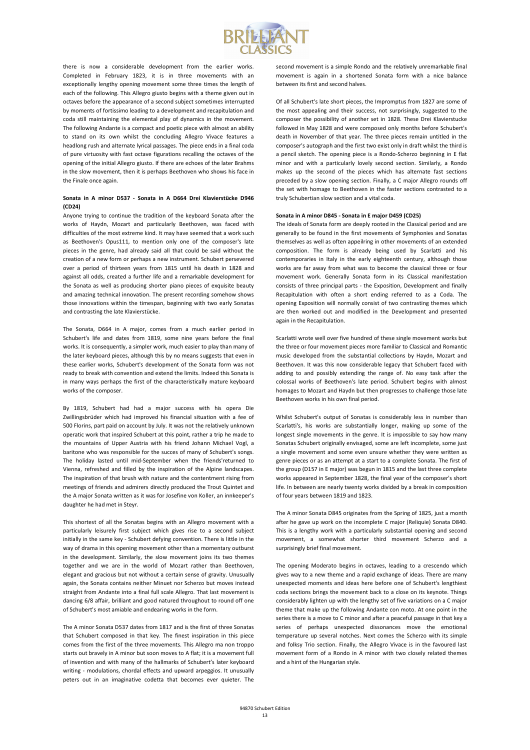

there is now a considerable development from the earlier works. Completed in February 1823, it is in three movements with an exceptionally lengthy opening movement some three times the length of each of the following. This Allegro giusto begins with a theme given out in octaves before the appearance of a second subject sometimes interrupted by moments of fortissimo leading to a development and recapitulation and coda still maintaining the elemental play of dynamics in the movement. The following Andante is a compact and poetic piece with almost an ability to stand on its own whilst the concluding Allegro Vivace features a headlong rush and aIternate lyrical passages. The piece ends in a final coda of pure virtuosity with fast octave figurations recalling the octaves of the opening of the initial Allegro giusto. If there are echoes of the later Brahms in the slow movement, then it is perhaps Beethoven who shows his face in the Finale once again.

## Sonata in A minor D537 - Sonata in A D664 Drei Klavierstücke D946 (CD24)

Anyone trying to continue the tradition of the keyboard Sonata after the works of Haydn, Mozart and particularly Beethoven, was faced with difficulties of the most extreme kind. It may have seemed that a work such as Beethoven's Opus111, to mention only one of the composer's late pieces in the genre, had already said all that could be said without the creation of a new form or perhaps a new instrument. Schubert persevered over a period of thirteen years from 1815 until his death in 1828 and against all odds, created a further life and a remarkable development for the Sonata as well as producing shorter piano pieces of exquisite beauty and amazing technical innovation. The present recording somehow shows those innovations within the timespan, beginning with two early Sonatas and contrasting the late Klavierstücke.

The Sonata, D664 in A major, comes from a much earlier period in Schubert's life and dates from 1819, some nine years before the final works. It is consequently, a simpler work, much easier to play than many of the later keyboard pieces, although this by no means suggests that even in these earlier works, Schubert's development of the Sonata form was not ready to break with convention and extend the limits. Indeed this Sonata is in many ways perhaps the first of the characteristically mature keyboard works of the composer.

By 1819, Schubert had had a major success with his opera Die Zwillingsbrüder which had improved his financial situation with a fee of 500 Florins, part paid on account by July. It was not the relatively unknown operatic work that inspired Schubert at this point, rather a trip he made to the mountains of Upper Austria with his friend Johann Michael Vogl, a baritone who was responsible for the succes of many of Schubert's songs. The holiday lasted until mid-September when the friends'returned to Vienna, refreshed and filled by the inspiration of the Alpine landscapes. The inspiration of that brush with nature and the contentment rising from meetings of friends and admirers directly produced the Trout Quintet and the A major Sonata written as it was for Josefine von Koller, an innkeeper's daughter he had met in Steyr.

This shortest of all the Sonatas begins with an Allegro movement with a particularly leisurely first subject which gives rise to a second subject initially in the same key - Schubert defying convention. There is little in the way of drama in this opening movement other than a momentary outburst in the development. Similarly, the slow movement joins its two themes together and we are in the world of Mozart rather than Beethoven, elegant and gracious but not without a certain sense of gravity. Unusually again, the Sonata contains neither Minuet nor Scherzo but moves instead straight from Andante into a final full scale Allegro. That last movement is dancing 6/8 affair, brilliant and good natured throughout to round off one of Schubert's most amiable and endearing works in the form.

The A minor Sonata D537 dates from 1817 and is the first of three Sonatas that Schubert composed in that key. The finest inspiration in this piece comes from the first of the three movements. This Allegro ma non troppo starts out bravely in A minor but soon moves to A flat; it is a movement full of invention and with many of the hallmarks of Schubert's later keyboard writing - modulations, chordal effects and upward arpeggios. It unusually peters out in an imaginative codetta that becomes ever quieter. The

second movement is a simple Rondo and the relatively unremarkable final movement is again in a shortened Sonata form with a nice balance between its first and second halves.

Of all Schubert's late short pieces, the Impromptus from 1827 are some of the most appealing and their success, not surprisingly, suggested to the composer the possibility of another set in 1828. These Drei Klavierstucke followed in May 1828 and were composed only months before Schubert's death in November of that year. The three pieces remain untitled in the composer's autograph and the first two exist only in draft whilst the third is a pencil sketch. The opening piece is a Rondo-Scherzo beginning in E flat minor and with a particularly lovely second section. Similarly, a Rondo makes up the second of the pieces which has alternate fast sections preceded by a slow opening section. Finally, a C major Allegro rounds off the set with homage to Beethoven in the faster sections contrasted to a truly Schubertian slow section and a vital coda.

## Sonata in A minor D845 - Sonata in E major D459 (CD25)

The ideals of Sonata form are deeply rooted in the Classical period and are generally to be found in the first movements of Symphonies and Sonatas themselves as well as often appeilring in other movements of an extended composition. The form is already being used by Scarlatti and his contemporaries in Italy in the early eighteenth century, although those works are far away from what was to become the classical three or four movement work. Generally Sonata form in its Classical manifestation consists of three principal parts - the Exposition, Development and finally Recapitulation with often a short ending referred to as a Coda. The opening Exposition will normally consist of two contrasting themes which are then worked out and modified in the Development and presented again in the Recapitulation.

Scarlatti wrote well over five hundred of these single movement works but the three or four movement pieces more familiar to Classical and Romantic music developed from the substantial collections by Haydn, Mozart and Beethoven. It was this now considerable legacy that Schubert faced with adding to and possibly extending the range of. No easy task after the colossal works of Beethoven's late period. Schubert begins with almost homages to Mozart and Haydn but then progresses to challenge those late Beethoven works in his own final period.

Whilst Schubert's output of Sonatas is considerably less in number than Scarlatti's, his works are substantially longer, making up some of the longest single movements in the genre. It is impossible to say how many Sonatas Schubert originally envisaged, some are left incomplete, some just a single movement and some even unsure whether they were written as genre pieces or as an attempt at a start to a complete Sonata. The first of the group (D157 in E major) was begun in 1815 and the last three complete works appeared in September 1828, the final year of the composer's short life. In between are nearly twenty works divided by a break in composition of four years between 1819 and 1823.

The A minor Sonata D845 originates from the Spring of 1825, just a month after he gave up work on the incomplete C major (Reliquie) Sonata D840. This is a lengthy work with a particularly substantial opening and second movement, a somewhat shorter third movement Scherzo and a surprisingly brief final movement.

The opening Moderato begins in octaves, leading to a crescendo which gives way to a new theme and a rapid exchange of ideas. There are many unexpected moments and ideas here before one of Schubert's lengthiest coda sections brings the movement back to a close on its keynote. Things considerably lighten up with the lengthy set of five variations on a C major theme that make up the following Andante con moto. At one point in the series there is a move to C minor and after a peaceful passage in that key a series of perhaps unexpected dissonances move the emotional temperature up several notches. Next comes the Scherzo with its simple and folksy Trio section. Finally, the Allegro Vivace is in the favoured last movement form of a Rondo in A minor with two closely related themes and a hint of the Hungarian style.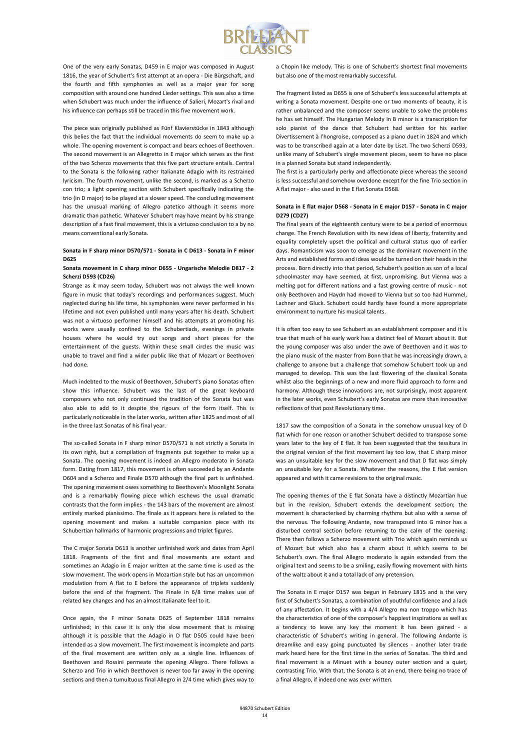

One of the very early Sonatas, D459 in E major was composed in August 1816, the year of Schubert's first attempt at an opera - Die Bürgschaft, and the fourth and fifth symphonies as well as a major year for song composition with around one hundred Lieder settings. This was also a time when Schubert was much under the influence of Salieri, Mozart's rival and his influence can perhaps still be traced in this five movement work.

The piece was originally published as Fünf Klavierstücke in 1843 although this belies the fact that the individual movements do seem to make up a whole. The opening movement is compact and bears echoes of Beethoven. The second movement is an Allegretto in E major which serves as the first of the two Scherzo movements that this five part structure entails. Central to the Sonata is the following rather Italianate Adagio with its restrained lyricism. The fourth movement, unlike the second, is marked as a Scherzo con trio; a light opening section with Schubert specifically indicating the trio (in D major) to be played at a slower speed. The concluding movement has the unusual marking of Allegro patetico although it seems more dramatic than pathetic. Whatever Schubert may have meant by his strange description of a fast final movement, this is a virtuoso conclusion to a by no means conventional early Sonata.

## Sonata in F sharp minor D570/571 - Sonata in C D613 - Sonata in F minor D625

## Sonata movement in C sharp minor D655 - Ungarische Melodie D817 - 2 Scherzi D593 (CD26)

Strange as it may seem today, Schubert was not always the well known figure in music that today's recordings and performances suggest. Much neglected during his life time, his symphonies were never performed in his lifetime and not even published until many years after his death. Schubert was not a virtuoso performer himself and his attempts at promoting his works were usually confined to the Schubertiads, evenings in private houses where he would try out songs and short pieces for the entertainment of the guests. Within these small circles the music was unable to travel and find a wider public like that of Mozart or Beethoven had done.

Much indebted to the music of Beethoven, Schubert's piano Sonatas often show this influence. Schubert was the last of the great keyboard composers who not only continued the tradition of the Sonata but was also able to add to it despite the rigours of the form itself. This is particularly noticeable in the later works, written after 1825 and most of all in the three last Sonatas of his final year.

The so-called Sonata in F sharp minor D570/571 is not strictly a Sonata in its own right, but a compilation of fragments put together to make up a Sonata. The opening movement is indeed an Allegro moderato in Sonata form. Dating from 1817, this movement is often succeeded by an Andante D604 and a Scherzo and Finale D570 although the final part is unfinished. The opening movement owes something to Beethoven's Moonlight Sonata and is a remarkably flowing piece which eschews the usual dramatic contrasts that the form implies - the 143 bars of the movement are almost entirely marked pianissimo. The finale as it appears here is related to the opening movement and makes a suitable companion piece with its Schubertian hallmarks of harmonic progressions and triplet figures.

The C major Sonata D613 is another unfinished work and dates from April 1818. Fragments of the first and final movements are extant and sometimes an Adagio in E major written at the same time is used as the slow movement. The work opens in Mozartian style but has an uncommon modulation from A flat to E before the appearance of triplets suddenly before the end of the fragment. The Finale in 6/8 time makes use of related key changes and has an almost Italianate feel to it.

Once again, the F minor Sonata D625 of September 1818 remains unfinished; in this case it is only the slow movement that is missing although it is possible that the Adagio in D flat D505 could have been intended as a slow movement. The first movement is incomplete and parts of the final movement are written only as a single line. Influences of Beethoven and Rossini permeate the opening Allegro. There follows a Scherzo and Trio in which Beethoven is never too far away in the opening sections and then a tumultuous final Allegro in 2/4 time which gives way to

a Chopin like melody. This is one of Schubert's shortest final movements but also one of the most remarkably successful.

The fragment listed as D655 is one of Schubert's less successful attempts at writing a Sonata movement. Despite one or two moments of beauty, it is rather unbalanced and the composer seems unable to solve the problems he has set himself. The Hungarian Melody in B minor is a transcription for solo pianist of the dance that Schubert had written for his earlier Divertissement à I'hongroise, composed as a piano duet in 1824 and which was to be transcribed again at a later date by Liszt. The two Scherzi D593, unlike many of Schubert's single movement pieces, seem to have no place in a planned Sonata but stand independently.

The first is a particularly perky and affectionate piece whereas the second is less successful and somehow overdone except for the fine Trio section in A flat major - also used in the E flat Sonata D568.

## Sonata in E flat major D568 - Sonata in E major D157 - Sonata in C major D279 (CD27)

The final years of the eighteenth century were to be a period of enormous change. The French Revolution with its new ideas of liberty, fraternity and equality completely upset the political and cultural status quo of earlier days. Romanticism was soon to emerge as the dominant movement in the Arts and established forms and ideas would be turned on their heads in the process. Born directly into that period, Schubert's position as son of a local schoolmaster may have seemed, at first, unpromising. But Vienna was a melting pot for different nations and a fast growing centre of music - not only Beethoven and Haydn had moved to Vienna but so too had Hummel, Lachner and Gluck. Schubert could hardly have found a more appropriate environment to nurture his musical talents.

It is often too easy to see Schubert as an establishment composer and it is true that much of his early work has a distinct feel of Mozart about it. But the young composer was also under the awe of Beethoven and it was to the piano music of the master from Bonn that he was increasingly drawn, a challenge to anyone but a challenge that somehow Schubert took up and managed to develop. This was the last flowering of the classical Sonata whilst also the beginnings of a new and more fluid approach to form and harmony. Although these innovations are, not surprisingly, most apparent in the later works, even Schubert's early Sonatas are more than innovative reflections of that post Revolutionary time.

1817 saw the composition of a Sonata in the somehow unusual key of D flat which for one reason or another Schubert decided to transpose some years later to the key of E flat. It has been suggested that the tessitura in the original version of the first movement lay too low, that C sharp minor was an unsuitable key for the slow movement and that D flat was simply an unsuitable key for a Sonata. Whatever the reasons, the E flat version appeared and with it came revisions to the original music.

The opening themes of the E flat Sonata have a distinctly Mozartian hue but in the revision, Schubert extends the development section; the movement is characterised by charming rhythms but also with a sense of the nervous. The following Andante, now transposed into G minor has a disturbed central section before retuming to the calm of the opening. There then follows a Scherzo movement with Trio which again reminds us of Mozart but which also has a charm about it which seems to be Schubert's own. The final Allegro moderato is again extended from the original text and seems to be a smiling, easily flowing movement with hints of the waltz about it and a total lack of any pretension.

The Sonata in E major D157 was begun in February 1815 and is the very first of Schubert's Sonatas, a combination of youthful confidence and a lack of any affectation. It begins with a 4/4 Allegro ma non troppo which has the characteristics of one of the composer's happiest inspirations as well as a tendency to leave any key the moment it has been gained - a characteristic of Schubert's writing in general. The following Andante is dreamlike and easy going punctuated by silences - another later trade mark heard here for the first time in the series of Sonatas. The third and final movement is a Minuet with a bouncy outer section and a quiet, contrasting Trio. With that, the Sonata is at an end, there being no trace of a final Allegro, if indeed one was ever written.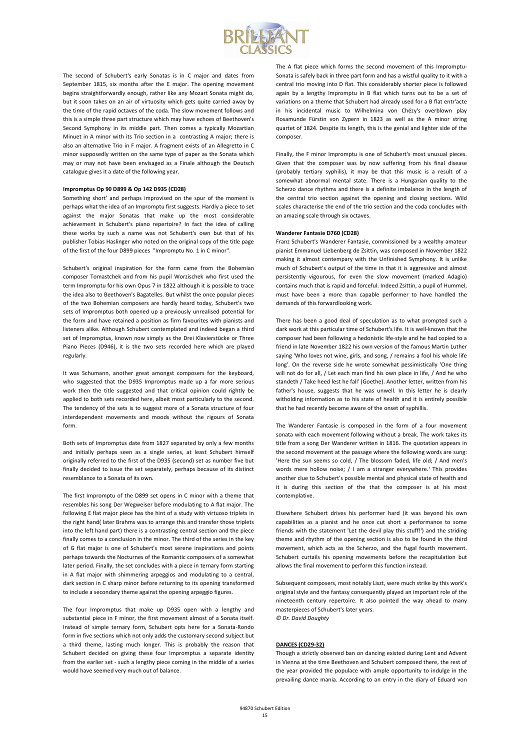

The second of Schubert's early Sonatas is in C major and dates from September 1815, six months after the E major. The opening movement begins straightforwardly enough, rather like any Mozart Sonata might do, but it soon takes on an air of virtuosity which gets quite carried away by the time of the rapid octaves of the coda. The slow movement follows and this is a simple three part structure which may have echoes of Beethoven's Second Symphony in its middle part. Then comes a typically Mozartian Minuet in A minor with its Trio section in a contrasting A major; there is also an alternative Trio in F major. A fragment exists of an Allegretto in C minor supposedly written on the same type of paper as the Sonata which may or may not have been envisaged as a Finale although the Deutsch catalogue gives it a date of the following year.

## Impromptus Op 90 D899 & Op 142 D935 (CD28)

Something short' and perhaps improvised on the spur of the moment is perhaps what the idea of an Impromptu first suggests. Hardly a piece to set against the major Sonatas that make up the most considerable achievement in Schubert's piano repertoire? In fact the idea of calling these works by such a name was not Schubert's own but that of his publisher Tobias Haslinger who noted on the original copy of the title page of the first of the four D899 pieces "Impromptu No. 1 in C minor".

Schubert's original inspiration for the form came from the Bohemian composer Tomastchek and from his pupil Worzischek who first used the term Impromptu for his own Opus 7 in 1822 although it is possible to trace the idea also to Beethoven's Bagatelles. But whilst the once popular pieces of the two Bohemian composers are hardly heard today, Schubert's two sets of Impromptus both opened up a previously unrealised potential for the form and have retained a position as firm favourites with pianists and listeners alike. Although Schubert contemplated and indeed began a third set of Impromptus, known now simply as the Drei Klavierstücke or Three Piano Pieces (D946), it is the two sets recorded here which are played regularly.

It was Schumann, another great amongst composers for the keyboard, who suggested that the D935 Impromptus made up a far more serious work then the title suggested and that critical opinion could rightly be applied to both sets recorded here, albeit most particularly to the second. The tendency of the sets is to suggest more of a Sonata structure of four interdependent movements and moods without the rigours of Sonata form.

Both sets of Impromptus date from 1827 separated by only a few months and initially perhaps seen as a single series, at least Schubert himself originally referred to the first of the D935 (second) set as number five but finally decided to issue the set separately, perhaps because of its distinct resemblance to a Sonata of its own.

The first Impromptu of the D899 set opens in C minor with a theme that resembles his song Der Wegweiser before modulating to A flat major. The following E flat major piece has the hint of a study with virtuoso triplets in the right hand( later Brahms was to arrange this and transfer those triplets into the left hand part) there is a contrasting central section and the piece finally comes to a conclusion in the minor. The third of the series in the key of G flat major is one of Schubert's most serene inspirations and points perhaps towards the Nocturnes of the Romantic composers of a somewhat later period. Finally, the set concludes with a piece in ternary form starting in A flat major with shimmering arpeggios and modulating to a central, dark section in C sharp minor before returning to its opening transformed to include a secondary theme against the opening arpeggio figures.

The four Impromptus that make up D935 open with a lengthy and substantial piece in F minor, the first movement almost of a Sonata itself. Instead of simple ternary form, Schubert opts here for a Sonata-Rondo form in five sections which not only adds the customary second subject but a third theme, lasting much longer. This is probably the reason that Schubert decided on giving these four Impromptus a separate identity from the earlier set - such a lengthy piece coming in the middle of a series would have seemed very much out of balance.

The A flat piece which forms the second movement of this Impromptu-Sonata is safely back in three part form and has a wistful quality to it with a central trio moving into D flat. This considerably shorter piece is followed again by a lengthy Impromptu in B flat which turns out to be a set of variations on a theme that Schubert had already used for a B flat entr'acte in his incidental music to Wilhelmina von Chézy's overblown play Rosamunde Fürstin von Zypern in 1823 as well as the A minor string quartet of 1824. Despite its length, this is the genial and lighter side of the composer.

Finally, the F minor Impromptu is one of Schubert's most unusual pieces. Given that the composer was by now suffering from his final disease (probably tertiary syphilis), it may be that this music is a result of a somewhat abnormal mental state. There is a Hungarian quality to the Scherzo dance rhythms and there is a definite imbalance in the length of the central trio section against the opening and closing sections. Wild scales characterise the end of the trio section and the coda concludes with an amazing scale through six octaves.

## Wanderer Fantasie D760 (CD28)

Franz Schubert's Wanderer Fantasie, commissioned by a wealthy amateur pianist Emmanuel Liebenberg de Zsittin, was composed in November 1822 making it almost contempary with the Unfinished Symphony. It is unlike much of Schubert's output of the time in that it is aggressive and almost persistently vigourous, for even the slow movement (marked Adagio) contains much that is rapid and forceful. Indeed Zsittin, a pupil of Hummel, must have been a more than capable performer to have handled the demands of this forwardlooking work.

There has been a good deal of speculation as to what prompted such a dark work at this particular time of Schubert's life. It is well-known that the composer had been following a hedonistic life-style and he had copied to a friend in late November 1822 his own version of the famous Martin Luther saying 'Who loves not wine, girls, and song, / remains a fool his whole life long'. On the reverse side he wrote somewhat pessimistically 'One thing will not do for all, / Let each man find his own place in life, / And he who standeth / Take heed lest he fall' (Goethe). Another letter, written from his father's house, suggests that he was unwell. In this letter he is clearly witholding information as to his state of health and it is entirely possible that he had recently become aware of the onset of syphillis.

The Wanderer Fantasie is composed in the form of a four movement sonata with each movement following without a break. The work takes its title from a song Der Wanderer written in 1816. The quotation appears in the second movement at the passage where the following words are sung: 'Here the sun seems so cold, / The blossom faded, life old; / And men's words mere hollow noise; / I am a stranger everywhere.' This provides another clue to Schubert's possible mental and physical state of health and it is during this section of the that the composer is at his most contemplative.

Elsewhere Schubert drives his performer hard (it was beyond his own capabilities as a pianist and he once cut short a performance to some friends with the statement 'Let the devil play this stuff!') and the striding theme and rhythm of the opening section is also to be found in the third movement, which acts as the Scherzo, and the fugal fourth movement. Schubert curtails his opening movements before the recapitulation but allows the final movement to perform this function instead.

Subsequent composers, most notably Liszt, were much strike by this work's original style and the fantasy consequently played an important role of the nineteenth century repertoire. It also pointed the way ahead to many masterpieces of Schubert's later years. © Dr. David Doughty

#### DANCES (CD29-32)

Though a strictly observed ban on dancing existed during Lent and Advent in Vienna at the time Beethoven and Schubert composed there, the rest of the year provided the populace with ample opportunity to indulge in the prevailing dance mania. According to an entry in the diary of Eduard von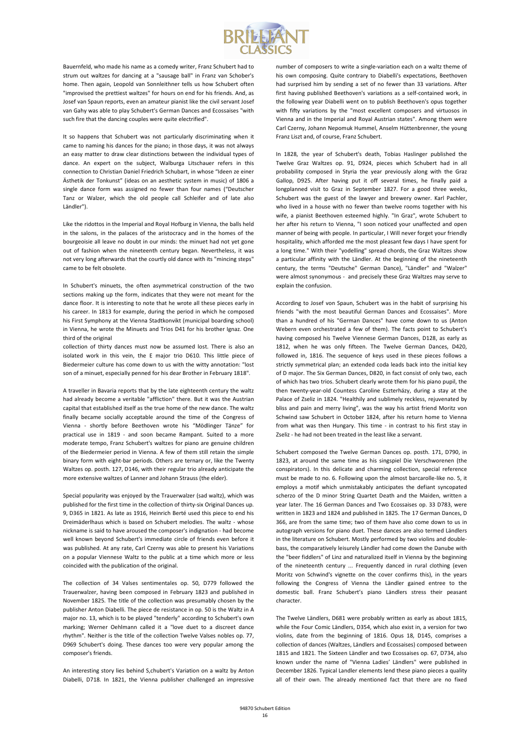

Bauernfeld, who made his name as a comedy writer, Franz Schubert had to strum out waltzes for dancing at a "sausage ball" in Franz van Schober's home. Then again, Leopold van Sonnleithner tells us how Schubert often "improvised the prettiest waltzes" for hours on end for his friends. And, as Josef van Spaun reports, even an amateur pianist like the civil servant Josef van Gahy was able to play Schubert's German Dances and Ecossaises "with such fire that the dancing couples were quite electrified".

It so happens that Schubert was not particularly discriminating when it came to naming his dances for the piano; in those days, it was not always an easy matter to draw clear distinctions between the individual types of dance. An expert on the subject, Walburga Litschauer refers in this connection to Christian Daniel Friedrich Schubart, in whose "Ideen ze einer Ästhetik der Tonkunst" (ideas on an aesthetic system in music) of 1806 a single dance form was assigned no fewer than four names ("Deutscher Tanz or Walzer, which the old people call Schleifer and of late also Ländler").

Like the ridottos in the Imperial and Royal Hofburg in Vienna, the balls held in the salons, in the palaces of the aristocracy and in the homes of the bourgeoisie all leave no doubt in our minds: the minuet had not yet gone out of fashion when the nineteenth century began. Nevertheless, it was not very long afterwards that the courtly old dance with its "mincing steps" came to be felt obsolete.

In Schubert's minuets, the often asymmetrical construction of the two sections making up the form, indicates that they were not meant for the dance floor. It is interesting to note that he wrote all these pieces early in his career. In 1813 for example, during the period in which he composed his First Symphony at the Vienna Stadtkonvikt (municipal boarding school) in Vienna, he wrote the Minuets and Trios D41 for his brother Ignaz. One third of the original

collection of thirty dances must now be assumed lost. There is also an isolated work in this vein, the E major trio D610. This little piece of Biedermeier culture has come down to us with the witty annotation: "lost son of a minuet, especially penned for his dear Brother in February 1818".

A traveller in Bavaria reports that by the late eighteenth century the waltz had already become a veritable "affliction" there. But it was the Austrian capital that established itself as the true home of the new dance. The waltz finally became socially acceptable around the time of the Congress of Vienna - shortly before Beethoven wrote his "Mödlinger Tänze" for practical use in 1819 - and soon became Rampant. Suited to a more moderate tempo, Franz Schubert's waltzes for piano are genuine children of the Biedermeier period in Vienna. A few of them still retain the simple binary form with eight-bar periods. Others are ternary or, like the Twenty Waltzes op. posth. 127, D146, with their regular trio already anticipate the more extensive waltzes of Lanner and Johann Strauss (the elder).

Special popularity was enjoyed by the Trauerwalzer (sad waltz), which was published for the first time in the collection of thirty-six Original Dances up. 9, D365 in 1821. As late as 1916, Heinrich Berté used this piece to end his Dreimäderlhaus which is based on Schubert melodies. The waltz - whose nickname is said to have aroused the composer's indignation - had become well known beyond Schubert's immediate circle of friends even before it was published. At any rate, Carl Czerny was able to present his Variations on a popular Viennese Waltz to the public at a time which more or less coincided with the publication of the original.

The collection of 34 Valses sentimentales op. 50, D779 followed the Trauerwalzer, having been composed in February 1823 and published in November 1825. The title of the collection was presumably chosen by the publisher Anton Diabelli. The piece de resistance in op. 50 is the Waltz in A major no. 13, which is to be played "tenderly" according to Schubert's own marking; Werner Oehlmann called it a "love duet to a discreet dance rhythm". Neither is the title of the collection Twelve Valses nobles op. 77, D969 Schubert's doing. These dances too were very popular among the composer's friends.

An interesting story lies behind S,chubert's Variation on a waltz by Anton Diabelli, D718. In 1821, the Vienna publisher challenged an impressive

number of composers to write a single-variation each on a waltz theme of his own composing. Quite contrary to Diabelli's expectations, Beethoven had surprised him by sending a set of no fewer than 33 variations. After first having published Beethoven's variations as a self-contained work, in the following year Diabelli went on to publish Beethoven's opus together with fifty variations by the "most excellent composers and virtuosos in Vienna and in the Imperial and Royal Austrian states". Among them were Carl Czerny, Johann Nepomuk Hummel, Anselm Hüttenbrenner, the young Franz Liszt and, of course, Franz Schubert.

In 1828, the year of Schubert's death, Tobias Haslinger published the Twelve Graz Waltzes op. 91, D924, pieces which Schubert had in all probability composed in Styria the year previously along with the Graz Gallop, D925. After having put it off several times, he finally paid a longplanned visit to Graz in September 1827. For a good three weeks, Schubert was the guest of the lawyer and brewery owner. Karl Pachler, who lived in a house with no fewer than twelve rooms together with his wife, a pianist Beethoven esteemed highly. "In Graz", wrote Schubert to her after his return to Vienna, "I soon noticed your unaffected and open manner of being with people. In particular, I Will never forget your friendly hospitality, which afforded me the most pleasant few days I have spent for a long time." With their "yodelling" spread chords, the Graz Waltzes show a particular affinity with the Ländler. At the beginning of the nineteenth century, the terms "Deutsche" German Dance), "Ländler" and "Walzer" were almost synonymous - and precisely these Graz Waltzes may serve to explain the confusion.

According to Josef von Spaun, Schubert was in the habit of surprising his friends "with the most beautiful German Dances and Ecossaises". More than a hundred of his "German Dances" have come down to us (Anton Webern even orchestrated a few of them). The facts point to Schubert's having composed his Twelve Viennese German Dances, D128, as early as 1812, when he was only fifteen. The Twelve German Dances, D420, followed in, 1816. The sequence of keys used in these pieces follows a strictly symmetrical plan; an extended coda leads back into the initial key of D major. The Six German Dances, D820, in fact consist of only two, each of which has two trios. Schubert clearly wrote them for his piano pupil, the then twenty-year-old Countess Caroline Eszterházy, during a stay at the Palace of Zseliz in 1824. "Healthily and sublimely reckless, rejuvenated by bliss and pain and merry living", was the way his artist friend Moritz von Schwind saw Schubert in October 1824, after his return home to Vienna from what was then Hungary. This time - in contrast to his first stay in Zseliz - he had not been treated in the least like a servant.

Schubert composed the Twelve German Dances op. posth. 171, D790, in 1823, at around the same time as his singspiel Die Verschworenen (the conspirators). In this delicate and charming collection, special reference must be made to no. 6. Following upon the almost barcarolle-like no. 5, it employs a motif which unmistakably anticipates the defiant syncopated scherzo of the D minor String Quartet Death and the Maiden, written a year later. The 16 German Dances and Two Ecossaises op. 33 D783, were written in 1823 and 1824 and published in 1825. The 17 German Dances, D 366, are from the same time; two of them have also come down to us in autograph versions for piano duet. These dances are also termed Ländlers in the literature on Schubert. Mostly performed by two violins and doublebass, the comparatively leisurely Ländler had come down the Danube with the "beer fiddlers" of Linz and naturalized itself in Vienna by the beginning of the nineteenth century ... Frequently danced in rural clothing (even Moritz von Schwind's vignette on the cover confirms this), in the years following the Congress of Vienna the Ländler gained entree to the domestic ball. Franz Schubert's piano Ländlers stress their peasant character.

The Twelve Ländlers, D681 were probably written as early as about 1815, while the Four Comic Ländlers, D354, which also exist in, a version for two violins, date from the beginning of 1816. Opus 18, D145, comprises a collection of dances (Waltzes, Ländlers and Ecossaises) composed between 1815 and 1821. The Sixteen Ländler and two Ecossaises op. 67, D734, also known under the name of "Vienna Ladies' Ländlers" were published in December 1826. Typical Landler elements lend these piano pieces a quality all of their own. The already mentioned fact that there are no fixed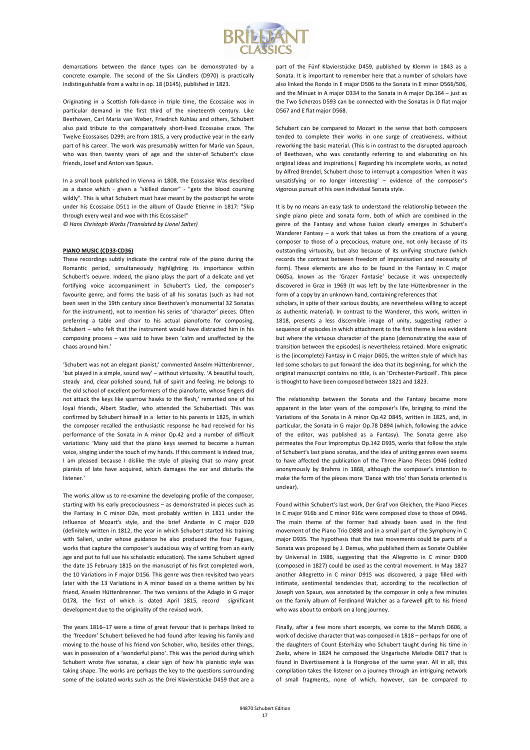

demarcations between the dance types can be demonstrated by a concrete example. The second of the Six Ländlers (D970) is practically indistinguishable from a waltz in op. 18 (D145), published in 1823.

Originating in a Scottish folk-dance in triple time, the Ecossaise was in particular demand in the first third of the nineteenth century. Like Beethoven, Carl Maria van Weber, Friedrich Kuhlau and others, Schubert also paid tribute to the comparatively short-lived Ecossaise craze. The Twelve Ecossaises D299; are from 1815, a very productive year in the early part of his career. The work was presumably written for Marie van Spaun, who was then twenty years of age and the sister-of Schubert's close friends, Josef and Anton van Spaun.

In a small book published in Vienna in 1808, the Ecossaise Was described as a dance which - given a "skilled dancer" - "gets the blood coursing wildly". This is what Schubert must have meant by the postscript he wrote under his Ecossaise D511 in the album of Claude Etienne in 1817: "Skip through every weal and woe with this Ecossaise!" © Hans Christoph Worbs (Translated by Lionel Salter)

#### PIANO MUSIC (CD33-CD36)

These recordings subtly indicate the central role of the piano during the Romantic period, simultaneously highlighting its importance within Schubert's oeuvre. Indeed, the piano plays the part of a delicate and yet fortifying voice accompaniment in Schubert's Lied, the composer's favourite genre, and forms the basis of all his sonatas (such as had not been seen in the 19th century since Beethoven's monumental 32 Sonatas for the instrument), not to mention his series of 'character' pieces. Often preferring a table and chair to his actual pianoforte for composing, Schubert – who felt that the instrument would have distracted him in his composing process – was said to have been 'calm and unaffected by the chaos around him.'

'Schubert was not an elegant pianist,' commented Anselm Hüttenbrenner, 'but played in a simple, sound way' – without virtuosity. 'A beautiful touch, steady and, clear polished sound, full of spirit and feeling. He belongs to the old school of excellent performers of the pianoforte, whose fingers did not attack the keys like sparrow hawks to the flesh,' remarked one of his loyal friends, Albert Stadler, who attended the Schubertiadi. This was confirmed by Schubert himself in a letter to his parents in 1825, in which the composer recalled the enthusiastic response he had received for his performance of the Sonata in A minor Op.42 and a number of difficult variations: 'Many said that the piano keys seemed to become a human voice, singing under the touch of my hands. If this comment is indeed true, I am pleased because I dislike the style of playing that so many great pianists of late have acquired, which damages the ear and disturbs the listener<sup>'</sup>

The works allow us to re-examine the developing profile of the composer starting with his early precociousness – as demonstrated in pieces such as the Fantasy in C minor D2e, most probably written in 1811 under the influence of Mozart's style, and the brief Andante in C major D29 (definitely written in 1812, the year in which Schubert started his training with Salieri, under whose guidance he also produced the four Fugues, works that capture the composer's audacious way of writing from an early age and put to full use his scholastic education). The same Schubert signed the date 15 February 1815 on the manuscript of his first completed work, the 10 Variations in F major D156. This genre was then revisited two years later with the 13 Variations in A minor based on a theme written by his friend, Anselm Hüttenbrenner. The two versions of the Adagio in G major D178, the first of which is dated April 1815, record significant development due to the originality of the revised work.

The years 1816–17 were a time of great fervour that is perhaps linked to the 'freedom' Schubert believed he had found after leaving his family and moving to the house of his friend von Schober, who, besides other things, was in possession of a 'wonderful piano'. This was the period during which Schubert wrote five sonatas, a clear sign of how his pianistic style was taking shape. The works are perhaps the key to the questions surrounding some of the isolated works such as the Drei Klavierstücke D459 that are a

part of the Fünf Klavierstücke D459, published by Klemm in 1843 as a Sonata. It is important to remember here that a number of scholars have also linked the Rondo in E major D506 to the Sonata in E minor D566/506, and the Minuet in A major D334 to the Sonata in A major Op.164 – just as the Two Scherzos D593 can be connected with the Sonatas in D flat major D567 and E flat major D568.

Schubert can be compared to Mozart in the sense that both composers tended to complete their works in one surge of creativeness, without reworking the basic material. (This is in contrast to the disrupted approach of Beethoven, who was constantly referring to and elaborating on his original ideas and inspirations.) Regarding his incomplete works, as noted by Alfred Brendel, Schubert chose to interrupt a composition 'when it was unsatisfying or no longer interesting' – evidence of the composer's vigorous pursuit of his own individual Sonata style.

It is by no means an easy task to understand the relationship between the single piano piece and sonata form, both of which are combined in the genre of the Fantasy and whose fusion clearly emerges in Schubert's Wanderer Fantasy – a work that takes us from the creations of a young composer to those of a precocious, mature one, not only because of its outstanding virtuosity, but also because of its unifying structure (which records the contrast between freedom of improvisation and necessity of form). These elements are also to be found in the Fantasy in C major D605a, known as the 'Grazer Fantasie' because it was unexpectedly discovered in Graz in 1969 (It was left by the late Hüttenbrenner in the form of a copy by an unknown hand, containing references that

scholars, in spite of their various doubts, are nevertheless willing to accept as authentic material). In contrast to the Wanderer, this work, written in 1818, presents a less discernible image of unity, suggesting rather a sequence of episodes in which attachment to the first theme is less evident but where the virtuous character of the piano (demonstrating the ease of transition between the episodes) is nevertheless retained. More enigmatic is the (incomplete) Fantasy in C major D605, the written style of which has led some scholars to put forward the idea that its beginning, for which the original manuscript contains no title, is an 'Orchester-Particell'. This piece is thought to have been composed between 1821 and 1823.

The relationship between the Sonata and the Fantasy became more apparent in the later years of the composer's life, bringing to mind the Variations of the Sonata in A minor Op.42 D845, written in 1825, and, in particular, the Sonata in G major Op.78 D894 (which, following the advice of the editor, was published as a Fantasy). The Sonata genre also permeates the Four Impromptus Op.142 D935, works that follow the style of Schubert's last piano sonatas, and the idea of uniting genres even seems to have affected the publication of the Three Piano Pieces D946 (edited anonymously by Brahms in 1868, although the composer's intention to make the form of the pieces more 'Dance with trio' than Sonata oriented is unclear).

Found within Schubert's last work, Der Graf von Gleichen, the Piano Pieces in C major 916b and C minor 916c were composed close to those of D946. The main theme of the former had already been used in the first movement of the Piano Trio D898 and in a small part of the Symphony in C major D935. The hypothesis that the two movements could be parts of a Sonata was proposed by J. Demus, who published them as Sonate Oubliée by Universal in 1986, suggesting that the Allegretto in C minor D900 (composed in 1827) could be used as the central movement. In May 1827 another Allegretto in C minor D915 was discovered, a page filled with intimate, sentimental tendencies that, according to the recollection of Joseph von Spaun, was annotated by the composer in only a few minutes on the family album of Ferdinand Walcher as a farewell gift to his friend who was about to embark on a long journey.

Finally, after a few more short excerpts, we come to the March D606, a work of decisive character that was composed in 1818 – perhaps for one of the daughters of Count Esterházy who Schubert taught during his time in Zseliz, where in 1824 he composed the Ungarische Melodie D817 that is found in Divertissement à la Hongroise of the same year. All in all, this compilation takes the listener on a journey through an intriguing network of small fragments, none of which, however, can be compared to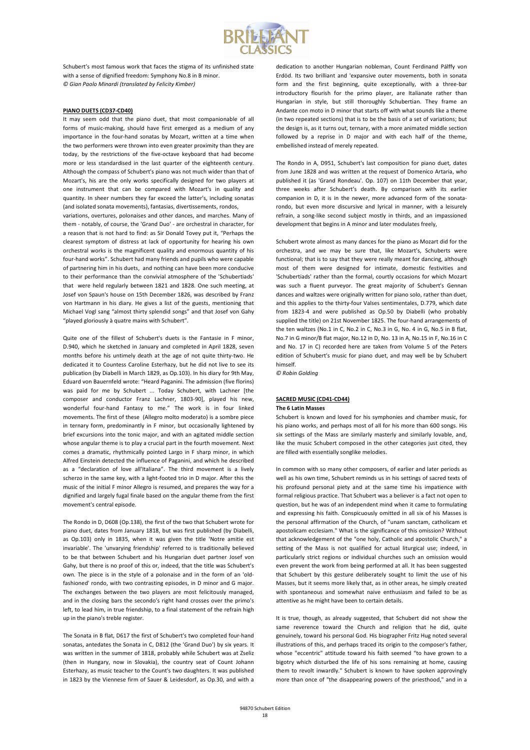

Schubert's most famous work that faces the stigma of its unfinished state with a sense of dignified freedom: Symphony No.8 in B minor. © Gian Paolo Minardi (translated by Felicity Kimber)

#### PIANO DUETS (CD37-CD40)

It may seem odd that the piano duet, that most companionable of all forms of music-making, should have first emerged as a medium of any importance in the four-hand sonatas by Mozart, written at a time when the two performers were thrown into even greater proximity than they are today, by the restrictions of the five-octave keyboard that had become more or less standardised in the last quarter of the eighteenth century. Although the compass of Schubert's piano was not much wider than that of Mozart's, his are the only works specifically designed for two players at one instrument that can be compared with Mozart's in quality and quantity. In sheer numbers they far exceed the latter's, including sonatas (and isolated sonata movements), fantasias, divertissements, rondos,

variations, overtures, polonaises and other dances, and marches. Many of them - notably, of course, the 'Grand Duo' - are orchestral in character, for a reason that is not hard to find: as Sir Donald Tovey put it, "Perhaps the clearest symptom of distress at lack of opportunity for hearing his own orchestral works is the magnificent quality and enormous quantity of his four-hand works". Schubert had many friends and pupils who were capable of partnering him in his duets, and nothing can have been more conducive to their performance than the convivial atmosphere of the 'Schubertiads' that were held regularly between 1821 and 1828. One such meeting, at Josef von Spaun's house on 15th December 1826, was described by Franz von Hartmann in his diary. He gives a list of the guests, mentioning that Michael Vogl sang "almost thirty splendid songs" and that Josef von Gahy "played gloriously à quatre mains with Schubert".

Quite one of the fillest of Schubert's duets is the Fantasie in F minor, D.940, which he sketched in January and completed in April 1828, seven months before his untimely death at the age of not quite thirty-two. He dedicated it to Countess Caroline Esterhazy, but he did not live to see its publication (by Diabelli in March 1829, as Op.103). In his diary for 9th May, Eduard von Bauernfeld wrote: "Heard Paganini. The admission (five florins) was paid for me by Schubert ... Today Schubert, with Lachner [the composer and conductor Franz Lachner, 1803-90], played his new, wonderful four-hand Fantasy to me." The work is in four linked movements. The first of these (Allegro molto moderato) is a sombre piece in ternary form, predominantly in F minor, but occasionally lightened by brief excursions into the tonic major, and with an agitated middle section whose angular theme is to play a crucial part in the fourth movement. Next comes a dramatic, rhythmically pointed Largo in F sharp minor, in which Alfred Einstein detected the influence of Paganini, and which he described as a "declaration of love all'Italiana". The third movement is a lively scherzo in the same key, with a light-footed trio in D major. After this the music of the initial F minor Allegro is resumed, and prepares the way for a dignified and largely fugal finale based on the angular theme from the first movement's central episode.

The Rondo in D, D608 (Op.138), the first of the two that Schubert wrote for piano duet, dates from January 1818, but was first published (by Diabelli, as Op.103) only in 1835, when it was given the title 'Notre amitie est invariable'. The 'unvarying friendship' referred to is traditionally believed to be that between Schubert and his Hungarian duet partner Josef von Gahy, but there is no proof of this or, indeed, that the title was Schubert's own. The piece is in the style of a polonaise and in the form of an 'oldfashioned' rondo, with two contrasting episodes, in D minor and G major. The exchanges between the two players are most felicitously managed, and in the closing bars the secondo's right hand crosses over the primo's left, to lead him, in true friendship, to a final statement of the refrain high up in the piano's treble register.

The Sonata in B flat, D617 the first of Schubert's two completed four-hand sonatas, antedates the Sonata in C, D812 (the 'Grand Duo') by six years. It was written in the summer of 1818, probably while Schubert was at Zseliz (then in Hungary, now in Slovakia), the country seat of Count Johann Esterhazy, as music teacher to the Count's two daughters. It was published in 1823 by the Viennese firm of Sauer & Leidesdorf, as Op.30, and with a

dedication to another Hungarian nobleman, Count Ferdinand Pálffy von Erdöd. Its two brilliant and 'expansive outer movements, both in sonata form and the first beginning, quite exceptionally, with a three-bar introductory flourish for the primo player, are Italianate rather than Hungarian in style, but still thoroughly Schubertian. They frame an Andante con moto in D minor that starts off with what sounds like a theme (in two repeated sections) that is to be the basis of a set of variations; but the design is, as it turns out, ternary, with a more animated middle section followed by a reprise in D major and with each half of the theme, embellished instead of merely repeated.

The Rondo in A, D951, Schubert's last composition for piano duet, dates from June 1828 and was written at the request of Domenico Artaria, who published it (as 'Grand Rondeau'. Op. 107) on 11th December that year, three weeks after Schubert's death. By comparison with its earlier companion in D, it is in the newer, more advanced form of the sonatarondo, but even more discursive and lyrical in manner, with a leisurely refrain, a song-like second subject mostly in thirds, and an impassioned development that begins in A minor and later modulates freely,

Schubert wrote almost as many dances for the piano as Mozart did for the orchestra, and we may be sure that, like Mozart's, Schuberts were functional; that is to say that they were really meant for dancing, although most of them were designed for intimate, domestic festivities and 'Schubertiads' rather than the formal, courtly occasions for which Mozart was such a fluent purveyor. The great majority of Schubert's Gennan dances and waltzes were originally written for piano solo, rather than duet, and this applies to the thirty-four Valses sentimentales, D.779, which date from 1823-4 and were published as Op.50 by Diabelli (who probably supplied the title) on 21st November 1825. The four-hand arrangements of the ten waltzes (No.1 in C, No.2 in C, No.3 in G, No. 4 in G, No.5 in B flat, No.7 in G minor/B flat major, No.12 in D, No. 13 in A, No.15 in F, No.16 in C and No. 17 in C) recorded here are taken from Volume 5 of the Peters edition of Schubert's music for piano duet, and may well be by Schubert himself.

© Robin Golding

#### SACRED MUSIC (CD41-CD44) The 6 Latin Masses

Schubert is known and loved for his symphonies and chamber music, for his piano works, and perhaps most of all for his more than 600 songs. His six settings of the Mass are similarly masterly and similarly lovable, and, like the music Schubert composed in the other categories just cited, they are filled with essentially songlike melodies.

In common with so many other composers, of earlier and later periods as well as his own time, Schubert reminds us in his settings of sacred texts of his profound personal piety and at the same time his impatience with formal religious practice. That Schubert was a believer is a fact not open to question, but he was of an independent mind when it came to formulating and expressing his faith. Conspicuously omitted in all six of his Masses is the personal affirmation of the Church, of "unam sanctam, catholicam et apostolicam ecclesiam." What is the significance of this omission? Without that acknowledgement of the "one holy, Catholic and apostolic Church," a setting of the Mass is not qualified for actual liturgical use; indeed, in particularly strict regions or individual churches such an omission would even prevent the work from being performed at all. It has been suggested that Schubert by this gesture deliberately sought to limit the use of his Masses, but it seems more likely that, as in other areas, he simply created with spontaneous and somewhat naive enthusiasm and failed to be as attentive as he might have been to certain details.

It is true, though, as already suggested, that Schubert did not show the same reverence toward the Church and religion that he did, quite genuinely, toward his personal God. His biographer Fritz Hug noted several illustrations of this, and perhaps traced its origin to the composer's father, whose "eccentric" attitude toward his faith seemed "to have grown to a bigotry which disturbed the life of his sons remaining at home, causing them to revolt inwardly." Schubert is known to have spoken approvingly more than once of "the disappearing powers of the priesthood," and in a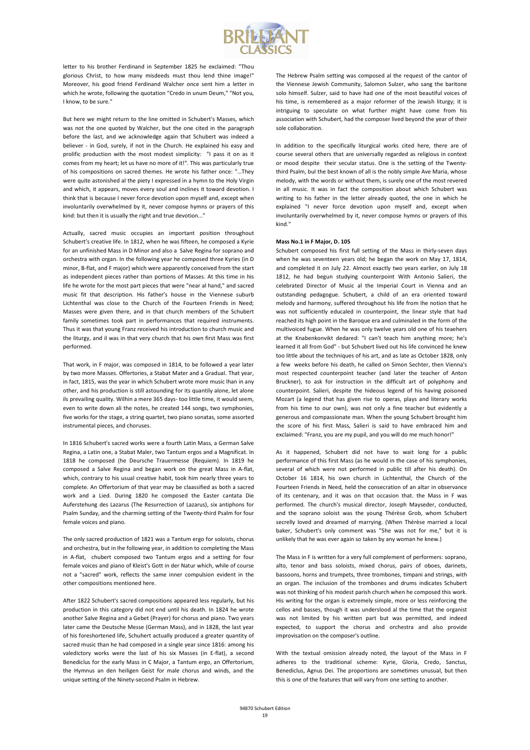

letter to his brother Ferdinand in September 1825 he exclaimed: "Thou glorious Christ, to how many misdeeds must thou lend thine image!" Moreover, his good friend Ferdinand Walcher once sent him a letter in which he wrote, following the quotation "Credo in unum Deum," "Not you, I know, to be sure."

But here we might return to the line omitted in Schubert's Masses, which was not the one quoted by Walcher, but the one cited in the paragraph before the last, and we acknowledge again that Schubert was indeed a believer - in God, surely, if not in the Church. He explained his easy and prolific production with the most modest simplicity: "I pass it on as it comes from my heart; let us have no more of it!". This was particularIy true of his compositions on sacred themes. He wrote his father once: "…They were quite astonished al the piety I expressed in a hymn to the Holy Virgin and which, it appears, moves every soul and inclines it toward devotion. I think that is because I never force devotion upon myself and, except when involuntarily overwhelmed by it, never compose hymns or prayers of this kind: but then it is usually the right and true devotion...'

Actually, sacred music occupies an important position throughout Schubert's creative life. In 1812, when he was fifteen, he composed a Kyrie for an unfinished Mass in D Minor and also a Salve Regina for soprano and orchestra with organ. In the following year he composed three Kyries (in D minor, B-flat, and F major) which were apparently conceived from the start as independent pieces rather than portions of Masses. At this time in his life he wrote for the most part pieces that were "near al hand," and sacred music fit that description. His father's house in the Viennese suburb Lichtenthal was close to the Church of the Fourteen Friends in Need; Masses were given there, and in that church members of the Schubert family sometimes took part in performances that required instruments. Thus it was that young Franz received his introduction to church music and the liturgy, and il was in that very church that his own first Mass was first performed.

That work, in F major, was composed in 1814, to be followed a year later by two more Masses. Offertories, a Stabat Mater and a GraduaI. That year, in fact, 1815, was the year in which Schubert wrote more music Ihan in any other, and his production is still astounding for its quantily alone, let alone ils prevailing quality. Wilhin a mere 365 days- too little time, it would seem, even to write down ali the notes, he created 144 songs, two symphonies five works for the stage, a string quartet, two piano sonatas, some assorted instrumental pieces, and choruses.

In 1816 Schubert's sacred works were a fourth Latin Mass, a German Salve Regina, a Latin one, a Stabat Maler, two Tantum ergos and a Magnificat. In 1818 he composed (he Deursche Trauermesse (Requiem). In 1819 he composed a Salve Regina and began work on the great Mass in A-flat, which, contrary to his usual creative habit, took him nearly three years to complete. An Offertorium of that year may be claassified as both a sacred work and a Lied. During 1820 he composed the Easter cantata Die Auferstehung des Lazarus (The Resurrection of Lazarus), six antiphons for Psalm Sunday, and the charming setting of the Twenty-third Psalm for four female voices and piano.

The only sacred production of 1821 was a Tantum ergo for soloists, chorus and orchestra, but in Ihe following year, in addition to completing the Mass in A-flat, chubert composed two Tantum ergos and a setting for four female voices and piano of Kleist's Gott in der Natur which, while of course not a "sacred" work, reflects the same inner compulsion evident in the other compositions mentioned here.

After 1822 Schubert's sacred compositions appeared less regularly, but his production in this category did not end until his death. In 1824 he wrote another Salve Regina and a Gebet (Prayer) for chorus and piano. Two years later came the Deutsche Messe (German Mass), and in 1828, the last year of his foreshortened life, Schuhert actually produced a greater quantity of sacred music than he had composed in a single year since 1816: among his valedictory works were the last of his six Masses (in E-flat), a second Benediclus for the early Mass in C Major, a Tantum ergo, an Offertorium, the Hymnus an den heiligen Geist for male chorus and winds, and the unique setting of the Ninety-second Psalm in Hebrew.

The Hebrew Psalm setting was composed al the request of the cantor of the Viennese Jewish Community, Salomon Sulzer, who sang the baritone solo himself. Sulzer, said to have had one of the most beautiful voices of his time, is remembered as a major reformer of the Jewish liturgy; it is intriguing to speculate on what further might have come from his association with Schubert, had the composer lived beyond the year of their sole collaboration.

In addition to the specifically liturgical works cited here, there are of course several others that are universally regarded as religious in context or mood despite their secular status. One is the setting of the Twentythird Psalm, buI the best known of all is the nobly simple Ave Maria, whose melody, with the words or without them, is surely one of the most revered in all music. It was in fact the composition about which Schubert was writing to his father in the letter already quoted, the one in which he explained "I never force devotion upon myself and, except when involuntarily overwhelmed by it, never compose hymns or prayers of Ihis kind."

#### Mass No.1 in F Major, D. 105

Schubert composed his fìrst full setting of the Mass in thirly-seven days when he was seventeen years old; he began the work on May 17, 1814, and completed it on July 22. Almost exactly two years earlier, on July 18 1812, he had begun studying counterpoint With Antonio Salieri, the celebrated Director of Music al the ImperiaI Court in Vienna and an outstanding pedagogue. Schubert, a child of an era oriented toward melody and harmony, suffered throughout his life from Ihe notion that he was not sufficiently educaled in counterpoint, the linear style that had reached its high point in the Baroque era and culminaled in the form of the multivoiced fugue. When he was only twelve years old one of his teaehers at the Knabenkonvikt dedared: "I can't teach him anything more; he's learned it all from God" - but Schubert lived out his life convinced he knew too little about the techniques of his art, and as late as October 1828, only a few weeks before his death, he called on Simon Sechter, then Vienna's most respected counterpoint teacher (and later the teacher of Anton Bruckner), to ask for instruction in the difficult art of polyphony and counterpoint. Salieri, despite the hideous legend of his having poisoned Mozart (a legend that has given rise to operas, plays and literary works from his time to our own), was not only a fine teacher but evidently a generous and compassionate man. When the young Schubert brought him the score of his first Mass, Salieri is said to have embraced him and exclaimed: "Franz, you are my pupil, and you will do me much honor!"

As it happened, Schubert did not have to wait long for a public performance of this first Mass (as he would in the case of his symphonies, several of which were not performed in public till after his death). On October 16 1814, his own church in Lichtenthal, the Church of the Fourteen Friends in Need, held the consecration of an altar in observance of its centenary, and it was on that occasion that. the Mass in F was performed. The church's musical director, Joseph Mayseder, conducted, and the soprano soloist was the young Thérèse Grob, whom Schubert secrelly loved and dreamed of marrying. (When Thérèse married a local baker, Schubert's only comment was "She was not for me," but it is unlikely that he was ever again so taken by any woman he knew.)

The Mass in F is written for a very full complement of performers: soprano, alto, tenor and bass soloists, mixed chorus, pairs of oboes, darinets, bassoons, horns and trumpets, three trombones, timpani and strings, with an organ. The inclusion of the trombones and drums indicates Schubert was not thinking of his modest parish church when he composed this work. His writing for the organ is extremely simple, more or less reinforcing the cellos and basses, though it was underslood al the time that the organist was not limited by his written part but was permitted, and indeed expected, to support the chorus and orchestra and also provide improvisation on the composer's outline.

With the textual omission already noted, the layout of the Mass in F adheres to the traditional scheme: Kyrie, Gloria, Credo, Sanctus, Benediclus, Agnus Dei. The proportions are sometimes unusual, but then this is one of the features that will vary from one setting to another.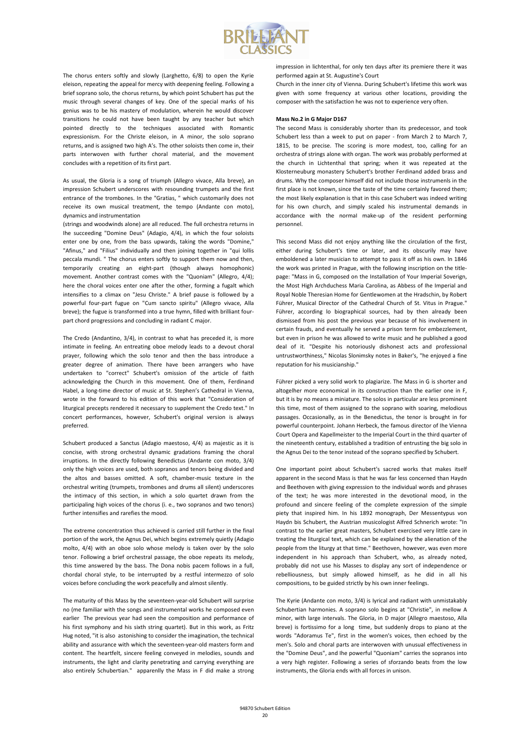

The chorus enters softly and slowly (Larghetto, 6/8) to open the Kyrie eleison, repeating the appeal for mercy with deepening feeling. Following a brief soprano solo, the chorus returns, by which point Schubert has put the music through severaI changes of key. One of the special marks of his genius was to be his mastery of modulation, wherein he would discover transitions he could not have been taught by any teacher but which pointed directly to the techniques associated with Romantic expressionism. For the Christe eleison, in A minor, the solo soprano returns, and is assigned two high A's. The other soloists then come in, their parts interwoven with further choral material, and the movement concludes with a repetition of its first part.

As usual, the Gloria is a song of triumph (Allegro vivace, Alla breve), an impression Schubert underscores with resounding trumpets and the first entrance of the trombones. In the "Gratias, " which customarily does not receive its own musical treatment, the tempo (Andante con moto), dynamics and instrumentation

(strings and woodwinds alone) are all reduced. The full orchestra returns in Ihe succeeding "Domine Deus" (Adagio, 4/4), in which the four soloists enter one by one, from the bass upwards, taking the words "Domine," "Afinus," and "Filius" individually and then joining together in "qui lollis peccala mundi. " The chorus enters softly to support them now and then, temporarily creating an eight-part (though always homophonic) movement. Another contrast comes with the "Quoniam" (Allegro, 4/4); here the choral voices enter one after the other, forming a fugalt which intensifies to a climax on "Jesu Christe." A brief pause is followed by a powerful four-part fugue on "Cum sancto spiritu" (Allegro vivace, Alla breve); the fugue is transformed into a true hymn, filled with brilliant fourpart chord progressions and concluding in radiant C major.

The Credo (Andantino, 3/4), in contrast to what has preceded it, is more intimate in feeling. An entreating oboe melody leads to a devout choral prayer, following which the solo tenor and then the bass introduce a greater degree of animation. There have been arrangers who have undertaken to "correct" Schubert's omission of the article of faith acknowledging the Church in this movement. One of them, Ferdinand Habel, a long-time director of music at St. Stephen's Cathedral in Vienna, wrote in the forward to his edition of this work that "Consideration of liturgical precepts rendered it necessary to supplement the Credo text." In concert performances, however, Schubert's original version is always preferred.

Schubert produced a Sanctus (Adagio maestoso, 4/4) as majestic as it is concise, with strong orchestral dynamic gradations framing the choral irruptions. In the directly following Benedictus (Andante con moto, 3/4) only the high voices are used, both sopranos and tenors being divided and the altos and basses omitted. A soft, chamber-music texture in the orchestral writing (trumpets, trombones and drums all silent) underscores the intimacy of this section, in which a solo quartet drawn from the participaling high voices of the chorus (i. e., two sopranos and two tenors) further intensifies and rarefies the mood.

The extreme concentration thus achieved is carried still further in the final portion of the work, the Agnus Dei, which begins extremely quietly (Adagio molto, 4/4) with an oboe solo whose melody is taken over by the solo tenor. Following a brief orchestral passage, the oboe repeats its melody, this time answered by the bass. The Dona nobis pacem follows in a full, chordal choral style, to be interrupted by a restful intermezzo of solo voices before concluding the work peacefully and almost silently.

The maturity of this Mass by the seventeen-year-old Schubert will surprise no (me familiar with the songs and instrumental works he composed even earlier The previous year had seen the composition and performance of his first symphony and his sixth string quartet). But in this work, as Fritz Hug noted, "it is also astonishing to consider the imagination, the technical ability and assurance with which the seventeen-year-old masters form and content. The heartfelt, sincere feeling conveyed in melodies, sounds and instruments, the light and clarity penetrating and carrying everything are also entirely Schubertian." apparenlly the Mass in F did make a strong

impression in lichtenthal, for only ten days after its premiere there it was performed again at St. Augustine's Court

Church in the inner city of Vienna. During Schubert's lifetime this work was given with some frequency at various other locations, providing the composer with the satisfaction he was not to experience very often.

#### Mass No.2 in G Major D167

The second Mass is considerably shorter than its predecessor, and took Schubert less than a week to put on paper - from March 2 to March 7, 1815, to be precise. The scoring is more modest, too, calling for an orchestra of strings alone with organ. The work was probably performed at the church in Lichtenthal that spring; when it was repeated at the Klosterneuburg monastery Schubert's brother Ferdinand added brass and drums. Why the composer himself did not include those instrumenls in the first place is not known, since the taste of the time certainly favored them; the most likely explanation is that in this case Schubert was indeed writing for his own church, and simply scaled his instrumental demands in accordance with the normaI make-up of the resident performing personnel.

This second Mass did not enjoy anything like the circulation of the first, either during Schubert's time or later, and its obscurily may have emboldened a later musician to attempt to pass it off as his own. In 1846 the work was printed in Prague, with the following inscription on the titlepage: "Mass in G, composed on the Installation of Your ImperiaI Soverign, the Most High Archduchess Maria Carolina, as Abbess of Ihe Imperial and Royal Noble Theresian Home for Gentlewomen at the Hradschin, by Robert Führer, Musical Director of the Cathedral Church of St. Vitus in Prague." Führer, according lo biographical sources, had by then already been dismissed from his post the previous year because of his involvement in certain frauds, and eventually he served a prison term for embezzlement, but even in prison he was allowed to write music and he published a good deal of it. "Despite his notoriously dishonest acts and professional untrustworthiness," Nicolas Slonimsky notes in Baker's, "he enjoyed a fine reputation for his musicianship."

Führer picked a very solid work to plagiarize. The Mass in G is shorter and altogelher more economical in its construction than the earlier one in F, but it is by no means a miniature. The solos in particular are less prominent this time, most of them assigned to the soprano with soaring, melodious passages. Occasionally, as in the Benedictus, the tenor is brought in for powerful counterpoint. Johann Herbeck, the famous director of Ihe Vienna Court Opera and Kapellmeister to the Imperial Court in the third quarter of the nineteenth century, established a tradition of entrusting the big solo in the Agnus Dei to the tenor instead of the soprano specified by Schubert.

One important point about Schubert's sacred works that makes itself apparent in the second Mass is that he was far less concerned than Haydn and Beethoven with giving expression to the individual words and phrases of the text; he was more interested in the devotional mood, in the profound and sincere feeling of the complete expression of the simple piety that inspired him. In his 1892 monograph, Der Messentypus von Haydn bis Schubert, the Austrian musicologist Alfred Schnerich wrote: "In contrast to the earlier great masters, Schubert exercised very little care in treating the liturgical text, which can be explained by the alienation of the people from the liturgy at that time." Beethoven, however, was even more independent in his approach than Schubert, who, as already noted, probably did not use his Masses to display any sort of independence or rebelliousness, but simply allowed himself, as he did in all his compositions, to be guided strictly by his own inner feelings.

The Kyrie (Andante con moto, 3/4) is Iyrical and radiant with unmistakably Schubertian harmonies. A soprano solo begins at "Christie", in mellow A minor, with large intervals. The Gloria, in D major (Allegro maestoso, Alla breve) is fortissimo for a long time, but suddenly drops to piano at the words "Adoramus Te", first in the women's voices, then echoed by the men's. Solo and choral parts are interwoven with unusual effectiveness in the "Domine Deus", and Ihe powerful "Quoniam" carries the sopranos into a very high register. Following a series of sforzando beats from the low instruments, the Gloria ends with all forces in unison.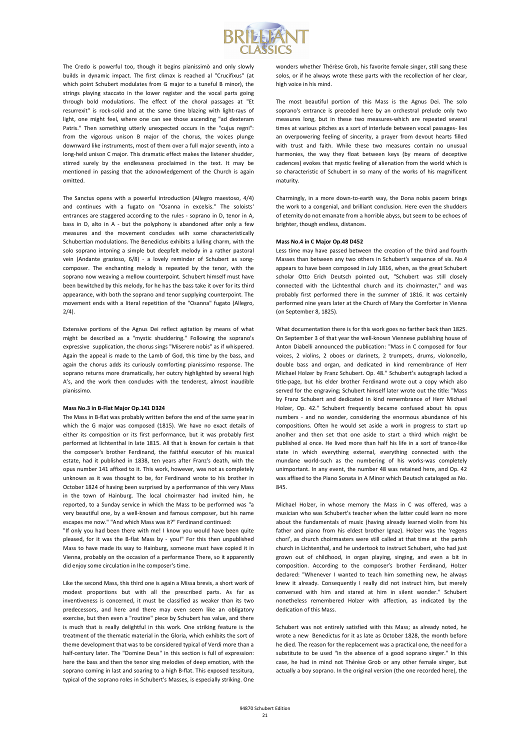

The Credo is powerful too, though it begins pianissimò and only slowly builds in dynamic impact. The first climax is reached al "Crucifixus" (at which point Schubert modulates from G major to a tuneful B minor), the strings playing staccato in the lower register and the vocal parts going through bold modulations. The effect of the choral passages at "Et resurrexit" is rock-solid and at the same time blazing with light-rays of light, one might feel, where one can see those ascending "ad dexteram Patris." Then something utterly unexpected occurs in the "cujus regni": from the vigorous unison B major of the chorus, the voices plunge downward like instruments, most of them over a full major seventh, into a long-held unison C major. This dramatic effect makes the listener shudder, stirred surely by the endlessness proclaimed in the text. It may be mentioned in passing that the acknowledgement of the Church is again omitted.

The Sanctus opens with a powerful introduction (Allegro maestoso, 4/4) and continues with a fugato on "Osanna in excelsis." The soloists' entrances are staggered according to the rules - soprano in D, tenor in A, bass in D, alto in A - but the polyphony is abandoned after only a few measures and the movement concludes wilh some characteristically Schubertian modulations. The Benediclus exhibits a lulling charm, with the solo soprano intoning a simple but deepfelt melody in a rather pastoral vein (Andante grazioso, 6/8) - a lovely reminder of Schubert as songcomposer. The enchanting melody is repeated by the tenor, with the soprano now weaving a mellow counterpoint. Schubert himself must have been bewitched by this melody, for he has the bass take it over for its third appearance, with both the soprano and tenor supplying counterpoint. The movement ends with a literal repetition of the "Osanna" fugato (Allegro,  $2/4$ ).

Extensive portions of the Agnus Dei reflect agitation by means of what might be described as a "mystic shuddering." Following the soprano's expressive supplication, the chorus sings "Miserere nobis" as if whispered. Again the appeal is made to the Lamb of God, this time by the bass, and again the chorus adds its curiously comforting pianissimo response. The soprano returns more dramatically, her outcry highlighted by several high A's, and the work then concludes with the tenderest, almost inaudible pianissimo.

## Mass No.3 in B-Flat Major Op.141 D324

The Mass in B-flat was probably written before the end of the same year in which the G major was composed (1815). We have no exact details of either its composition or its first performance, but it was probably first performed at lichtenthal in late 1815. All that is known for certain is that the composer's brother Ferdinand, the faithful executor of his musical estate, had it published in 1838, ten years after Franz's death, with the opus number 141 affixed to it. This work, however, was not as completely unknown as it was thought to be, for Ferdinand wrote to his brother in October 1824 of having been surprised by a performance of this very Mass in the town of Hainburg. The local choirmaster had invited him, he reported, to a Sunday service in which the Mass to be performed was "a very beautiful one, by a well-known and famous composer, but his name escapes me now." "And which Mass was it?" Ferdinand continued:

"If only you had been there with me! I know you would have been quite pleased, for it was the B-flat Mass by - you!" For this then unpublished Mass to have made its way to Hainburg, someone must have copied it in Vienna, probably on the occasion of a performance There, so it apparently did enjoy some circulation in Ihe composer's time.

Like the second Mass, this third one is again a Missa brevis, a short work of modest proportions but with all the prescribed parts. As far as inventiveness is concerned, it must be classified as weaker than its two predecessors, and here and there may even seem like an obligatory exercise, but then even a "routine" piece by Schubert has value, and there is much that is really delightful in this work. One striking feature is the treatment of the thematic material in the Gloria, which exhibits the sort of theme development that was to be considered typical of Verdi more than a half-century later. The "Domine Deus" in this section is full of expression: here the bass and then the tenor sing melodies of deep emotion, with the soprano coming in last and soaring to a high B-flat. This exposed tessitura, typical of the soprano roles in Schubert's Masses, is especially striking. One

wonders whether Thérèse Grob, his favorite female singer, still sang these solos, or if he always wrote these parts with the recollection of her clear, high voice in his mind.

The most beautiful portion of this Mass is the Agnus Dei. The solo soprano's entrance is preceded here by an orchestral prelude only two measures long, but in these two measures-which are repeated severaI times at various pitches as a sort of interlude between vocal passages- lies an overpowering feeling of sincerity, a prayer from devout hearts filled with trust and faith. While these two measures contain no unusual harmonies, the way they float between keys (by means of deceptive cadences) evokes that mystic feeling of alienation from the world which is so characteristic of Schubert in so many of the works of his magnificent maturity.

Charmingly, in a more down-to-earth way, the Dona nobis pacem brings the work to a congenial, and brilliant conclusion. Here even the shudders of eternity do not emanate from a horrible abyss, but seem to be echoes of brighter, though endless, distances.

#### Mass No.4 in C Major Op.48 D452

Less time may have passed between the creation of the third and fourth Masses than between any two others in Schubert's sequence of six. No.4 appears to have been composed in July 1816, when, as the great Schubert scholar Otto Erich Deutsch pointed out, "Schubert was still closely connected with the Lichtenthal church and its choirmaster," and was probably first performed there in the summer of 1816. It was certainly performed nine years later at the Church of Mary the Comforter in Vienna (on September 8, 1825).

What documentation there is for this work goes no farther back than 1825. On September 3 of that year the well-known Viennese publishing house of Anton Diabelli announced the publication: "Mass in C composed for four voices, 2 violins, 2 oboes or clarinets, 2 trumpets, drums, violoncello, double bass and organ, and dedicated in kind remembrance of Herr Michael Holzer by Franz Schubert. Op. 48." Schubert's autograph lacked a title-page, but his elder brother Ferdinand wrote out a copy which also served for the engraving; Schubert himself later wrote out the title: "Mass by Franz Schubert and dedicated in kind remembrance of Herr Michael Holzer, Op. 42." Schubert frequently became confused about his opus numbers - and no wonder, considering the enormous abundance of his compositions. Often he would set aside a work in progress to start up anolher and then set that one aside to start a third which might be published al once. He lived more than half his life in a sort of trance-like state in which everything external, everything connected with the mundane world-such as the numbering of his works-was completely unimportant. In any event, the number 48 was retained here, and Op. 42 was affixed to the Piano Sonata in A Minor which Deutsch cataloged as No. 845.

Michael Holzer, in whose memory the Mass in C was offered, was a musician who was Schubert's teacher when the latter could learn no more about the fundamentals of music (having already learned violin from his father and piano from his eldest brother Ignaz). Holzer was the 'regens chori', as church choirmasters were still called at that time at the parish church in Lichtenthal, and he undertook to instruct Schubert, who had just grown out of childhood, in organ playing, singing, and even a bit in composition. According to the composer's brother Ferdinand, Holzer declared: "Whenever I wanted to teach him something new, he always knew it already. Consequently I really did not instruct him, but merely conversed with him and stared at him in silent wonder." Schubert nonetheless remembered Holzer with affection, as indicated by the dedication of this Mass.

Schubert was not entirely satisfied with this Mass; as already noted, he wrote a new Benedictus for it as late as October 1828, the month before he died. The reason for the replacement was a practical one, the need for a substitute to be used "in the absence of a good soprano singer." In this case, he had in mind not Thérèse Grob or any other female singer, but actually a boy soprano. In the original version (the one recorded here), the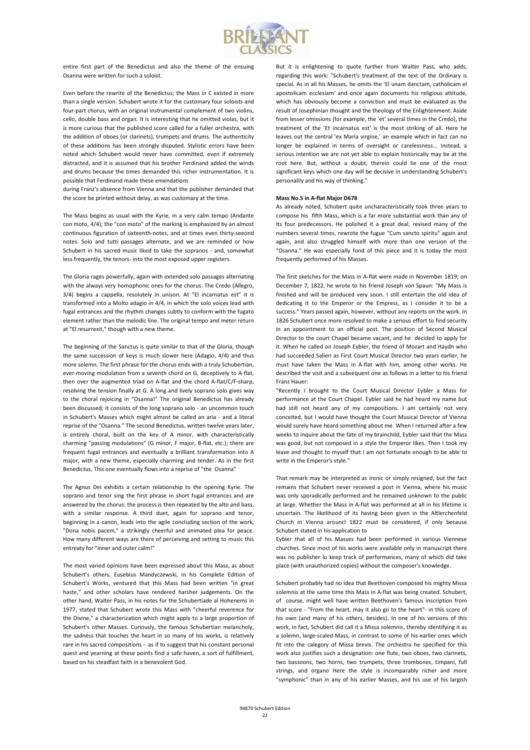

entire first part of the Benedictus and also the theme of the ensuing Osanna were written for such a soloist.

Even before the rewrite of the Benedictus; the Mass in C existed in more than a single version. Schubert wrote it for the customary four soloists and four-part chorus, with an original instrumental complement of two violins, cello, double bass and organ. It is interesting that he omitted violas, but it is more curious that the published score called for a fuller orchestra, with the addition of oboes (or clarinets), trumpets and drums. The authenticity of these additions has been strongly disputed. Stylistic errors have been noted which Schubert would never have committed, even if extremely distracted, and it is assumed that his brother Ferdinand added the winds and drums because the times demanded this richer instrumentation. It is possible that Ferdinand made these emendations

during Franz's absence from Vienna and that the publisher demanded that the score be printed without delay, as was customary at the time.

The Mass begins as usual with the Kyrie, in a very calm tempo (Andante con moto, 4/4); the "con moto" of the marking is emphasized by an almost continuous figuration of sixteenth-notes, and at times even thirty-seeond notes. Solo and tutti passages alternate, and we are reminded or how Schubert in his sacred music liked to take the sopranos - and, somewhat less frequently, the tenors- into the most exposed upper registers.

The Gloria rages powerfully, again with extended solo passages alternating with the always very homophonic ones for the chorus. The Credo (Allegro, 3/4) begins a cappella, resolutely in unison. At "El incarnatus est" it is transformed into a Molto adagio in 4/4, in which the solo voices lead with fugal entrances and the rhythm changes subtly to conform with the fugato element rather than the melodic line. The original tempo and meter return at "El resurrexit," though with a new theme.

The beginning of the Sanctus is quite similar to that of the Gloria, though the same succession of keys is much slower here (Adagio, 4/4) and thus more solemn. The first phrase for the chorus ends with a truly Schubertian, ever-moving modulation from a seventh chord on G, deceptively to A-flat, then over the augmented triad on A-flat and the chord A-flat/C/F-sharp, resolving the tension finally at G. A long and lively soprano solo gives way to the choral rejoicing in "Osanna!" The original Benedictus has already been discussed; it consists of the long soprano solo - an uncommon touch in Schubert's Masses which might almost be called an aria - and a literal reprise of the "Osanna." The second Benedictus, written twelve years later, is entirely choral, built on the key of A minor, with characteristically charming "passing modulations" (G minor, F major, B-flat, etc.); there are frequent fugal entrances and eventually a brilliant transformation into A major, with a new theme, especially charming and tender. As in the first Benedictus, This one eventually flows into a reprise of "the Osanna"

The Agnus Dei exhibits a certain relationship to the opening Kyrie. The soprano and tenor sing the first phrase in short fugal entrances and are answered by the chorus: the process is then repeated by the alto and bass, with a similar response. A third duet, again for soprano and tenor, beginning in a canon, leads into the agile concluding section of the work, "Dona nobis pacem," a strikingly cheerful and animated plea for peace. How many different ways are there of perceiving and setting to music this entreaty for "inner and outer calm!"

The most varied opinions have been expressed about this Mass, as about Schubert's others. Eusebius Mandyczewski, in his Complete Edition of Schubert's Works, ventured that this Mass had been written "in great haste," and other scholars have rendered harsher judgements. On the other hand, Walter Pass, in his notes for the Schubertiade al Hohenems in 1977, stated that Schubert wrote this Mass with "cheerful reverence for the Divine," a characterization which might apply to a large proportion of Schubert's other Masses. Curiously, the famous Schubertian melancholy, the sadness that touches the heart in so many of his works, is relatively rare in his sacred compositions - as if to suggest that his constant personal quest and yearning at these points find a safe haven, a sort of fulfillment based on his steadfast faith in a benevolent God.

But it is enlightening to quote further from Walter Pass, who adds, regarding this work: "Schubert's treatment of the text of the Ordinary is special. As in all his Masses, he omits the 'El unam danctam, catholicam el apostolicam ecclesiam' and once again documents his religious attitude, which has obviously become a conviction and must be evaluated as the result of Josephinian thought and the theology of the Enlightenment. Aside from lesser omissions (for example, the 'et' several times in the Credo), the treatment of the 'Et incarnatus est' is the most striking of all. Here he leaves out the central 'ex Maria virgine,' an example which in fact can no longer be explained in terms of oversight or carelessness... Instead, a serious intention we are not yet able to explain historically may be at the root here. But, without a doubt, therein could lie one of the rnost signifìcant keys which one day will be decisive in understanding Schubert's personalily and his way of thinking."

#### Mass No.5 in A-flat Major D678

As already noted, Schubert quite uncharacteristically took three years to compose his fìfth Mass, which is a far more substantial work than any of its four predecessors. He polished it a great deal, revised many of the numbers severaI times, rewrote the fugue "Cum sancto spiritu" again and again, and also struggled himself with more than one version of the "Osanna." He was especially fond of this piece and it is today the most frequently performed of his Masses.

The first sketches for the Mass in A-flat were made in November 1819; on December 7, 1822, he wrote to his friend Joseph von Spaun: "My Mass is finished and will be produced very soon. I still entertain the old idea of dedicating it to the Emperor or the Empress, as I consider it to be a success." Years passed again, however, without any reports on the work. In 1826 Schubert once more resolved to make a serious effort to find security in an appointment to an official post. The position of Second Musical Director to the court Chapel became vacant, and he decided to apply for it. When he called on Joseph Eybler, the friend of Mozart and Haydn who had succeeded Salieri as First Court Musical Director two years earlier, he must have taken the Mass in A-flat with him, among other works. He described the visit and a subsequent one as follows in a letter to his friend Franz Hauer:

"Recently I brought to the Court Musical Director Eybler a Mass for performance at the Court Chapel. Eybler said he had heard my name but had still not heard any of my compositions. I am certainly not very conceited, but I would have thought the Court Musical Director of Vienna would surely have heard something about me. When I returned after a few weeks to inquire about the fate of my brainchild, Eybler said that the Mass was good, but not composed in a style the Emperor likes. Then I took my leave and thought to myself that I am not fortunate enough to be able to write in the Emperor's style."

That remark may be interpreted as ironic or simply resigned, but the fact remains that Schubert never received a post in Vienna, where his music was only sporadically performed and he remained unknown to the public at large. Whether the Mass in A-flat was performed at all in his lifetime is uncertain. The likelihood of its having been given in the Altlerchenfeld Church in Vienna arouncl 1822 must be considered, if only because Schubert stated in his application to

Eybler that all of his Masses had been performed in various Viennese churches. Since most of his works were available only in manuscript there was no publisher lo keep track of performances, many of which did take place (with unauthorized copies) without the composer's knowledge.

Schubert probably had no idea that Beethoven composed his mighty Missa solemnis at the same time this Mass in A-flat was being created. Schubert, of course, might well have written Beethoven's famous inscription from that score - "From the heart, may it also go to the heart"- in this score of his own (and many of his others, besides). In one of his versions of Ihis work, in fact, Schubert did call it a Missa solemnis, thereby identifying it as a solemn, large-scaled Mass, in contrast to some of his earlier ones which fit into the calegory of Missa brevis. The orchestra he specified for this work also justifies such a designation: one flute, two oboes, two clarinets two bassoons, two horns, two trumpets, three trombones, timpani, full strings, and organo Here the style is incomparably richer and more "symphonic" than in any of his earlier Masses, and his use of his largish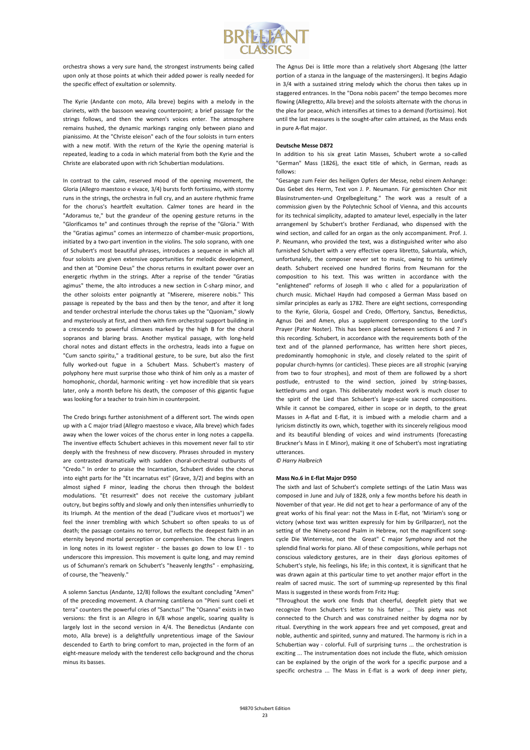

orchestra shows a very sure hand, the strongest instruments being called upon only at those points at which their added power is really needed for the specific effect of exultation or solemnity.

The Kyrie (Andante con moto, Alla breve) begins with a melody in the clarinets, with the bassoon weaving counterpoint; a brief passage for the strings follows, and then the women's voices enter. The atmosphere remains hushed, the dynamic markings ranging only between piano and pianissimo. At the "Christe eleison" each of the four soloists in turn enters with a new motif. With the return of the Kyrie the opening material is repeated, leading to a coda in which material from both the Kyrie and the Christe are elaborated upon with rich Schubertian modulations.

In contrast to the calm, reserved mood of the opening movement, the Gloria (Allegro maestoso e vivace, 3/4) bursts forth fortissimo, with stormy runs in the strings, the orchestra in full cry, and an austere rhythmic frame for the chorus's heartfelt exultation. Calmer tones are heard in the "Adoramus te," but the grandeur of the opening gesture returns in the "Glorificamos te" and continues through the reprise of the "Gloria." With the "Gratias agimus" comes an intermezzo of chamber-music proportions, initiated by a two-part invention in the violins. The solo soprano, with one of Schubert's most beautiful phrases, introduces a sequence in which all four soloists are given extensive opportunities for melodic development, and then at "Domine Deus" the chorus returns in exultant power over an energetic rhythm in the strings. After a reprise of the tender "Gratias agimus" theme, the alto introduces a new section in C-sharp minor, and the other soloists enter poignantly at "Miserere, miserere nobis." This passage is repeated by the bass and then by the tenor, and after it long and tender orchestral interlude the chorus takes up the "Quoniam," slowly and mysteriously at first, and then with firm orchestral support building in a crescendo to powerful climaxes marked by the high B for the choral sopranos and blaring brass. Another mystical passage, with long-held choral notes and distant effects in the orchestra, leads into a fugue on "Cum sancto spiritu," a traditional gesture, to be sure, but also the first fully worked-out fugue in a Schubert Mass. Schubert's mastery of polyphony here must surprise those who think of him only as a master of homophonic, chordal, harmonic writing - yet how incredible that six years later, only a month before his death, the composer of this gigantic fugue was looking for a teacher to train him in counterpoint.

The Credo brings further astonishment of a different sort. The winds open up with a C major triad (Allegro maestoso e vivace, Alla breve) which fades away when the lower voices of the chorus enter in long notes a cappella. The inventive effects Schubert achieves in this movement never fail to stir deeply with the freshness of new discovery. Phrases shrouded in mystery are contrasted dramatically with sudden choral-orchestral outbursts of "Credo." In order to praise the Incarnation, Schubert divides the chorus into eight parts for Ihe "Et incarnatus est" (Grave, 3/2) and begins with an almost sighed F minor, leading the chorus then through the boldest modulations. "Et resurrexit" does not receive the customary jubilant outcry, but begins softly and slowly and only then intensifies unhurriedly to its Iriumph. At the mention of the dead ("Judicare vivos et mortuos") we feel the inner trembling with which Schubert so often speaks to us of death; the passage contains no terror, but reflects the deepest faith in an eternity beyond mortal perception or comprehension. The chorus lingers in long notes in its lowest register - the basses go down to low E! - to underscore this impression. This movement is quite long, and may remind us of Schumann's remark on Schubert's "heavenly lengths" - emphasizing, of course, the "heavenly."

A solemn Sanctus (Andante, 12/8) follows the exultant concluding "Amen" of the preceding movement. A charming cantilena on "PIeni sunt coeli et terra" counters the powerful cries of "Sanctus!" The "Osanna" exists in two versions: the first is an Allegro in 6/8 whose angelic, soaring quality is largely lost in the second version in 4/4. The Benedictus (Andante con moto, Alla breve) is a delightfully unpretentious image of the Saviour descended to Earth to bring comfort to man, projected in the form of an eight-measure melody with the tenderest cello background and the chorus minus its basses.

The Agnus Dei is little more than a relatively short Abgesang (the latter portion of a stanza in the language of the mastersingers). It begins Adagio in 3/4 with a sustained string melody which the chorus then takes up in staggered entrances. In the "Dona nobis pacem" the tempo becomes more flowing (Allegretto, Alla breve) and the soloists alternate with the chorus in the plea for peace, which intensifies at times to a demand (fortissimo). Not until the last measures is the sought-after calm attained, as the Mass ends in pure A-flat major.

#### Deutsche Messe D872

In addition to his six great Latin Masses, Schubert wrote a so-called "German" Mass (1826), the exact title of which, in German, reads as follows:

"Gesange zum Feier des heiligen Opfers der Messe, nebsI einem Anhange: Das Gebet des Herrn, Text von J. P. Neumann. Für gemischten Chor mit Blasinstrumenten-und Orgelbegleitung." The work was a result of a commission given by the Polytechnic School of Vienna, and this accounts for its technical simplicity, adapted to amateur level, especially in the later arrangemenl by Schubert's brother Ferdianad, who dispensed with the wind section, and called for an organ as the only accompaniment. Prof. J. P. Neumann, who provided the text, was a distinguished writer who also furnished Schubert with a very effective opera libretto, Sakuntala, which, unfortunalely, the composer never set to music, owing to his untimely death. Schubert received one hundred florins from Neumann for the composition to his text. This was written in accordance with the "enlightened" reforms of Joseph II who c alled for a popularization of church music. Michael Haydn had composed a German Mass based on similar principles as early as 1782. There are eight sections, corresponding to the Kyrie, Gloria, Gospel and Credo, Offertory, Sanctus, Benedictus, Agnus Dei and Amen, plus a supplement corresponding to the Lord's Prayer (Pater Noster). This has been placed between sections 6 and 7 in this recording. Schubert, in accordance with the requirements both of the text and of the planned performance, has written here short pieces, predominantly homophonic in style, and closely related to the spirit of popular church-hymns (or canticles). These pieces are all strophic (varying from two to four strophes), and most of them are followed by a short postlude, entrusted to the wind section, joined by string-basses, kettledrums and organ. This deliberately modest work is much closer to the spirit of the Lied than Schubert's large-scale sacred compositions. While it cannot be compared, either in scope or in depth, to the great Masses in A-flat and E-flat, it is imbued with a melodie charm and a Iyricism distinctly its own, which, together with its sincerely religious mood and its beautiful blending of voices and wind instruments (forecasting Bruckner's Mass in E Minor), making it one of Schubert's most ingratiating utterances.

© Harry Halbreich

#### Mass No.6 in E-flat Major D950

The sixth and last of Schubert's complete settings of the Latin Mass was composed in June and July of 1828, only a few months before his death in November of that year. He did not get to hear a performance of any of the great works of his final year: not the Mass in E-flat, not 'Miriam's song or victory (whose text was written expressly for him by Grillparzer), not the setting of the Ninety-second Psalm in Hebrew, not the magnificent songcycle Die Winterreise, not the Great" C major Symphony and not the splendid final works for piano. All of these compositions, while perhaps not conscious valedictory gestures, are in their days glorious epitomes of Schubert's style, his feelings, his life; in this context, it is significant that he was drawn again at this particular time to yet another major effort in the realm of sacred music. The sort of summing-up represented by this final Mass is suggested in these words from Fritz Hug:

"Throughout the work one finds that cheerful, deepfelt piety that we recognize from Schubert's letter to his father .. This piety was not connected to the Church and was constrained neither by dogma nor by ritual. Everything in the work appears free and yet composed, great and noble, authentic and spirited, sunny and matured. The harmony is rich in a Schubertian way - colorful. Full of surprising turns ... the orchestration is exciting . The instrumentation does not include the flute, which omission can be explained by the origin of the work for a specific purpose and a specific orchestra ... The Mass in E-flat is a work of deep inner piety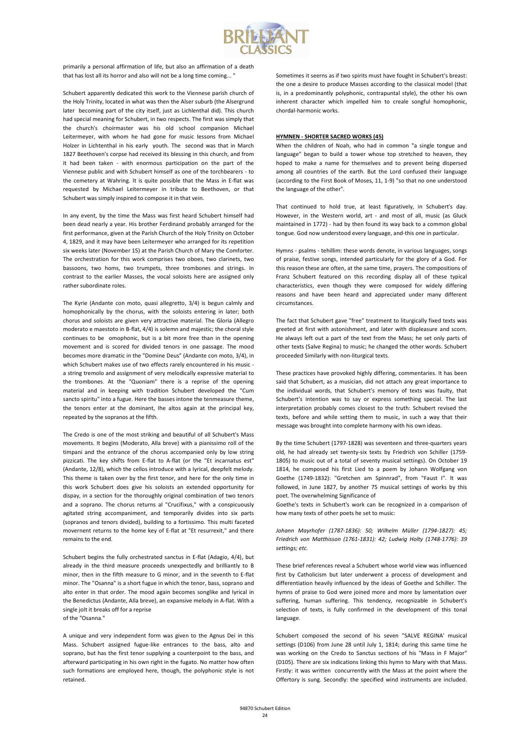

primarily a personal affirmation of life, but also an affirmation of a death that has lost all its horror and also will not be a long time coming... '

Schubert apparently dedicated this work to the Viennese parish church of the Holy Trinity, located in what was then the Alser suburb (the Alsergrund later becoming part of the city itself, just as Lichlenthal did). This church had special meaning for Schubert, in two respects. The first was simply that the church's choirmaster was his old school companion Michael Leitermeyer, with whom he had gone for music lessons from Michael Holzer in Lichtenthal in his early youth. The second was that in March 1827 Beethoven's corpse had received its blessing in this church, and from it had been taken - with enormous participation on the part of the Viennese public and with Schubert himself as one of the torchbearers - to the cemetery at Wahring. It is quite possible that the Mass in E-flat was requested by Michael Leitermeyer in tribute to Beethoven, or that Schubert was simply inspired to compose it in that vein.

In any event, by the time the Mass was first heard Schubert himself had been dead nearly a year. His brother Ferdinand probably arranged for the first performance, given at the Parish Church of the Holy Trinity on October 4, 1829, and it may have been Leitermeyer who arranged for its repetition six weeks later (November 15) at the Parish Church of Mary the Comforter. The orchestration for this work comprises two oboes, two clarinets, two bassoons, two homs, two trumpets, three trombones and strings. In contrast to the earlier Masses, the vocal soloists here are assigned only rather subordinate roles.

The Kyrie (Andante con moto, quasi allegretto, 3/4) is begun calmly and homophonically by the chorus, with the soloists entering in later; both chorus and soloists are given very attractive material. The Gloria (Allegro moderato e maestoto in B-flat, 4/4) is solemn and majestic; the choral style continues to be omophonic, but is a bit more free than in the opening movement and is scored for divided tenors in one passage. The mood becomes more dramatic in the "Domine Deus" (Andante con moto, 3/4), in which Schubert makes use of two effects rarely encountered in his music a string tremolo and assignment of very melodically expressive materiaI to the trombones. At the "Quoniam" there is a reprise of the opening material and in keeping with tradition Schubert developed the "Cum sancto spiritu" into a fugue. Here the basses intone the tenmeasure theme, the tenors enter at the dominant, Ihe altos again at the principal key, repeated by the sopranos at the fifth.

The Credo is one of the most striking and beautiful of all Schubert's Mass movements. It begins (Moderato, Alla breve) with a pianissimo roll of the timpani and the entrance of the chorus accompanied only by low string pizzicati. The key shifts from E-flat to A-flat (or the "Et incarnatus est" (Andante, 12/8), which the cellos introduce with a Iyrical, deepfelt melody. This theme is taken over by the first tenor, and here for the only time in this work Schubert does give his soloists an extended opportunity for dispay, in a section for the thoroughly original combination of two tenors and a soprano. The chorus returns al "Crucifixus," with a conspicuously agitated string accompaniment, and temporarily divides into six parts (sopranos and tenors divided), building to a fortissimo. This multi faceted movernent returns to the home key of E-flat at "Et resurrexit," and there remains to the end.

Schubert begins the fully orchestrated sanctus in E-flat (Adagio, 4/4), but already in the third measure proceeds unexpectedly and brilliantly to B minor, then in the fifth measure to G minor, and in the seventh to E-flat minor. The "Osanna" is a short fugue in which the tenor, bass, soprano and alto enter in that order. The mood again becomes songlike and Iyrical in the Benedictus (Andante, AIla breve), an expansive melody in A-flat. With a single jolt it breaks off for a reprise of the "Osanna."

A unique and very independent form was given to the Agnus Dei in this Mass. Schubert assigned fugue-like entrances to the bass, alto and soprano, but has the first tenor supplying a counterpoint to the bass, and afterward participating in his own right in the fugato. No matter how often such formations are employed here, though, the polyphonic style is not retained.

Sometimes it seerns as if two spirits must have fought in Schubert's breast: the one a desire to produce Masses according to the classicaI model (that is, in a predominantly polyphonic, contrapuntal style), the other his own inherent character which impelled him to creale songful homophonic, chordal-harmonic works.

#### HYMNEN - SHORTER SACRED WORKS (45)

When the children of Noah, who had in common "a single tongue and language" began to build a tower whose top stretched to heaven, they hoped to make a name for themselves and to prevent being dispersed among all countries of the earth. But the Lord confused their language (according to the First Book of Moses, 11, 1-9) "so that no one understood the language of the other".

That continued to hold true, at least figuratively, in Schubert's day. However, in the Western world, art - and most of all, music (as Gluck maintained in 1772) - had by then found its way back to a common global tongue. God now understood every language, and-this one in particular.

Hymns - psalms - tehillim: these words denote, in various languages, songs of praise, festive songs, intended particularly for the glory of a God. For this reason these are often, at the same time, prayers. The compositions of Franz Schubert featured on this recording display all of these typical characteristics, even though they were composed for widely differing reasons and have been heard and appreciated under many different circumstances.

The fact that Schubert gave "free" treatment to liturgically fixed texts was greeted at first with astonishment, and later with displeasure and scorn. He always left out a part of the text from the Mass; he set only parts of other texts (Salve Regina) to music; he changed the other words. Schubert proceeded Similarly with non-liturgical texts.

These practices have provoked highly differing, commentaries. It has been said that Schubert, as a musician, did not attach any great importance to the individual words, that Schubert's memory of texts was faulty, that Schubert's intention was to say or express something special. The last interpretation probably comes closest to the truth: Schubert revised the texts, before and while setting them to music, in such a way that their message was brought into complete harmony with his own ideas.

By the time Schubert (1797-1828) was seventeen and three-quarters years old, he had already set twenty-six texts by Friedrich von Schiller (1759- 1805) to music out of a total of seventy musical settings). On October 19 1814, he composed his first Lied to a poem by Johann Wolfgang von Goethe (1749-1832): "Gretchen am Spinnrad", from "Faust I". lt was followed, in June 1827, by another 75 musical settings of works by this poet. The overwhelming Significance of

Goethe's texts in Schubert's work can be recognized in a comparison of how many texts of other poets he set to music:

Johann Mayrhofer (1787-1836): 50; Wilhelm Müller (1794-1827): 45; Friedrich von Matthisson (1761-1831): 42; Ludwig Holty (1748-1776): 39 settings; etc.

These brief references reveal a Schubert whose world view was influenced first by Catholicism but later underwent a process of development and differentiation heavily influenced by the ideas of Goethe and Schiller. The hymns of praise to God were joined more and more by lamentation over suffering, human suffering. This tendency, recognizable in Schubert's selection of texts, is fully confirmed in the development of this tonal language.

Schubert composed the second of his seven "SALVE REGINA' musical settings (D106) from June 28 until July 1, 1814; during this same time he was working on the Credo to Sanctus sections of his "Mass in F Major" (D105). There are six indications linking this hymn to Mary with that Mass. Firstly: it was written concurrently with the Mass at the point where the Offertory is sung. Secondly: the specified wind instruments are included.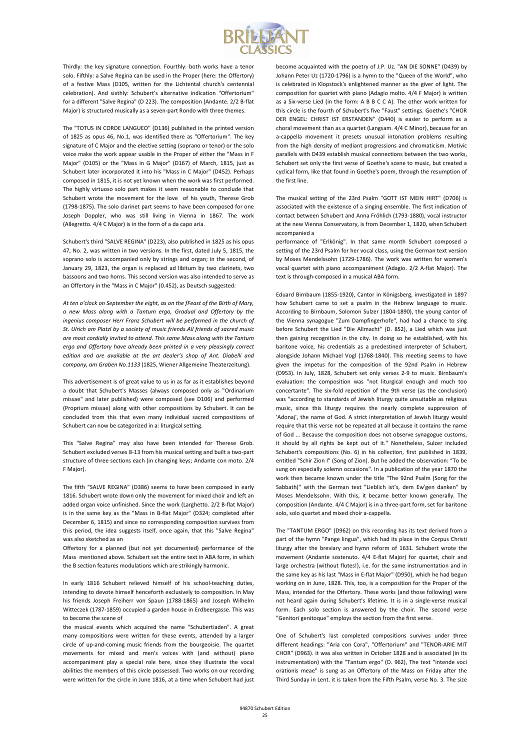

Thirdly: the key signature connection. Fourthly: both works have a tenor solo. Fifthly: a Salve Regina can be used in the Proper (here: the Offertory) of a festive Mass (D105, written for the Lichtental church's centennial celebration). And sixthly: Schubert's alternative indication "Offertorium" for a different "Salve Regina" (D 223). The composition (Andante. 2/2 B-flat Major) is structured musically as a seven-part Rondo with three themes.

The "TOTUS IN CORDE LANGUEO" (D136) published in the printed version of 1825 as opus 46, No.1, was identified there as "Offertorium". The key signature of C Major and the elective setting (soprano or tenor) or the solo voice make the work appear usable in the Proper of either the "Mass in F Major" (D105) or the "Mass in G Major" (D167) of March, 1815, just as Schubert later incorporated it into his "Mass in C Major" (D452). Perhaps composed in 1815, it is not yet known when the work was first performed. The highly virtuoso solo part makes it seem reasonable to conclude that Schubert wrote the movement for the love of his youth, Therese Grob (1798-1875). The solo clarinet part seems to have been composed for one Joseph Doppler, who was still living in Vienna in 1867. The work (Allegretto. 4/4 C Major) is in the form of a da capo aria.

Schubert's third "SALVE REGINA" (D223), also published in 1825 as his opus 47, No. 2, was written in two versions. In the first, dated July 5, 1815, the soprano solo is accompanied only by strings and organ; in the second, of January 29, 1823, the organ is replaced ad libitum by two clarinets, two bassoons and two horns. This second version was also intended to serve as an Offertory in the "Mass in C Major" (0.452), as Deutsch suggested:

At ten o'clock on September the eight, as on the fFeast of the Birth of Mary. a new Mass along with a Tantum ergo, Gradual and Offertory by the ingenius composer Herr Franz Schubert will be performed in the church of St. Ulrich am Platzl by a society of music friends.All friends of sacred music are most cordially invited to attend. This same Mass along with the Tantum ergo and Offertory have already been printed in a very pleasingly correct edition and are available at the art dealer's shop of Ant. Diabelli and company, am Graben No.1133 (1825, Wiener Allgemeine Theaterzeitung).

This advertisement is of great value to us in as far as it establishes beyond a doubt that Schubert's Masses (always composed only as "Ordinarium missae" and later published) were composed (see D106) and performed (Proprium missae) along with other compositions by Schubert. It can be concluded trom this that even many individual sacred compositions of Schubert can now be categorized in a: liturgical setting.

This "Salve Regina" may also have been intended for Therese Grob. Schubert excluded verses 8-13 from his musical setting and built a two-part structure of three sections each (in changing keys; Andante con moto. 2/4 F Major).

The fifth "SALVE REGINA" (D386) seems to have been composed in early 1816. Schubert wrote down only the movement for mixed choir and left an added organ voice unfinished. Since the work (Larghetto. 2/2 B-flat Major) is in the same key as the "Mass in B-flat Major" (D324; completed after December 6, 1815) and since no corresponding composition survives from this period, the idea suggests itself, once again, that this "Salve Regina" was also sketched as an

Offertory for a planned (but not yet documented) performance of the Mass mentioned above. Schubert set the entire text in ABA form, in which the B section features modulations which are strikingly harmonic.

In early 1816 Schubert relieved himself of his school-teaching duties, intending to devote himself henceforth exclusively to composition. In May his friends Joseph Freiherr von Spaun (1788-1865) and Joseph Wilhelm Witteczek (1787-1859) occupied a garden house in Erdbeergasse. This was to become the scene of

the musical events which acquired the name "Schubertiaden". A great many compositions were written for these events, attended by a larger circle of up-and-coming music friends from the bourgeoisie. The quartet movements for mixed and men's voices with (and without) piano accompaniment play a special role here, since they illustrate the vocal abilities the members of this circle possessed. Two works on our recording were written for the circle in June 1816, at a time when Schubert had just

become acquainted with the poetry of J.P. Uz. "AN DIE SONNE" (D439) by Johann Peter Uz (1720-1796) is a hymn to the "Queen of the World", who is celebrated in Klopstock's enlightened manner as the giver of light. The composition for quartet with piano (Adagio molto. 4/4 F Major) is written as a Six-verse Lied (in the form: A B B C C A). The other work written for this circle is the fourth of Schubert's five "Faust" settings. Goethe's "CHOR DER ENGEL: CHRIST IST ERSTANDEN" (D440) is easier to perform as a choral movement than as a quartet (Langsam. 4/4 C Minor), because for an a-cappella movement it presets unusual intonation problems resulting from the high density of mediant progressions and chromaticism. Motivic parallels with D439 establish musical connections between the two works, Schubert set only the first verse of Goethe's scene to music, but created a cyclical form, like that found in Goethe's poem, through the resumption of the first line.

The musical setting of the 23rd Psalm "GOTT IST MEIN HIRT" (D706) is associated with the existence of a singing ensemble. The first indication of contact between Schubert and Anna Fröhlich (1793-1880), vocal instructor at the new Vienna Conservatory, is from December 1, 1820, when Schubert accompanied a

performance of "Erlkönig". In that same month Schubert composed a setting of the 23rd Psalm for her vocal class, using the German text version by Moses Mendelssohn (1729-1786). The work was written for women's vocal quartet with piano accompaniment (Adagio. 2/2 A-flat Major). The text is through-composed in a musical ABA form.

Eduard Birnbaum (1855-1920), Cantor in Königsberg, investigated in 1897 how Schubert came to set a psalm in the Hebrew language to music. According to Birnbaum, Solomon Sulzer (1804-1890), the young cantor of the Vienna synagogue "Zum Dampfingerhofe", had had a chance to sing before Schubert the Lied "Die Allmacht" (D. 852), a Lied which was just then gaining recognition in the city. In doing so he established, with his baritone voice, his credentials as a predestined interpreter of Schubert, alongside Johann Michael Vogl (1768-1840). This meeting seems to have given the impetus for the composition of the 92nd Psalm in Hebrew (D953). In July, 1828, Schubert set only verses 2-9 to music. Birnbaum's evaluation: the composition was "not liturgical enough and much too concertante". The six-fold repetition of the 9th verse (as the conclusion) was "according to standards of Jewish liturgy quite unsuitable as religious music, since this liturgy requires the nearly complete suppression of 'Adonaj', the name of God. A strict interpretation of Jewish liturgy would require that this verse not be repeated at all because it contains the name of God ... Because the composition does not observe synagogue customs, it should by all rights be kept out of it." Nonetheless, Sulzer included Schubert's compositions (No. 6) in his collection, first published in 1839, entitled "Schir Zion I" (Song of Zion). But he added the observation: "To be sung on especially solemn occasions". In a publication of the year 1870 the work then became known under the title "The 92nd Psalm (Song for the Sabbath)" with the German text "Lieblich ist's, dem Ew'gen danken" by Moses Mendelssohn. With this, it became better known generally. The composition (Andante. 4/4 C Major) is in a three-part form, set for baritone solo, solo quartet and mixed choir a-cappella.

The "TANTUM ERGO" (D962) on this recording has its text derived from a part of the hymn "Pange lingua", which had its place in the Corpus Christi liturgy after the breviary and hymn reform of 1631. Schubert wrote the movement (Andante sostenuto. 4/4 E-flat Major) for quartet, choir and large orchestra (without flutes!), i.e. for the same instrumentation and in the same key as his last "Mass in E-flat Major" (D950), which he had begun working on in June, 1828. This, too, is a composition for the Proper of the Mass, intended for the Offertory. These works (and those following) were not heard again during Schubert's lifetime. It is in a single-verse musical form. Each solo section is answered by the choir. The second verse "Genitori genitoque" employs the section from the first verse.

One of Schubert's last completed compositions survives under three different headings: "Aria con Cora", "Offertorium" and "TENOR-ARIE MIT CHOR" (D963). it was also written in October 1828 and is associated (in its instrumentation) with the "Tantum ergo" (D. 962), The text "intende voci orationis meae" is sung as an Offertory of the Mass on Friday after the Third Sunday in Lent. it is taken from the Fifth Psalm, verse No. 3. The size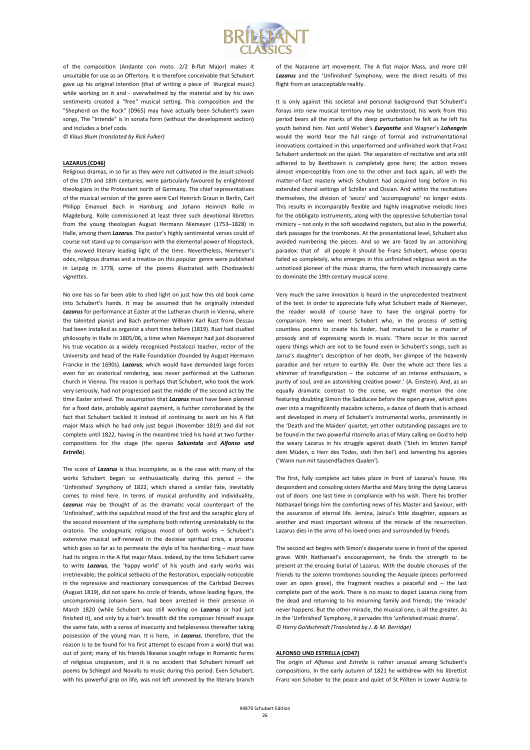

of the composition (Andante con moto. 2/2 B-flat Major) makes it unsuitable for use as an Offertory. It is therefore conceivable that Schubert gave up his original intention (that of writing a piece of liturgical music) while working on it and - overwhelmed by the material and by his own sentiments created a "free" musical setting. This composition and the "Shepherd on the Rock" (D965) may have actually been Schubert's swan songs, The "Intende" is in sonata form (without the development section) and includes a brief coda.

© Klaus Blum (translated by Rick Fulker)

## LAZARUS (CD46)

Religious dramas, in so far as they were not cultivated in the Jesuit schools of the 17th and 18th centuries, were particularly favoured by enlightened theologians in the Protestant north of Germany. The chief representatives of the musical version of the genre were Carl Heinrich Graun in Berlin, Carl Philipp Emanuel Bach in Hamburg and Johann Heinrich Rolle in Magdeburg. Rolle commissioned at least three such devotional librettos from the young theologian August Hermann Niemeyer (1753–1828) in Halle, among them Lazarus. The pastor's highly sentimental verses could of course not stand up to comparison with the elemental power of Klopstock, the avowed literary leading light of the time. Nevertheless, Niemeyer's odes, religious dramas and a treatise on this popular genre were published in Leipzig in 1778, some of the poems illustrated with Chodowiecki vignettes.

No one has so far been able to shed light on just how this old book came into Schubert's hands. It may be assumed that he originally intended Lazarus for performance at Easter at the Lutheran church in Vienna, where the talented pianist and Bach performer Wilhelm Karl Rust from Dessau had been installed as organist a short time before (1819). Rust had studied philosophy in Halle in 1805/06, a time when Niemeyer had just discovered his true vocation as a widely recognised Pestalozzi teacher, rector of the University and head of the Halle Foundation (founded by August Hermann Francke in the 1690s). Lazarus, which would have demanded large forces even for an oratorical rendering, was never performed at the Lutheran church in Vienna. The reason is perhaps that Schubert, who took the work very seriously, had not progressed past the middle of the second act by the time Easter arrived. The assumption that Lazarus must have been planned for a fixed date, probably against payment, is further corroborated by the fact that Schubert tackled it instead of continuing to work on his A flat major Mass which he had only just begun (November 1819) and did not complete until 1822, having in the meantime tried his hand at two further compositions for the stage (the operas Sakuntala and Alfonso und Estrella).

The score of Lazarus is thus incomplete, as is the case with many of the works Schubert began so enthusiastically during this period – the 'Unfinished' Symphony of 1822, which shared a similar fate, inevitably comes to mind here. In terms of musical profundity and individuality, Lazarus may be thought of as the dramatic vocal counterpart of the 'Unfinished', with the sepulchral mood of the first and the seraphic glory of the second movement of the symphony both referring unmistakably to the oratorio. The undogmatic religious mood of both works – Schubert's extensive musical self-renewal in the decisive spiritual crisis, a process which goes so far as to permeate the style of his handwriting – must have had its origins in the A flat major Mass. Indeed, by the time Schubert came to write Lazarus, the 'happy world' of his youth and early works was irretrievable; the political setbacks of the Restoration, especially noticeable in the repressive and reactionary consequences of the Carlsbad Decrees (August 1819), did not spare his circle of friends, whose leading figure, the uncompromising Johann Senn, had been arrested in their presence in March 1820 (while Schubert was still working on Lazarus or had just finished it), and only by a hair's breadth did the composer himself escape the same fate, with a sense of insecurity and helplessness thereafter taking possession of the young man. It is here, in Lazarus, therefore, that the reason is to be found for his first attempt to escape from a world that was out of joint; many of his friends likewise sought refuge in Romantic forms of religious utopianism, and it is no accident that Schubert himself set poems by Schlegel and Novalis to music during this period. Even Schubert, with his powerful grip on life, was not left unmoved by the literary branch

of the Nazarene art movement. The A flat major Mass, and more still Lazarus and the 'Unfinished' Symphony, were the direct results of this flight from an unacceptable reality.

It is only against this societal and personal background that Schubert's forays into new musical territory may be understood; his work from this period bears all the marks of the deep perturbation he felt as he left his youth behind him. Not until Weber's **Eurvanthe** and Wagner's Lohengrin would the world hear the full range of formal and instrumentational innovations contained in this unperformed and unfinished work that Franz Schubert undertook on the quiet. The separation of recitative and aria still adhered to by Beethoven is completely gone here; the action moves almost imperceptibly from one to the other and back again, all with the matter-of-fact mastery which Schubert had acquired long before in his extended choral settings of Schiller and Ossian. And within the recitatives themselves, the division of 'secco' and 'accompagnato' no longer exists. This results in incomparably flexible and highly imaginative melodic lines for the obbligato instruments, along with the oppressive Schubertian tonal mimicry – not only in the soft woodwind registers, but also in the powerful, dark passages for the trombones. At the presentational level, Schubert also avoided numbering the pieces. And so we are faced by an astonishing paradox: that of all people it should be Franz Schubert, whose operas failed so completely, who emerges in this unfinished religious work as the unnoticed pioneer of the music drama, the form which increasingly came to dominate the 19th century musical scene.

Very much the same innovation is heard in the unprecedented treatment of the text. In order to appreciate fully what Schubert made of Niemeyer, the reader would of course have to have the original poetry for comparison. Here we meet Schubert who, in the process of setting countless poems to create his lieder, had matured to be a master of prosody and of expressing words in music. 'There occur in this sacred opera things which are not to be found even in Schubert's songs, such as Jairus's daughter's description of her death, her glimpse of the heavenly paradise and her return to earthly life. Over the whole act there lies a shimmer of transfiguration – the outcome of an intense enthusiasm, a purity of soul, and an astonishing creative power.' (A. Einstein). And, as an equally dramatic contrast to the scene, we might mention the one featuring doubting Simon the Sadducee before the open grave, which goes over into a magnificently macabre scherzo, a dance of death that is echoed and developed in many of Schubert's instrumental works, prominently in the 'Death and the Maiden' quartet; yet other outstanding passages are to be found in the two powerful ritornello arias of Mary calling on God to help the weary Lazarus in his struggle against death ('Steh im letzten Kampf dem Müden, o Herr des Todes, steh ihm bei') and lamenting his agonies ('Wann nun mit tausendfachen Qualen').

The first, fully complete act takes place in front of Lazarus's house. His despondent and consoling sisters Martha and Mary bring the dying Lazarus out of doors one last time in compliance with his wish. There his brother Nathanael brings him the comforting news of his Master and Saviour, with the assurance of eternal life. Jemina, Jairus's little daughter, appears as another and most important witness of the miracle of the resurrection. Lazarus dies in the arms of his loved ones and surrounded by friends.

The second act begins with Simon's desperate scene in front of the opened grave. With Nathanael's encouragement, he finds the strength to be present at the ensuing burial of Lazarus. With the double choruses of the friends to the solemn trombones sounding the Aequale (pieces performed over an open grave), the fragment reaches a peaceful end – the last complete part of the work. There is no music to depict Lazarus rising from the dead and returning to his mourning family and friends; the 'miracle' never happens. But the other miracle, the musical one, is all the greater. As in the 'Unfinished' Symphony, it pervades this 'unfinished music drama'. © Harry Goldschmidt (Translated by J. & M. Berridge)

## ALFONSO UND ESTRELLA (CD47)

The origin of Alfonso und Estrella is rather unusual among Schubert's compositions. In the early autumn of 1821 he withdrew with his librettist Franz von Schober to the peace and quiet of St Pölten in Lower Austria to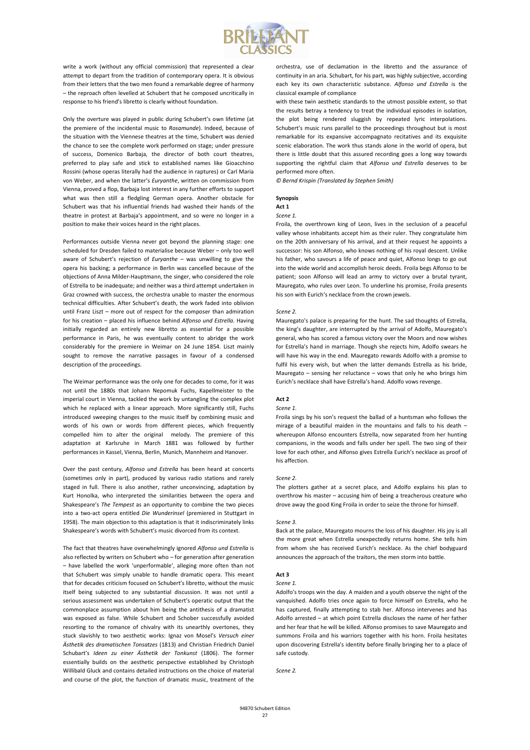

write a work (without any official commission) that represented a clear attempt to depart from the tradition of contemporary opera. It is obvious from their letters that the two men found a remarkable degree of harmony – the reproach often levelled at Schubert that he composed uncritically in response to his friend's libretto is clearly without foundation.

Only the overture was played in public during Schubert's own lifetime (at the premiere of the incidental music to Rosamunde). Indeed, because of the situation with the Viennese theatres at the time, Schubert was denied the chance to see the complete work performed on stage; under pressure of success, Domenico Barbaja, the director of both court theatres, preferred to play safe and stick to established names like Gioacchino Rossini (whose operas literally had the audience in raptures) or Carl Maria von Weber, and when the latter's Euryanthe, written on commission from Vienna, proved a flop, Barbaja lost interest in any further efforts to support what was then still a fledgling German opera. Another obstacle for Schubert was that his influential friends had washed their hands of the theatre in protest at Barbaja's appointment, and so were no longer in a position to make their voices heard in the right places.

Performances outside Vienna never got beyond the planning stage: one scheduled for Dresden failed to materialise because Weber – only too well aware of Schubert's rejection of Euryanthe  $-$  was unwilling to give the opera his backing; a performance in Berlin was cancelled because of the objections of Anna Milder-Hauptmann, the singer, who considered the role of Estrella to be inadequate; and neither was a third attempt undertaken in Graz crowned with success, the orchestra unable to master the enormous technical difficulties. After Schubert's death, the work faded into oblivion until Franz Liszt – more out of respect for the composer than admiration for his creation – placed his influence behind Alfonso und Estrella. Having initially regarded an entirely new libretto as essential for a possible performance in Paris, he was eventually content to abridge the work considerably for the premiere in Weimar on 24 June 1854. Liszt mainly sought to remove the narrative passages in favour of a condensed description of the proceedings.

The Weimar performance was the only one for decades to come, for it was not until the 1880s that Johann Nepomuk Fuchs, Kapellmeister to the imperial court in Vienna, tackled the work by untangling the complex plot which he replaced with a linear approach. More significantly still, Fuchs introduced sweeping changes to the music itself by combining music and words of his own or words from different pieces, which frequently compelled him to alter the original melody. The premiere of this adaptation at Karlsruhe in March 1881 was followed by further performances in Kassel, Vienna, Berlin, Munich, Mannheim and Hanover.

Over the past century, Alfonso und Estrella has been heard at concerts (sometimes only in part), produced by various radio stations and rarely staged in full. There is also another, rather unconvincing, adaptation by Kurt Honolka, who interpreted the similarities between the opera and Shakespeare's The Tempest as an opportunity to combine the two pieces into a two-act opera entitled Die Wunderinsel (premiered in Stuttgart in 1958). The main objection to this adaptation is that it indiscriminately links Shakespeare's words with Schubert's music divorced from its context.

The fact that theatres have overwhelmingly ignored Alfonso und Estrella is also reflected by writers on Schubert who – for generation after generation – have labelled the work 'unperformable', alleging more often than not that Schubert was simply unable to handle dramatic opera. This meant that for decades criticism focused on Schubert's libretto, without the music itself being subjected to any substantial discussion. It was not until a serious assessment was undertaken of Schubert's operatic output that the commonplace assumption about him being the antithesis of a dramatist was exposed as false. While Schubert and Schober successfully avoided resorting to the romance of chivalry with its unearthly overtones, they stuck slavishly to two aesthetic works: Ignaz von Mosel's Versuch einer Ästhetik des dramatischen Tonsatzes (1813) and Christian Friedrich Daniel Schubart's Ideen zu einer Ästhetik der Tonkunst (1806). The former essentially builds on the aesthetic perspective established by Christoph Willibald Gluck and contains detailed instructions on the choice of material and course of the plot, the function of dramatic music, treatment of the

orchestra, use of declamation in the libretto and the assurance of continuity in an aria. Schubart, for his part, was highly subjective, according each key its own characteristic substance. Alfonso und Estrella is the classical example of compliance

with these twin aesthetic standards to the utmost possible extent, so that the results betray a tendency to treat the individual episodes in isolation, the plot being rendered sluggish by repeated lyric interpolations. Schubert's music runs parallel to the proceedings throughout but is most remarkable for its expansive accompagnato recitatives and its exquisite scenic elaboration. The work thus stands alone in the world of opera, but there is little doubt that this assured recording goes a long way towards supporting the rightful claim that Alfonso und Estrella deserves to be performed more often.

© Bernd Krispin (Translated by Stephen Smith)

## Synopsis

## Act 1

#### Scene 1.

Froila, the overthrown king of Leon, lives in the seclusion of a peaceful valley whose inhabitants accept him as their ruler. They congratulate him on the 20th anniversary of his arrival, and at their request he appoints a successor: his son Alfonso, who knows nothing of his royal descent. Unlike his father, who savours a life of peace and quiet, Alfonso longs to go out into the wide world and accomplish heroic deeds. Froila begs Alfonso to be patient; soon Alfonso will lead an army to victory over a brutal tyrant, Mauregato, who rules over Leon. To underline his promise, Froila presents his son with Eurich's necklace from the crown jewels.

#### Scene 2.

Mauregato's palace is preparing for the hunt. The sad thoughts of Estrella, the king's daughter, are interrupted by the arrival of Adolfo, Mauregato's general, who has scored a famous victory over the Moors and now wishes for Estrella's hand in marriage. Though she rejects him, Adolfo swears he will have his way in the end. Mauregato rewards Adolfo with a promise to fulfil his every wish, but when the latter demands Estrella as his bride, Mauregato – sensing her reluctance – vows that only he who brings him Eurich's necklace shall have Estrella's hand. Adolfo vows revenge.

## Act 2

#### Scene 1.

Froila sings by his son's request the ballad of a huntsman who follows the mirage of a beautiful maiden in the mountains and falls to his death – whereupon Alfonso encounters Estrella, now separated from her hunting companions, in the woods and falls under her spell. The two sing of their love for each other, and Alfonso gives Estrella Eurich's necklace as proof of his affection.

#### Scene 2.

The plotters gather at a secret place, and Adolfo explains his plan to overthrow his master – accusing him of being a treacherous creature who drove away the good King Froila in order to seize the throne for himself.

#### Scene 3.

Back at the palace, Mauregato mourns the loss of his daughter. His joy is all the more great when Estrella unexpectedly returns home. She tells him from whom she has received Eurich's necklace. As the chief bodyguard announces the approach of the traitors, the men storm into battle.

## Act 3

Scene 1.

Adolfo's troops win the day. A maiden and a youth observe the night of the vanquished. Adolfo tries once again to force himself on Estrella, who he has captured, finally attempting to stab her. Alfonso intervenes and has Adolfo arrested – at which point Estrella discloses the name of her father and her fear that he will be killed. Alfonso promises to save Mauregato and summons Froila and his warriors together with his horn. Froila hesitates upon discovering Estrella's identity before finally bringing her to a place of safe custody.

Scene 2.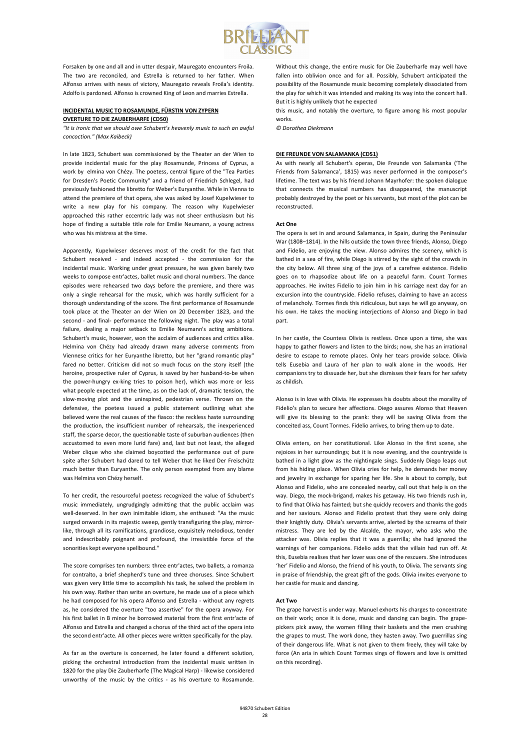

Forsaken by one and all and in utter despair, Mauregato encounters Froila. The two are reconciled, and Estrella is returned to her father. When Alfonso arrives with news of victory, Mauregato reveals Froila's identity. Adolfo is pardoned. Alfonso is crowned King of Leon and marries Estrella.

## INCIDENTAL MUSIC TO ROSAMUNDE, FÜRSTIN VON ZYPERN OVERTURE TO DIE ZAUBERHARFE (CD50)

"It is ironic that we should owe Schubert's heavenly music to such an awful concoction." (Max Kaibeck)

In late 1823, Schubert was commissioned by the Theater an der Wien to provide incidental music for the play Rosamunde, Princess of Cyprus, a work by elmina von Chézy. The poetess, central figure of the "Tea Parties for Dresden's Poetic Community" and a friend of Friedrich Schlegel, had previously fashioned the libretto for Weber's Euryanthe. While in Vienna to attend the premiere of that opera, she was asked by Josef Kupelwieser to write a new play for his company. The reason why Kupelwieser approached this rather eccentric lady was not sheer enthusiasm but his hope of finding a suitable title role for Emilie Neumann, a young actress who was his mistress at the time.

Apparently, Kupelwieser deserves most of the credit for the fact that Schubert received - and indeed accepted - the commission for the incidental music. Working under great pressure, he was given barely two weeks to compose entr'actes, ballet music and choral numbers. The dance episodes were rehearsed two days before the premiere, and there was only a single rehearsal for the music, which was hardly sufficient for a thorough understanding of the score. The first performance of Rosamunde took place at the Theater an der Wien on 20 December 1823, and the second - and final- performance the following night. The play was a total failure, dealing a major setback to Emilie Neumann's acting ambitions. Schubert's music, however, won the acclaim of audiences and critics alike. Helmina von Chézy had already drawn many adverse comments from Viennese critics for her Euryanthe libretto, but her "grand romantic play" fared no better. Criticism did not so much focus on the story itself (the heroine, prospective ruler of Cyprus, is saved by her husband-to-be when the power-hungry ex-king tries to poison her), which was more or less what people expected at the time, as on the lack of, dramatic tension, the slow-moving plot and the uninspired, pedestrian verse. Thrown on the defensive, the poetess issued a public statement outlining what she believed were the real causes of the fiasco: the reckless haste surrounding the production, the insufficient number of rehearsals, the inexperienced staff, the sparse decor, the questionable taste of suburban audiences (then accustomed to even more lurid fare) and, last but not least, the alleged Weber clique who she claimed boycotted the performance out of pure spite after Schubert had dared to tell Weber that he liked Der Freischütz much better than Euryanthe. The only person exempted from any blame was Helmina von Chézy herself.

To her credit, the resourceful poetess recognized the value of Schubert's music immediately, ungrudgingly admitting that the public acclaim was well-deserved. In her own inimitable idiom, she enthused: "As the music surged onwards in its majestic sweep, gently transfiguring the play, mirrorlike, through all its ramifications, grandiose, exquisitely melodious, tender and indescribably poignant and profound, the irresistible force of the sonorities kept everyone spellbound."

The score comprises ten numbers: three entr'actes, two ballets, a romanza for contralto, a brief shepherd's tune and three choruses. Since Schubert was given very little time to accomplish his task, he solved the problem in his own way. Rather than write an overture, he made use of a piece which he had composed for his opera Alfonso and EstrelIa - without any regrets as, he considered the overture "too assertive" for the opera anyway. For his first ballet in B minor he borrowed material from the first entr'acte of Alfonso and EstrelIa and changed a chorus of the third act of the opera into the second entr'acte. All other pieces were written specifically for the play.

As far as the overture is concerned, he later found a different solution picking the orchestral introduction from the incidental music written in 1820 for the play Die Zauberharfe (The Magical Harp) - likewise considered unworthy of the music by the critics - as his overture to Rosamunde.

Without this change, the entire music for Die Zauberharfe may well have fallen into oblivion once and for all. Possibly, Schubert anticipated the possibility of the Rosamunde music becoming completely dissociated from the play for which it was intended and making its way into the concert hall. But it is highly unlikely that he expected

this music, and notably the overture, to figure among his most popular works.

© Dorothea Diekmann

## DIE FREUNDE VON SALAMANKA (CD51)

As with nearly all Schubert's operas, Die Freunde von Salamanka ('The Friends from Salamanca', 1815) was never performed in the composer's lifetime. The text was by his friend Johann Mayrhofer: the spoken dialogue that connects the musical numbers has disappeared, the manuscript probably destroyed by the poet or his servants, but most of the plot can be reconstructed.

#### Act One

The opera is set in and around Salamanca, in Spain, during the Peninsular War (1808–1814). In the hills outside the town three friends, Alonso, Diego and Fidelio, are enjoying the view. Alonso admires the scenery, which is bathed in a sea of fire, while Diego is stirred by the sight of the crowds in the city below. All three sing of the joys of a carefree existence. Fidelio goes on to rhapsodize about life on a peaceful farm. Count Tormes approaches. He invites Fidelio to join him in his carriage next day for an excursion into the countryside. Fidelio refuses, claiming to have an access of melancholy. Tormes finds this ridiculous, but says he will go anyway, on his own. He takes the mocking interjections of Alonso and Diego in bad part.

In her castle, the Countess Olivia is restless. Once upon a time, she was happy to gather flowers and listen to the birds; now, she has an irrational desire to escape to remote places. Only her tears provide solace. Olivia tells Eusebia and Laura of her plan to walk alone in the woods. Her companions try to dissuade her, but she dismisses their fears for her safety as childish.

Alonso is in love with Olivia. He expresses his doubts about the morality of Fidelio's plan to secure her affections. Diego assures Alonso that Heaven will give its blessing to the prank: they will be saving Olivia from the conceited ass, Count Tormes. Fidelio arrives, to bring them up to date.

Olivia enters, on her constitutional. Like Alonso in the first scene, she rejoices in her surroundings; but it is now evening, and the countryside is bathed in a light glow as the nightingale sings. Suddenly Diego leaps out from his hiding place. When Olivia cries for help, he demands her money and jewelry in exchange for sparing her life. She is about to comply, but Alonso and Fidelio, who are concealed nearby, call out that help is on the way. Diego, the mock-brigand, makes his getaway. His two friends rush in, to find that Olivia has fainted; but she quickly recovers and thanks the gods and her saviours. Alonso and Fidelio protest that they were only doing their knightly duty. Olivia's servants arrive, alerted by the screams of their mistress. They are led by the Alcalde, the mayor, who asks who the attacker was. Olivia replies that it was a guerrilla; she had ignored the warnings of her companions. Fidelio adds that the villain had run off. At this, Eusebia realises that her lover was one of the rescuers. She introduces 'her' Fidelio and Alonso, the friend of his youth, to Olivia. The servants sing in praise of friendship, the great gift of the gods. Olivia invites everyone to her castle for music and dancing.

#### Act Two

The grape harvest is under way. Manuel exhorts his charges to concentrate on their work; once it is done, music and dancing can begin. The grapepickers pick away, the women filling their baskets and the men crushing the grapes to must. The work done, they hasten away. Two guerrillas sing of their dangerous life. What is not given to them freely, they will take by force (An aria in which Count Tormes sings of flowers and love is omitted on this recording).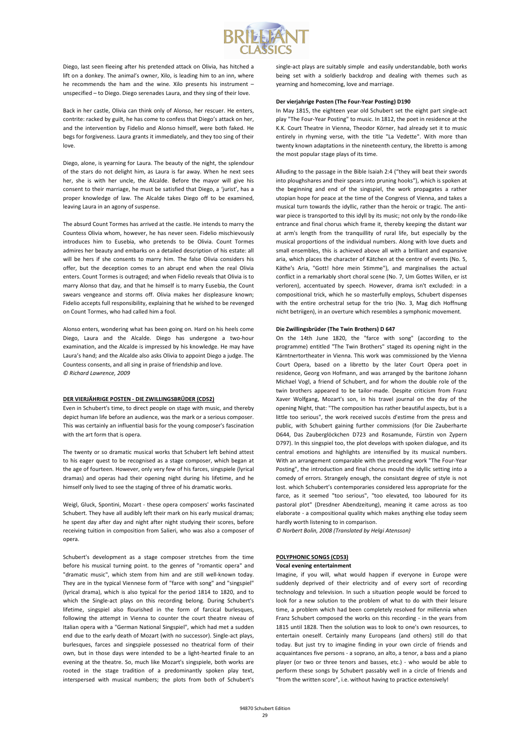

Diego, last seen fleeing after his pretended attack on Olivia, has hitched a lift on a donkey. The animal's owner, Xilo, is leading him to an inn, where he recommends the ham and the wine. Xilo presents his instrument – unspecified – to Diego. Diego serenades Laura, and they sing of their love.

Back in her castle, Olivia can think only of Alonso, her rescuer. He enters, contrite: racked by guilt, he has come to confess that Diego's attack on her, and the intervention by Fidelio and Alonso himself, were both faked. He begs for forgiveness. Laura grants it immediately, and they too sing of their love.

Diego, alone, is yearning for Laura. The beauty of the night, the splendour of the stars do not delight him, as Laura is far away. When he next sees her, she is with her uncle, the Alcalde. Before the mayor will give his consent to their marriage, he must be satisfied that Diego, a 'jurist', has a proper knowledge of law. The Alcalde takes Diego off to be examined, leaving Laura in an agony of suspense.

The absurd Count Tormes has arrived at the castle. He intends to marry the Countess Olivia whom, however, he has never seen. Fidelio mischievously introduces him to Eusebia, who pretends to be Olivia. Count Tormes admires her beauty and embarks on a detailed description of his estate: all will be hers if she consents to marry him. The false Olivia considers his offer, but the deception comes to an abrupt end when the real Olivia enters. Count Tormes is outraged; and when Fidelio reveals that Olivia is to marry Alonso that day, and that he himself is to marry Eusebia, the Count swears vengeance and storms off. Olivia makes her displeasure known; Fidelio accepts full responsibility, explaining that he wished to be revenged on Count Tormes, who had called him a fool.

Alonso enters, wondering what has been going on. Hard on his heels come Diego, Laura and the Alcalde. Diego has undergone a two-hour examination, and the Alcalde is impressed by his knowledge. He may have Laura's hand; and the Alcalde also asks Olivia to appoint Diego a judge. The Countess consents, and all sing in praise of friendship and love. © Richard Lawrence, 2009

#### DER VIERJÄHRIGE POSTEN - DIE ZWILLINGSBRÜDER (CD52)

Even in Schubert's time, to direct people on stage with music, and thereby depict human life before an audience, was the mark or a serious composer. This was certainly an influential basis for the young composer's fascination with the art form that is opera.

The twenty or so dramatic musical works that Schubert left behind attest to his eager quest to be recognised as a stage composer, which began at the age of fourteen. However, only very few of his farces, singspiele (lyrical dramas) and operas had their opening night during his lifetime, and he himself only lived to see the staging of three of his dramatic works.

Weigl, Gluck, Spontini, Mozart - these opera composers' works fascinated Schubert. They have all audibly left their mark on his early musical dramas; he spent day after day and night after night studying their scores, before receiving tuition in composition from Salieri, who was also a composer of opera.

Schubert's development as a stage composer stretches from the time before his musical turning point. to the genres of "romantic opera" and "dramatic music", which stem from him and are still well-known today. They are in the typical Viennese form of "farce with song" and "singspiel" (lyrical drama), which is also typical for the period 1814 to 1820, and to which the Single-act plays on this recording belong. During Schubert's lifetime, singspiel also flourished in the form of farcical burlesques, following the attempt in Vienna to counter the court theatre niveau of Italian opera with a "German National Singspiel", which had met a sudden end due to the early death of Mozart (with no successor). Single-act plays, burlesques, farces and singspiele possessed no theatrical form of their own, but in those days were intended to be a light-hearted finale to an evening at the theatre. So, much like Mozart's singspiele, both works are rooted in the stage tradition of a predominantly spoken play text interspersed with musical numbers; the plots from both of Schubert's

single-act plays are suitably simple and easily understandable, both works being set with a soldierly backdrop and dealing with themes such as yearning and homecoming, love and marriage.

## Der vierjahrige Posten (The Four-Year Posting) D190

In May 1815, the eighteen year old Schubert set the eight part single-act play "The Four-Year Posting" to music. In 1812, the poet in residence at the K.K. Court Theatre in Vienna, Theodor Körner, had already set it to music entirely in rhyming verse, with the title "La Vedette". With more than twenty known adaptations in the nineteenth century, the libretto is among the most popular stage plays of its time.

Alluding to the passage in the Bible Isaiah 2:4 ("they will beat their swords into ploughshares and their spears into pruning hooks"), which is spoken at the beginning and end of the singspiel, the work propagates a rather utopian hope for peace at the time of the Congress of Vienna, and takes a musical turn towards the idyllic, rather than the heroic or tragic. The antiwar piece is transported to this idyll by its music; not only by the rondo-like entrance and final chorus which frame it, thereby keeping the distant war at arm's length from the tranquillity of rural life, but especially by the musical proportions of the individual numbers. Along with love duets and small ensembles, this is achieved above all with a brilliant and expansive aria, which places the character of Kätchen at the centre of events (No. 5, Käthe's Aria, "Gott! höre mein Stimme"), and marginalises the actual conflict in a remarkably short choral scene (No. 7, Um Gottes Willen, er ist verloren), accentuated by speech. However, drama isn't excluded: in a compositional trick, which he so masterfully employs, Schubert dispenses with the entire orchestral setup for the trio (No. 3, Mag dich Hoffnung nicht betriigen), in an overture which resembles a symphonic movement.

#### Die Zwillingsbrüder (The Twin Brothers) D 647

On the 14th June 1820, the "farce with song" (according to the programme) entitled "The Twin Brothers" staged its opening night in the Kärntnertortheater in Vienna. This work was commissioned by the Vienna Court Opera, based on a libretto by the later Court Opera poet in residence, Georg von Hofmann, and was arranged by the baritone Johann Michael Vogl, a friend of Schubert, and for whom the double role of the twin brothers appeared to be tailor-made. Despite criticism from Franz Xaver Wolfgang, Mozart's son, in his travel journal on the day of the opening Night, that: "The composition has rather beautiful aspects, but is a little too serious", the work received succès d'estime from the press and public, with Schubert gaining further commissions (for Die Zauberharte D644, Das Zauberglöckchen D723 and Rosamunde, Fürstin von Zypern D797). In this singspiel too, the plot develops with spoken dialogue, and its central emotions and highlights are intensified by its musical numbers. With an arrangement comparable with the preceding work "The Four-Year Posting", the introduction and final chorus mould the idyllic setting into a comedy of errors. Strangely enough, the consistant degree of style is not lost. which Schubert's contemporaries considered less appropriate for the farce, as it seemed "too serious", "too elevated, too laboured for its pastoral plot" (Dresdner Abendzeitung), meaning it came across as too elaborate - a compositional quality which makes anything else today seem hardly worth listening to in comparison.

© Norbert Bolin, 2008 (Translated by Helgi Atensson)

## POLYPHONIC SONGS (CD53)

#### Vocal evening entertainment

Imagine, if you will, what would happen if everyone in Europe were suddenly deprived of their electricity and of every sort of recording technology and television. In such a situation people would be forced to look for a new solution to the problem of what to do with their leisure time, a problem which had been completely resolved for millennia when Franz Schubert composed the works on this recording - in the years from 1815 until 1828. Then the solution was to look to one's own resources, to entertain oneself. Certainly many Europeans (and others) still do that today. But just try to imagine finding in your own circle of friends and acquaintances five persons - a soprano, an alto, a tenor, a bass and a piano player (or two or three tenors and basses, etc.) - who would be able to perform these songs by Schubert passably well in a circle of friends and "from the written score", i.e. without having to practice extensively!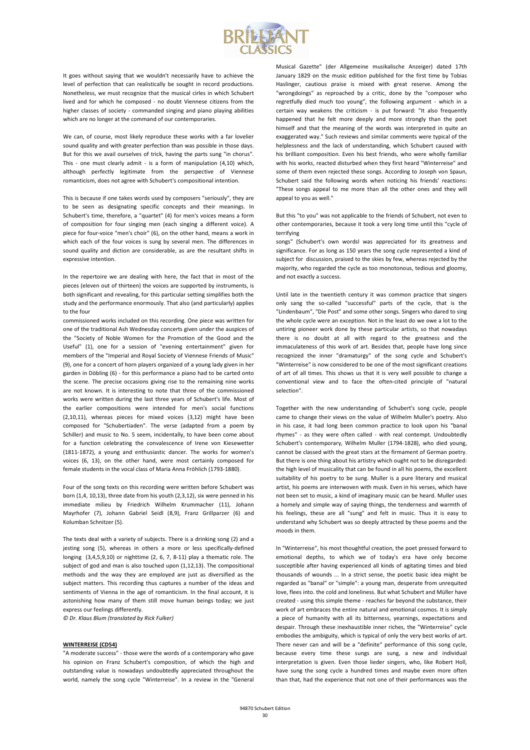

It goes without saying that we wouldn't necessarily have to achieve the level of perfection that can realistically be sought in record productions. Nonetheless, we must recognize that the musical cirles in which Schubert lived and for which he composed - no doubt Viennese citizens from the higher classes of society - commanded singing and piano playing abilities which are no longer at the command of our contemporaries.

We can, of course, most likely reproduce these works with a far lovelier sound quality and with greater perfection than was possible in those days. But for this we avail ourselves of trick, having the parts sung "in chorus". This - one must clearly admit - is a form of manipulation (4,10) which, although perfectly legitimate from the perspective of Viennese romanticism, does not agree with Schubert's compositional intention.

This is because if one takes words used by composers "seriously", they are to be seen as designating specific concepts and their meanings. In Schubert's time, therefore, a "quartet" (4) for men's voices means a form of composition for four singing men (each singing a different voice). A piece for four-voice "men's choir" (6), on the other hand, means a work in which each of the four voices is sung by several men. The differences in sound quality and diction are considerable, as are the resultant shifts in expressive intention.

In the repertoire we are dealing with here, the fact that in most of the pieces (eleven out of thirteen) the voices are supported by instruments, is both significant and revealing, for this particular setting simplifies both the study and the performance enormously. That also (and particularly) applies to the four

commissioned works included on this recording. One piece was written for one of the traditional Ash Wednesday concerts given under the auspices of the "Society of Noble Women for the Promotion of the Good and the Useful" (1), one for a session of "evening entertainment" given for members of the "Imperial and Royal Society of Viennese Friends of Music" (9), one for a concert of horn players organized of a young lady given in her garden in Döbling (6) - for this performance a piano had to be carted onto the scene. The precise occasions giving rise to the remaining nine works are not known. It is interesting to note that three of the commissioned works were written during the last three years of Schubert's life. Most of the earlier compositions were intended for men's social functions (2,10,11), whereas pieces for mixed voices (3,12) might have been composed for "Schubertiaden". The verse (adapted from a poem by Schiller) and music to No. 5 seem, incidentally, to have been come about for a function celebrating the convalescence of Irene von Kiesewetter (1811-1872), a young and enthusiastic dancer. The works for women's voices (6, 13), on the other hand, were most certainly composed for female students in the vocal class of Maria Anna Fröhlich (1793-1880).

Four of the song texts on this recording were written before Schubert was born (1,4, 10,13), three date from his youth (2,3,12), six were penned in his immediate milieu by Friedrich Wilhelm Krummacher (11), Johann Mayrhofer (7), Johann Gabriel Seidl (8,9), Franz Grillparzer (6) and Kolumban Schnitzer (5).

The texts deal with a variety of subjects. There is a drinking song (2) and a jesting song (5), whereas in others a more or less specifically-defined longing (3,4,5,9,10) or nighttime (2, 6, 7, 8-11) play a thematic role. The subject of god and man is also touched upon (1,12,13). The compositional methods and the way they are employed are just as diversified as the subject matters. This recording thus captures a number of the ideas and sentiments of Vienna in the age of romanticism. In the final account, it is astonishing how many of them still move human beings today; we just express our feelings differently.

© Dr. Klaus Blum (translated by Rick Fulker)

#### WINTERREISE (CD54)

"A moderate success" - those were the words of a contemporary who gave his opinion on Franz Schubert's composition, of which the high and outstanding value is nowadays undoubtedly appreciated throughout the world, namely the song cycle "Winterreise". In a review in the "General

Musical Gazette" (der Allgemeine musikalische Anzeiger) dated 17th January 1829 on the music edition published for the first time by Tobias Haslinger, cautious praise is mixed with great reserve. Among the "wrongdoings" as reproached by a critic, done by the "composer who regretfully died much too young", the following argument - which in a certain way weakens the criticism - is put forward: "It also frequently happened that he felt more deeply and more strongly than the poet himself and that the meaning of the words was interpreted in quite an exaggerated way." Such reviews and similar comments were typical of the helplessness and the lack of understanding, which Schubert caused with his brilliant composition. Even his best friends, who were wholly familiar with his works, reacted disturbed when they first heard "Winterreise" and some of them even rejected these songs. According to Joseph von Spaun, Schubert said the following words when noticing his friends' reactions: "These songs appeal to me more than all the other ones and they will appeal to you as well."

But this "to you" was not applicable to the friends of Schubert, not even to other contemporaries, because it took a very long time until this "cycle of terrifying

songs" (Schubert's own wordsl was appreciated for its greatness and significance. For as long as 150 years the song cycle represented a kind of subject for discussion, praised to the skies by few, whereas rejected by the majority, who regarded the cycle as too monotonous, tedious and gloomy, and not exactly a success.

Until late in the twentieth century it was common practice that singers only sang the so-called "successful" parts of the cycle, that is the "Lindenbaum", "Die Post" and some other songs. Singers who dared to sing the whole cycle were an exception. Not in the least do we owe a lot to the untiring pioneer work done by these particular artists, so that nowadays there is no doubt at all with regard to the greatness and the immaculateness of this work of art. Besides that, people have long since recognized the inner "dramaturgy" of the song cycle and Schubert's "Winterreise" is now considered to be one of the most significant creations of art of all times. This shows us that it is very well possible to change a conventional view and to face the often-cited principle of "natural selection".

Together with the new understanding of Schubert's song cycle, people came to change their views on the value of Wilhelm Muller's poetry. Also in his case, it had long been common practice to look upon his "banal rhymes" - as they were often called - with real contempt. Undoubtedly Schubert's contemporary, Wilhelm Muller (1794-1828), who died young, cannot be classed with the great stars at the firmament of German poetry. But there is one thing about his artistry which ought not to be disregarded: the high level of musicality that can be found in all his poems, the excellent suitability of his poetry to be sung. Muller is a pure literary and musical artist, his poems are interwoven with musk. Even in his verses, which have not been set to music, a kind of imaginary music can be heard. Muller uses a homely and simple way of saying things, the tenderness and warmth of his feelings, these are all "sung" and felt in music. Thus it is easy to understand why Schubert was so deeply attracted by these poems and the moods in them.

In "Winterreise", his most thoughtful creation, the poet pressed forward to emotional depths, to which we of today's era have only become susceptible after having experienced all kinds of agitating times and bled thousands of wounds ... In a strict sense, the poetic basic idea might be regarded as "banal" or "simple": a young man, desperate from unrequited love, flees into. the cold and loneliness. But what Schubert and Müller have created - using this simple theme - reaches far beyond the substance, their work of art embraces the entire natural and emotional cosmos. It is simply a piece of humanity with all its bitterness, yearnings, expectations and despair. Through these inexhaustible inner riches, the "Winterreise" cycle embodies the ambiguity, which is typical of only the very best works of art. There never can and will be a "definite" performance of this song cycle, because every time these sungs are sung, a new and individual interpretation is given. Even those lieder singers, who, like Robert Holl, have sung the song cycle a hundred times and maybe even more often than that, had the experience that not one of their performances was the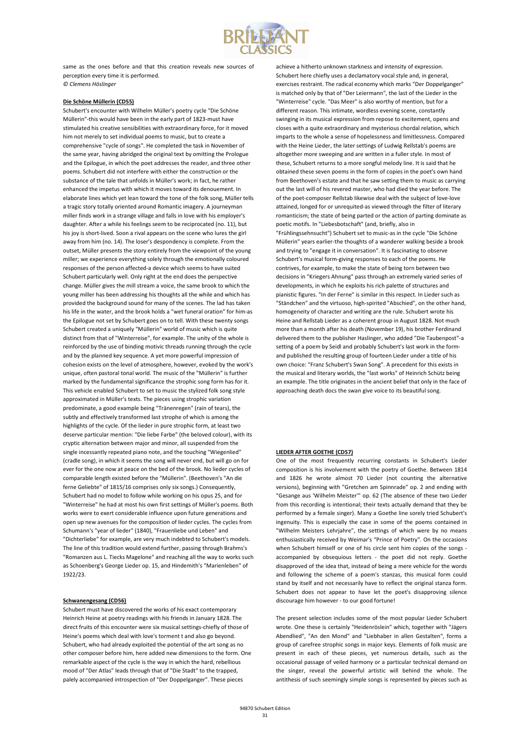

same as the ones before and that this creation reveals new sources of perception every time it is performed. © Clemens Höslinger

## Die Schöne Müllerin (CD55)

Schubert's encounter with Wilhelm Müller's poetry cycle "Die Schöne Müllerin"-this would have been in the early part of 1823-must have stimulated his creative sensibilities with extraordinary force, for it moved him not merely to set individual poems to music, but to create a comprehensive "cycle of songs". He completed the task in November of the same year, having abridged the original text by omitting the Prologue and the Epilogue, in which the poet addresses the reader, and three other poems. Schubert did not interfere with either the construction or the substance of the tale that unfolds in Müller's work; in fact, he rather enhanced the impetus with which it moves toward its denouement. In elaborate lines which yet lean toward the tone of the folk song, Müller tells a tragic story totally oriented around Romantic imagery. A journeyman miller finds work in a strange village and falls in love with his employer's daughter. After a while his feelings seem to be reciprocated (no. 11), but his joy is short-lived. Soon a rival appears on the scene who lures the girl away from him (no. 14). The loser's despondency is complete. From the outset, Müller presents the story entirely from the viewpoint of the young miller; we experience everything solely through the emotionally coloured responses of the person affected-a device which seems to have suited Schubert particularly well. Only right at the end does the perspective change. Müller gives the mill stream a voice, the same brook to which the young miller has been addressing his thoughts all the while and which has provided the background sound for many of the scenes. The lad has taken his life in the water, and the brook holds a "wet funeral oration" for him-as the Epilogue not set by Schubert goes on to tell. With these twenty songs Schubert created a uniquely "Müllerin" world of music which is quite distinct from that of "Winterreise", for example. The unity of the whole is reinforced by the use of binding motivic threads running through the cycle and by the planned key sequence. A yet more powerful impression of cohesion exists on the level of atmosphere, however, evoked by the work's unique, often pastoral tonal world. The music of the "Müllerin" is further marked by the fundamental significance the strophic song form has for it. This vehicle enabled Schubert to set to music the stylized folk song style approximated in Müller's texts. The pieces using strophic variation predominate, a good example being "Tränenregen" (rain of tears), the subtly and effectively transformed last strophe of which is among the highlights of the cycle. Of the lieder in pure strophic form, at least two deserve particular mention: "Die liebe Farbe" (the beloved colour), with its cryptic alternation between major and minor, all suspended from the single incessantly repeated piano note, and the touching "Wiegenlied" (cradle song), in which it seems the song will never end, but will go on for ever for the one now at peace on the bed of the brook. No lieder cycles of comparable length existed before the "Müllerin". (Beethoven's "An die ferne Geliebte" of 1815/16 comprises only six songs.) Consequently, Schubert had no model to follow while working on his opus 25, and for "Winterreise" he had at most his own first settings of Müller's poems. Both works were to exert considerable influence upon future generations and open up new avenues for the composition of lieder cycles. The cycles from Schumann's "year of lieder" (1840), "Frauenliebe und Leben" and "Dichterliebe" for example, are very much indebted to Schubert's models. The line of this tradition would extend further, passing through Brahms's "Romanzen aus L. Tiecks Magelone" and reaching all the way to works such as Schoenberg's George Lieder op. 15, and Hindemith's "Marienleben" of 1922/23.

#### Schwanengesang (CD56)

Schubert must have discovered the works of his exact contemporary Heinrich Heine at poetry readings with his friends in January 1828. The direct fruits of this encounter were six musical settings-chiefly of those of Heine's poems which deal with love's torment t and also go beyond. Schubert, who had already exploited the potential of the art song as no other composer before him, here added new dimensions to the form. One remarkable aspect of the cycle is the way in which the hard, rebellious mood of "Der Atlas" leads through that of "Die Stadt" to the trapped, palely accompanied introspection of "Der Doppelganger". These pieces

achieve a hitherto unknown starkness and intensity of expression. Schubert here chiefly uses a declamatory vocal style and, in general, exercises restraint. The radical economy which marks "Der Doppelganger" is matched only by that of "Der Leiermann", the last of the Lieder in the "Winterreise" cycle. "Das Meer" is also worthy of mention, but for a different reason. This intimate, wordless evening scene, constantly swinging in its musical expression from repose to excitement, opens and closes with a quite extraordinary and mysterious chordal relation, which imparts to the whole a sense of hopelessness and limitlessness. Compared with the Heine Lieder, the later settings of Ludwig Rellstab's poems are altogether more sweeping and are written in a fuller style. In most of these, Schubert returns to a more songful melody line. It is said that he obtained these seven poems in the form of copies in the poet's own hand from Beethoven's estate and that he saw setting them to music as carrying out the last will of his revered master, who had died the year before. The of the poet-composer Rellstab likewise deal with the subject of love-love attained, longed for or unrequited-as viewed through the filter of literary romanticism; the state of being parted or the action of parting dominate as poetic motifs. In "Liebesbotschaft" (and, briefly, also in "Frühlingssehnsucht") Schubert set to music-as in the cycle "Die Schöne Müllerin" years earlier-the thoughts of a wanderer walking beside a brook and trying to "engage it in conversation". It is fascinating to observe Schubert's musical form-giving responses to each of the poems. He contrives, for example, to make the state of being torn between two decisions in "Kriegers Ahnung" pass through an extremely varied series of developments, in which he exploits his rich palette of structures and pianistic figures. "In der Ferne" is similar in this respect. In Lieder such as "Ständchen" and the virtuoso, high-spirited "Abschied", on the other hand, homogeneity of character and writing are the rule. Schubert wrote his Heine and Rellstab Lieder as a coherent group in August 1828. Not much more than a month after his death (November 19), his brother Ferdinand delivered them to the publisher Haslinger, who added "Die Taubenpost"-a setting of a poem by Seidl and probably Schubert's last work in the formand published the resulting group of fourteen Lieder under a title of his own choice: "Franz Schubert's Swan Song". A precedent for this exists in the musical and literary worlds, the "last works" of Heinrich Schütz being an example. The title originates in the ancient belief that only in the face of approaching death docs the swan give voice to its beautiful song.

#### LIEDER AFTER GOETHE (CD57)

One of the most frequently recurring constants in Schubert's Lieder composition is his involvement with the poetry of Goethe. Between 1814 and 1826 he wrote almost 70 Lieder (not counting the alternative versions), beginning with "Gretchen am Spinnrade" op. 2 and ending with "Gesange aus 'Wilhelm Meister'" op. 62 (The absence of these two Lieder from this recording is intentional; their texts actually demand that they be performed by a female singer). Many a Goethe line sorely tried Schubert's ingenuity. This is especially the case in some of the poems contained in "Wilhelm Meisters Lehrjahre", the settings of which were by no means enthusiastically received by Weimar's "Prince of Poetry". On the occasions when Schubert himself or one of his circle sent him copies of the songs accompanied by obsequious letters - the poet did not reply. Goethe disapproved of the idea that, instead of being a mere vehicle for the words and following the scheme of a poem's stanzas, this musical form could stand by itself and not necessarily have to reflect the original stanza form. Schubert does not appear to have let the poet's disapproving silence discourage him however - to our good fortune!

The present selection includes some of the most popular Lieder Schubert wrote. One these is certainly "Heidenröslein" which, together with "Jägers Abendlied", "An den Mond" and "Liebhaber in allen Gestalten", forms a group of carefree strophic songs in major keys. Elements of folk music are present in each of these pieces, yet numerous details, such as the occasional passage of veiled harmony or a particular technical demand on the singer, reveal the powerful artistic will behind the whole. The antithesis of such seemingly simple songs is represented by pieces such as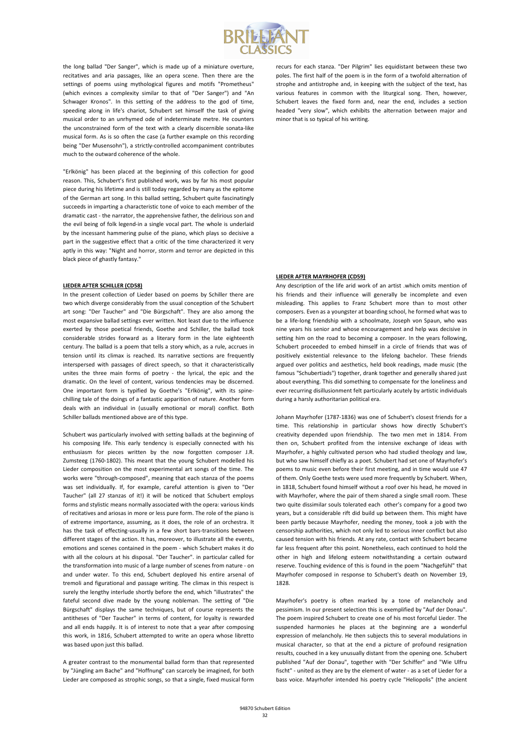

the long ballad "Der Sanger", which is made up of a miniature overture, recitatives and aria passages, like an opera scene. Then there are the settings of poems using mythological figures and motifs "Prometheus" (which evinces a complexity similar to that of "Der Sanger") and "An Schwager Kronos". In this setting of the address to the god of time, speeding along in life's chariot, Schubert set himself the task of giving musical order to an unrhymed ode of indeterminate metre. He counters the unconstrained form of the text with a clearly discernible sonata-like musical form. As is so often the case (a further example on this recording being "Der Musensohn"), a strictly-controlled accompaniment contributes much to the outward coherence of the whole.

"Erlkönig" has been placed at the beginning of this collection for good reason. This, Schubert's first published work, was by far his most popular piece during his lifetime and is still today regarded by many as the epitome of the German art song. In this ballad setting, Schubert quite fascinatingly succeeds in imparting a characteristic tone of voice to each member of the dramatic cast - the narrator, the apprehensive father, the delirious son and the evil being of folk legend-in a single vocal part. The whole is underlaid by the incessant hammering pulse of the piano, which plays so decisive a part in the suggestive effect that a critic of the time characterized it very aptly in this way: "Night and horror, storm and terror are depicted in this black piece of ghastly fantasy."

#### LIEDER AFTER SCHILLER (CD58)

In the present collection of Lieder based on poems by Schiller there are two which diverge considerably from the usual conception of the Schubert art song: "Der Taucher" and "Die Bürgschaft". They are also among the most expansive ballad settings ever written. Not least due to the influence exerted by those poetical friends, Goethe and Schiller, the ballad took considerable strides forward as a literary form in the late eighteenth century. The ballad is a poem that tells a story which, as a rule, accrues in tension until its climax is reached. Its narrative sections are frequently interspersed with passages of direct speech, so that it characteristically unites the three main forms of poetry - the lyrical, the epic and the dramatic. On the level of content, various tendencies may be discerned. One important form is typified by Goethe's "Erlkönig", with its spinechilling tale of the doings of a fantastic apparition of nature. Another form deals with an individual in (usually emotional or moral) conflict. Both Schiller ballads mentioned above are of this type.

Schubert was particularly involved with setting ballads at the beginning of his composing life. This early tendency is especially connected with his enthusiasm for pieces written by the now forgotten composer J.R. Zumsteeg (1760-1802). This meant that the young Schubert modelled his Lieder composition on the most experimental art songs of the time. The works were "through-composed", meaning that each stanza of the poems was set individually. If, for example, careful attention is given to "Der Taucher" (all 27 stanzas of it!) it will be noticed that Schubert employs forms and stylistic means normally associated with the opera: various kinds of recitatives and ariosas in more or less pure form. The role of the piano is of extreme importance, assuming, as it does, the role of an orchestra. It has the task of effecting-usually in a few short bars-transitions between different stages of the action. It has, moreover, to illustrate all the events, emotions and scenes contained in the poem - which Schubert makes it do with all the colours at his disposal. "Der Taucher". in particular called for the transformation into music of a large number of scenes from nature - on and under water. To this end, Schubert deployed his entire arsenal of tremoli and figurational and passage writing. The climax in this respect is surely the lengthy interlude shortly before the end, which "illustrates" the fateful second dive made by the young nobleman. The setting of "Die Bürgschaft" displays the same techniques, but of course represents the antitheses of "Der Taucher" in terms of content, for loyalty is rewarded and all ends happily. It is of interest to note that a year after composing this work, in 1816, Schubert attempted to write an opera whose libretto was based upon just this ballad.

A greater contrast to the monumental ballad form than that represented by "Jüngling am Bache" and "Hoffnung" can scarcely be imagined, for both Lieder are composed as strophic songs, so that a single, fixed musical form

recurs for each stanza. "Der Pilgrim" lies equidistant between these two poles. The first half of the poem is in the form of a twofold alternation of strophe and antistrophe and, in keeping with the subject of the text, has various features in common with the liturgical song. Then, however, Schubert leaves the fixed form and, near the end, includes a section headed "very slow", which exhibits the alternation between major and minor that is so typical of his writing.

## LIEDER AFTER MAYRHOFER (CD59)

Any description of the life arid work of an artist .which omits mention of his friends and their influence will generally be incomplete and even misleading. This applies to Franz Schubert more than to most other composers. Even as a youngster at boarding school, he formed what was to be a life-long friendship with a schoolmate, Joseph von Spaun, who was nine years his senior and whose encouragement and help was decisive in setting him on the road to becoming a composer. In the years following, Schubert proceeded to embed himself in a circle of friends that was of positively existential relevance to the lifelong bachelor. These friends argued over politics and aesthetics, held book readings, made music (the famous "Schubertiads") together, drank together and generally shared just about everything. This did something to compensate for the loneliness and ever recurring disillusionment felt particularly acutely by artistic individuals during a harsly authoritarian political era.

Johann Mayrhofer (1787-1836) was one of Schubert's closest friends for a time. This relationship in particular shows how directly Schubert's creativity depended upon friendship. The two men met in 1814. From then on, Schubert profited from the intensive exchange of ideas with Mayrhofer, a highly cultivated person who had studied theology and law, but who saw himself chiefly as a poet. Schubert had set one of Mayrhofer's poems to music even before their first meeting, and in time would use 47 of them. Only Goethe texts were used more frequently by Schubert. When, in 1818, Schubert found himself without a roof over his head, he moved in with Mayrhofer, where the pair of them shared a single small room. These two quite dissimilar souls tolerated each other's company for a good two years, but a considerable rift did build up between them. This might have been partly because Mayrhofer, needing the money, took a job with the censorship authorities, which not only led to serious inner conflict but also caused tension with his friends. At any rate, contact with Schubert became far less frequent after this point. Nonetheless, each continued to hold the other in high and lifelong esteem notwithstanding a certain outward reserve. Touching evidence of this is found in the poem "Nachgefühl" that Mayrhofer composed in response to Schubert's death on November 19, 1828.

Mayrhofer's poetry is often marked by a tone of melancholy and pessimism. In our present selection this is exemplified by "Auf der Donau". The poem inspired Schubert to create one of his most forceful Lieder. The suspended harmonies he places at the beginning are a wonderful expression of melancholy. He then subjects this to several modulations in musical character, so that at the end a picture of profound resignation results, couched in a key unusually distant from the opening one. Schubert published "Auf der Donau", together with "Der Schiffer" and "Wie Ulfru fischt" - united as they are by the element of water - as a set of Lieder for a bass voice. Mayrhofer intended his poetry cycle "Heliopolis" (the ancient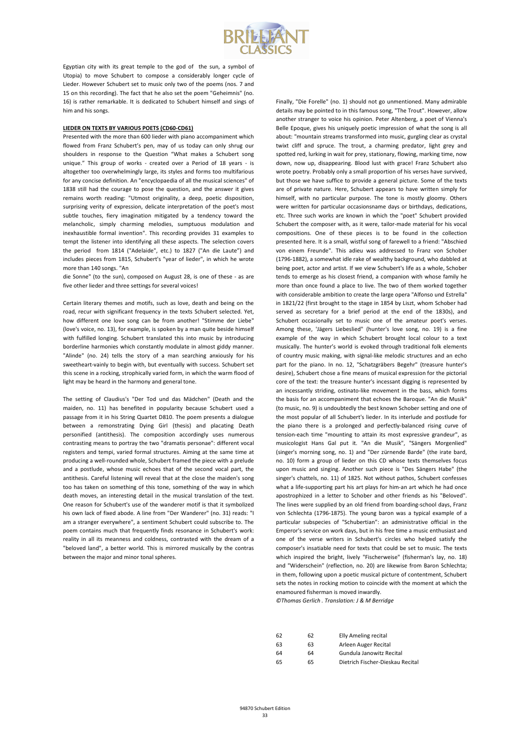

Egyptian city with its great temple to the god of the sun, a symbol of Utopia) to move Schubert to compose a considerably longer cycle of Lieder. However Schubert set to music only two of the poems (nos. 7 and 15 on this recording). The fact that he also set the poem "Geheimnis" (no. 16) is rather remarkable. It is dedicated to Schubert himself and sings of him and his songs.

#### LIEDER ON TEXTS BY VARIOUS POETS (CD60-CD61)

Presented with the more than 600 lieder with piano accompaniment which flowed from Franz Schubert's pen, may of us today can only shrug our shoulders in response to the Question "What makes a Schubert song unique." This group of works - created over a Period of 18 years - is altogether too overwhelmingly large, its styles and forms too multifarious for any concise definition. An "encyclopaedia of all the musical sciences" of 1838 still had the courage to pose the question, and the answer it gives remains worth reading: "Utmost originality, a deep, poetic disposition, surprising verity of expression, delicate interpretation of the poet's most subtle touches, fiery imagination mitigated by a tendency toward the melancholic, simply charming melodies, sumptuous modulation and inexhaustible formal invention". This recording provides 31 examples to tempt the listener into identifying all these aspects. The selection covers the period from 1814 ("Adelaide", etc.) to 1827 ("An die Laute") and includes pieces from 1815, Schubert's "year of lieder", in which he wrote more than 140 songs. "An

die Sonne" (to the sun), composed on August 28, is one of these - as are five other lieder and three settings for several voices!

Certain literary themes and motifs, such as love, death and being on the road, recur with significant frequency in the texts Schubert selected. Yet, how different one love song can be from another! "Stimme der Liebe (love's voice, no. 13), for example, is spoken by a man quite beside himself with fulfilled longing. Schubert translated this into music by introducing borderline harmonies which constantly modulate in almost giddy manner. "Alinde" (no. 24) tells the story of a man searching anxiously for his sweetheart-vainly to begin with, but eventually with success. Schubert set this scene in a rocking, strophically varied form, in which the warm flood of light may be heard in the harmony and general tone.

The setting of Claudius's "Der Tod und das Mädchen" (Death and the maiden, no. 11) has benefited in popularity because Schubert used a passage from it in his String Quartet D810. The poem presents a dialogue between a remonstrating Dying Girl (thesis) and placating Death personified (antithesis). The composition accordingly uses numerous contrasting means to portray the two "dramatis personae": different vocal registers and tempi, varied formal structures. Aiming at the same time at producing a well-rounded whole, Schubert framed the piece with a prelude and a postlude, whose music echoes that of the second vocal part, the antithesis. Careful listening will reveal that at the close the maiden's song too has taken on something of this tone, something of the way in which death moves, an interesting detail in the musical translation of the text. One reason for Schubert's use of the wanderer motif is that it symbolized his own lack of fixed abode. A line from "Der Wanderer" (no. 31) reads: "I am a stranger everywhere", a sentiment Schubert could subscribe to. The poem contains much that frequently finds resonance in Schubert's work: reality in all its meanness and coldness, contrasted with the dream of a "beloved land", a better world. This is mirrored musically by the contras between the major and minor tonal spheres.

Finally, "Die Forelle" (no. 1) should not go unmentioned. Many admirable details may be pointed to in this famous song, "The Trout". However, allow another stranger to voice his opinion. Peter Altenberg, a poet of Vienna's Belle Epoque, gives his uniquely poetic impression of what the song is all about: "mountain streams transformed into music, gurgling clear as crystal twixt cliff and spruce. The trout, a charming predator, light grey and spotted red, lurking in wait for prey, stationary, flowing, marking time, now down, now up, disappearing. Blood lust with grace! Franz Schubert also wrote poetry. Probably only a small proportion of his verses have survived, but those we have suffice to provide a general picture. Some of the texts are of private nature. Here, Schubert appears to have written simply for himself, with no particular purpose. The tone is mostly gloomy. Others were written for particular occasionsname days or birthdays, dedications, etc. Three such works are known in which the "poet" Schubert provided Schubert the composer with, as it were, tailor-made material for his vocal compositions. One of these pieces is to be found in the collection presented here. It is a small, wistful song of farewell to a friend: "Abschied von einem Freunde". This adieu was addressed to Franz von Schober (1796-1882), a somewhat idle rake of wealthy background, who dabbled at being poet, actor and artist. If we view Schubert's life as a whole, Schober tends to emerge as his closest friend, a companion with whose family he more than once found a place to live. The two of them worked together with considerable ambition to create the large opera "Alfonso und Estrella" in 1821/22 (first brought to the stage in 1854 by Liszt, whom Schober had served as secretary for a brief period at the end of the 1830s), and Schubert occasionally set to music one of the amateur poet's verses. Among these, 'Jägers Liebeslied" (hunter's love song, no. 19) is a fine example of the way in which Schubert brought local colour to a text musically. The hunter's world is evoked through traditional folk elements of country music making, with signal-like melodic structures and an echo part for the piano. In no. 12, "Schatzgräbers Begehr" (treasure hunter's desire), Schubert chose a fine means of musical expression for the pictorial core of the text: the treasure hunter's incessant digging is represented by an incessantly striding, ostinato-like movement in the bass, which forms the basis for an accompaniment that echoes the Baroque. "An die Musik" (to music, no. 9) is undoubtedly the best known Schober setting and one of the most popular of all Schubert's lieder. In its interlude and postlude for the piano there is a prolonged and perfectly-balanced rising curve of tension-each time "mounting to attain its most expressive grandeur", as musicologist Hans Gal put it. "An die Musik", "Sängers Morgenlied" (singer's morning song, no. 1) and "Der zürnende Barde" (the irate bard, no. 10) form a group of lieder on this CD whose texts themselves focus upon music and singing. Another such piece is "Des Sängers Habe" (the singer's chattels, no. 11) of 1825. Not without pathos, Schubert confesses what a life-supporting part his art plays for him-an art which he had once apostrophized in a letter to Schober and other friends as his "Beloved". The lines were supplied by an old friend from boarding-school days, Franz von Schlechta (1796-1875). The young baron was a typical example of a particular subspecies of "Schubertian": an administrative official in the Emperor's service on work days, but in his free time a music enthusiast and one of the verse writers in Schubert's circles who helped satisfy the composer's insatiable need for texts that could be set to music. The texts which inspired the bright, lively "Fischerweise" (fisherman's lay, no. 18) and "Widerschein" (reflection, no. 20) are likewise from Baron Schlechta; in them, following upon a poetic musical picture of contentment, Schubert sets the notes in rocking motion to coincide with the moment at which the enamoured fisherman is moved inwardly.

©Thomas Gerlich . Translation: J & M Berridge

| 62 | 62 | <b>Elly Ameling recital</b>      |
|----|----|----------------------------------|
| 63 | 63 | Arleen Auger Recital             |
| 64 | 64 | Gundula Janowitz Recital         |
| 65 | 65 | Dietrich Fischer-Dieskau Recital |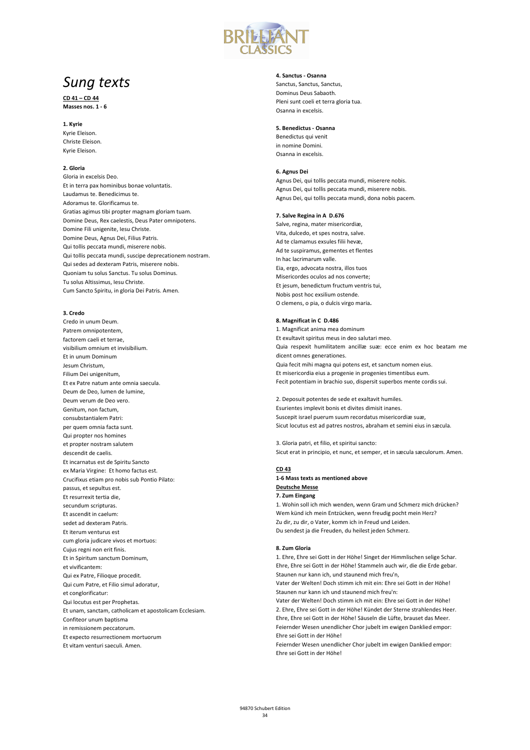

## Sung texts

CD 41 – CD 44 Masses nos. 1 - 6

## 1. Kyrie

Kyrie Eleison. Christe Eleison. Kyrie Eleison.

## 2. Gloria

Gloria in excelsis Deo. Et in terra pax hominibus bonae voluntatis. Laudamus te. Benedicimus te. Adoramus te. Glorificamus te. Gratias agimus tibi propter magnam gloriam tuam. Domine Deus, Rex caelestis, Deus Pater omnipotens. Domine Fili unigenite, Iesu Christe. Domine Deus, Agnus Dei, Filius Patris. Qui tollis peccata mundi, miserere nobis. Qui tollis peccata mundi, suscipe deprecationem nostram. Qui sedes ad dexteram Patris, miserere nobis. Quoniam tu solus Sanctus. Tu solus Dominus. Tu solus Altissimus, Iesu Christe. Cum Sancto Spiritu, in gloria Dei Patris. Amen.

## 3. Credo

Credo in unum Deum. Patrem omnipotentem, factorem caeli et terrae, visibilium omnium et invisibilium. Et in unum Dominum Jesum Christum, Filium Dei unigenitum, Et ex Patre natum ante omnia saecula. Deum de Deo, lumen de lumine, Deum verum de Deo vero. Genitum, non factum, consubstantialem Patri: per quem omnia facta sunt. Qui propter nos homines et propter nostram salutem descendit de caelis. Et incarnatus est de Spiritu Sancto ex Maria Virgine: Et homo factus est. Crucifixus etiam pro nobis sub Pontio Pilato: passus, et sepultus est. Et resurrexit tertia die, secundum scripturas. Et ascendit in caelum: sedet ad dexteram Patris. Et iterum venturus est cum gloria judicare vivos et mortuos: Cujus regni non erit finis. Et in Spiritum sanctum Dominum, et vivificantem: Qui ex Patre, Filioque procedit. Qui cum Patre, et Filio simul adoratur, et conglorificatur: Qui locutus est per Prophetas. Et unam, sanctam, catholicam et apostolicam Ecclesiam. Confiteor unum baptisma in remissionem peccatorum. Et expecto resurrectionem mortuorum Et vitam venturi saeculi. Amen.

## 4. Sanctus - Osanna

Sanctus, Sanctus, Sanctus, Dominus Deus Sabaoth. Pleni sunt coeli et terra gloria tua. Osanna in excelsis.

## 5. Benedictus - Osanna

Benedictus qui venit in nomine Domini. Osanna in excelsis.

## 6. Agnus Dei

Agnus Dei, qui tollis peccata mundi, miserere nobis. Agnus Dei, qui tollis peccata mundi, miserere nobis. Agnus Dei, qui tollis peccata mundi, dona nobis pacem.

## 7. Salve Regina in A D.676

Salve, regina, mater misericordiæ, Vita, dulcedo, et spes nostra, salve. Ad te clamamus exsules filii hevæ, Ad te suspiramus, gementes et flentes In hac lacrimarum valle. Eia, ergo, advocata nostra, illos tuos Misericordes oculos ad nos converte; Et jesum, benedictum fructum ventris tui, Nobis post hoc exsilium ostende. O clemens, o pia, o dulcis virgo maria.

## 8. Magnificat in C D.486

1. Magnificat anima mea dominum Et exultavit spiritus meus in deo salutari meo. Quia respexit humilitatem ancillæ suæ: ecce enim ex hoc beatam me dicent omnes generationes. Quia fecit mihi magna qui potens est, et sanctum nomen eius. Et misericordia eius a progenie in progenies timentibus eum. Fecit potentiam in brachio suo, dispersit superbos mente cordis sui.

2. Deposuit potentes de sede et exaltavit humiles. Esurientes implevit bonis et divites dimisit inanes. Suscepit israel puerum suum recordatus misericordiæ suæ, Sicut locutus est ad patres nostros, abraham et semini eius in sæcula.

3. Gloria patri, et filio, et spiritui sancto: Sicut erat in principio, et nunc, et semper, et in sæcula sæculorum. Amen.

## CD 43 1-6 Mass texts as mentioned above Deutsche Messe 7. Zum Eingang

1. Wohin soll ich mich wenden, wenn Gram und Schmerz mich drücken? Wem künd ich mein Entzücken, wenn freudig pocht mein Herz? Zu dir, zu dir, o Vater, komm ich in Freud und Leiden. Du sendest ja die Freuden, du heilest jeden Schmerz.

## 8. Zum Gloria

1. Ehre, Ehre sei Gott in der Höhe! Singet der Himmlischen selige Schar. Ehre, Ehre sei Gott in der Höhe! Stammeln auch wir, die die Erde gebar. Staunen nur kann ich, und staunend mich freu'n,

Vater der Welten! Doch stimm ich mit ein: Ehre sei Gott in der Höhe! Staunen nur kann ich und staunend mich freu'n:

Vater der Welten! Doch stimm ich mit ein: Ehre sei Gott in der Höhe! 2. Ehre, Ehre sei Gott in der Höhe! Kündet der Sterne strahlendes Heer. Ehre, Ehre sei Gott in der Höhe! Säuseln die Lüfte, brauset das Meer. Feiernder Wesen unendlicher Chor jubelt im ewigen Danklied empor: Ehre sei Gott in der Höhe!

Feiernder Wesen unendlicher Chor jubelt im ewigen Danklied empor: Ehre sei Gott in der Höhe!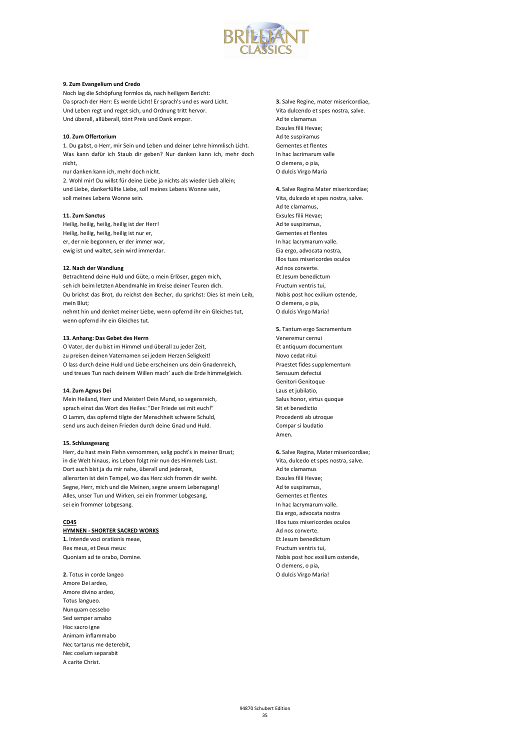

#### 9. Zum Evangelium und Credo

Noch lag die Schöpfung formlos da, nach heiligem Bericht: Da sprach der Herr: Es werde Licht! Er sprach's und es ward Licht. Und Leben regt und reget sich, und Ordnung tritt hervor. Und überall, allüberall, tönt Preis und Dank empor.

#### 10. Zum Offertorium

1. Du gabst, o Herr, mir Sein und Leben und deiner Lehre himmlisch Licht. Was kann dafür ich Staub dir geben? Nur danken kann ich, mehr doch nicht,

nur danken kann ich, mehr doch nicht.

2. Wohl mir! Du willst für deine Liebe ja nichts als wieder Lieb allein; und Liebe, dankerfüllte Liebe, soll meines Lebens Wonne sein, soll meines Lebens Wonne sein.

#### 11. Zum Sanctus

Heilig, heilig, heilig, heilig ist der Herr! Heilig, heilig, heilig, heilig ist nur er, er, der nie begonnen, er der immer war, ewig ist und waltet, sein wird immerdar.

## 12. Nach der Wandlung

Betrachtend deine Huld und Güte, o mein Erlöser, gegen mich, seh ich beim letzten Abendmahle im Kreise deiner Teuren dich. Du brichst das Brot, du reichst den Becher, du sprichst: Dies ist mein Leib, mein Blut;

nehmt hin und denket meiner Liebe, wenn opfernd ihr ein Gleiches tut, wenn opfernd ihr ein Gleiches tut.

## 13. Anhang: Das Gebet des Herrn

O Vater, der du bist im Himmel und überall zu jeder Zeit, zu preisen deinen Vaternamen sei jedem Herzen Seligkeit! O lass durch deine Huld und Liebe erscheinen uns dein Gnadenreich, und treues Tun nach deinem Willen mach' auch die Erde himmelgleich.

#### 14. Zum Agnus Dei

Mein Heiland, Herr und Meister! Dein Mund, so segensreich, sprach einst das Wort des Heiles: "Der Friede sei mit euch!" O Lamm, das opfernd tilgte der Menschheit schwere Schuld, send uns auch deinen Frieden durch deine Gnad und Huld.

#### 15. Schlussgesang

Herr, du hast mein Flehn vernommen, selig pocht's in meiner Brust; in die Welt hinaus, ins Leben folgt mir nun des Himmels Lust. Dort auch bist ja du mir nahe, überall und jederzeit, allerorten ist dein Tempel, wo das Herz sich fromm dir weiht. Segne, Herr, mich und die Meinen, segne unsern Lebensgang! Alles, unser Tun und Wirken, sei ein frommer Lobgesang, sei ein frommer Lobgesang.

## CD45

## HYMNEN - SHORTER SACRED WORKS

1. Intende voci orationis meae, Rex meus, et Deus meus: Quoniam ad te orabo, Domine.

2. Totus in corde langeo Amore Dei ardeo, Amore divino ardeo, Totus langueo. Nunquam cessebo Sed semper amabo Hoc sacro igne Animam inflammabo Nec tartarus me deterebit, Nec coelum separabit A carite Christ.

3. Salve Regine, mater misericordiae, Vita dulcendo et spes nostra, salve. Ad te clamamus Exsules filii Hevae; Ad te suspiramus Gementes et flentes In hac lacrimarum valle O clemens, o pia, O dulcis Virgo Maria

## 4. Salve Regina Mater misericordiae; Vita, dulcedo et spes nostra, salve.

Ad te clamamus, Exsules filii Hevae; Ad te suspiramus, Gementes et flentes In hac lacrymarum valle. Eia ergo, advocata nostra, Illos tuos misericordes oculos Ad nos converte. Et Jesum benedictum Fructum ventris tui, Nobis post hoc exilium ostende, O clemens, o pia, O dulcis Virgo Maria!

## 5. Tantum ergo Sacramentum

Veneremur cernui Et antiquum documentum Novo cedat ritui Praestet fides supplementum Sensuum defectui Genitori Genitoque Laus et jubilatio, Salus honor, virtus quoque Sit et benedictio Procedenti ab utroque Compar si laudatio Amen.

## 6. Salve Regina, Mater misericordiae;

Vita, dulcedo et spes nostra, salve. Ad te clamamus Exsules filii Hevae; Ad te suspiramus, Gementes et flentes In hac lacrymarum valle. Eia ergo, advocata nostra Illos tuos misericordes oculos Ad nos converte. Et Jesum benedictum Fructum ventris tui, Nobis post hoc exsilium ostende, O clemens, o pia, O dulcis Virgo Maria!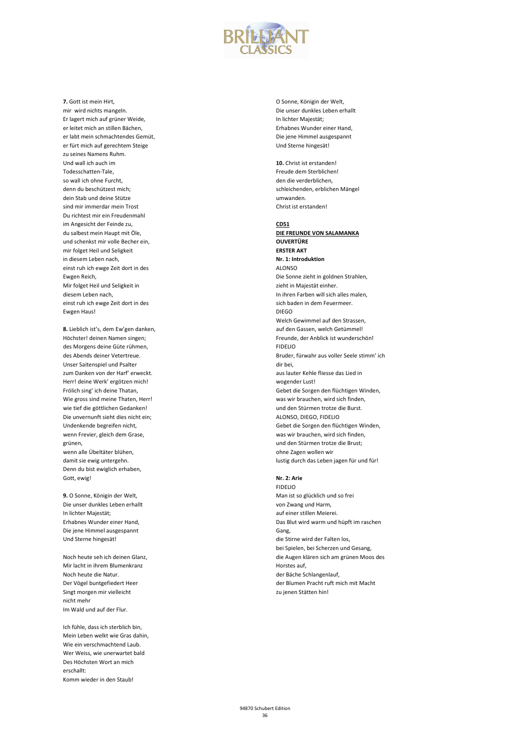

7. Gott ist mein Hirt, mir wird nichts mangeln. Er lagert mich auf grüner Weide, er leitet mich an stillen Bächen, er labt mein schmachtendes Gemüt, er fürt mich auf gerechtem Steige zu seines Namens Ruhm. Und wall ich auch im Todesschatten-Tale, so wall ich ohne Furcht, denn du beschützest mich; dein Stab und deine Stütze sind mir immerdar mein Trost Du richtest mir ein Freudenmahl im Angesicht der Feinde zu, du salbest mein Haupt mit Öle, und schenkst mir volle Becher ein, mir folget Heil und Seligkeit in diesem Leben nach, einst ruh ich ewge Zeit dort in des Ewgen Reich, Mir folget Heil und Seligkeit in diesem Leben nach, einst ruh ich ewge Zeit dort in des Ewgen Haus!

8. Lieblich ist's, dem Ew'gen danken, Höchster! deinen Namen singen; des Morgens deine Güte rühmen, des Abends deiner Vetertreue. Unser Saitenspiel und Psalter zum Danken von der Harf' erweckt. Herr! deine Werk' ergötzen mich! Frölich sing' ich deine Thatan, Wie gross sind meine Thaten, Herr! wie tief die göttlichen Gedanken! Die unvernunft sieht dies nicht ein; Undenkende begreifen nicht, wenn Frevier, gleich dem Grase, grünen, wenn alle Übeltäter blühen, damit sie ewig untergehn. Denn du bist ewiglich erhaben, Gott, ewig!

9. O Sonne, Königin der Welt, Die unser dunkles Leben erhallt In lichter Majestät; Erhabnes Wunder einer Hand, Die jene Himmel ausgespannt Und Sterne hingesät!

Noch heute seh ich deinen Glanz, Mir lacht in ihrem Blumenkranz Noch heute die Natur. Der Vögel buntgefiedert Heer Singt morgen mir vielleicht nicht mehr Im Wald und auf der Flur.

Ich fühle, dass ich sterblich bin, Mein Leben welkt wie Gras dahin, Wie ein verschmachtend Laub. Wer Weiss, wie unerwartet bald Des Höchsten Wort an mich erschallt: Komm wieder in den Staub!

O Sonne, Königin der Welt, Die unser dunkles Leben erhallt In lichter Majestät; Erhabnes Wunder einer Hand, Die jene Himmel ausgespannt Und Sterne hingesät!

10. Christ ist erstanden! Freude dem Sterblichen! den die verderblichen, schleichenden, erblichen Mängel umwanden. Christ ist erstanden!

#### CD51

## DIE FREUNDE VON SALAMANKA **OUVERTÜRE** ERSTER AKT Nr. 1: Introduktion ALONSO Die Sonne zieht in goldnen Strahlen, zieht in Majestät einher. In ihren Farben will sich alles malen, sich baden in dem Feuermeer. DIEGO Welch Gewimmel auf den Strassen, auf den Gassen, welch Getümmel! Freunde, der Anblick ist wunderschön! FIDELIO Bruder, fürwahr aus voller Seele stimm' ich dir bei, aus lauter Kehle fliesse das Lied in wogender Lust!

Gebet die Sorgen den flüchtigen Winden, was wir brauchen, wird sich finden, und den Stürmen trotze die Burst. ALONSO, DIEGO, FIDELIO Gebet die Sorgen den flüchtigen Winden, was wir brauchen, wird sich finden, und den Stürmen trotze die Brust; ohne Zagen wollen wir lustig durch das Leben jagen für und für!

#### Nr. 2: Arie

FIDELIO Man ist so glücklich und so frei von Zwang und Harm, auf einer stillen Meierei. Das Blut wird warm und hüpft im raschen Gang, die Stirne wird der Falten los, bei Spielen, bei Scherzen und Gesang, die Augen klären sich am grünen Moos des Horstes auf, der Bäche Schlangenlauf, der Blumen Pracht ruft mich mit Macht zu jenen Stätten hin!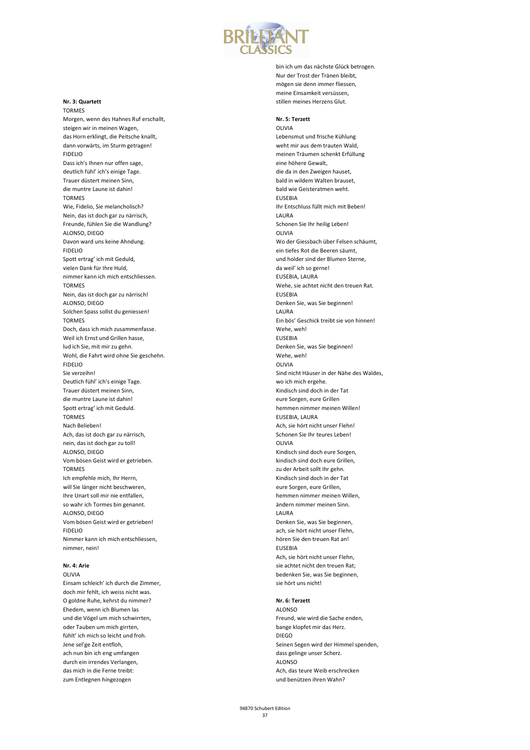

bin ich um das nächste Glück betrogen. Nur der Trost der Tränen bleibt, mögen sie denn immer fliessen, meine Einsamkeit versüssen, stillen meines Herzens Glut.

### Nr. 5: Terzett

OLIVIA Lebensmut und frische Kühlung weht mir aus dem trauten Wald, meinen Träumen schenkt Erfüllung eine höhere Gewalt, die da in den Zweigen hauset, bald in wildem Walten brauset, bald wie Geisteratmen weht. EUSEBIA Ihr Entschluss füllt mich mit Beben! LAURA Schonen Sie Ihr heilig Leben! OLIVIA Wo der Giessbach über Felsen schäumt, ein tiefes Rot die Beeren säumt, und holder sind der Blumen Sterne, da weil' ich so gerne! EUSEBIA, LAURA Wehe, sie achtet nicht den treuen Rat. EUSEBIA Denken Sie, was Sie beginnen! LAURA Ein bös' Geschick treibt sie von hinnen! Wehe, weh! EUSEBIA Denken Sie, was Sie beginnen! Wehe, weh! OLIVIA Sind nicht Häuser in der Nähe des Waldes, wo ich mich ergehe. Kindisch sind doch in der Tat eure Sorgen, eure Grillen hemmen nimmer meinen Willen! EUSEBIA, LAURA Ach, sie hört nicht unser Flehn! Schonen Sie Ihr teures Leben! OLIVIA Kindisch sind doch eure Sorgen, kindisch sind doch eure Grillen, zu der Arbeit sollt ihr gehn. Kindisch sind doch in der Tat eure Sorgen, eure Grillen, hemmen nimmer meinen Willen, ändern nimmer meinen Sinn. LAURA Denken Sie, was Sie beginnen, ach, sie hört nicht unser Flehn, hören Sie den treuen Rat an! EUSEBIA Ach, sie hört nicht unser Flehn, sie achtet nicht den treuen Rat; bedenken Sie, was Sie beginnen, sie hört uns nicht!

### Nr. 6: Terzett

ALONSO Freund, wie wird die Sache enden, bange klopfet mir das Herz. DIEGO Seinen Segen wird der Himmel spenden, dass gelinge unser Scherz. ALONSO Ach, das teure Weib erschrecken und benützen ihren Wahn?

# Morgen, wenn des Hahnes Ruf erschallt, steigen wir in meinen Wagen, das Horn erklingt, die Peitsche knallt, dann vorwärts, im Sturm getragen! FIDELIO Dass ich's Ihnen nur offen sage, deutlich fühl' ich's einige Tage. Trauer düstert meinen Sinn, die muntre Laune ist dahin! TORMES Wie, Fidelio, Sie melancholisch? Nein, das ist doch gar zu närrisch, Freunde, fühlen Sie die Wandlung? ALONSO, DIEGO Davon ward uns keine Ahndung. FIDELIO Spott ertrag' ich mit Geduld, vielen Dank für Ihre Huld, nimmer kann ich mich entschliessen. TORMES Nein, das ist doch gar zu närrisch! ALONSO, DIEGO Solchen Spass sollst du geniessen! TORMES Doch, dass ich mich zusammenfasse. Weil ich Ernst und Grillen hasse, lud ich Sie, mit mir zu gehn. Wohl, die Fahrt wird ohne Sie geschehn. FIDELIO Sie verzeihn! Deutlich fühl' ich's einige Tage. Trauer düstert meinen Sinn, die muntre Laune ist dahin! Spott ertrag' ich mit Geduld. TORMES Nach Belieben! Ach, das ist doch gar zu närrisch, nein, das ist doch gar zu toll! ALONSO, DIEGO Vom bösen Geist wird er getrieben. TORMES Ich empfehle mich, Ihr Herrn, will Sie länger nicht beschweren, Ihre Unart soll mir nie entfallen, so wahr ich Tormes bin genannt. ALONSO, DIEGO Vom bösen Geist wird er getrieben! FIDELIO Nimmer kann ich mich entschliessen, nimmer, nein!

Nr. 3: Quartett TORMES

#### Nr. 4: Arie OLIVIA

Einsam schleich' ich durch die Zimmer, doch mir fehlt, ich weiss nicht was. O goldne Ruhe, kehrst du nimmer? Ehedem, wenn ich Blumen las und die Vögel um mich schwirrten, oder Tauben um mich girrten, fühlt' ich mich so leicht und froh. Jene sel'ge Zeit entfloh, ach nun bin ich eng umfangen durch ein irrendes Verlangen, das mich in die Ferne treibt: zum Entlegnen hingezogen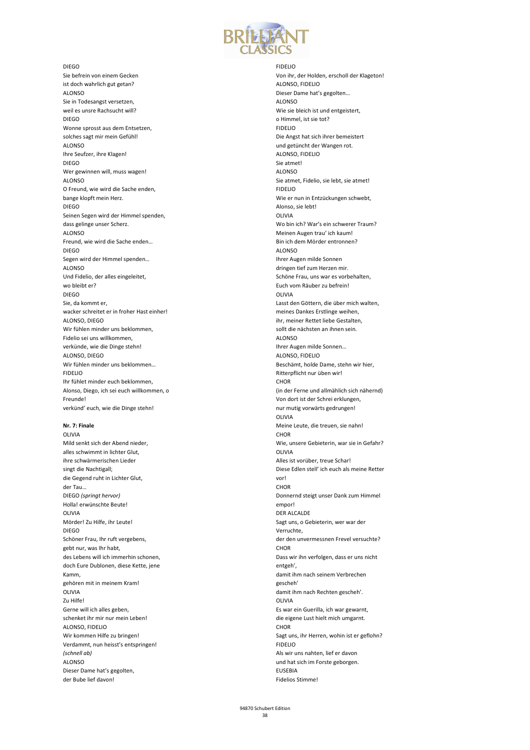

DIEGO Sie befrein von einem Gecken ist doch wahrlich gut getan? ALONSO Sie in Todesangst versetzen, weil es unsre Rachsucht will? DIEGO Wonne sprosst aus dem Entsetzen, solches sagt mir mein Gefühl! ALONSO Ihre Seufzer, ihre Klagen! DIEGO Wer gewinnen will, muss wagen! ALONSO O Freund, wie wird die Sache enden, bange klopft mein Herz. DIEGO Seinen Segen wird der Himmel spenden, dass gelinge unser Scherz. ALONSO Freund, wie wird die Sache enden… DIEGO Segen wird der Himmel spenden… ALONSO Und Fidelio, der alles eingeleitet, wo bleibt er? DIEGO Sie, da kommt er, wacker schreitet er in froher Hast einher! ALONSO, DIEGO Wir fühlen minder uns beklommen, Fidelio sei uns willkommen, verkünde, wie die Dinge stehn! ALONSO, DIEGO Wir fühlen minder uns beklommen… FIDELIO Ihr fühlet minder euch beklommen, Alonso, Diego, ich sei euch willkommen, o Freunde! verkünd' euch, wie die Dinge stehn!

#### Nr. 7: Finale OLIVIA

Mild senkt sich der Abend nieder, alles schwimmt in lichter Glut, ihre schwärmerischen Lieder singt die Nachtigall; die Gegend ruht in Lichter Glut, der Tau… DIEGO (springt hervor) Holla! erwünschte Beute! OLIVIA Mörder! Zu Hilfe, ihr Leute! DIEGO Schöner Frau, Ihr ruft vergebens, gebt nur, was Ihr habt, des Lebens will ich immerhin schonen, doch Eure Dublonen, diese Kette, jene Kamm, gehören mit in meinem Kram! OLIVIA Zu Hilfe! Gerne will ich alles geben, schenket ihr mir nur mein Leben! ALONSO, FIDELIO Wir kommen Hilfe zu bringen! Verdammt, nun heisst's entspringen! (schnell ab) ALONSO Dieser Dame hat's gegolten, der Bube lief davon!

FIDELIO Von ihr, der Holden, erscholl der Klageton! ALONSO, FIDELIO Dieser Dame hat's gegolten… ALONSO Wie sie bleich ist und entgeistert, o Himmel, ist sie tot? FIDELIO Die Angst hat sich ihrer bemeistert und getüncht der Wangen rot. ALONSO, FIDELIO Sie atmet! ALONSO Sie atmet, Fidelio, sie lebt, sie atmet! FIDELIO Wie er nun in Entzückungen schwebt, Alonso, sie lebt! OLIVIA Wo bin ich? War's ein schwerer Traum? Meinen Augen trau' ich kaum! Bin ich dem Mörder entronnen? ALONSO Ihrer Augen milde Sonnen dringen tief zum Herzen mir. Schöne Frau, uns war es vorbehalten, Euch vom Räuber zu befrein! OLIVIA Lasst den Göttern, die über mich walten, meines Dankes Erstlinge weihen, ihr, meiner Rettet liebe Gestalten, sollt die nächsten an ihnen sein. ALONSO Ihrer Augen milde Sonnen… ALONSO, FIDELIO Beschämt, holde Dame, stehn wir hier, Ritterpflicht nur üben wir! CHOR (in der Ferne und allmählich sich nähernd) Von dort ist der Schrei erklungen, nur mutig vorwärts gedrungen! OLIVIA Meine Leute, die treuen, sie nahn! **CHOR** Wie, unsere Gebieterin, war sie in Gefahr? OLIVIA Alles ist vorüber, treue Schar! Diese Edlen stell' ich euch als meine Retter vor! CHOR Donnernd steigt unser Dank zum Himmel empor! DER ALCALDE Sagt uns, o Gebieterin, wer war der Verruchte, der den unvermessnen Frevel versuchte? CHOR Dass wir ihn verfolgen, dass er uns nicht entgeh', damit ihm nach seinem Verbrechen gescheh' damit ihm nach Rechten gescheh'. OLIVIA Es war ein Guerilla, ich war gewarnt, die eigene Lust hielt mich umgarnt. CHOR Sagt uns, ihr Herren, wohin ist er geflohn? FIDELIO Als wir uns nahten, lief er davon und hat sich im Forste geborgen. EUSEBIA Fidelios Stimme!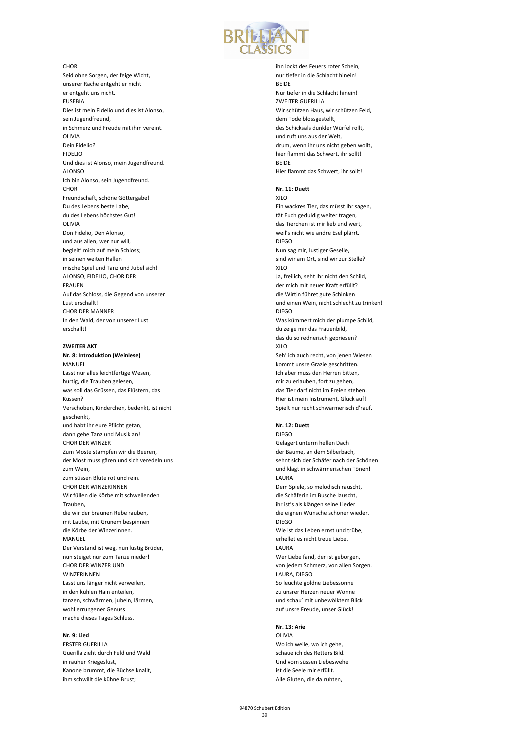

### CHOR

Seid ohne Sorgen, der feige Wicht, unserer Rache entgeht er nicht er entgeht uns nicht. EUSEBIA Dies ist mein Fidelio und dies ist Alonso, sein Jugendfreund, in Schmerz und Freude mit ihm vereint. OLIVIA Dein Fidelio? FIDELIO Und dies ist Alonso, mein Jugendfreund. ALONSO Ich bin Alonso, sein Jugendfreund. CHOR Freundschaft, schöne Göttergabe! Du des Lebens beste Labe, du des Lebens höchstes Gut! OLIVIA Don Fidelio, Den Alonso, und aus allen, wer nur will, begleit' mich auf mein Schloss; in seinen weiten Hallen mische Spiel und Tanz und Jubel sich! ALONSO, FIDELIO, CHOR DER FRAUEN Auf das Schloss, die Gegend von unserer Lust erschallt! CHOR DER MANNER In den Wald, der von unserer Lust erschallt!

# ZWEITER AKT

Nr. 8: Introduktion (Weinlese) MANUEL Lasst nur alles leichtfertige Wesen, hurtig, die Trauben gelesen, was soll das Grüssen, das Flüstern, das Küssen? Verschoben, Kinderchen, bedenkt, ist nicht geschenkt, und habt ihr eure Pflicht getan, dann gehe Tanz und Musik an! CHOR DER WINZER Zum Moste stampfen wir die Beeren, der Most muss gären und sich veredeln uns zum Wein, zum süssen Blute rot und rein. CHOR DER WINZERINNEN Wir füllen die Körbe mit schwellenden Trauben, die wir der braunen Rebe rauben, mit Laube, mit Grünem bespinnen die Körbe der Winzerinnen. MANUEL Der Verstand ist weg, nun lustig Brüder, nun steiget nur zum Tanze nieder! CHOR DER WINZER UND WINZERINNEN Lasst uns länger nicht verweilen, in den kühlen Hain enteilen, tanzen, schwärmen, jubeln, lärmen, wohl errungener Genuss mache dieses Tages Schluss.

### Nr. 9: Lied

ERSTER GUERILLA Guerilla zieht durch Feld und Wald in rauher Kriegeslust, Kanone brummt, die Büchse knallt, ihm schwillt die kühne Brust;

ihn lockt des Feuers roter Schein, nur tiefer in die Schlacht hinein! BEIDE Nur tiefer in die Schlacht hinein! ZWEITER GUERILLA Wir schützen Haus, wir schützen Feld, dem Tode blossgestellt, des Schicksals dunkler Würfel rollt, und ruft uns aus der Welt, drum, wenn ihr uns nicht geben wollt, hier flammt das Schwert, ihr sollt! **BEIDE** Hier flammt das Schwert, ihr sollt!

# Nr. 11: Duett

XILO Ein wackres Tier, das müsst Ihr sagen, tät Euch geduldig weiter tragen, das Tierchen ist mir lieb und wert, weil's nicht wie andre Esel plärrt. DIEGO Nun sag mir, lustiger Geselle, sind wir am Ort, sind wir zur Stelle? XILO Ja, freilich, seht Ihr nicht den Schild, der mich mit neuer Kraft erfüllt? die Wirtin führet gute Schinken und einen Wein, nicht schlecht zu trinken! DIEGO Was kümmert mich der plumpe Schild, du zeige mir das Frauenbild, das du so rednerisch gepriesen? XILO Seh' ich auch recht, von jenen Wiesen kommt unsre Grazie geschritten. Ich aber muss den Herren bitten, mir zu erlauben, fort zu gehen, das Tier darf nicht im Freien stehen. Hier ist mein Instrument, Glück auf! Spielt nur recht schwärmerisch d'rauf.

# Nr. 12: Duett

DIEGO Gelagert unterm hellen Dach der Bäume, an dem Silberbach, sehnt sich der Schäfer nach der Schönen und klagt in schwärmerischen Tönen! LAURA Dem Spiele, so melodisch rauscht, die Schäferin im Busche lauscht, ihr ist's als klängen seine Lieder die eignen Wünsche schöner wieder. DIEGO Wie ist das Leben ernst und trübe, erhellet es nicht treue Liebe. LAURA Wer Liebe fand, der ist geborgen, von jedem Schmerz, von allen Sorgen. LAURA, DIEGO So leuchte goldne Liebessonne zu unsrer Herzen neuer Wonne und schau' mit unbewölktem Blick auf unsre Freude, unser Glück!

# Nr. 13: Arie

OLIVIA Wo ich weile, wo ich gehe, schaue ich des Retters Bild. Und vom süssen Liebeswehe ist die Seele mir erfüllt. Alle Gluten, die da ruhten,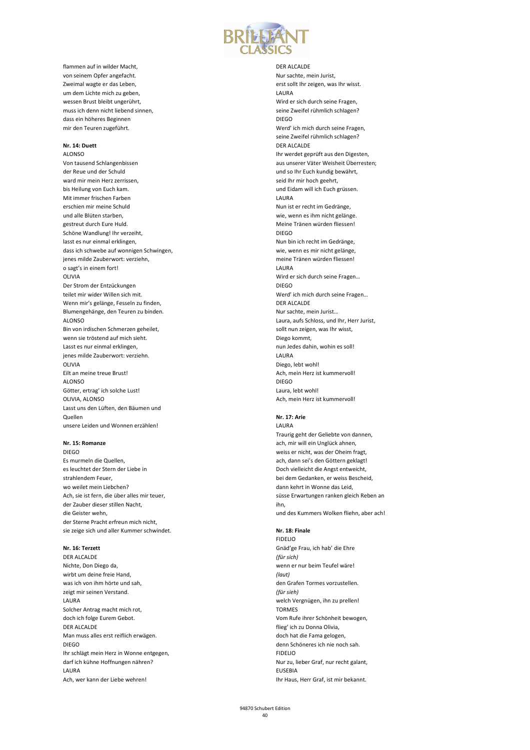

flammen auf in wilder Macht, von seinem Opfer angefacht. Zweimal wagte er das Leben, um dem Lichte mich zu geben, wessen Brust bleibt ungerührt, muss ich denn nicht liebend sinnen, dass ein höheres Beginnen mir den Teuren zugeführt.

#### Nr. 14: Duett **ALONSO**

Von tausend Schlangenbissen der Reue und der Schuld ward mir mein Herz zerrissen, bis Heilung von Euch kam. Mit immer frischen Farben erschien mir meine Schuld und alle Blüten starben, gestreut durch Eure Huld. Schöne Wandlung! Ihr verzeiht, lasst es nur einmal erklingen, dass ich schwebe auf wonnigen Schwingen, jenes milde Zauberwort: verziehn, o sagt's in einem fort! OLIVIA Der Strom der Entzückungen teilet mir wider Willen sich mit. Wenn mir's gelänge, Fesseln zu finden, Blumengehänge, den Teuren zu binden. **ALONSO** Bin von irdischen Schmerzen geheilet, wenn sie tröstend auf mich sieht. Lasst es nur einmal erklingen, jenes milde Zauberwort: verziehn. OLIVIA Eilt an meine treue Brust! ALONSO Götter, ertrag' ich solche Lust! OLIVIA, ALONSO Lasst uns den Lüften, den Bäumen und Quellen unsere Leiden und Wonnen erzählen!

## Nr. 15: Romanze

DIEGO Es murmeln die Quellen, es leuchtet der Stern der Liebe in strahlendem Feuer, wo weilet mein Liebchen? Ach, sie ist fern, die über alles mir teuer, der Zauber dieser stillen Nacht, die Geister wehn, der Sterne Pracht erfreun mich nicht, sie zeige sich und aller Kummer schwindet.

# Nr. 16: Terzett

DER ALCALDE Nichte, Don Diego da, wirbt um deine freie Hand, was ich von ihm hörte und sah, zeigt mir seinen Verstand. LAURA Solcher Antrag macht mich rot, doch ich folge Eurem Gebot. DER ALCALDE Man muss alles erst reiflich erwägen. DIEGO Ihr schlägt mein Herz in Wonne entgegen, darf ich kühne Hoffnungen nähren? LAURA Ach, wer kann der Liebe wehren!

DER ALCALDE Nur sachte, mein Jurist, erst sollt Ihr zeigen, was Ihr wisst. LAURA Wird er sich durch seine Fragen, seine Zweifel rühmlich schlagen? DIEGO Werd' ich mich durch seine Fragen, seine Zweifel rühmlich schlagen? DER ALCALDE Ihr werdet geprüft aus den Digesten, aus unserer Väter Weisheit Überresten; und so Ihr Euch kundig bewährt, seid Ihr mir hoch geehrt, und Eidam will ich Euch grüssen. LAURA Nun ist er recht im Gedränge, wie, wenn es ihm nicht gelänge. Meine Tränen würden fliessen! DIEGO Nun bin ich recht im Gedränge, wie, wenn es mir nicht gelänge, meine Tränen würden fliessen! LAURA Wird er sich durch seine Fragen… DIEGO Werd' ich mich durch seine Fragen… DER ALCALDE Nur sachte, mein Jurist… Laura, aufs Schloss, und Ihr, Herr Jurist, sollt nun zeigen, was Ihr wisst, Diego kommt, nun Jedes dahin, wohin es soll! LAURA Diego, lebt wohl! Ach, mein Herz ist kummervoll! DIEGO Laura, lebt wohl! Ach, mein Herz ist kummervoll!

#### Nr. 17: Arie

LAURA Traurig geht der Geliebte von dannen, ach, mir will ein Unglück ahnen, weiss er nicht, was der Oheim fragt, ach, dann sei's den Göttern geklagt! Doch vielleicht die Angst entweicht, bei dem Gedanken, er weiss Bescheid, dann kehrt in Wonne das Leid, süsse Erwartungen ranken gleich Reben an ihn, und des Kummers Wolken fliehn, aber ach!

# Nr. 18: Finale

FIDELIO Gnäd'ge Frau, ich hab' die Ehre (für sich) wenn er nur beim Teufel wäre! (laut) den Grafen Tormes vorzustellen. (für sieh) welch Vergnügen, ihn zu prellen! TORMES Vom Rufe ihrer Schönheit bewogen, flieg' ich zu Donna Olivia, doch hat die Fama gelogen, denn Schöneres ich nie noch sah. FIDELIO Nur zu, lieber Graf, nur recht galant, EUSEBIA Ihr Haus, Herr Graf, ist mir bekannt.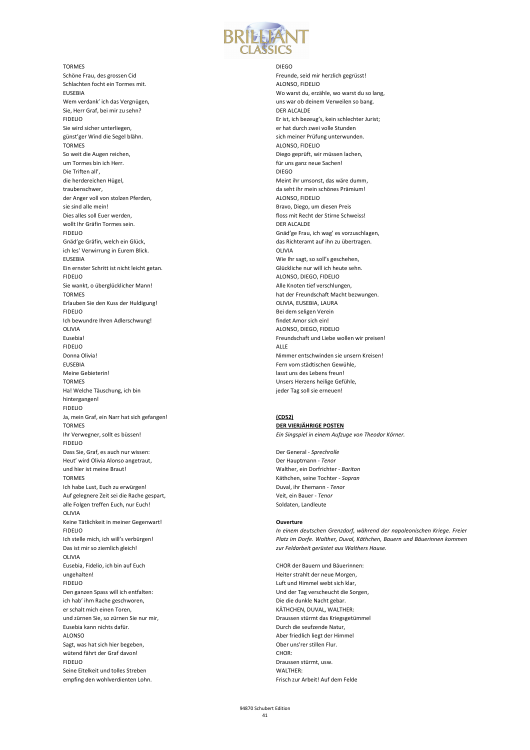

**TORMES** Schöne Frau, des grossen Cid Schlachten focht ein Tormes mit. EUSEBIA Wem verdank' ich das Vergnügen, Sie, Herr Graf, bei mir zu sehn? FIDELIO Sie wird sicher unterliegen, günst'ger Wind die Segel blähn. TORMES So weit die Augen reichen, um Tormes bin ich Herr. Die Triften all', die herdereichen Hügel, traubenschwer, der Anger voll von stolzen Pferden, sie sind alle mein! Dies alles soll Euer werden, wollt Ihr Gräfin Tormes sein. FIDELIO Gnäd'ge Gräfin, welch ein Glück, ich les' Verwirrung in Eurem Blick. EUSEBIA Ein ernster Schritt ist nicht leicht getan. FIDELIO Sie wankt, o überglücklicher Mann! TORMES Erlauben Sie den Kuss der Huldigung! FIDELIO Ich bewundre Ihren Adlerschwung! OLIVIA Eusebia! FIDELIO Donna Olivia! EUSEBIA Meine Gebieterin! TORMES Ha! Welche Täuschung, ich bin hintergangen! FIDELIO Ja, mein Graf, ein Narr hat sich gefangen! TORMES Ihr Verwegner, sollt es büssen! FIDELIO Dass Sie, Graf, es auch nur wissen: Heut' wird Olivia Alonso angetraut, und hier ist meine Braut! TORMES Ich habe Lust, Euch zu erwürgen! Auf gelegnere Zeit sei die Rache gespart, alle Folgen treffen Euch, nur Euch! OLIVIA Keine Tätlichkeit in meiner Gegenwart! FIDELIO Ich stelle mich, ich will's verbürgen! Das ist mir so ziemlich gleich! OLIVIA Eusebia, Fidelio, ich bin auf Euch ungehalten! FIDELIO Den ganzen Spass will ich entfalten: ich hab' ihm Rache geschworen, er schalt mich einen Toren, und zürnen Sie, so zürnen Sie nur mir, Eusebia kann nichts dafür. ALONSO Sagt, was hat sich hier begeben, wütend fährt der Graf davon! FIDELIO Seine Eitelkeit und tolles Streben empfing den wohlverdienten Lohn.

DIEGO Freunde, seid mir herzlich gegrüsst! ALONSO, FIDELIO Wo warst du, erzähle, wo warst du so lang, uns war ob deinem Verweilen so bang. DER ALCALDE Er ist, ich bezeug's, kein schlechter Jurist; er hat durch zwei volle Stunden sich meiner Prüfung unterwunden. ALONSO, FIDELIO Diego geprüft, wir müssen lachen, für uns ganz neue Sachen! DIEGO Meint ihr umsonst, das wäre dumm, da seht ihr mein schönes Prämium! ALONSO, FIDELIO Bravo, Diego, um diesen Preis floss mit Recht der Stirne Schweiss! DER ALCALDE Gnäd'ge Frau, ich wag' es vorzuschlagen, das Richteramt auf ihn zu übertragen. OLIVIA Wie Ihr sagt, so soll's geschehen, Glückliche nur will ich heute sehn. ALONSO, DIEGO, FIDELIO Alle Knoten tief verschlungen, hat der Freundschaft Macht bezwungen. OLIVIA, EUSEBIA, LAURA Bei dem seligen Verein findet Amor sich ein! ALONSO, DIEGO, FIDELIO Freundschaft und Liebe wollen wir preisen! ALLE Nimmer entschwinden sie unsern Kreisen! Fern vom städtischen Gewühle, lasst uns des Lebens freun! Unsers Herzens heilige Gefühle, jeder Tag soll sie erneuen!

### (CD52) DER VIERJÄHRIGE POSTEN

Ein Singspiel in einem Aufzuge von Theodor Körner.

Der General - Sprechrolle Der Hauptmann - Tenor Walther, ein Dorfrichter - Bariton Käthchen, seine Tochter - Sopran Duval, ihr Ehemann - Tenor Veit, ein Bauer - Tenor Soldaten, Landleute

### **Ouverture**

In einem deutschen Grenzdorf, während der napoleonischen Kriege. Freier Platz im Dorfe. Walther, Duval, Käthchen, Bauern und Bäuerinnen kommen zur Feldarbeit gerüstet aus Walthers Hause.

CHOR der Bauern und Bäuerinnen: Heiter strahlt der neue Morgen, Luft und Himmel webt sich klar, Und der Tag verscheucht die Sorgen, Die die dunkle Nacht gebar. KÄTHCHEN, DUVAL, WALTHER: Draussen stürmt das Kriegsgetümmel Durch die seufzende Natur, Aber friedlich liegt der Himmel Ober uns'rer stillen Flur.  $CHOR$ Draussen stürmt, usw. WALTHER: Frisch zur Arbeit! Auf dem Felde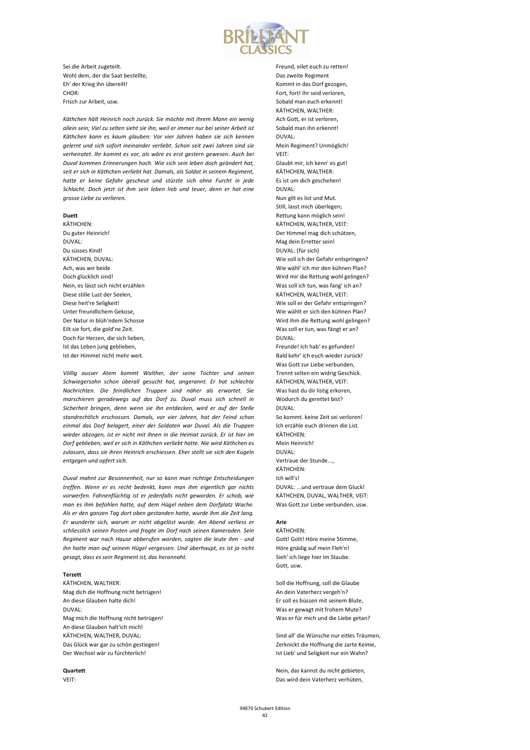

Sei die Arbeit zugeteilt. Wohl dem, der die Saat bestellte, Eh' der Krieg ihn übereilt! CHOR: Frisch zur Arbeit, usw.

Käthchen hält Heinrich noch zurück. Sie möchte mit ihrem Mann ein wenig allein sein; Viel zu selten sieht sie ihn, weil er immer nur bei seiner Arbeit ist Käthchen kann es kaum glauben: Vor vier Jahren haben sie sich kennen gelernt und sich sofort ineinander verliebt. Schon seit zwei Jahren sind sie verheiratet. Ihr kommt es vor, als wäre es erst gestern gewesen. Auch bei Duval kommen Erinnerungen hoch. Wie sich sein leben doch geändert hat, seit er sich in Käthchen verliebt hat. Damals, als Soldat in seinem Regiment, hatte er keine Gefahr gescheut und stürzte sich ohne Furcht in jede Schlacht. Doch jetzt ist ihm sein leben lieb und teuer, denn er hat eine grosse Liebe zu verlieren.

## Duett

KÄTHCHEN: Du guter Heinrich! DUVAL: Du süsses Kind! KÄTHCHEN, DUVAL: Ach, was wir beide Doch glücklich sind! Nein, es lässt sich nicht erzählen Diese stille Lust der Seelen, Diese heit're Seligkeit! Unter freundlichem Gekose, Der Natur in blüh'ndem Schosse Eilt sie fort, die gold'ne Zeit. Doch für Herzen, die sich lieben, Ist das Leben jung geblieben, Ist der Himmel nicht mehr weit.

Völlig ausser Atem kommt Walther, der seine Tochter und seinen Schwiegersohn schon überall gesucht hat, angerannt. Er hat schlechte Nachrichten. Die feindlichen Truppen sind näher als erwartet. Sie marschieren geradewegs auf das Dorf zu. Duval muss sich schnell in Sicherheit bringen, denn wenn sie ihn entdecken, wird er auf der Stelle standrechtlich erschossen. Damals, vor vier Jahren, hat der Feind schon einmal das Dorf belagert, einer der Soldaten war Duval. Als die Truppen wieder abzogen, ist er nicht mit ihnen in die Heimat zurück. Er ist hier im Dorf geblieben, weil er sich in Käthchen verliebt hatte. Nie wird Käthchen es zulassen, dass sie ihren Heinrich erschiessen. Eher stellt sie sich den Kugeln entgegen und opfert sich.

Duval mahnt zur Besonnenheit, nur so kann man richtige Entscheidungen treffen. Wenn er es recht bedenkt, kann man ihm eigentlich gar nichts vorwerfen. Fahnenflüchtig ist er jedenfalls nicht geworden. Er schob, wie man es ihm befohlen hatte, auf dem Hügel neben dem Dorfplatz Wache. Als er den ganzen Tag dort oben gestanden hatte, wurde ihm die Zeit lang. Er wunderte sich, warum er nicht abgelöst wurde. Am Abend verliess er schliesslich seinen Posten und fragte im Dorf nach seinen Kameraden. Sein Regiment war nach Hause abberufen worden, sagten die leute ihm - und ihn hatte man auf seinem Hügel vergessen. Und überhaupt, es ist ja nicht gesagt, dass es sein Regiment ist, das herannaht.

#### Terzett

KÄTHCHEN, WALTHER: Mag dich die Hoffnung nicht betrügen! An diese Glauben halte dich! DUVAL: Mag mich die Hoffnung nicht betrügen! An diese Glauben halt'ich mich! KÄTHCHEN, WALTHER, DUVAL: Das Glück war gar zu schön gestiegen! Der Wechsel wär zu fürchterlich!

Quartett

VEIT:

Freund, eilet euch zu retten! Das zweite Regiment Kommt in das Dorf gezogen, Fort, fort! Ihr seid verloren, Sobald man euch erkennt! KÄTHCHEN, WALTHER: Ach Gott, er ist verloren, Sobald man ihn erkennt! DUVAL: Mein Regiment? Unmöglich! VEIT: Glaubt mir, ich kenn' es gut! KÄTHCHEN, WALTHER: Es ist um dich geschehen! DUVAL: Nun gilt es list und Mut. Still, lasst mich überlegen; Rettung kann möglich sein! KÄTHCHEN, WALTHER, VEIT: Der Himmel mag dich schützen, Mag dein Erretter sein! DUVAL: (für sich) Wie soll ich der Gefahr entspringen? Wie wähl' ich mir den kühnen Plan? Wird mir die Rettung wohl gelingen? Was soll ich tun, was fang' ich an? KÄTHCHEN, WALTHER, VEIT: Wie soll er der Gefahr entspringen? Wie wählt er sich den kühnen Plan? Wird ihm die Rettung wohl gelingen? Was soll er tun, was fängt er an? DUVAL: Freunde! Ich hab' es gefunden! Bald kehr' ich euch wieder zurück! Was Gott zur Liebe verbunden, Trennt selten ein widrig Geschick. KÄTHCHEN, WALTHER, VEIT: Was hast du dir listig erkoren, Wodurch du gerettet bist? DUVAL: So kommt. keine Zeit sei verloren! Ich erzähle euch drinnen die List. **KÄTHCHFN** Mein Heinrich! DUVAL: Vertraue der Stunde..., KÄTHCHEN: Ich will's! DUVAL: ...und vertraue dem Gluck! KÄTHCHEN, DUVAL, WALTHER, VEIT: Was Gott zur Liebe verbunden, usw.

# Arie

KÄTHCHEN: Gott! Gott! Höre meine Stimme, Höre gnädig auf mein Fleh'n! Sieh' ich liege hier im Staube. Gott, usw.

Soll die Hoffnung, soll die Glaube An dein Vaterherz vergeh'n? Er soll es büssen mit seinem Blute, Was er gewagt mit frohem Mute? Was er für mich und die Liebe getan?

Sind all' die Wünsche nur eitles Träumen, Zerknickt die Hoffnung die zarte Keime, Ist Lieb' und Seligkeit nur ein Wahn?

Nein, das kannst du nicht gebieten, Das wird dein Vaterherz verhüten,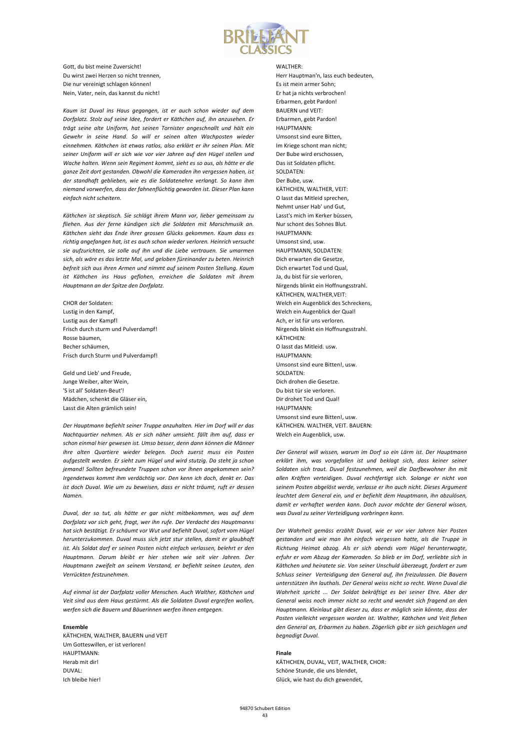

Gott, du bist meine Zuversicht! Du wirst zwei Herzen so nicht trennen, Die nur vereinigt schlagen können! Nein, Vater, nein, das kannst du nicht!

Kaum ist Duval ins Haus gegangen, ist er auch schon wieder auf dem Dorfplatz. Stolz auf seine Idee, fordert er Käthchen auf, ihn anzusehen. Er trägt seine alte Uniform, hat seinen Tornister angeschnallt und hält ein Gewehr in seine Hand. So will er seinen alten Wachposten wieder einnehmen. Käthchen ist etwas ratlos, also erklärt er ihr seinen Plan. Mit seiner Uniform will er sich wie vor vier Jahren auf den Hügel stellen und Wache halten. Wenn sein Regiment kommt, sieht es so aus, als hätte er die ganze Zeit dort gestanden. Obwohl die Kameraden ihn vergessen haben, ist der standhaft geblieben, wie es die Soldatenehre verlangt. So kann ihm niemand vorwerfen, dass der fahnenflüchtig geworden ist. Dieser Plan kann einfach nicht scheitern.

Käthchen ist skeptisch. Sie schlägt ihrem Mann vor, lieber gemeinsam zu fliehen. Aus der ferne kündigen sich die Soldaten mit Marschmusik an. Käthchen sieht das Ende ihrer grossen Glücks gekommen. Kaum dass es richtig angefangen hat, ist es auch schon wieder verloren. Heinrich versucht sie aufzurichten, sie solle auf ihn und die Liebe vertrauen. Sie umarmen sich, als wäre es das letzte Mal, und geloben füreinander zu beten. Heinrich befreit sich aus ihren Armen und nimmt auf seinem Posten Stellung. Kaum ist Käthchen ins Haus geflohen, erreichen die Soldaten mit ihrem Hauptmann an der Spitze den Dorfplatz.

CHOR der Soldaten: Lustig in den Kampf, Lustig aus der Kampf! Frisch durch sturm und Pulverdampf! Rosse bäumen, Becher schäumen, Frisch durch Sturm und Pulverdampf!

Geld und Lieb' und Freude, Junge Weiber, alter Wein, 'S ist all' Soldaten-Beut'! Mädchen, schenkt die Gläser ein, Lasst die Alten grämlich sein!

Der Hauptmann befiehlt seiner Truppe anzuhalten. Hier im Dorf will er das Nachtquartier nehmen. Als er sich näher umsieht. fällt ihm auf, dass er schon einmal hier gewesen ist. Umso besser, denn dann können die Männer ihre alten Quartiere wieder belegen. Doch zuerst muss ein Posten aufgestellt werden. Er sieht zum Hügel und wird stutzig. Da steht ja schon jemand! Sollten befreundete Truppen schon vor ihnen angekommen sein? Irgendetwas kommt ihm verdächtig vor. Den kenn ich doch, denkt er. Das ist doch Duval. Wie um zu beweisen, dass er nicht träumt, ruft er dessen Namen.

Duval, der so tut, als hätte er gar nicht mitbekommen, was auf dem Dorfplatz vor sich geht, fragt, wer ihn rufe. Der Verdacht des Hauptmanns hat sich bestätigt. Er schäumt vor Wut und befiehlt Duval, sofort vom Hügel herunterzukommen. Duval muss sich jetzt stur stellen, damit er glaubhaft ist. Als Soldat darf er seinen Posten nicht einfach verlassen, belehrt er den Hauptmann. Darum bleibt er hier stehen wie seit vier Jahren. Der Hauptmann zweifelt an seinem Verstand, er befiehlt seinen Leuten, den Verrückten festzunehmen.

Auf einmal ist der Darfplatz voller Menschen. Auch Walther, Käthchen und Veit sind aus dem Haus gestürmt. Als die Soldaten Duval ergreifen wollen, werfen sich die Bauern und Bäuerinnen werfen ihnen entgegen.

### Ensemble

KÄTHCHEN, WALTHER, BAUERN und VEIT Um Gotteswillen, er ist verloren! HAUPTMANN: Herab mit dir! DUVAL: Ich bleibe hier!

#### WALTHER:

Herr Hauptman'n, lass euch bedeuten, Es ist mein armer Sohn; Er hat ja nichts verbrochen! Erbarmen, gebt Pardon! BAUERN und VEIT: Erbarmen, gebt Pardon! HAUPTMANN: Umsonst sind eure Bitten, Im Kriege schont man nicht; Der Bube wird erschossen, Das ist Soldaten pflicht. SOLDATEN: Der Bube, usw. KÄTHCHEN, WALTHER, VEIT: O lasst das Mitleid sprechen, Nehmt unser Hab' und Gut, Lasst's mich im Kerker büssen, Nur schont des Sohnes Blut. HAUPTMANN: Umsonst sind, usw. HAUPTMANN, SOLDATEN: Dich erwarten die Gesetze, Dich erwartet Tod und Qual, Ja, du bist für sie verloren, Nirgends blinkt ein Hoffnungsstrahl. KÄTHCHEN, WALTHER,VEIT: Welch ein Augenblick des Schreckens, Welch ein Augenblick der Qual! Ach, er ist für uns verloren. Nirgends blinkt ein Hoffnungsstrahl. KÄTHCHEN: O lasst das Mitleid. usw. HAUPTMANN: Umsonst sind eure Bitten!, usw. SOLDATEN: Dich drohen die Gesetze. Du bist tür sie verloren. Dir drohet Tod und Qual! HAUPTMANN: Umsonst sind eure Bitten!, usw. KÄTHCHEN. WALTHER, VEIT. BAUERN: Welch ein Augenblick, usw.

Der General will wissen, warum im Dorf so ein Lärm ist. Der Hauptmann erklärt ihm, was vorgefallen ist und beklagt sich, dass keiner seiner Soldaten sich traut. Duval festzunehmen, weil die Darfbewohner ihn mit allen Kräften verteidigen. Duval rechtfertigt sich. Solange er nicht von seinem Posten abgelöst werde, verlasse er ihn auch nicht. Dieses Argument leuchtet dem General ein, und er befiehlt dem Hauptmann, ihn abzulösen, damit er verhaftet werden kann. Doch zuvor möchte der General wissen, was Duval zu seiner Verteidigung vorbringen kann.

Der Wahrheit gemäss erzählt Duval, wie er vor vier Jahren hier Posten gestanden und wie man ihn einfach vergessen hatte, als die Truppe in Richtung Heimat abzog. Als er sich abends vom Hügel herunterwagte, erfuhr er vom Abzug der Kameraden. So blieb er im Dorf, verliebte sich in Käthchen und heiratete sie. Von seiner Unschuld überzeugt, fordert er zum Schluss seiner Verteidigung den General auf, ihn freizulassen. Die Bauern unterstützen ihn lauthals. Der General weiss nicht so recht. Wenn Duval die Wahrheit spricht ... Der Soldat bekräftigt es bei seiner Ehre. Aber der General weiss noch immer nicht so recht und wendet sich fragend an den Hauptmann. Kleinlaut gibt dieser zu, dass er möglich sein könnte, dass der Posten vielleicht vergessen worden ist. Walther, Käthchen und Veit flehen den General an, Erbarmen zu haben. Zögerlich gibt er sich geschlagen und begnadigt Duval.

# Finale

KÄTHCHEN, DUVAL, VEIT, WALTHER, CHOR: Schöne Stunde, die uns blendet, Glück, wie hast du dich gewendet,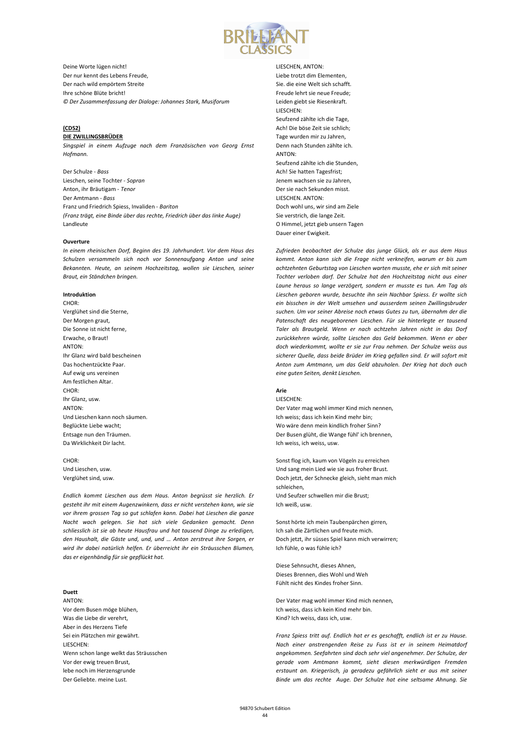

Deine Worte lügen nicht! Der nur kennt des Lebens Freude, Der nach wild empörtem Streite Ihre schöne Blüte bricht! © Der Zusammenfassung der Dialoge: Johannes Stark, Musiforum

# (CD52)

### DIE ZWILLINGSBRÜDER

Singspiel in einem Aufzuge nach dem Französischen von Georg Ernst Hofmann.

Der Schulze - Bass Lieschen, seine Tochter - Sopran Anton, ihr Bräutigam - Tenor Der Amtmann - Bass Franz und Friedrich Spiess, Invaliden - Bariton (Franz trägt, eine Binde über das rechte, Friedrich über das Iinke Auge) Landleute

### Ouverture

In einem rheinischen Dorf, Beginn des 19. Jahrhundert. Vor dem Haus des Schulzen versammeln sich noch vor Sonnenaufgang Anton und seine Bekannten. Heute, an seinem Hochzeitstag, wollen sie Lieschen, seiner Braut, ein Ständchen bringen.

### Introduktion

 $CHOR$ Verglühet sind die Sterne, Der Morgen graut, Die Sonne ist nicht ferne, Erwache, o Braut! ANTON: Ihr Glanz wird bald bescheinen Das hochentzückte Paar. Auf ewig uns vereinen Am festlichen Altar. CHOR<sup>.</sup> Ihr Glanz, usw. ANTON: Und Lieschen kann noch säumen. Beglückte Liebe wacht; Entsage nun den Träumen. Da Wirklichkeit Dir lacht.

CHOR: Und Lieschen, usw. Verglühet sind, usw.

Endlich kommt Lieschen aus dem Haus. Anton begrüsst sie herzlich. Er gesteht ihr mit einem Augenzwinkern, dass er nicht verstehen kann, wie sie vor ihrem grossen Tag so gut schlafen kann. Dabei hat Lieschen die ganze Nacht wach gelegen. Sie hat sich viele Gedanken gemacht. Denn schliesslich ist sie ab heute Hausfrau und hat tausend Dinge zu erledigen, den Haushalt, die Gäste und, und, und … Anton zerstreut ihre Sorgen, er wird ihr dabei natürlich helfen. Er überreicht ihr ein Sträusschen Blumen, das er eigenhändig für sie gepflückt hat.

# Duett

ANTON: Vor dem Busen möge blühen, Was die Liebe dir verehrt, Aber in des Herzens Tiefe Sei ein Plätzchen mir gewährt. LIESCHEN: Wenn schon lange welkt das Sträusschen Vor der ewig treuen Brust, lebe noch im Herzensgrunde Der Geliebte. meine Lust.

LIESCHEN, ANTON: Liebe trotzt dim Elementen, Sie. die eine Welt sich schafft. Freude lehrt sie neue Freude; Leiden giebt sie Riesenkraft. LIESCHEN: Seufzend zählte ich die Tage, Ach! Die böse Zeit sie schlich; Tage wurden mir zu Jahren, Denn nach Stunden zählte ich. ANTON: Seufzend zählte ich die Stunden, Ach! Sie hatten Tagesfrist; Jenem wachsen sie zu Jahren, Der sie nach Sekunden misst. LIESCHEN. ANTON: Doch wohl uns, wir sind am Ziele Sie verstrich, die lange Zeit. O Himmel, jetzt gieb unsern Tagen Dauer einer Ewigkeit.

Zufrieden beobachtet der Schulze das junge Glück, als er aus dem Haus kommt. Anton kann sich die Frage nicht verkneifen, warum er bis zum achtzehnten Geburtstag von Lieschen warten musste, ehe er sich mit seiner Tochter verloben darf. Der Schulze hat den Hochzeitstag nicht aus einer Laune heraus so lange verzögert, sondern er musste es tun. Am Tag als Lieschen geboren wurde, besuchte ihn sein Nachbar Spiess. Er wollte sich ein bisschen in der Welt umsehen und ausserdem seinen Zwillingsbruder suchen. Um vor seiner Abreise noch etwas Gutes zu tun, übernahm der die Patenschaft des neugeborenen Lieschen. Für sie hinterlegte er tausend Taler als Brautgeld. Wenn er nach achtzehn Jahren nicht in das Dorf zurückkehren würde, sollte Lieschen das Geld bekommen. Wenn er aber doch wiederkommt, wollte er sie zur Frau nehmen. Der Schulze weiss aus sicherer Quelle, dass beide Brüder im Krieg gefallen sind. Er will sofort mit Anton zum Amtmann, um das Geld abzuholen. Der Krieg hat doch auch eine guten Seiten, denkt Lieschen.

#### Arie LIESCHEN:

Der Vater mag wohl immer Kind mich nennen, Ich weiss; dass ich kein Kind mehr bin; Wo wäre denn mein kindlich froher Sinn? Der Busen glüht, die Wange fühl' ich brennen, Ich weiss, ich weiss, usw.

Sonst flog ich, kaum von Vögeln zu erreichen Und sang mein Lied wie sie aus froher Brust. Doch jetzt, der Schnecke gleich, sieht man mich schleichen, Und Seufzer schwellen mir die Brust; Ich weiß, usw.

Sonst hörte ich mein Taubenpärchen girren, Ich sah die Zärtlichen und freute mich. Doch jetzt, ihr süsses Spiel kann mich verwirren; Ich fühle, o was fühle ich?

Diese Sehnsucht, dieses Ahnen, Dieses Brennen, dies Wohl und Weh Fühlt nicht des Kindes froher Sinn.

Der Vater mag wohl immer Kind mich nennen, Ich weiss, dass ich kein Kind mehr bin. Kind? Ich weiss, dass ich, usw.

Franz Spiess tritt auf. Endlich hat er es geschafft, endlich ist er zu Hause. Nach einer anstrengenden Reise zu Fuss ist er in seinem Heimatdorf angekommen. Seefahrten sind doch sehr viel angenehmer. Der Schulze, der gerade vom Amtmann kommt, sieht diesen merkwürdigen Fremden erstaunt an. Kriegerisch, ja geradezu gefährlich sieht er aus mit seiner Binde um das rechte Auge. Der Schulze hat eine seltsame Ahnung. Sie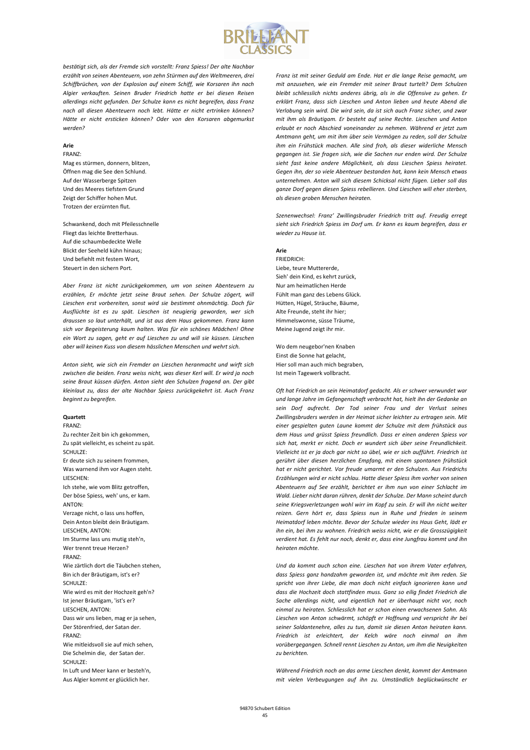

bestätigt sich, als der Fremde sich vorstellt: Franz Spiess! Der alte Nachbar erzählt von seinen Abenteuern, von zehn Stürmen auf den Weltmeeren, drei Schiffbrüchen, von der Explosion auf einem Schiff, wie Korsaren ihn nach Algier verkauften. Seinen Bruder Friedrich hatte er bei diesen Reisen allerdings nicht gefunden. Der Schulze kann es nicht begreifen, dass Franz nach all diesen Abenteuern noch lebt. Hätte er nicht ertrinken können? Hätte er nicht ersticken können? Oder von den Korsaren abgemurkst werden?

### Arie

# FRANZ:

Mag es stürmen, donnern, blitzen, Öffnen mag die See den Schlund. Auf der Wasserberge Spitzen Und des Meeres tiefstem Grund Zeigt der Schiffer hohen Mut. Trotzen der erzürnten flut.

Schwankend, doch mit Pfeilesschnelle Fliegt das leichte Bretterhaus. Auf die schaumbedeckte Welle Blickt der Seeheld kühn hinaus; Und befiehlt mit festem Wort, Steuert in den sichern Port.

Aber Franz ist nicht zurückgekommen, um von seinen Abenteuern zu erzählen, Er möchte jetzt seine Braut sehen. Der Schulze zögert, will Lieschen erst vorbereiten, sonst wird sie bestimmt ohnmächtig. Doch für Ausflüchte ist es zu spät. Lieschen ist neugierig geworden, wer sich draussen so laut unterhält, und ist aus dem Haus gekommen. Franz kann sich vor Begeisterung kaum halten. Was für ein schönes Mädchen! Ohne ein Wort zu sagen, geht er auf Lieschen zu und will sie küssen. Lieschen aber will keinen Kuss von diesem hässlichen Menschen und wehrt sich.

Anton sieht, wie sich ein Fremder an Lieschen heranmacht und wirft sich zwischen die beiden. Franz weiss nicht, was dieser Kerl will. Er wird ja noch seine Braut küssen dürfen. Anton sieht den Schulzen fragend an. Der gibt kleinlaut zu, dass der alte Nachbar Spiess zurückgekehrt ist. Auch Franz beginnt zu begreifen.

#### Quartett

FRANZ: Zu rechter Zeit bin ich gekommen, Zu spät vielleicht, es scheint zu spät. SCHULZE: Er deute sich zu seinem frommen, Was warnend ihm vor Augen steht. LIESCHEN: Ich stehe, wie vom Blitz getroffen, Der böse Spiess, weh' uns, er kam. ANTON: Verzage nicht, o lass uns hoffen, Dein Anton bleibt dein Bräutigam. LIESCHEN, ANTON: Im Sturme lass uns mutig steh'n, Wer trennt treue Herzen? FRANZ: Wie zärtlich dort die Täubchen stehen, Bin ich der Bräutigam, ist's er? SCHULZE: Wie wird es mit der Hochzeit geh'n? Ist jener Bräutigam, 'ist's er? LIESCHEN, ANTON: Dass wir uns lieben, mag er ja sehen, Der Störenfried, der Satan der. FRANZ: Wie mitleidsvoll sie auf mich sehen, Die Schelmin die, der Satan der. SCHULZE:

In Luft und Meer kann er besteh'n, Aus Algier kommt er glücklich her.

Franz ist mit seiner Geduld am Ende. Hat er die lange Reise gemacht, um mit anzusehen, wie ein Fremder mit seiner Braut turtelt? Dem Schulzen bleibt schliesslich nichts anderes übrig, als in die Offensive zu gehen. Er erklärt Franz, dass sich Lieschen und Anton lieben und heute Abend die Verlobung sein wird. Die wird sein, da ist sich auch Franz sicher, und zwar mit ihm als Bräutigam. Er besteht auf seine Rechte. Lieschen und Anton erlaubt er noch Abschied voneinander zu nehmen. Während er jetzt zum Amtmann geht, um mit ihm über sein Vermögen zu reden, soll der Schulze ihm ein Frühstück machen. Alle sind froh, als dieser widerliche Mensch gegangen ist. Sie fragen sich, wie die Sachen nur enden wird. Der Schulze sieht fast keine andere Möglichkeit, als dass Lieschen Spiess heiratet. Gegen ihn, der so viele Abenteuer bestanden hat, kann kein Mensch etwas unternehmen. Anton will sich diesem Schicksal nicht fügen. Lieber soll das ganze Dorf gegen diesen Spiess rebellieren. Und Lieschen will eher sterben, als diesen groben Menschen heiraten.

Szenenwechsel: Franz' Zwillingsbruder Friedrich tritt auf. Freudig erregt sieht sich Friedrich Spiess im Dorf um. Er kann es kaum begreifen, dass er wieder zu Hause ist.

#### Arie FRIEDRICH:

Liebe, teure Muttererde, Sieh' dein Kind, es kehrt zurück, Nur am heimatlichen Herde Fühlt man ganz des Lebens Glück. Hütten, Hügel, Sträuche, Bäume, Alte Freunde, steht ihr hier; Himmelswonne, süsse Träume, Meine Jugend zeigt ihr mir.

Wo dem neugebor'nen Knaben Einst die Sonne hat gelacht, Hier soll man auch mich begraben, Ist mein Tagewerk vollbracht.

Oft hat Friedrich an sein Heimatdorf gedacht. Als er schwer verwundet war und lange Jahre im Gefangenschaft verbracht hat, hielt ihn der Gedanke an sein Dorf aufrecht. Der Tod seiner Frau und der Verlust seines Zwillingsbruders werden in der Heimat sicher leichter zu ertragen sein. Mit einer gespielten guten Laune kommt der Schulze mit dem frühstück aus dem Haus und grüsst Spiess freundlich. Dass er einen anderen Spiess vor sich hat, merkt er nicht. Doch er wundert sich über seine Freundlichkeit. Vielleicht ist er ja doch gar nicht so übel, wie er sich aufführt. Friedrich ist gerührt über diesen herzlichen Empfang, mit einem spontanen frühstück hat er nicht gerichtet. Vor freude umarmt er den Schulzen. Aus Friedrichs Erzählungen wird er nicht schlau. Hatte dieser Spiess ihm vorher von seinen Abenteuern auf See erzählt, berichtet er ihm nun von einer Schlacht im Wald. Lieber nicht daran rühren, denkt der Schulze. Der Mann scheint durch seine Kriegsverletzungen wohl wirr im Kopf zu sein. Er will ihn nicht weiter reizen. Gern hört er, dass Spiess nun in Ruhe und frieden in seinem Heimatdorf leben möchte. Bevor der Schulze wieder ins Haus Geht, lädt er ihn ein, bei ihm zu wohnen. Friedrich weiss nicht, wie er die Grosszügigkeit verdient hat. Es fehlt nur noch, denkt er, dass eine Jungfrau kommt und ihn heiraten möchte.

Und da kommt auch schon eine. Lieschen hat von ihrem Vater erfahren, dass Spiess ganz handzahm geworden ist, und möchte mit ihm reden. Sie spricht von ihrer Liebe, die man doch nicht einfach ignorieren kann und dass die Hochzeit doch stattfinden muss. Ganz so eilig findet Friedrich die Sache allerdings nicht, und eigentlich hat er überhaupt nicht vor, noch einmal zu heiraten. Schliesslich hat er schon einen erwachsenen Sohn. Als Lieschen von Anton schwärmt, schöpft er Hoffnung und verspricht ihr bei seiner Soldantenehre, alles zu tun, damit sie diesen Anton heiraten kann. Friedrich ist erleichtert, der Kelch wäre noch einmal an ihm vorübergegangen. Schnell rennt Lieschen zu Anton, um ihm die Neuigkeiten zu berichten.

Während Friedrich noch an das arme Lieschen denkt, kommt der Amtmann mit vielen Verbeugungen auf ihn zu. Umständlich beglückwünscht er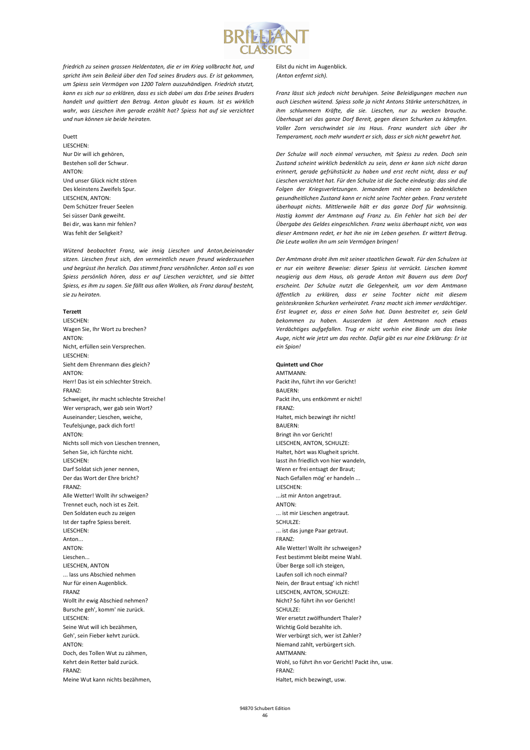

friedrich zu seinen grossen Heldentaten, die er im Krieg vollbracht hat, und spricht ihm sein Beileid über den Tod seines Bruders aus. Er ist gekommen, um Spiess sein Vermögen von 1200 Talern auszuhändigen. Friedrich stutzt, kann es sich nur so erklären, dass es sich dabei um das Erbe seines Bruders handelt und quittiert den Betrag. Anton glaubt es kaum. Ist es wirklich wahr, was Lieschen ihm gerade erzählt hat? Spiess hat auf sie verzichtet und nun können sie beide heiraten.

Duett LIESCHEN: Nur Dir will ich gehören, Bestehen soll der Schwur. ANTON: Und unser Glück nicht stören Des kleinstens Zweifels Spur. LIESCHEN, ANTON: Dem Schützer freuer Seelen Sei süsser Dank geweiht. Bei dir, was kann mir fehlen? Was fehlt der Seligkeit?

Wütend beobachtet Franz, wie innig Lieschen und Anton,beieinander sitzen. Lieschen freut sich, den vermeintlich neuen freund wiederzusehen und begrüsst ihn herzlich. Das stimmt franz versöhnlicher. Anton soll es von Spiess persönlich hören, dass er auf Lieschen verzichtet, und sie bittet Spiess, es ihm zu sagen. Sie fällt aus allen Wolken, als Franz darauf besteht, sie zu heiraten.

# Terzett

LIESCHEN: Wagen Sie, Ihr Wort zu brechen? ANTON: Nicht, erfüllen sein Versprechen. LIESCHEN: Sieht dem Ehrenmann dies gleich? ANTON: Herr! Das ist ein schlechter Streich. FRANZ: Schweiget, ihr macht schlechte Streiche! Wer versprach, wer gab sein Wort? Auseinander; Lieschen, weiche, Teufelsjunge, pack dich fort! ANTON: Nichts soll mich von Lieschen trennen, Sehen Sie, ich fürchte nicht. LIESCHEN: Darf Soldat sich jener nennen, Der das Wort der Ehre bricht? FRANZ: Alle Wetter! Wollt ihr schweigen? Trennet euch, noch ist es Zeit. Den Soldaten euch zu zeigen Ist der tapfre Spiess bereit. LIESCHEN: Anton. ANTON: Lieschen... LIESCHEN, ANTON ... lass uns Abschied nehmen Nur für einen Augenblick. FRANZ Wollt ihr ewig Abschied nehmen? Bursche geh', komm' nie zurück. LIESCHEN: Seine Wut will ich bezähmen, Geh', sein Fieber kehrt zurück. ANTON: Doch, des Tollen Wut zu zähmen, Kehrt dein Retter bald zurück. FRANZ: Meine Wut kann nichts bezähmen,

Eilst du nicht im Augenblick. (Anton enfernt sich).

Franz lässt sich jedoch nicht beruhigen. Seine Beleidigungen machen nun auch Lieschen wütend. Spiess solle ja nicht Antons Stärke unterschätzen, in ihm schlummern Kräfte, die sie. Lieschen, nur zu wecken brauche. Überhaupt sei das ganze Dorf Bereit, gegen diesen Schurken zu kämpfen. Voller Zorn verschwindet sie ins Haus. Franz wundert sich über ihr Temperament, noch mehr wundert er sich, dass er sich nicht gewehrt hat.

Der Schulze will noch einmal versuchen, mit Spiess zu reden. Doch sein Zustand scheint wirklich bedenklich zu sein, denn er kann sich nicht daran erinnert, gerade gefrühstückt zu haben und erst recht nicht, dass er auf Lieschen verzichtet hat. Für den Schulze ist die Sache eindeutig: das sind die Folgen der Kriegsverletzungen. Jemandem mit einem so bedenklichen gesundheitlichen Zustand kann er nicht seine Tochter geben. Franz versteht überhaupt nichts. Mittlerweile hält er das ganze Dorf für wahnsinnig. Hastig kommt der Amtmann auf Franz zu. Ein Fehler hat sich bei der Übergabe des Geldes eingeschlichen. Franz weiss überhaupt nicht, von was dieser Amtmann redet, er hat ihn nie im Leben gesehen. Er wittert Betrug. Die Leute wollen ihn um sein Vermögen bringen!

Der Amtmann droht ihm mit seiner staatlichen Gewalt. Für den Schulzen ist er nur ein weitere Beweise: dieser Spiess ist verrückt. Lieschen kommt neugierig aus dem Haus, als gerade Anton mit Bauern aus dem Dorf erscheint. Der Schulze nutzt die Gelegenheit, um vor dem Amtmann öffentlich zu erklären, dass er seine Tochter nicht mit diesem geisteskranken Schurken verheiratet. Franz macht sich immer verdächtiger. Erst leugnet er, dass er einen Sohn hat. Dann bestreitet er, sein Geld bekommen zu haben. Ausserdem ist dem Amtmann noch etwas Verdächtiges aufgefallen. Trug er nicht vorhin eine Binde um das linke Auge, nicht wie jetzt um das rechte. Dafür gibt es nur eine Erklärung: Er ist ein Spion!

Quintett und Chor AMTMANN: Packt ihn, führt ihn vor Gericht! **BAUERN:** Packt ihn, uns entkömmt er nicht! FRANZ: Haltet, mich bezwingt ihr nicht! BAUERN: Bringt ihn vor Gericht! LIESCHEN, ANTON, SCHULZE: Haltet, hört was Klugheit spricht. lasst ihn friedlich von hier wandeln, Wenn er frei entsagt der Braut; Nach Gefallen mög' er handeln ... LIESCHEN: ...ist mir Anton angetraut. ANTON: ... ist mir Lieschen angetraut. SCHULZE: ... ist das junge Paar getraut. FRANZ: Alle Wetter! Wollt ihr schweigen? Fest bestimmt bleibt meine Wahl. Über Berge soll ich steigen, Laufen soll ich noch einmal? Nein, der Braut entsag' ich nicht! LIESCHEN, ANTON, SCHULZE: Nicht? So führt ihn vor Gericht! SCHULZE: Wer ersetzt zwölfhundert Thaler? Wichtig Gold bezahlte ich. Wer verbürgt sich, wer ist Zahler? Niemand zahlt, verbürgert sich. AMTMANN: Wohl, so führt ihn vor Gericht! Packt ihn, usw. FRANZ: Haltet, mich bezwingt, usw.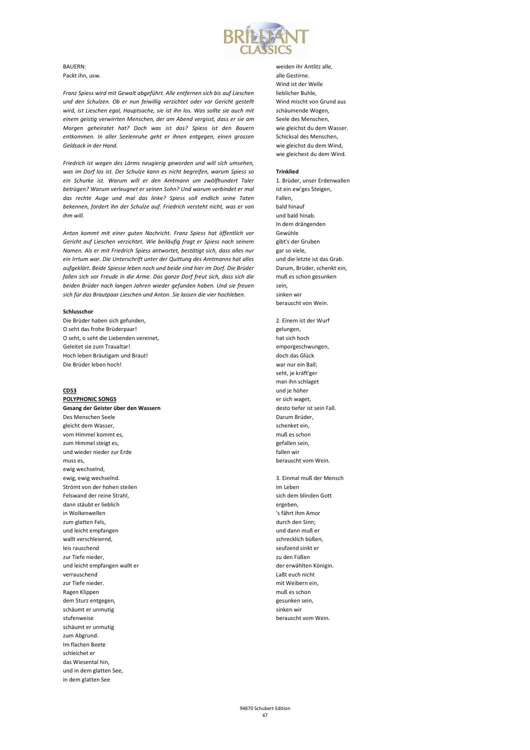

BAUERN: Packt ihn, usw.

Franz Spiess wird mit Gewalt abgeführt. Alle entfernen sich bis auf Lieschen und den Schulzen. Ob er nun feiwillig verzichtet oder vor Gericht gestellt wird, ist Lieschen egal, Hauptsache, sie ist ihn los. Was sollte sie auch mit einem geistig verwirrten Menschen, der am Abend vergisst, dass er sie am Morgen geheiratet hat? Doch was ist das? Spiess ist den Bauern entkommen. In aller Seelenruhe geht er ihnen entgegen, einen grossen Geldsack in der Hand.

Friedrich ist wegen des Lärms neugierig geworden und will sich umsehen, was im Dorf los ist. Der Schulze kann es nicht begreifen, warum Spiess so ein Schurke ist. Warum will er den Amtmann um zwölfhundert Taler betrügen? Warum verleugnet er seinen Sohn? Und warum verbindet er mal das rechte Auge und mal das linke? Spiess soll endlich seine Taten bekennen, fordert ihn der Schulze auf. Friedrich versteht nicht, was er von ihm will.

Anton kommt mit einer guten Nachricht. Franz Spiess hat öffentlich vor Gericht auf Lieschen verzichtet. Wie beiläufig fragt er Spiess nach seinem Namen. Als er mit Friedrich Spiess antwortet, bestätigt sich, dass alles nur ein Irrtum war. Die Unterschrift unter der Quittung des Amtmanns hat alles aufgeklärt. Beide Spiesse leben noch und beide sind hier im Dorf. Die Brüder fallen sich vor Freude in die Arme. Das ganze Dorf freut sich, dass sich die beiden Brüder nach langen Jahren wieder gefunden haben. Und sie freuen sich für das Brautpaar Lieschen und Anton. Sie lassen die vier hochleben.

### Schlusschor

Die Brüder haben sich gefunden, O seht das frohe Brüderpaar! O seht, o seht die Liebenden vereinet, Geleitet sie zum Traualtar! Hoch leben Bräutigam und Braut! Die Brüder leben hoch!

# CD53

## POLYPHONIC SONGS

Gesang der Geister über den Wassern Des Menschen Seele gleicht dem Wasser, vom Himmel kommt es, zum Himmel steigt es, und wieder nieder zur Erde muss es, ewig wechselnd, ewig, ewig wechselnd. Strömt von der hohen steilen Felswand der reine Strahl, dann stäubt er lieblich in Wolkenwellen zum glatten Fels, und leicht empfangen wallt verschleiernd, leis rauschend zur Tiefe nieder, und leicht empfangen wallt er verrauschend zur Tiefe nieder. Ragen Klippen dem Sturz entgegen, schäumt er unmutig stufenweise schäumt er unmutig zum Abgrund. Im flachen Beete schleichet er das Wiesental hin, und in dem glatten See, in dem glatten See

weiden ihr Antlitz alle, alle Gestirne. Wind ist der Welle lieblicher Buhle, Wind mischt von Grund aus schäumende Wogen, Seele des Menschen, wie gleichst du dem Wasser. Schicksal des Menschen, wie gleichst du dem Wind, wie gleichest du dem Wind.

### Trinklied

1. Brüder, unser Erdenwallen ist ein ew'ges Steigen, Fallen, bald hinauf und bald hinab. In dem drängenden Gewühle gibt's der Gruben gar so viele, und die letzte ist das Grab. Darum, Brüder, schenkt ein, muß es schon gesunken sein, sinken wir berauscht von Wein.

2. Einem ist der Wurf gelungen, hat sich hoch emporgeschwungen, doch das Glück war nur ein Ball; seht, je kräft'ger man ihn schlaget und je höher er sich waget, desto tiefer ist sein Fall. Darum Brüder, schenket ein, muß es schon gefallen sein, fallen wir berauscht vom Wein.

3. Einmal muß der Mensch im Leben sich dem blinden Gott ergeben, 's fährt ihm Amor durch den Sinn; und dann muß er schrecklich büßen, seufzend sinkt er zu den Füßen der erwählten Königin. Laßt euch nicht mit Weibern ein, muß es schon gesunken sein, sinken wir berauscht vom Wein.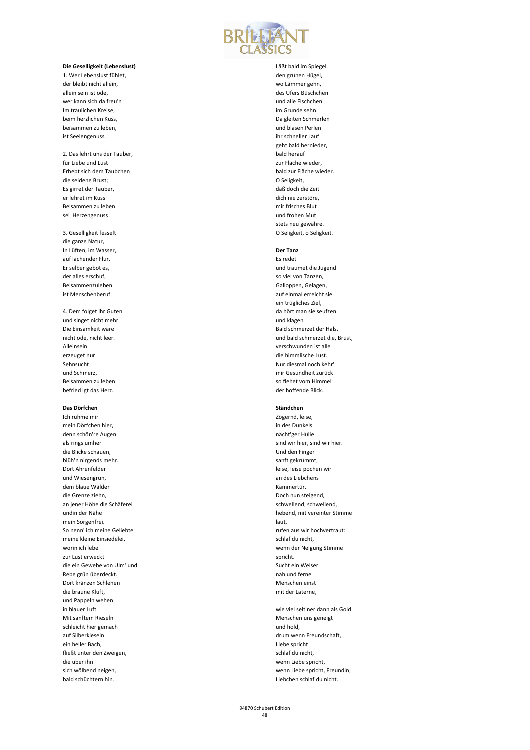

### Die Geselligkeit (Lebenslust)

1. Wer Lebenslust fühlet, der bleibt nicht allein, allein sein ist öde, wer kann sich da freu'n Im traulichen Kreise, beim herzlichen Kuss, beisammen zu leben, ist Seelengenuss.

2. Das lehrt uns der Tauber, für Liebe und Lust Erhebt sich dem Täubchen die seidene Brust; Es girret der Tauber, er lehret im Kuss Beisammen zu leben sei Herzengenuss

3. Geselligkeit fesselt die ganze Natur, In Lüften, im Wasser, auf lachender Flur. Er selber gebot es, der alles erschuf, Beisammenzuleben ist Menschenberuf.

4. Dem folget ihr Guten und singet nicht mehr Die Einsamkeit wäre nicht öde, nicht leer. Alleinsein erzeuget nur Sehnsucht und Schmerz, Beisammen zu leben befried igt das Herz.

# Das Dörfchen

Ich rühme mir mein Dörfchen hier, denn schön're Augen als rings umher die Blicke schauen, blüh'n nirgends mehr. Dort Ahrenfelder und Wiesengrün, dem blaue Wälder die Grenze ziehn, an jener Höhe die Schäferei undin der Nähe mein Sorgenfrei. So nenn' ich meine Geliebte meine kleine Einsiedelei, worin ich lebe zur Lust erweckt die ein Gewebe von Ulm' und Rebe grün überdeckt. Dort kränzen Schlehen die braune Kluft, und Pappeln wehen in blauer Luft. Mit sanftem Rieseln schleicht hier gemach auf Silberkiesein ein heller Bach, fließt unter den Zweigen, die über ihn sich wölbend neigen, bald schüchtern hin.

Läßt bald im Spiegel den grünen Hügel, wo Lämmer gehn, des Ufers Büschchen und alle Fischchen im Grunde sehn. Da gleiten Schmerlen und blasen Perlen ihr schneller Lauf geht bald hernieder, bald herauf zur Fläche wieder, bald zur Fläche wieder. O Seligkeit, daß doch die Zeit dich nie zerstöre, mir frisches Blut und frohen Mut stets neu gewähre. O Seligkeit, o Seligkeit.

# Der Tanz

Es redet und träumet die Jugend so viel von Tanzen, Galloppen, Gelagen, auf einmal erreicht sie ein trügliches Ziel, da hört man sie seufzen und klagen Bald schmerzet der Hals, und bald schmerzet die, Brust, verschwunden ist alle die himmlische Lust. Nur diesmal noch kehr' mir Gesundheit zurück so flehet vom Himmel der hoffende Blick.

# Ständchen

Zögernd, leise, in des Dunkels nächt'ger Hülle sind wir hier, sind wir hier. Und den Finger sanft gekrümmt, leise, leise pochen wir an des Liebchens Kammertür. Doch nun steigend, schwellend, schwellend, hebend, mit vereinter Stimme laut, rufen aus wir hochvertraut: schlaf du nicht, wenn der Neigung Stimme spricht. Sucht ein Weiser nah und ferne Menschen einst mit der Laterne,

wie viel selt'ner dann als Gold Menschen uns geneigt und hold, drum wenn Freundschaft, Liebe spricht schlaf du nicht, wenn Liebe spricht, wenn Liebe spricht, Freundin, Liebchen schlaf du nicht.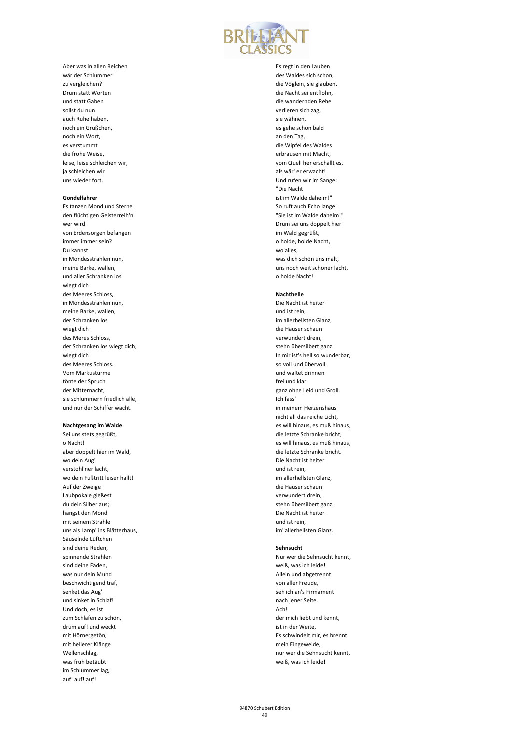

Aber was in allen Reichen wär der Schlummer zu vergleichen? Drum statt Worten und statt Gaben sollst du nun auch Ruhe haben, noch ein Grüßchen, noch ein Wort, es verstummt die frohe Weise, leise, leise schleichen wir, ja schleichen wir uns wieder fort.

# Gondelfahrer

Es tanzen Mond und Sterne den flücht'gen Geisterreih'n wer wird von Erdensorgen befangen immer immer sein? Du kannst in Mondesstrahlen nun, meine Barke, wallen, und aller Schranken los wiegt dich des Meeres Schloss, in Mondesstrahlen nun, meine Barke, wallen, der Schranken los wiegt dich des Meres Schloss, der Schranken los wiegt dich, wiegt dich des Meeres Schloss. Vom Markusturme tönte der Spruch der Mitternacht, sie schlummern friedlich alle, und nur der Schiffer wacht.

### Nachtgesang im Walde

Sei uns stets gegrüßt, o Nacht! aber doppelt hier im Wald, wo dein Aug' verstohl'ner lacht, wo dein Fußtritt leiser hallt! Auf der Zweige Laubpokale gießest du dein Silber aus; hängst den Mond mit seinem Strahle uns als Lamp' ins Blätterhaus, Säuselnde Lüftchen sind deine Reden, spinnende Strahlen sind deine Fäden, was nur dein Mund beschwichtigend traf, senket das Aug' und sinket in Schlaf! Und doch, es ist zum Schlafen zu schön, drum auf! und weckt mit Hörnergetön, mit hellerer Klänge Wellenschlag, was früh betäubt im Schlummer lag, auf! auf! auf!

Es regt in den Lauben des Waldes sich schon, die Vöglein, sie glauben, die Nacht sei entflohn, die wandernden Rehe verlieren sich zag, sie wähnen, es gehe schon bald an den Tag, die Wipfel des Waldes erbrausen mit Macht, vom Quell her erschallt es, als wär' er erwacht! Und rufen wir im Sange: "Die Nacht ist im Walde daheim!" So ruft auch Echo lange: "Sie ist im Walde daheim!" Drum sei uns doppelt hier im Wald gegrüßt, o holde, holde Nacht, wo alles, was dich schön uns malt, uns noch weit schöner lacht, o holde Nacht!

#### Nachthelle

Die Nacht ist heiter und ist rein, im allerhellsten Glanz, die Häuser schaun verwundert drein, stehn übersilbert ganz. In mir ist's hell so wunderbar, so voll und übervoll und waltet drinnen frei und klar ganz ohne Leid und Groll. Ich fass' in meinem Herzenshaus nicht all das reiche Licht, es will hinaus, es muß hinaus, die letzte Schranke bricht, es will hinaus, es muß hinaus, die letzte Schranke bricht. Die Nacht ist heiter und ist rein, im allerhellsten Glanz, die Häuser schaun verwundert drein, stehn übersilbert ganz. Die Nacht ist heiter und ist rein, im' allerhellsten Glanz.

#### Sehnsucht

Nur wer die Sehnsucht kennt, weiß, was ich leide! Allein und abgetrennt von aller Freude, seh ich an's Firmament nach jener Seite. Ach! der mich liebt und kennt, ist in der Weite, Es schwindelt mir, es brennt mein Eingeweide, nur wer die Sehnsucht kennt, weiß, was ich leide!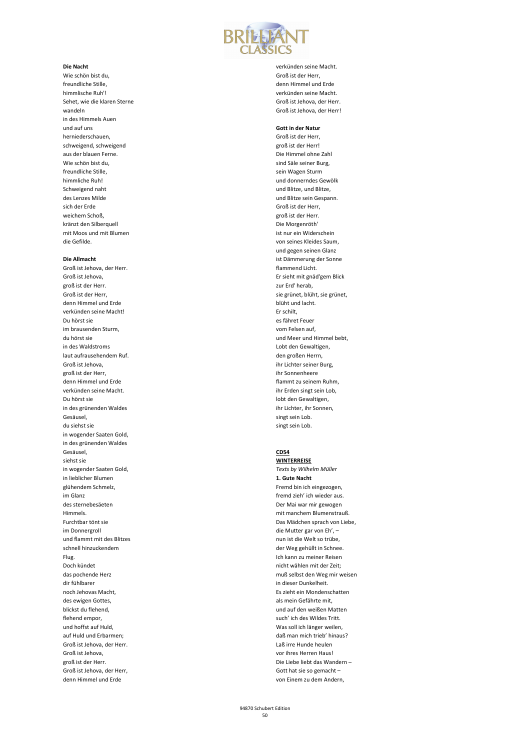

#### Die Nacht

Wie schön bist du, freundliche Stille, himmlische Ruh'! Sehet, wie die klaren Sterne wandeln in des Himmels Auen und auf uns herniederschauen, schweigend, schweigend aus der blauen Ferne. Wie schön bist du, freundliche Stille, himmliche Ruh! Schweigend naht des Lenzes Milde sich der Erde weichem Schoß, kränzt den Silberquell mit Moos und mit Blumen die Gefilde.

#### Die Allmacht

Groß ist Jehova, der Herr. Groß ist Jehova, groß ist der Herr. Groß ist der Herr, denn Himmel und Erde verkünden seine Macht! Du hörst sie im brausenden Sturm, du hörst sie in des Waldstroms laut aufrausehendem Ruf. Groß ist Jehova, groß ist der Herr, denn Himmel und Erde verkünden seine Macht. Du hörst sie in des grünenden Waldes Gesäusel, du siehst sie in wogender Saaten Gold, in des grünenden Waldes Gesäusel, siehst sie in wogender Saaten Gold, in lieblicher Blumen glühendem Schmelz, im Glanz des sternebesäeten Himmels. Furchtbar tönt sie im Donnergroll und flammt mit des Blitzes schnell hinzuckendem Flug. Doch kündet das pochende Herz dir fühlbarer noch Jehovas Macht, des ewigen Gottes, blickst du flehend, flehend empor, und hoffst auf Huld, auf Huld und Erbarmen; Groß ist Jehova, der Herr. Groß ist Jehova, groß ist der Herr. Groß ist Jehova, der Herr, denn Himmel und Erde

verkünden seine Macht. Groß ist der Herr, denn Himmel und Erde verkünden seine Macht. Groß ist Jehova, der Herr. Groß ist Jehova, der Herr!

# Gott in der Natur

Groß ist der Herr, groß ist der Herr! Die Himmel ohne Zahl sind Säle seiner Burg, sein Wagen Sturm und donnerndes Gewölk und Blitze, und Blitze, und Blitze sein Gespann. Groß ist der Herr, groß ist der Herr. Die Morgenröth' ist nur ein Widerschein von seines Kleides Saum, und gegen seinen Glanz ist Dämmerung der Sonne flammend Licht. Er sieht mit gnäd'gem Blick zur Erd' herab, sie grünet, blüht, sie grünet, blüht und lacht. Er schilt, es fähret Feuer vom Felsen auf, und Meer und Himmel bebt, Lobt den Gewaltigen, den großen Herrn, ihr Lichter seiner Burg, ihr Sonnenheere flammt zu seinem Ruhm, ihr Erden singt sein Lob, lobt den Gewaltigen, ihr Lichter, ihr Sonnen, singt sein Lob. singt sein Lob.

# CD54

**WINTERREISE** Texts by Wilhelm Müller 1. Gute Nacht Fremd bin ich eingezogen, fremd zieh' ich wieder aus. Der Mai war mir gewogen mit manchem Blumenstrauß. Das Mädchen sprach von Liebe, die Mutter gar von Eh', – nun ist die Welt so trübe, der Weg gehüllt in Schnee. Ich kann zu meiner Reisen nicht wählen mit der Zeit; muß selbst den Weg mir weisen in dieser Dunkelheit. Es zieht ein Mondenschatten als mein Gefährte mit, und auf den weißen Matten such' ich des Wildes Tritt. Was soll ich länger weilen, daß man mich trieb' hinaus? Laß irre Hunde heulen vor ihres Herren Haus! Die Liebe liebt das Wandern – Gott hat sie so gemacht – von Einem zu dem Andern,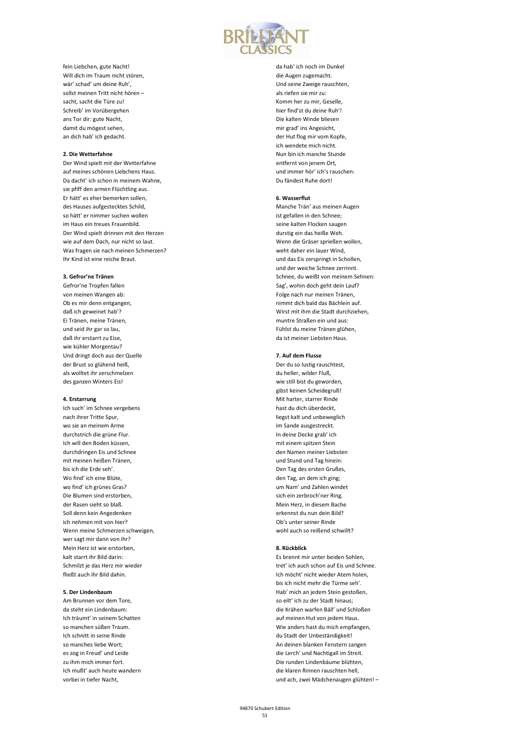

fein Liebchen, gute Nacht! Will dich im Traum nicht stören, wär' schad' um deine Ruh', sollst meinen Tritt nicht hören – sacht, sacht die Türe zu! Schreib' im Vorübergehen ans Tor dir: gute Nacht, damit du mögest sehen, an dich hab' ich gedacht.

# 2. Die Wetterfahne

Der Wind spielt mit der Wetterfahne auf meines schönen Liebchens Haus. Da dacht' ich schon in meinem Wahne, sie pfiff den armen Flüchtling aus. Er hätt' es eher bemerken sollen, des Hauses aufgestecktes Schild, so hätt' er nimmer suchen wollen im Haus ein treues Frauenbild. Der Wind spielt drinnen mit den Herzen wie auf dem Dach, nur nicht so laut. Was fragen sie nach meinen Schmerzen? Ihr Kind ist eine reiche Braut.

# 3. Gefror'ne Tränen

Gefror'ne Tropfen fallen von meinen Wangen ab: Ob es mir denn entgangen, daß ich geweinet hab'? Ei Tränen, meine Tränen, und seid ihr gar so lau, daß ihr erstarrt zu Eise, wie kühler Morgentau? Und dringt doch aus der Quelle der Brust so glühend heiß, als wolltet ihr zerschmelzen des ganzen Winters Eis!

### 4. Erstarrung

Ich such' im Schnee vergebens nach ihrer Tritte Spur, wo sie an meinem Arme durchstrich die grüne Flur. Ich will den Boden küssen, durchdringen Eis und Schnee mit meinen heißen Tränen, bis ich die Erde seh'. Wo find' ich eine Blüte, wo find' ich grünes Gras? Die Blumen sind erstorben, der Rasen sieht so blaß. Soll denn kein Angedenken ich nehmen mit von hier? Wenn meine Schmerzen schweigen, wer sagt mir dann von ihr? Mein Herz ist wie erstorben, kalt starrt ihr Bild darin: Schmilzt je das Herz mir wieder fließt auch ihr Bild dahin.

# 5. Der Lindenbaum

Am Brunnen vor dem Tore, da steht ein Lindenbaum: Ich träumt' in seinem Schatten so manchen süßen Traum. Ich schnitt in seine Rinde so manches liebe Wort; es zog in Freud' und Leide zu ihm mich immer fort. Ich mußt' auch heute wandern vorbei in tiefer Nacht,

da hab' ich noch im Dunkel die Augen zugemacht. Und seine Zweige rauschten, als riefen sie mir zu: Komm her zu mir, Geselle, hier find'st du deine Ruh'! Die kalten Winde bliesen mir grad' ins Angesicht, der Hut flog mir vom Kopfe, ich wendete mich nicht. Nun bin ich manche Stunde entfernt von jenem Ort, und immer hör' ich's rauschen: Du fändest Ruhe dort!

#### 6. Wasserflut

Manche Trän' aus meinen Augen ist gefallen in den Schnee; seine kalten Flocken saugen durstig ein das heiße Weh. Wenn die Gräser sprießen wollen, weht daher ein lauer Wind, und das Eis zerspringt in Schollen, und der weiche Schnee zerrinnt. Schnee, du weißt von meinem Sehnen: Sag', wohin doch geht dein Lauf? Folge nach nur meinen Tränen, nimmt dich bald das Bächlein auf. Wirst mit ihm die Stadt durchziehen, muntre Straßen ein und aus: Fühlst du meine Tränen glühen, da ist meiner Liebsten Haus.

#### 7. Auf dem Flusse

Der du so lustig rauschtest, du heller, wilder Fluß, wie still bist du geworden, gibst keinen Scheidegruß! Mit harter, starrer Rinde hast du dich überdeckt, liegst kalt und unbeweglich im Sande ausgestreckt. In deine Decke grab' ich mit einem spitzen Stein den Namen meiner Liebsten und Stund und Tag hinein: Den Tag des ersten Grußes, den Tag, an dem ich ging; um Nam' und Zahlen windet sich ein zerbroch'ner Ring. Mein Herz, in diesem Bache erkennst du nun dein Bild? Ob's unter seiner Rinde wohl auch so reißend schwillt?

#### 8. Rückblick

Es brennt mir unter beiden Sohlen, tret' ich auch schon auf Eis und Schnee. Ich möcht' nicht wieder Atem holen, bis ich nicht mehr die Türme seh'. Hab' mich an jedem Stein gestoßen, so eilt' ich zu der Stadt hinaus; die Krähen warfen Bäll' und Schloßen auf meinen Hut von jedem Haus. Wie anders hast du mich empfangen, du Stadt der Unbeständigkeit! An deinen blanken Fenstern sangen die Lerch' und Nachtigall im Streit. Die runden Lindenbäume blühten, die klaren Rinnen rauschten hell, und ach, zwei Mädchenaugen glühten! –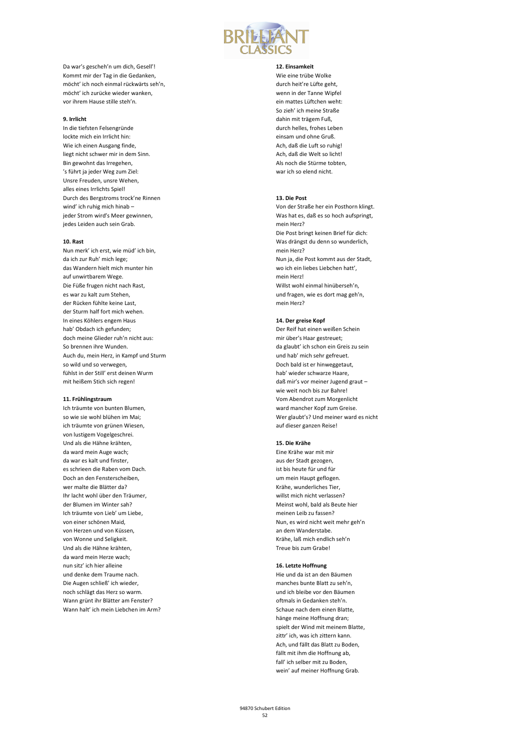

Da war's gescheh'n um dich, Gesell'! Kommt mir der Tag in die Gedanken, möcht' ich noch einmal rückwärts seh'n, möcht' ich zurücke wieder wanken, vor ihrem Hause stille steh'n.

# 9. Irrlicht

In die tiefsten Felsengründe lockte mich ein Irrlicht hin: Wie ich einen Ausgang finde, liegt nicht schwer mir in dem Sinn. Bin gewohnt das Irregehen, 's führt ja jeder Weg zum Ziel: Unsre Freuden, unsre Wehen, alles eines Irrlichts Spiel! Durch des Bergstroms trock'ne Rinnen wind' ich ruhig mich hinab – jeder Strom wird's Meer gewinnen, jedes Leiden auch sein Grab.

### 10. Rast

Nun merk' ich erst, wie müd' ich bin, da ich zur Ruh' mich lege; das Wandern hielt mich munter hin auf unwirtbarem Wege. Die Füße frugen nicht nach Rast, es war zu kalt zum Stehen, der Rücken fühlte keine Last, der Sturm half fort mich wehen. In eines Köhlers engem Haus hab' Obdach ich gefunden; doch meine Glieder ruh'n nicht aus: So brennen ihre Wunden. Auch du, mein Herz, in Kampf und Sturm so wild und so verwegen, fühlst in der Still' erst deinen Wurm mit heißem Stich sich regen!

### 11. Frühlingstraum

Ich träumte von bunten Blumen, so wie sie wohl blühen im Mai; ich träumte von grünen Wiesen, von lustigem Vogelgeschrei. Und als die Hähne krähten, da ward mein Auge wach; da war es kalt und finster, es schrieen die Raben vom Dach. Doch an den Fensterscheiben, wer malte die Blätter da? Ihr lacht wohl über den Träumer, der Blumen im Winter sah? Ich träumte von Lieb' um Liebe, von einer schönen Maid, von Herzen und von Küssen, von Wonne und Seligkeit. Und als die Hähne krähten, da ward mein Herze wach; nun sitz' ich hier alleine und denke dem Traume nach. Die Augen schließ' ich wieder, noch schlägt das Herz so warm. Wann grünt ihr Blätter am Fenster? Wann halt' ich mein Liebchen im Arm?

### 12. Einsamkeit

Wie eine trübe Wolke durch heit're Lüfte geht, wenn in der Tanne Wipfel ein mattes Lüftchen weht: So zieh' ich meine Straße dahin mit trägem Fuß, durch helles, frohes Leben einsam und ohne Gruß. Ach, daß die Luft so ruhig! Ach, daß die Welt so licht! Als noch die Stürme tobten, war ich so elend nicht.

# 13. Die Post

Von der Straße her ein Posthorn klingt. Was hat es, daß es so hoch aufspringt, mein Herz? Die Post bringt keinen Brief für dich: Was drängst du denn so wunderlich, mein Herz? Nun ja, die Post kommt aus der Stadt, wo ich ein liebes Liebchen hatt', mein Herz! Willst wohl einmal hinüberseh'n, und fragen, wie es dort mag geh'n, mein Herz?

# 14. Der greise Kopf

Der Reif hat einen weißen Schein mir über's Haar gestreuet; da glaubt' ich schon ein Greis zu sein und hab' mich sehr gefreuet. Doch bald ist er hinweggetaut, hab' wieder schwarze Haare, daß mir's vor meiner Jugend graut – wie weit noch bis zur Bahre! Vom Abendrot zum Morgenlicht ward mancher Kopf zum Greise. Wer glaubt's? Und meiner ward es nicht auf dieser ganzen Reise!

# 15. Die Krähe

Eine Krähe war mit mir aus der Stadt gezogen, ist bis heute für und für um mein Haupt geflogen. Krähe, wunderliches Tier, willst mich nicht verlassen? Meinst wohl, bald als Beute hier meinen Leib zu fassen? Nun, es wird nicht weit mehr geh'n an dem Wanderstabe. Krähe, laß mich endlich seh'n Treue bis zum Grabe!

### 16. Letzte Hoffnung

Hie und da ist an den Bäumen manches bunte Blatt zu seh'n, und ich bleibe vor den Bäumen oftmals in Gedanken steh'n. Schaue nach dem einen Blatte, hänge meine Hoffnung dran; spielt der Wind mit meinem Blatte, zittr' ich, was ich zittern kann. Ach, und fällt das Blatt zu Boden, fällt mit ihm die Hoffnung ab, fall' ich selber mit zu Boden, wein' auf meiner Hoffnung Grab.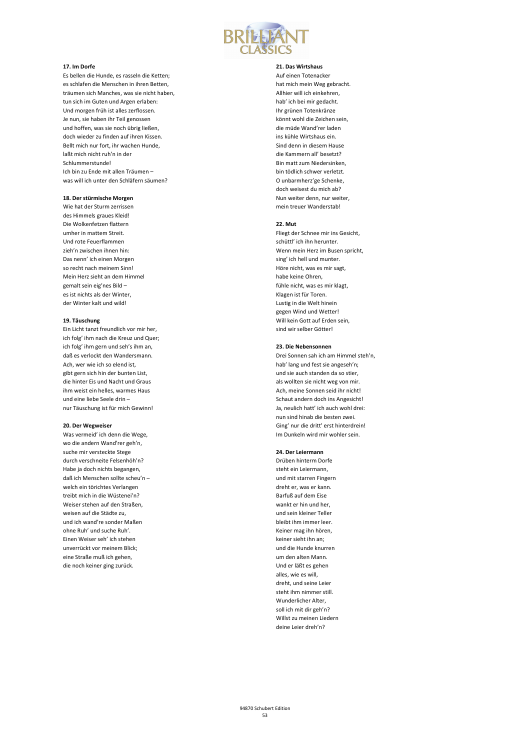

### 17. Im Dorfe

Es bellen die Hunde, es rasseln die Ketten; es schlafen die Menschen in ihren Betten, träumen sich Manches, was sie nicht haben, tun sich im Guten und Argen erlaben: Und morgen früh ist alles zerflossen. Je nun, sie haben ihr Teil genossen und hoffen, was sie noch übrig ließen, doch wieder zu finden auf ihren Kissen. Bellt mich nur fort, ihr wachen Hunde, laßt mich nicht ruh'n in der Schlummerstunde! Ich bin zu Ende mit allen Träumen – was will ich unter den Schläfern säumen?

## 18. Der stürmische Morgen

Wie hat der Sturm zerrissen des Himmels graues Kleid! Die Wolkenfetzen flattern umher in mattem Streit. Und rote Feuerflammen zieh'n zwischen ihnen hin: Das nenn' ich einen Morgen so recht nach meinem Sinn! Mein Herz sieht an dem Himmel gemalt sein eig'nes Bild – es ist nichts als der Winter, der Winter kalt und wild!

### 19. Täuschung

Ein Licht tanzt freundlich vor mir her, ich folg' ihm nach die Kreuz und Quer; ich folg' ihm gern und seh's ihm an, daß es verlockt den Wandersmann. Ach, wer wie ich so elend ist, gibt gern sich hin der bunten List, die hinter Eis und Nacht und Graus ihm weist ein helles, warmes Haus und eine liebe Seele drin – nur Täuschung ist für mich Gewinn!

### 20. Der Wegweiser

Was vermeid' ich denn die Wege, wo die andern Wand'rer geh'n, suche mir versteckte Stege durch verschneite Felsenhöh'n? Habe ja doch nichts begangen, daß ich Menschen sollte scheu'n – welch ein törichtes Verlangen treibt mich in die Wüstenei'n? Weiser stehen auf den Straßen, weisen auf die Städte zu, und ich wand're sonder Maßen ohne Ruh' und suche Ruh'. Einen Weiser seh' ich stehen unverrückt vor meinem Blick; eine Straße muß ich gehen, die noch keiner ging zurück.

# 21. Das Wirtshaus

Auf einen Totenacker hat mich mein Weg gebracht. Allhier will ich einkehren, hab' ich bei mir gedacht. Ihr grünen Totenkränze könnt wohl die Zeichen sein, die müde Wand'rer laden ins kühle Wirtshaus ein. Sind denn in diesem Hause die Kammern all' besetzt? Bin matt zum Niedersinken, bin tödlich schwer verletzt. O unbarmherz'ge Schenke, doch weisest du mich ab? Nun weiter denn, nur weiter, mein treuer Wanderstab!

### 22. Mut

Fliegt der Schnee mir ins Gesicht, schüttl' ich ihn herunter. Wenn mein Herz im Busen spricht, sing' ich hell und munter. Höre nicht, was es mir sagt, habe keine Ohren, fühle nicht, was es mir klagt, Klagen ist für Toren. Lustig in die Welt hinein gegen Wind und Wetter! Will kein Gott auf Erden sein, sind wir selber Götter!

# 23. Die Nebensonnen

Drei Sonnen sah ich am Himmel steh'n, hab' lang und fest sie angeseh'n; und sie auch standen da so stier, als wollten sie nicht weg von mir. Ach, meine Sonnen seid ihr nicht! Schaut andern doch ins Angesicht! Ja, neulich hatt' ich auch wohl drei: nun sind hinab die besten zwei. Ging' nur die dritt' erst hinterdrein! Im Dunkeln wird mir wohler sein.

# 24. Der Leiermann

Drüben hinterm Dorfe steht ein Leiermann, und mit starren Fingern dreht er, was er kann. Barfuß auf dem Eise wankt er hin und her, und sein kleiner Teller bleibt ihm immer leer. Keiner mag ihn hören, keiner sieht ihn an; und die Hunde knurren um den alten Mann. Und er läßt es gehen alles, wie es will, dreht, und seine Leier steht ihm nimmer still. Wunderlicher Alter, soll ich mit dir geh'n? Willst zu meinen Liedern deine Leier dreh'n?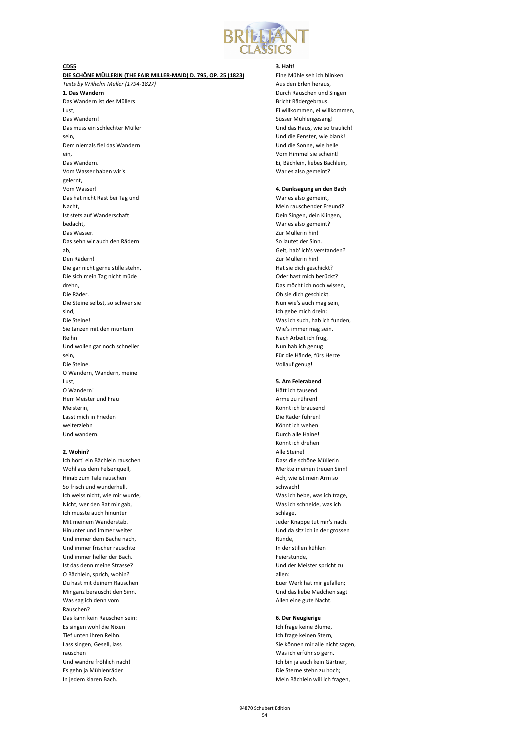

# CD55

# DIE SCHÖNE MÜLLERIN (THE FAIR MILLER-MAID) D. 795, OP. 25 (1823) Texts by Wilhelm Müller (1794-1827)

1. Das Wandern Das Wandern ist des Müllers Lust, Das Wandern! Das muss ein schlechter Müller sein, Dem niemals fiel das Wandern ein, Das Wandern. Vom Wasser haben wir's gelernt, Vom Wasser! Das hat nicht Rast bei Tag und Nacht, Ist stets auf Wanderschaft bedacht, Das Wasser. Das sehn wir auch den Rädern ab, Den Rädern! Die gar nicht gerne stille stehn, Die sich mein Tag nicht müde drehn, Die Räder. Die Steine selbst, so schwer sie sind, Die Steine! Sie tanzen mit den muntern Reihn Und wollen gar noch schneller sein, Die Steine. O Wandern, Wandern, meine Lust, O Wandern! Herr Meister und Frau Meisterin, Lasst mich in Frieden weiterziehn Und wandern.

## 2. Wohin?

Ich hört' ein Bächlein rauschen Wohl aus dem Felsenquell Hinab zum Tale rauschen So frisch und wunderhell. Ich weiss nicht, wie mir wurde, Nicht, wer den Rat mir gab, Ich musste auch hinunter Mit meinem Wanderstab. Hinunter und immer weiter Und immer dem Bache nach, Und immer frischer rauschte Und immer heller der Bach. Ist das denn meine Strasse? O Bächlein, sprich, wohin? Du hast mit deinem Rauschen Mir ganz berauscht den Sinn. Was sag ich denn vom Rauschen? Das kann kein Rauschen sein: Es singen wohl die Nixen Tief unten ihren Reihn. Lass singen, Gesell, lass rauschen Und wandre fröhlich nach! Es gehn ja Mühlenräder In jedem klaren Bach.

#### 3. Halt!

Eine Mühle seh ich blinken Aus den Erlen heraus, Durch Rauschen und Singen Bricht Rädergebraus. Ei willkommen, ei willkommen, Süsser Mühlengesang! Und das Haus, wie so traulich! Und die Fenster, wie blank! Und die Sonne, wie helle Vom Himmel sie scheint! Ei, Bächlein, liebes Bächlein, War es also gemeint?

# 4. Danksagung an den Bach

War es also gemeint, Mein rauschender Freund? Dein Singen, dein Klingen, War es also gemeint? Zur Müllerin hin! So lautet der Sinn. Gelt, hab' ich's verstanden? Zur Müllerin hin! Hat sie dich geschickt? Oder hast mich berückt? Das möcht ich noch wissen, Ob sie dich geschickt. Nun wie's auch mag sein, Ich gebe mich drein: Was ich such, hab ich funden, Wie's immer mag sein. Nach Arbeit ich frug, Nun hab ich genug Für die Hände, fürs Herze Vollauf genug!

### 5. Am Feierabend

Hätt ich tausend Arme zu rühren! Könnt ich brausend Die Räder führen! Könnt ich wehen Durch alle Haine! Könnt ich drehen Alle Steine! Dass die schöne Müllerin Merkte meinen treuen Sinn! Ach, wie ist mein Arm so schwach! Was ich hebe, was ich trage, Was ich schneide, was ich schlage, Jeder Knappe tut mir's nach. Und da sitz ich in der grossen Runde, In der stillen kühlen Feierstunde, Und der Meister spricht zu allen: Euer Werk hat mir gefallen; Und das liebe Mädchen sagt Allen eine gute Nacht.

## 6. Der Neugierige

Ich frage keine Blume, Ich frage keinen Stern, Sie können mir alle nicht sagen, Was ich erführ so gern. Ich bin ja auch kein Gärtner, Die Sterne stehn zu hoch; Mein Bächlein will ich fragen,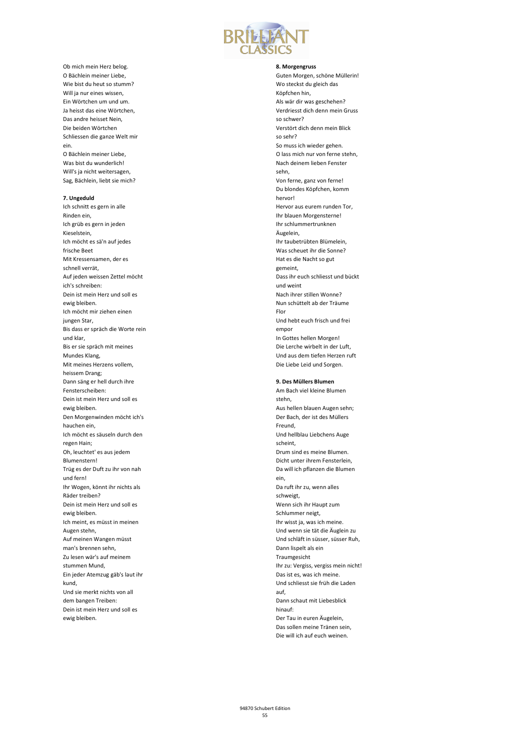

Ob mich mein Herz belog. O Bächlein meiner Liebe, Wie bist du heut so stumm? Will ja nur eines wissen, Ein Wörtchen um und um. Ja heisst das eine Wörtchen, Das andre heisset Nein, Die beiden Wörtchen Schliessen die ganze Welt mir ein. O Bächlein meiner Liebe, Was bist du wunderlich! Will's ja nicht weitersagen, Sag, Bächlein, liebt sie mich?

### 7. Ungeduld

Ich schnitt es gern in alle Rinden ein, Ich grüb es gern in jeden Kieselstein, Ich möcht es sä'n auf jedes frische Beet Mit Kressensamen, der es schnell verrät, Auf jeden weissen Zettel möcht ich's schreiben: Dein ist mein Herz und soll es ewig bleiben. Ich möcht mir ziehen einen jungen Star, Bis dass er spräch die Worte rein und klar, Bis er sie spräch mit meines Mundes Klang, Mit meines Herzens vollem, heissem Drang; Dann säng er hell durch ihre Fensterscheiben: Dein ist mein Herz und soll es ewig bleiben. Den Morgenwinden möcht ich's hauchen ein, Ich möcht es säuseln durch den regen Hain; Oh, leuchtet' es aus jedem Blumenstern! Trüg es der Duft zu ihr von nah und fern! Ihr Wogen, könnt ihr nichts als Räder treiben? Dein ist mein Herz und soll es ewig bleiben. Ich meint, es müsst in meinen Augen stehn, Auf meinen Wangen müsst man's brennen sehn, Zu lesen wär's auf meinem stummen Mund, Ein jeder Atemzug gäb's laut ihr kund, Und sie merkt nichts von all dem bangen Treiben: Dein ist mein Herz und soll es ewig bleiben.

### 8. Morgengruss

Guten Morgen, schöne Müllerin! Wo steckst du gleich das Köpfchen hin, Als wär dir was geschehen? Verdriesst dich denn mein Gruss so schwer? Verstört dich denn mein Blick so sehr? So muss ich wieder gehen. O lass mich nur von ferne stehn, Nach deinem lieben Fenster sehn, Von ferne, ganz von ferne! Du blondes Köpfchen, komm hervor! Hervor aus eurem runden Tor, Ihr blauen Morgensterne! Ihr schlummertrunknen Äugelein, Ihr taubetrübten Blümelein, Was scheuet ihr die Sonne? Hat es die Nacht so gut gemeint, Dass ihr euch schliesst und bückt und weint Nach ihrer stillen Wonne? Nun schüttelt ab der Träume Flor Und hebt euch frisch und frei empor In Gottes hellen Morgen! Die Lerche wirbelt in der Luft, Und aus dem tiefen Herzen ruft Die Liebe Leid und Sorgen.

### 9. Des Müllers Blumen

Am Bach viel kleine Blumen stehn, Aus hellen blauen Augen sehn; Der Bach, der ist des Müllers Freund, Und hellblau Liebchens Auge scheint, Drum sind es meine Blumen. Dicht unter ihrem Fensterlein, Da will ich pflanzen die Blumen ein, Da ruft ihr zu, wenn alles schweigt, Wenn sich ihr Haupt zum Schlummer neigt, Ihr wisst ja, was ich meine. Und wenn sie tät die Äuglein zu Und schläft in süsser, süsser Ruh, Dann lispelt als ein Traumgesicht Ihr zu: Vergiss, vergiss mein nicht! Das ist es, was ich meine. Und schliesst sie früh die Laden auf, Dann schaut mit Liebesblick hinauf: Der Tau in euren Äugelein, Das sollen meine Tränen sein, Die will ich auf euch weinen.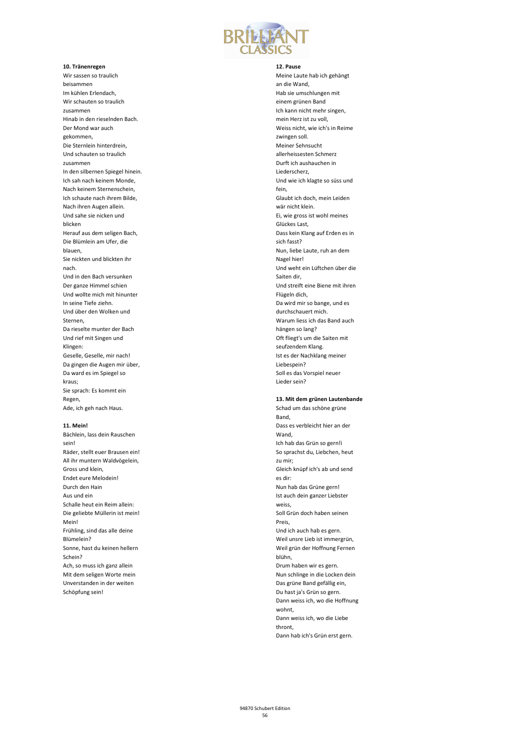

### 10. Tränenregen

Wir sassen so traulich beisammen Im kühlen Erlendach, Wir schauten so traulich zusammen Hinab in den rieselnden Bach. Der Mond war auch gekommen, Die Sternlein hinterdrein, Und schauten so traulich zusammen In den silbernen Spiegel hinein. Ich sah nach keinem Monde, Nach keinem Sternenschein, Ich schaute nach ihrem Bilde, Nach ihren Augen allein. Und sahe sie nicken und blicken Herauf aus dem seligen Bach, Die Blümlein am Ufer, die blauen, Sie nickten und blickten ihr nach. Und in den Bach versunken Der ganze Himmel schien Und wollte mich mit hinunter In seine Tiefe ziehn. Und über den Wolken und Sternen, Da rieselte munter der Bach Und rief mit Singen und Klingen: Geselle, Geselle, mir nach! Da gingen die Augen mir über, Da ward es im Spiegel so kraus; Sie sprach: Es kommt ein Regen, Ade, ich geh nach Haus.

#### 11. Mein!

Bächlein, lass dein Rauschen sein! Räder, stellt euer Brausen ein! All ihr muntern Waldvögelein, Gross und klein, Endet eure Melodein! Durch den Hain Aus und ein Schalle heut ein Reim allein: Die geliebte Müllerin ist mein! Mein! Frühling, sind das alle deine Blümelein? Sonne, hast du keinen hellern Schein? Ach, so muss ich ganz allein Mit dem seligen Worte mein Unverstanden in der weiten Schöpfung sein!

#### 12. Pause

Meine Laute hab ich gehängt an die Wand, Hab sie umschlungen mit einem grünen Band Ich kann nicht mehr singen, mein Herz ist zu voll, Weiss nicht, wie ich's in Reime zwingen soll. Meiner Sehnsucht allerheissesten Schmerz Durft ich aushauchen in Liederscherz, Und wie ich klagte so süss und fein, Glaubt ich doch, mein Leiden wär nicht klein. Ei, wie gross ist wohl meines Glückes Last, Dass kein Klang auf Erden es in sich fasst? Nun, liebe Laute, ruh an dem Nagel hier! Und weht ein Lüftchen über die Saiten dir, Und streift eine Biene mit ihren Flügeln dich, Da wird mir so bange, und es durchschauert mich. Warum liess ich das Band auch hängen so lang? Oft fliegt's um die Saiten mit seufzendem Klang. Ist es der Nachklang meiner Liebespein? Soll es das Vorspiel neuer Lieder sein?

### 13. Mit dem grünen Lautenbande

Schad um das schöne grüne Band, Dass es verbleicht hier an der Wand, Ich hab das Grün so gern!ì So sprachst du, Liebchen, heut zu mir; Gleich knüpf ich's ab und send es dir: Nun hab das Grüne gern! Ist auch dein ganzer Liebster weiss, Soll Grün doch haben seinen Preis, Und ich auch hab es gern. Weil unsre Lieb ist immergrün, Weil grün der Hoffnung Fernen blühn, Drum haben wir es gern. Nun schlinge in die Locken dein Das grüne Band gefällig ein, Du hast ja's Grün so gern. Dann weiss ich, wo die Hoffnung wohnt, Dann weiss ich, wo die Liebe thront, Dann hab ich's Grün erst gern.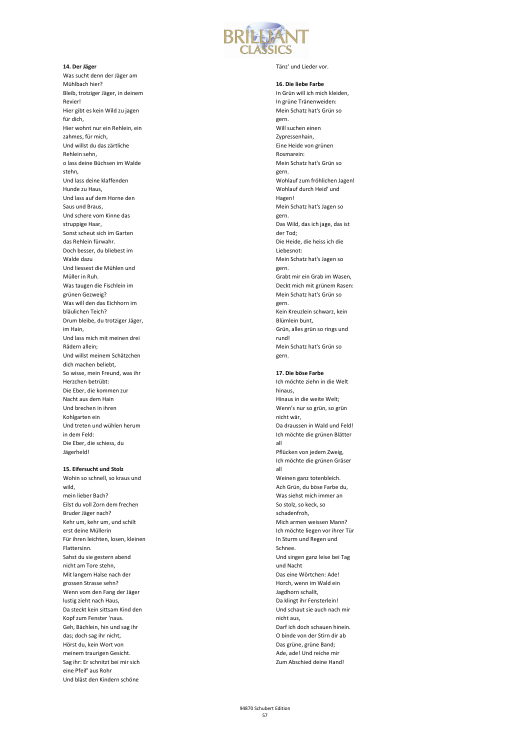

14. Der Jäger

Was sucht denn der Jäger am Mühlbach hier? Bleib, trotziger Jäger, in deinem Revier! Hier gibt es kein Wild zu jagen für dich, Hier wohnt nur ein Rehlein, ein zahmes, für mich, Und willst du das zärtliche Rehlein sehn, o lass deine Büchsen im Walde stehn, Und lass deine klaffenden Hunde zu Haus, Und lass auf dem Horne den Saus und Braus, Und schere vom Kinne das struppige Haar, Sonst scheut sich im Garten das Rehlein fürwahr. Doch besser, du bliebest im Walde dazu Und liessest die Mühlen und Müller in Ruh. Was taugen die Fischlein im grünen Gezweig? Was will den das Eichhorn im bläulichen Teich? Drum bleibe, du trotziger Jäger, im Hain, Und lass mich mit meinen drei Rädern allein; Und willst meinem Schätzchen dich machen beliebt, So wisse, mein Freund, was ihr Herzchen betrübt: Die Eber, die kommen zur Nacht aus dem Hain Und brechen in ihren Kohlgarten ein Und treten und wühlen herum in dem Feld: Die Eber, die schiess, du Jägerheld!

#### 15. Eifersucht und Stolz

Wohin so schnell, so kraus und wild, mein lieber Bach? Eilst du voll Zorn dem frechen Bruder Jäger nach? Kehr um, kehr um, und schilt erst deine Müllerin Für ihren leichten, losen, kleinen Flattersinn. Sahst du sie gestern abend nicht am Tore stehn, Mit langem Halse nach der grossen Strasse sehn? Wenn vom den Fang der Jäger lustig zieht nach Haus, Da steckt kein sittsam Kind den Kopf zum Fenster 'naus. Geh, Bächlein, hin und sag ihr das; doch sag ihr nicht, Hörst du, kein Wort von meinem traurigen Gesicht. Sag ihr: Er schnitzt bei mir sich eine Pfeif' aus Rohr Und bläst den Kindern schöne

# Tänz' und Lieder vor.

16. Die liebe Farbe

In Grün will ich mich kleiden, In grüne Tränenweiden: Mein Schatz hat's Grün so gern. Will suchen einen Zypressenhain, Eine Heide von grünen Rosmarein: Mein Schatz hat's Grün so gern. Wohlauf zum fröhlichen Jagen! Wohlauf durch Heid' und Hagen! Mein Schatz hat's Jagen so gern. Das Wild, das ich jage, das ist der Tod; Die Heide, die heiss ich die Liebesnot: Mein Schatz hat's Jagen so gern. Grabt mir ein Grab im Wasen, Deckt mich mit grünem Rasen: Mein Schatz hat's Grün so gern. Kein Kreuzlein schwarz, kein Blümlein bunt, Grün, alles grün so rings und rund! Mein Schatz hat's Grün so gern.

## 17. Die böse Farbe

Ich möchte ziehn in die Welt hinaus, Hinaus in die weite Welt; Wenn's nur so grün, so grün nicht wär, Da draussen in Wald und Feld! Ich möchte die grünen Blätter all Pflücken von jedem Zweig, Ich möchte die grünen Gräser all Weinen ganz totenbleich. Ach Grün, du böse Farbe du, Was siehst mich immer an So stolz, so keck, so schadenfroh, Mich armen weissen Mann? Ich möchte liegen vor ihrer Tür In Sturm und Regen und Schnee. Und singen ganz leise bei Tag und Nacht Das eine Wörtchen: Ade! Horch, wenn im Wald ein Jagdhorn schallt, Da klingt ihr Fensterlein! Und schaut sie auch nach mir nicht aus, Darf ich doch schauen hinein. O binde von der Stirn dir ab Das grüne, grüne Band; Ade, ade! Und reiche mir Zum Abschied deine Hand!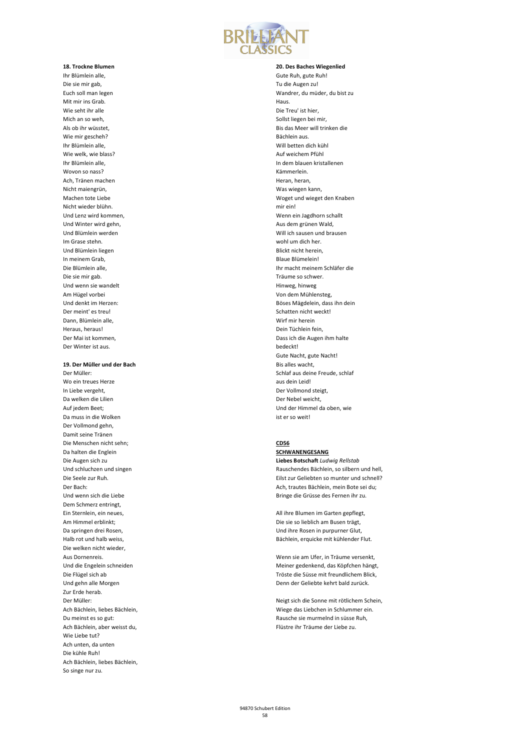

# 18. Trockne Blumen

Ihr Blümlein alle, Die sie mir gab, Euch soll man legen Mit mir ins Grab. Wie seht ihr alle Mich an so weh, Als ob ihr wüsstet, Wie mir gescheh? Ihr Blümlein alle, Wie welk, wie blass? Ihr Blümlein alle, Wovon so nass? Ach, Tränen machen Nicht maiengrün, Machen tote Liebe Nicht wieder blühn. Und Lenz wird kommen, Und Winter wird gehn, Und Blümlein werden Im Grase stehn. Und Blümlein liegen In meinem Grab, Die Blümlein alle, Die sie mir gab. Und wenn sie wandelt Am Hügel vorbei Und denkt im Herzen: Der meint' es treu! Dann, Blümlein alle, Heraus, heraus! Der Mai ist kommen, Der Winter ist aus.

# 19. Der Müller und der Bach

Der Müller: Wo ein treues Herze In Liebe vergeht, Da welken die Lilien Auf jedem Beet; Da muss in die Wolken Der Vollmond gehn, Damit seine Tränen Die Menschen nicht sehn; Da halten die Englein Die Augen sich zu Und schluchzen und singen Die Seele zur Ruh. Der Bach: Und wenn sich die Liebe Dem Schmerz entringt, Ein Sternlein, ein neues, Am Himmel erblinkt; Da springen drei Rosen, Halb rot und halb weiss, Die welken nicht wieder, Aus Dornenreis. Und die Engelein schneiden Die Flügel sich ab Und gehn alle Morgen Zur Erde herab. Der Müller: Ach Bächlein, liebes Bächlein, Du meinst es so gut: Ach Bächlein, aber weisst du, Wie Liebe tut? Ach unten, da unten Die kühle Ruh! Ach Bächlein, liebes Bächlein, So singe nur zu.

### 20. Des Baches Wiegenlied

Gute Ruh, gute Ruh! Tu die Augen zu! Wandrer, du müder, du bist zu Haus. Die Treu' ist hier, Sollst liegen bei mir, Bis das Meer will trinken die Bächlein aus. Will betten dich kühl Auf weichem Pfühl In dem blauen kristallenen Kämmerlein. Heran, heran, Was wiegen kann, Woget und wieget den Knaben mir ein! Wenn ein Jagdhorn schallt Aus dem grünen Wald, Will ich sausen und brausen wohl um dich her. Blickt nicht herein, Blaue Blümelein! Ihr macht meinem Schläfer die Träume so schwer. Hinweg, hinweg Von dem Mühlensteg, Böses Mägdelein, dass ihn dein Schatten nicht weckt! Wirf mir herein Dein Tüchlein fein, Dass ich die Augen ihm halte bedeckt! Gute Nacht, gute Nacht! Bis alles wacht, Schlaf aus deine Freude, schlaf aus dein Leid! Der Vollmond steigt, Der Nebel weicht, Und der Himmel da oben, wie ist er so weit!

# CD56

# **SCHWANENGESANG** Liebes Botschaft Ludwig Rellstab Rauschendes Bächlein, so silbern und hell, Eilst zur Geliebten so munter und schnell? Ach, trautes Bächlein, mein Bote sei du; Bringe die Grüsse des Fernen ihr zu.

All ihre Blumen im Garten gepflegt, Die sie so lieblich am Busen trägt, Und ihre Rosen in purpurner Glut, Bächlein, erquicke mit kühlender Flut.

Wenn sie am Ufer, in Träume versenkt, Meiner gedenkend, das Köpfchen hängt, Tröste die Süsse mit freundlichem Blick, Denn der Geliebte kehrt bald zurück.

Neigt sich die Sonne mit rötlichem Schein, Wiege das Liebchen in Schlummer ein. Rausche sie murmelnd in süsse Ruh, Flüstre ihr Träume der Liebe zu.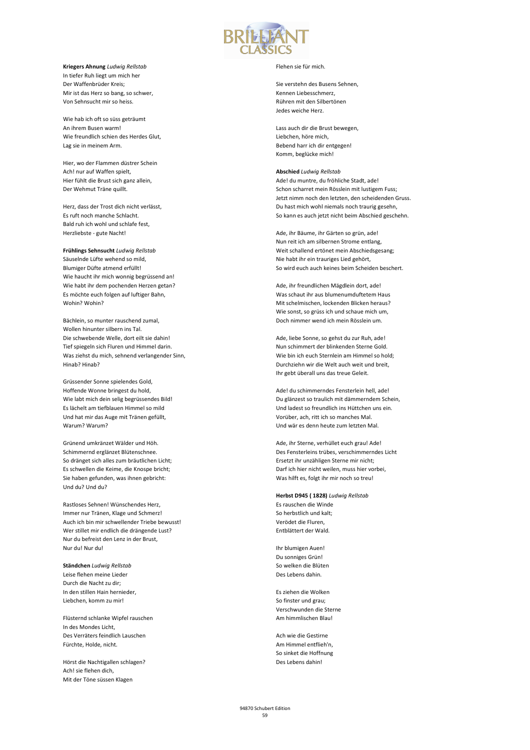

Kriegers Ahnung Ludwig Rellstab In tiefer Ruh liegt um mich her Der Waffenbrüder Kreis; Mir ist das Herz so bang, so schwer, Von Sehnsucht mir so heiss.

Wie hab ich oft so süss geträumt An ihrem Busen warm! Wie freundlich schien des Herdes Glut, Lag sie in meinem Arm.

Hier, wo der Flammen düstrer Schein Ach! nur auf Waffen spielt, Hier fühlt die Brust sich ganz allein, Der Wehmut Träne quillt.

Herz, dass der Trost dich nicht verlässt, Es ruft noch manche Schlacht. Bald ruh ich wohl und schlafe fest, Herzliebste - gute Nacht!

Frühlings Sehnsucht Ludwig Rellstab Säuselnde Lüfte wehend so mild, Blumiger Düfte atmend erfüllt! Wie haucht ihr mich wonnig begrüssend an! Wie habt ihr dem pochenden Herzen getan? Es möchte euch folgen auf luftiger Bahn, Wohin? Wohin?

Bächlein, so munter rauschend zumal, Wollen hinunter silbern ins Tal. Die schwebende Welle, dort eilt sie dahin! Tief spiegeln sich Fluren und Himmel darin. Was ziehst du mich, sehnend verlangender Sinn, Hinab? Hinab?

Grüssender Sonne spielendes Gold, Hoffende Wonne bringest du hold, Wie labt mich dein selig begrüssendes Bild! Es lächelt am tiefblauen Himmel so mild Und hat mir das Auge mit Tränen gefüllt, Warum? Warum?

Grünend umkränzet Wälder und Höh. Schimmernd erglänzet Blütenschnee. So dränget sich alles zum bräutlichen Licht; Es schwellen die Keime, die Knospe bricht; Sie haben gefunden, was ihnen gebricht: Und du? Und du?

Rastloses Sehnen! Wünschendes Herz, Immer nur Tränen, Klage und Schmerz! Auch ich bin mir schwellender Triebe bewusst! Wer stillet mir endlich die drängende Lust? Nur du befreist den Lenz in der Brust, Nur du! Nur du!

Ständchen Ludwig Rellstab Leise flehen meine Lieder Durch die Nacht zu dir; In den stillen Hain hernieder, Liebchen, komm zu mir!

Flüsternd schlanke Wipfel rauschen In des Mondes Licht, Des Verräters feindlich Lauschen Fürchte, Holde, nicht.

Hörst die Nachtigallen schlagen? Ach! sie flehen dich, Mit der Töne süssen Klagen

Flehen sie für mich.

Sie verstehn des Busens Sehnen, Kennen Liebesschmerz, Rühren mit den Silbertönen Jedes weiche Herz.

Lass auch dir die Brust bewegen, Liebchen, höre mich, Bebend harr ich dir entgegen! Komm, beglücke mich!

### Abschied Ludwig Rellstab

Ade! du muntre, du fröhliche Stadt, ade! Schon scharret mein Rösslein mit lustigem Fuss; Jetzt nimm noch den letzten, den scheidenden Gruss. Du hast mich wohl niemals noch traurig gesehn, So kann es auch jetzt nicht beim Abschied geschehn.

Ade, ihr Bäume, ihr Gärten so grün, ade! Nun reit ich am silbernen Strome entlang, Weit schallend ertönet mein Abschiedsgesang; Nie habt ihr ein trauriges Lied gehört, So wird euch auch keines beim Scheiden beschert.

Ade, ihr freundlichen Mägdlein dort, ade! Was schaut ihr aus blumenumduftetem Haus Mit schelmischen, lockenden Blicken heraus? Wie sonst, so grüss ich und schaue mich um, Doch nimmer wend ich mein Rösslein um.

Ade, liebe Sonne, so gehst du zur Ruh, ade! Nun schimmert der blinkenden Sterne Gold. Wie bin ich euch Sternlein am Himmel so hold; Durchziehn wir die Welt auch weit und breit, Ihr gebt überall uns das treue Geleit.

Ade! du schimmerndes Fensterlein hell, ade! Du glänzest so traulich mit dämmerndem Schein, Und ladest so freundlich ins Hüttchen uns ein. Vorüber, ach, ritt ich so manches Mal. Und wär es denn heute zum letzten Mal.

Ade, ihr Sterne, verhüllet euch grau! Ade! Des Fensterleins trübes, verschimmerndes Licht Ersetzt ihr unzähligen Sterne mir nicht; Darf ich hier nicht weilen, muss hier vorbei, Was hilft es, folgt ihr mir noch so treu!

# Herbst D945 ( 1828) Ludwig Rellstab

Es rauschen die Winde So herbstlich und kalt; Verödet die Fluren, Entblättert der Wald.

Ihr blumigen Auen! Du sonniges Grün! So welken die Blüten Des Lebens dahin.

Es ziehen die Wolken So finster und grau; Verschwunden die Sterne Am himmlischen Blau!

Ach wie die Gestirne Am Himmel entflieh'n, So sinket die Hoffnung Des Lebens dahin!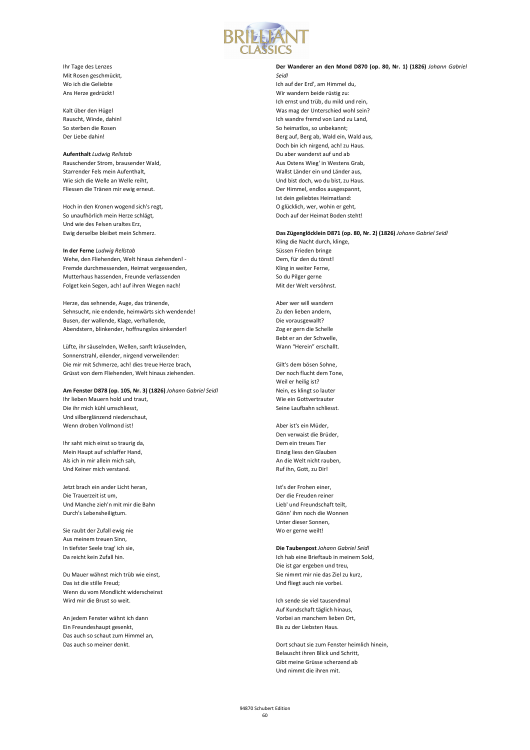

Ihr Tage des Lenzes Mit Rosen geschmückt, Wo ich die Geliebte Ans Herze gedrückt!

Kalt über den Hügel Rauscht, Winde, dahin! So sterben die Rosen Der Liebe dahin!

## Aufenthalt Ludwig Rellstab

Rauschender Strom, brausender Wald, Starrender Fels mein Aufenthalt, Wie sich die Welle an Welle reiht, Fliessen die Tränen mir ewig erneut.

Hoch in den Kronen wogend sich's regt, So unaufhörlich mein Herze schlägt, Und wie des Felsen uraltes Erz, Ewig derselbe bleibet mein Schmerz.

### In der Ferne Ludwig Rellstab

Wehe, den Fliehenden, Welt hinaus ziehenden! - Fremde durchmessenden, Heimat vergessenden, Mutterhaus hassenden, Freunde verlassenden Folget kein Segen, ach! auf ihren Wegen nach!

Herze, das sehnende, Auge, das tränende, Sehnsucht, nie endende, heimwärts sich wendende! Busen, der wallende, Klage, verhallende, Abendstern, blinkender, hoffnungslos sinkender!

Lüfte, ihr säuselnden, Wellen, sanft kräuselnden, Sonnenstrahl, eilender, nirgend verweilender: Die mir mit Schmerze, ach! dies treue Herze brach, Grüsst von dem Fliehenden, Welt hinaus ziehenden.

# Am Fenster D878 (op. 105, Nr. 3) (1826) Johann Gabriel Seidl

Ihr lieben Mauern hold und traut, Die ihr mich kühl umschliesst, Und silberglänzend niederschaut, Wenn droben Vollmond ist!

Ihr saht mich einst so traurig da, Mein Haupt auf schlaffer Hand, Als ich in mir allein mich sah, Und Keiner mich verstand.

Jetzt brach ein ander Licht heran, Die Trauerzeit ist um, Und Manche zieh'n mit mir die Bahn Durch's Lebensheiligtum.

Sie raubt der Zufall ewig nie Aus meinem treuen Sinn, In tiefster Seele trag' ich sie, Da reicht kein Zufall hin.

Du Mauer wähnst mich trüb wie einst, Das ist die stille Freud; Wenn du vom Mondlicht widerscheinst Wird mir die Brust so weit.

An jedem Fenster wähnt ich dann Ein Freundeshaupt gesenkt, Das auch so schaut zum Himmel an, Das auch so meiner denkt.

#### Der Wanderer an den Mond D870 (op. 80, Nr. 1) (1826) Johann Gabriel Seidl

Ich auf der Erd', am Himmel du, Wir wandern beide rüstig zu: Ich ernst und trüb, du mild und rein, Was mag der Unterschied wohl sein? Ich wandre fremd von Land zu Land, So heimatlos, so unbekannt; Berg auf, Berg ab, Wald ein, Wald aus, Doch bin ich nirgend, ach! zu Haus. Du aber wanderst auf und ab Aus Ostens Wieg' in Westens Grab, Wallst Länder ein und Länder aus, Und bist doch, wo du bist, zu Haus. Der Himmel, endlos ausgespannt, Ist dein geliebtes Heimatland: O glücklich, wer, wohin er geht, Doch auf der Heimat Boden steht!

# Das Zügenglöcklein D871 (op. 80, Nr. 2) (1826) Johann Gabriel Seidl

Kling die Nacht durch, klinge, Süssen Frieden bringe Dem, für den du tönst! Kling in weiter Ferne, So du Pilger gerne Mit der Welt versöhnst.

Aber wer will wandern Zu den lieben andern, Die vorausgewallt? Zog er gern die Schelle Bebt er an der Schwelle, Wann "Herein" erschallt.

Gilt's dem bösen Sohne, Der noch flucht dem Tone, Weil er heilig ist? Nein, es klingt so lauter Wie ein Gottvertrauter Seine Laufbahn schliesst.

Aber ist's ein Müder, Den verwaist die Brüder, Dem ein treues Tier Einzig liess den Glauben An die Welt nicht rauben, Ruf ihn, Gott, zu Dir!

Ist's der Frohen einer, Der die Freuden reiner Lieb' und Freundschaft teilt, Gönn' ihm noch die Wonnen Unter dieser Sonnen, Wo er gerne weilt!

Die Taubenpost Johann Gabriel Seidl Ich hab eine Brieftaub in meinem Sold, Die ist gar ergeben und treu, Sie nimmt mir nie das Ziel zu kurz, Und fliegt auch nie vorbei.

Ich sende sie viel tausendmal Auf Kundschaft täglich hinaus, Vorbei an manchem lieben Ort, Bis zu der Liebsten Haus.

Dort schaut sie zum Fenster heimlich hinein, Belauscht ihren Blick und Schritt, Gibt meine Grüsse scherzend ab Und nimmt die ihren mit.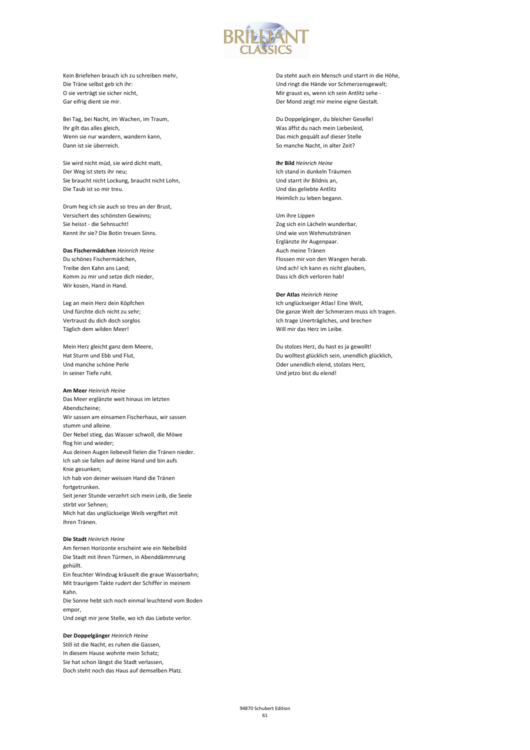

Kein Briefehen brauch ich zu schreiben mehr, Die Träne selbst geb ich ihr: O sie verträgt sie sicher nicht, Gar eifrig dient sie mir.

Bei Tag, bei Nacht, im Wachen, im Traum, Ihr gilt das alles gleich, Wenn sie nur wandern, wandern kann, Dann ist sie überreich.

Sie wird nicht müd, sie wird dicht matt, Der Weg ist stets ihr neu; Sie braucht nicht Lockung, braucht nicht Lohn, Die Taub ist so mir treu.

Drum heg ich sie auch so treu an der Brust, Versichert des schönsten Gewinns; Sie heisst - die Sehnsucht! Kennt ihr sie? Die Botin treuen Sinns.

Das Fischermädchen Heinrich Heine Du schönes Fischermädchen, Treibe den Kahn ans Land; Komm zu mir und setze dich nieder, Wir kosen, Hand in Hand.

Leg an mein Herz dein Köpfchen Und fürchte dich nicht zu sehr; Vertraust du dich doch sorglos Täglich dem wilden Meer!

Mein Herz gleicht ganz dem Meere, Hat Sturm und Ebb und Flut, Und manche schöne Perle In seiner Tiefe ruht.

### Am Meer Heinrich Heine

Das Meer erglänzte weit hinaus im letzten Abendscheine; Wir sassen am einsamen Fischerhaus, wir sassen stumm und alleine. Der Nebel stieg, das Wasser schwoll, die Möwe flog hin und wieder; Aus deinen Augen liebevoll fielen die Tränen nieder. Ich sah sie fallen auf deine Hand und bin aufs Knie gesunken; Ich hab von deiner weissen Hand die Tränen fortgetrunken. Seit jener Stunde verzehrt sich mein Leib, die Seele stirbt vor Sehnen; Mich hat das unglückseIge Weib vergiftet mit ihren Tränen.

## Die Stadt Heinrich Heine

Am fernen Horizonte erscheint wie ein Nebelbild Die Stadt mit ihren Türmen, in Abenddämmrung gehüllt. Ein feuchter Windzug kräuselt die graue Wasserbahn; Mit traurigem Takte rudert der Schiffer in meinem Kahn. Die Sonne hebt sich noch einmal leuchtend vom Boden empor, Und zeigt mir jene Stelle, wo ich das Liebste verlor.

### Der Doppelgänger Heinrich Heine

Still ist die Nacht, es ruhen die Gassen, In diesem Hause wohnte mein Schatz; Sie hat schon längst die Stadt verlassen, Doch steht noch das Haus auf demselben Platz. Da steht auch ein Mensch und starrt in die Höhe, Und ringt die Hände vor Schmerzensgewalt; Mir graust es, wenn ich sein Antlitz sehe - Der Mond zeigt mir meine eigne Gestalt.

Du Doppelgänger, du bleicher Geselle! Was äffst du nach mein Liebesleid, Das mich gequält auf dieser Stelle So manche Nacht, in alter Zeit?

# Ihr Bild Heinrich Heine Ich stand in dunkeln Träumen Und starrt ihr Bildnis an, Und das geliebte Antlitz Heimlich zu leben begann.

Um ihre Lippen Zog sich ein Lächeln wunderbar, Und wie von Wehmutstränen Erglänzte ihr Augenpaar. Auch meine Tränen Flossen mir von den Wangen herab. Und ach! ich kann es nicht glauben, Dass ich dich verloren hab!

Der Atlas Heinrich Heine Ich unglückseiger Atlas! Eine Welt, Die ganze Welt der Schmerzen muss ich tragen. Ich trage Unerträgliches, und brechen Will mir das Herz im Leibe.

Du stolzes Herz, du hast es ja gewollt! Du wolltest glücklich sein, unendlich glücklich, Oder unendlich elend, stolzes Herz, Und jetzo bist du elend!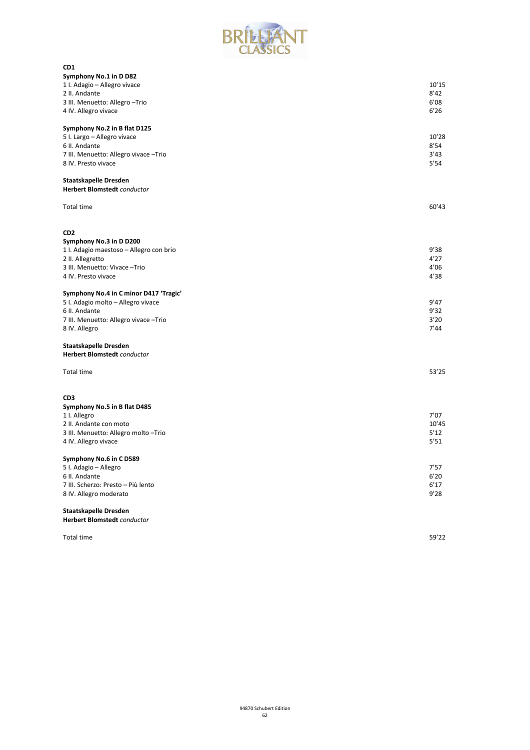

| CD <sub>1</sub>                                               |              |
|---------------------------------------------------------------|--------------|
| Symphony No.1 in D D82<br>1 I. Adagio - Allegro vivace        | 10'15        |
| 2 II. Andante                                                 | 8'42         |
| 3 III. Menuetto: Allegro - Trio                               | 6'08         |
| 4 IV. Allegro vivace                                          | 6'26         |
| Symphony No.2 in B flat D125                                  |              |
| 5 I. Largo - Allegro vivace                                   | 10'28        |
| 6 II. Andante                                                 | 8'54         |
| 7 III. Menuetto: Allegro vivace - Trio                        | 3'43         |
| 8 IV. Presto vivace                                           | 5'54         |
| Staatskapelle Dresden                                         |              |
| <b>Herbert Blomstedt conductor</b>                            |              |
| Total time                                                    | 60'43        |
|                                                               |              |
| CD <sub>2</sub>                                               |              |
| Symphony No.3 in D D200                                       |              |
| 1 I. Adagio maestoso - Allegro con brio                       | 9'38         |
| 2 II. Allegretto<br>3 III. Menuetto: Vivace - Trio            | 4'27<br>4'06 |
| 4 IV. Presto vivace                                           | 4'38         |
|                                                               |              |
| Symphony No.4 in C minor D417 'Tragic'                        |              |
| 5 I. Adagio molto - Allegro vivace                            | 9'47         |
| 6 II. Andante                                                 | 9'32<br>3'20 |
| 7 III. Menuetto: Allegro vivace - Trio<br>8 IV. Allegro       | 7'44         |
|                                                               |              |
| Staatskapelle Dresden                                         |              |
| Herbert Blomstedt conductor                                   |              |
| Total time                                                    | 53'25        |
|                                                               |              |
| CD <sub>3</sub>                                               |              |
| Symphony No.5 in B flat D485                                  |              |
| 1 I. Allegro                                                  | 7'07         |
| 2 II. Andante con moto                                        | 10'45        |
| 3 III. Menuetto: Allegro molto - Trio<br>4 IV. Allegro vivace | 5'12<br>5'51 |
|                                                               |              |
| Symphony No.6 in CD589                                        |              |
| 5 I. Adagio - Allegro                                         | 7'57         |
| 6 II. Andante                                                 | $6'20$       |
| 7 III. Scherzo: Presto - Più lento                            | 6'17<br>9'28 |
| 8 IV. Allegro moderato                                        |              |
| Staatskapelle Dresden                                         |              |
| Herbert Blomstedt conductor                                   |              |
| <b>Total time</b>                                             | 59'22        |
|                                                               |              |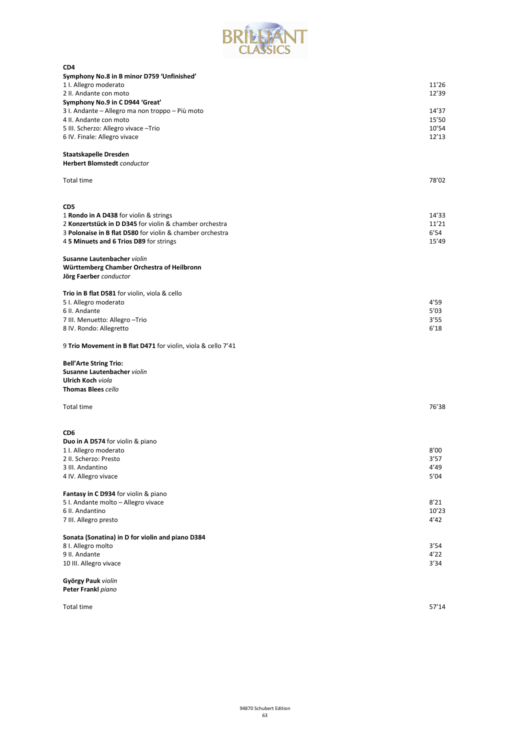

| CD <sub>4</sub>                                                    |              |
|--------------------------------------------------------------------|--------------|
| Symphony No.8 in B minor D759 'Unfinished'                         |              |
| 1 I. Allegro moderato                                              | 11'26        |
| 2 II. Andante con moto                                             | 12'39        |
| Symphony No.9 in C D944 'Great'                                    |              |
| 3 I. Andante – Allegro ma non troppo – Più moto                    | 14'37        |
| 4 II. Andante con moto                                             | 15'50        |
| 5 III. Scherzo: Allegro vivace - Trio                              | 10'54        |
| 6 IV. Finale: Allegro vivace                                       | 12'13        |
|                                                                    |              |
| <b>Staatskapelle Dresden</b><br><b>Herbert Blomstedt conductor</b> |              |
|                                                                    |              |
| Total time                                                         | 78'02        |
|                                                                    |              |
|                                                                    |              |
| CD <sub>5</sub>                                                    |              |
| 1 Rondo in A D438 for violin & strings                             | 14'33        |
| 2 Konzertstück in D D345 for violin & chamber orchestra            | 11'21        |
| 3 Polonaise in B flat D580 for violin & chamber orchestra          | 6'54         |
| 4 5 Minuets and 6 Trios D89 for strings                            | 15'49        |
|                                                                    |              |
| Susanne Lautenbacher violin                                        |              |
| Württemberg Chamber Orchestra of Heilbronn                         |              |
| Jörg Faerber conductor                                             |              |
|                                                                    |              |
| Trio in B flat D581 for violin, viola & cello                      |              |
| 5 I. Allegro moderato                                              | 4'59         |
| 6 II. Andante                                                      | 5'03         |
| 7 III. Menuetto: Allegro - Trio                                    | 3'55<br>6'18 |
| 8 IV. Rondo: Allegretto                                            |              |
| 9 Trio Movement in B flat D471 for violin, viola & cello 7'41      |              |
|                                                                    |              |
| <b>Bell'Arte String Trio:</b>                                      |              |
| Susanne Lautenbacher violin                                        |              |
| <b>Ulrich Koch viola</b>                                           |              |
| Thomas Blees cello                                                 |              |
|                                                                    |              |
| Total time                                                         | 76'38        |
|                                                                    |              |
|                                                                    |              |
| CD <sub>6</sub>                                                    |              |
| Duo in A D574 for violin & piano                                   | 8'00         |
| 1 I. Allegro moderato<br>2 II. Scherzo: Presto                     | 3'57         |
| 3 III. Andantino                                                   | 4'49         |
| 4 IV. Allegro vivace                                               | 5'04         |
|                                                                    |              |
| Fantasy in C D934 for violin & piano                               |              |
| 5 I. Andante molto - Allegro vivace                                | 8'21         |
| 6 II. Andantino                                                    | 10'23        |
| 7 III. Allegro presto                                              | 4'42         |
|                                                                    |              |
| Sonata (Sonatina) in D for violin and piano D384                   |              |
| 8 I. Allegro molto                                                 | 3'54         |
| 9 II. Andante                                                      | 4'22         |
| 10 III. Allegro vivace                                             | 3'34         |
|                                                                    |              |
| György Pauk violin                                                 |              |
| Peter Frankl piano                                                 |              |
|                                                                    |              |
| Total time                                                         | 57'14        |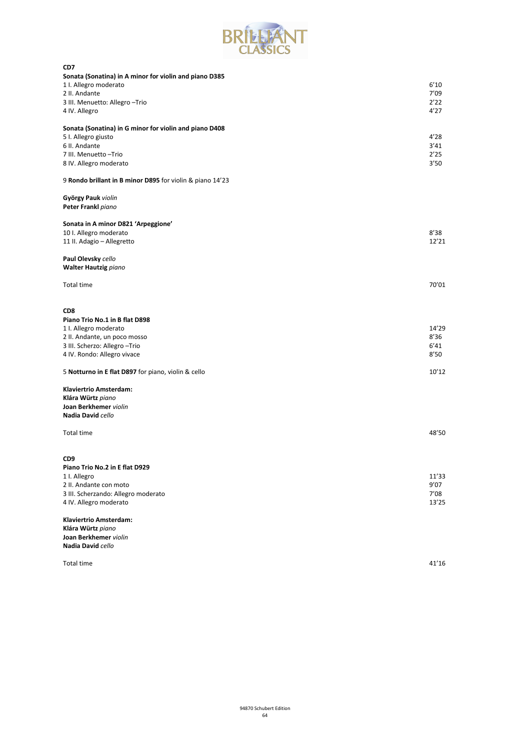

| CD7                                                       |              |
|-----------------------------------------------------------|--------------|
| Sonata (Sonatina) in A minor for violin and piano D385    | 6'10         |
| 1 I. Allegro moderato<br>2 II. Andante                    | 7'09         |
| 3 III. Menuetto: Allegro - Trio                           | 2'22         |
| 4 IV. Allegro                                             | 4'27         |
|                                                           |              |
| Sonata (Sonatina) in G minor for violin and piano D408    |              |
| 5 I. Allegro giusto                                       | 4'28         |
| 6 II. Andante<br>7 III. Menuetto - Trio                   | 3'41<br>2'25 |
| 8 IV. Allegro moderato                                    | 3'50         |
|                                                           |              |
| 9 Rondo brillant in B minor D895 for violin & piano 14'23 |              |
| György Pauk violin                                        |              |
| Peter Frankl piano                                        |              |
| Sonata in A minor D821 'Arpeggione'                       |              |
| 10 I. Allegro moderato                                    | 8'38         |
| 11 II. Adagio - Allegretto                                | 12'21        |
|                                                           |              |
| Paul Olevsky cello                                        |              |
| <b>Walter Hautzig piano</b>                               |              |
| <b>Total time</b>                                         | 70'01        |
|                                                           |              |
|                                                           |              |
| CD <sub>8</sub><br>Piano Trio No.1 in B flat D898         |              |
| 1 I. Allegro moderato                                     | 14'29        |
| 2 II. Andante, un poco mosso                              | 8'36         |
| 3 III. Scherzo: Allegro - Trio                            | 6'41         |
| 4 IV. Rondo: Allegro vivace                               | 8'50         |
| 5 Notturno in E flat D897 for piano, violin & cello       | 10'12        |
|                                                           |              |
| Klaviertrio Amsterdam:                                    |              |
| Klára Würtz piano                                         |              |
| Joan Berkhemer violin                                     |              |
| Nadia David cello                                         |              |
| <b>Total time</b>                                         | 48'50        |
|                                                           |              |
|                                                           |              |
| CD <sub>9</sub><br>Piano Trio No.2 in E flat D929         |              |
| 1 I. Allegro                                              | 11'33        |
| 2 II. Andante con moto                                    | 9'07         |
| 3 III. Scherzando: Allegro moderato                       | 7'08         |
| 4 IV. Allegro moderato                                    | 13'25        |
| <b>Klaviertrio Amsterdam:</b>                             |              |
| Klára Würtz piano                                         |              |
| Joan Berkhemer violin                                     |              |
| Nadia David cello                                         |              |
|                                                           |              |
| Total time                                                | 41'16        |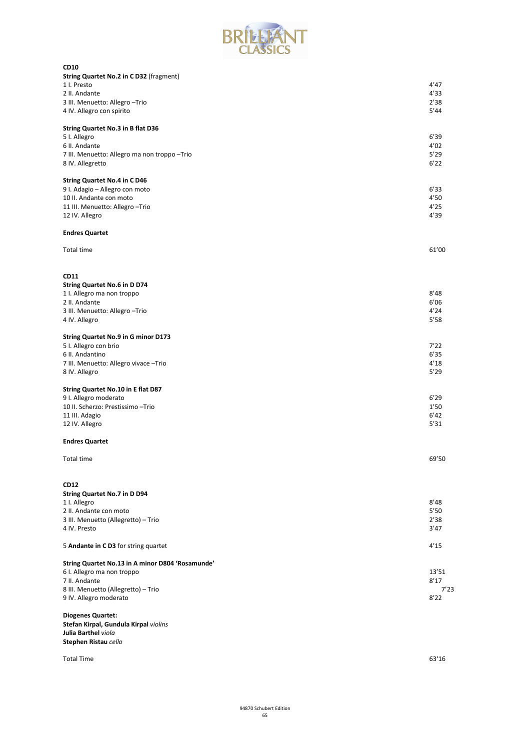

| <b>CD10</b>                                             |              |
|---------------------------------------------------------|--------------|
| <b>String Quartet No.2 in C D32 (fragment)</b>          |              |
| 1 I. Presto<br>2 II. Andante                            | 4'47<br>4'33 |
| 3 III. Menuetto: Allegro - Trio                         | 2'38         |
| 4 IV. Allegro con spirito                               | 5'44         |
|                                                         |              |
| <b>String Quartet No.3 in B flat D36</b>                |              |
| 5 I. Allegro                                            | 6'39         |
| 6 II. Andante                                           | 4'02         |
| 7 III. Menuetto: Allegro ma non troppo - Trio           | 5'29         |
| 8 IV. Allegretto                                        | 6'22         |
| <b>String Quartet No.4 in CD46</b>                      |              |
| 9 I. Adagio - Allegro con moto                          | 6'33         |
| 10 II. Andante con moto                                 | 4'50         |
| 11 III. Menuetto: Allegro-Trio                          | 4'25         |
| 12 IV. Allegro                                          | 4'39         |
|                                                         |              |
| <b>Endres Quartet</b>                                   |              |
|                                                         |              |
| Total time                                              | 61'00        |
|                                                         |              |
| CD11                                                    |              |
| <b>String Quartet No.6 in D D74</b>                     |              |
| 1 I. Allegro ma non troppo                              | 8'48         |
| 2 II. Andante                                           | 6'06         |
| 3 III. Menuetto: Allegro - Trio                         | 4'24         |
| 4 IV. Allegro                                           | 5'58         |
|                                                         |              |
| <b>String Quartet No.9 in G minor D173</b>              |              |
| 5 I. Allegro con brio                                   | 7'22         |
| 6 II. Andantino                                         | 6'35         |
| 7 III. Menuetto: Allegro vivace - Trio<br>8 IV. Allegro | 4'18<br>5'29 |
|                                                         |              |
| String Quartet No.10 in E flat D87                      |              |
| 9 I. Allegro moderato                                   | 6'29         |
| 10 II. Scherzo: Prestissimo - Trio                      | 1'50         |
| 11 III. Adagio                                          | 6'42         |
| 12 IV. Allegro                                          | 5'31         |
|                                                         |              |
| <b>Endres Quartet</b>                                   |              |
|                                                         | 69'50        |
| Total time                                              |              |
|                                                         |              |
| <b>CD12</b>                                             |              |
| String Quartet No.7 in D D94                            |              |
| 1 I. Allegro                                            | 8'48         |
| 2 II. Andante con moto                                  | 5'50         |
| 3 III. Menuetto (Allegretto) - Trio                     | 2'38         |
| 4 IV. Presto                                            | 3'47         |
|                                                         |              |
| 5 Andante in C D3 for string quartet                    | 4'15         |
| String Quartet No.13 in A minor D804 'Rosamunde'        |              |
| 6 I. Allegro ma non troppo                              | 13′51        |
| 7 II. Andante                                           | 8'17         |
| 8 III. Menuetto (Allegretto) - Trio                     | 7'23         |
| 9 IV. Allegro moderato                                  | 8'22         |
|                                                         |              |
| <b>Diogenes Quartet:</b>                                |              |
| Stefan Kirpal, Gundula Kirpal violins                   |              |
| Julia Barthel viola                                     |              |
| Stephen Ristau cello                                    |              |
|                                                         |              |

Total Time 63'16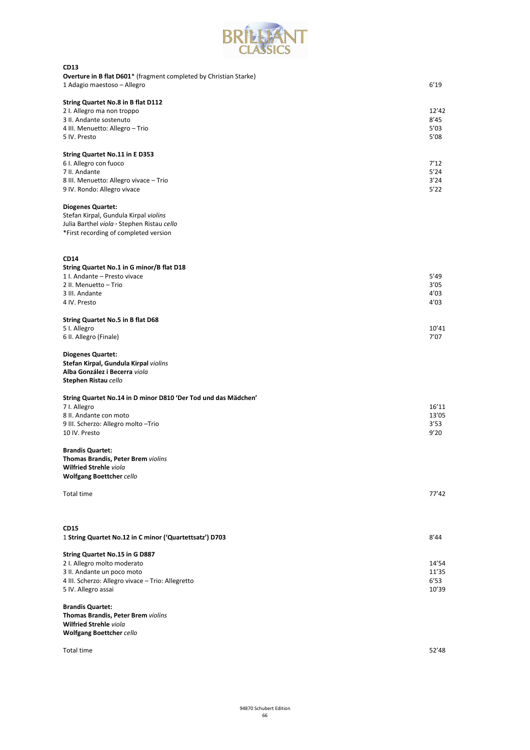

| CD13<br><b>Overture in B flat D601*</b> (fragment completed by Christian Starke)<br>1 Adagio maestoso - Allegro                                                                             | 6'19                            |
|---------------------------------------------------------------------------------------------------------------------------------------------------------------------------------------------|---------------------------------|
| String Quartet No.8 in B flat D112<br>2 I. Allegro ma non troppo<br>3 II. Andante sostenuto<br>4 III. Menuetto: Allegro - Trio<br>5 IV. Presto                                              | 12'42<br>8'45<br>5'03<br>5'08   |
| <b>String Quartet No.11 in E D353</b><br>6 I. Allegro con fuoco<br>7 II. Andante<br>8 III. Menuetto: Allegro vivace - Trio<br>9 IV. Rondo: Allegro vivace                                   | 7'12<br>5'24<br>3'24<br>5'22    |
| <b>Diogenes Quartet:</b><br>Stefan Kirpal, Gundula Kirpal violins<br>Julia Barthel viola · Stephen Ristau cello<br>*First recording of completed version                                    |                                 |
| CD14<br>String Quartet No.1 in G minor/B flat D18<br>1 I. Andante - Presto vivace<br>2 II. Menuetto - Trio<br>3 III. Andante<br>4 IV. Presto                                                | 5'49<br>3'05<br>4'03<br>4'03    |
| <b>String Quartet No.5 in B flat D68</b><br>5 I. Allegro<br>6 II. Allegro (Finale)                                                                                                          | 10'41<br>7'07                   |
| <b>Diogenes Quartet:</b><br>Stefan Kirpal, Gundula Kirpal violins<br>Alba González i Becerra viola<br>Stephen Ristau cello                                                                  |                                 |
| String Quartet No.14 in D minor D810 'Der Tod und das Mädchen'<br>7 I. Allegro<br>8 II. Andante con moto<br>9 III. Scherzo: Allegro molto -Trio<br>10 IV. Presto<br><b>Brandis Quartet:</b> | 16'11<br>13'05<br>3'53<br>9'20  |
| Thomas Brandis, Peter Brem violins<br>Wilfried Strehle viola<br><b>Wolfgang Boettcher cello</b>                                                                                             |                                 |
| Total time                                                                                                                                                                                  | 77'42                           |
| <b>CD15</b><br>1 String Quartet No.12 in C minor ('Quartettsatz') D703                                                                                                                      | 8'44                            |
| String Quartet No.15 in G D887<br>2 I. Allegro molto moderato<br>3 II. Andante un poco moto<br>4 III. Scherzo: Allegro vivace - Trio: Allegretto<br>5 IV. Allegro assai                     | 14'54<br>11'35<br>6'53<br>10'39 |
| <b>Brandis Quartet:</b><br>Thomas Brandis, Peter Brem violins<br>Wilfried Strehle viola<br><b>Wolfgang Boettcher cello</b>                                                                  |                                 |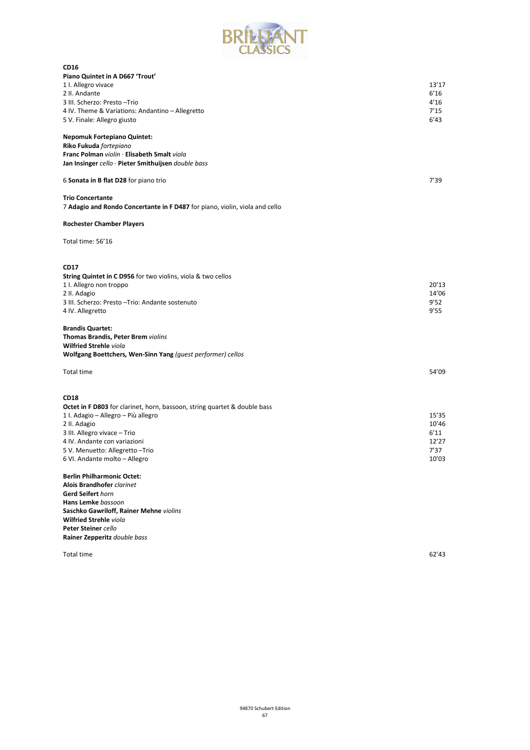

| CD16                                                                             |       |
|----------------------------------------------------------------------------------|-------|
| Piano Quintet in A D667 'Trout'                                                  |       |
| 1 I. Allegro vivace                                                              | 13'17 |
| 2 II. Andante                                                                    | 6'16  |
| 3 III. Scherzo: Presto - Trio                                                    | 4'16  |
| 4 IV. Theme & Variations: Andantino - Allegretto                                 | 7'15  |
| 5 V. Finale: Allegro giusto                                                      | 6'43  |
|                                                                                  |       |
| <b>Nepomuk Fortepiano Quintet:</b>                                               |       |
| Riko Fukuda fortepiano                                                           |       |
| Franc Polman violin · Elisabeth Smalt viola                                      |       |
|                                                                                  |       |
| Jan Insinger cello · Pieter Smithuijsen double bass                              |       |
| 6 Sonata in B flat D28 for piano trio                                            | 7'39  |
|                                                                                  |       |
| <b>Trio Concertante</b>                                                          |       |
| 7 Adagio and Rondo Concertante in F D487 for piano, violin, viola and cello      |       |
| <b>Rochester Chamber Players</b>                                                 |       |
| Total time: 56'16                                                                |       |
|                                                                                  |       |
|                                                                                  |       |
| <b>CD17</b>                                                                      |       |
| String Quintet in C D956 for two violins, viola & two cellos                     |       |
| 1 I. Allegro non troppo                                                          | 20'13 |
| 2 II. Adagio                                                                     | 14'06 |
| 3 III. Scherzo: Presto - Trio: Andante sostenuto                                 | 9'52  |
| 4 IV. Allegretto                                                                 | 9'55  |
|                                                                                  |       |
| <b>Brandis Quartet:</b>                                                          |       |
| Thomas Brandis, Peter Brem violins                                               |       |
| Wilfried Strehle viola                                                           |       |
| Wolfgang Boettchers, Wen-Sinn Yang (guest performer) cellos                      |       |
|                                                                                  |       |
| Total time                                                                       | 54'09 |
|                                                                                  |       |
|                                                                                  |       |
| <b>CD18</b>                                                                      |       |
| <b>Octet in F D803</b> for clarinet, horn, bassoon, string quartet & double bass |       |
| 1 I. Adagio – Allegro – Più allegro                                              | 15'35 |
| 2 II. Adagio                                                                     | 10'46 |
|                                                                                  | 6'11  |
| 3 III. Allegro vivace - Trio                                                     |       |
| 4 IV. Andante con variazioni                                                     | 12'27 |
| 5 V. Menuetto: Allegretto - Trio                                                 | 7'37  |
| 6 VI. Andante molto - Allegro                                                    | 10'03 |
| <b>Berlin Philharmonic Octet:</b>                                                |       |
|                                                                                  |       |
| Alois Brandhofer clarinet                                                        |       |
| <b>Gerd Seifert horn</b>                                                         |       |
| Hans Lemke bassoon                                                               |       |
| Saschko Gawriloff, Rainer Mehne violins                                          |       |
| Wilfried Strehle viola                                                           |       |
| Peter Steiner cello                                                              |       |
| Rainer Zepperitz double bass                                                     |       |
|                                                                                  |       |
| Total time                                                                       | 62'43 |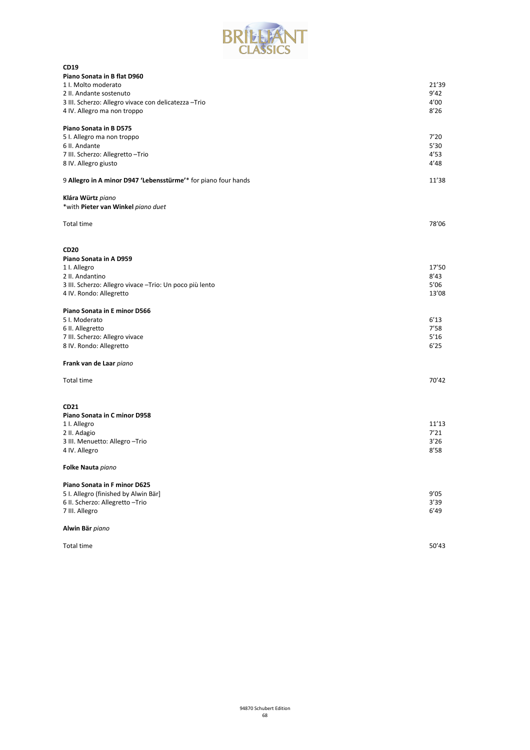

| <b>CD19</b>                                                                          |              |
|--------------------------------------------------------------------------------------|--------------|
| Piano Sonata in B flat D960                                                          |              |
| 1 I. Molto moderato                                                                  | 21'39        |
| 2 II. Andante sostenuto                                                              | 9'42         |
| 3 III. Scherzo: Allegro vivace con delicatezza - Trio<br>4 IV. Allegro ma non troppo | 4'00<br>8'26 |
|                                                                                      |              |
| Piano Sonata in B D575                                                               |              |
| 5 I. Allegro ma non troppo                                                           | 7'20         |
| 6 II. Andante                                                                        | 5'30         |
| 7 III. Scherzo: Allegretto - Trio                                                    | 4'53         |
| 8 IV. Allegro giusto                                                                 | 4′48         |
| 9 Allegro in A minor D947 'Lebensstürme'* for piano four hands                       | 11'38        |
| Klára Würtz piano                                                                    |              |
| *with Pieter van Winkel piano duet                                                   |              |
|                                                                                      |              |
| Total time                                                                           | 78'06        |
|                                                                                      |              |
| <b>CD20</b>                                                                          |              |
| Piano Sonata in A D959                                                               |              |
| 1 I. Allegro                                                                         | 17'50        |
| 2 II. Andantino                                                                      | 8'43         |
| 3 III. Scherzo: Allegro vivace - Trio: Un poco più lento                             | 5'06         |
| 4 IV. Rondo: Allegretto                                                              | 13'08        |
| Piano Sonata in E minor D566                                                         |              |
| 5 I. Moderato                                                                        | 6'13         |
| 6 II. Allegretto                                                                     | 7'58         |
| 7 III. Scherzo: Allegro vivace                                                       | 5'16         |
| 8 IV. Rondo: Allegretto                                                              | 6'25         |
|                                                                                      |              |
| Frank van de Laar piano                                                              |              |
|                                                                                      | 70'42        |
| Total time                                                                           |              |
|                                                                                      |              |
| <b>CD21</b>                                                                          |              |
| Piano Sonata in C minor D958                                                         |              |
| 1 I. Allegro                                                                         | 11'13        |
| 2 II. Adagio                                                                         | 7'21         |
| 3 III. Menuetto: Allegro - Trio                                                      | 3'26         |
| 4 IV. Allegro                                                                        | 8'58         |
| Folke Nauta piano                                                                    |              |
| Piano Sonata in F minor D625                                                         |              |
| 5 I. Allegro (finished by Alwin Bär]                                                 | 9'05         |
| 6 II. Scherzo: Allegretto - Trio                                                     | 3'39         |
| 7 III. Allegro                                                                       | 6'49         |
| Alwin Bär piano                                                                      |              |
|                                                                                      |              |
| Total time                                                                           | 50'43        |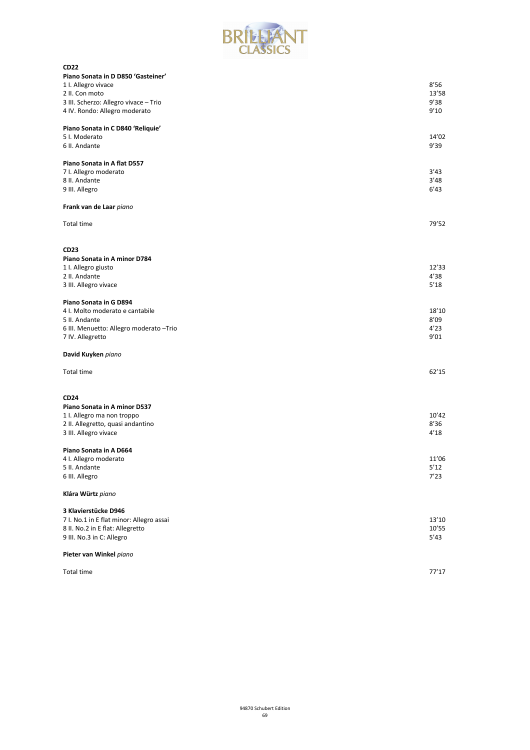

| <b>CD22</b>                                                  |                |
|--------------------------------------------------------------|----------------|
| Piano Sonata in D D850 'Gasteiner'<br>1 I. Allegro vivace    | 8'56           |
| 2 II. Con moto                                               | 13'58          |
| 3 III. Scherzo: Allegro vivace - Trio                        | 9'38<br>9'10   |
| 4 IV. Rondo: Allegro moderato                                |                |
| Piano Sonata in C D840 'Reliquie'                            |                |
| 5 I. Moderato<br>6 II. Andante                               | 14'02<br>9'39  |
|                                                              |                |
| Piano Sonata in A flat D557                                  |                |
| 7 I. Allegro moderato                                        | 3'43           |
| 8 II. Andante<br>9 III. Allegro                              | 3'48<br>6'43   |
|                                                              |                |
| Frank van de Laar piano                                      |                |
| Total time                                                   | 79'52          |
|                                                              |                |
| <b>CD23</b>                                                  |                |
| Piano Sonata in A minor D784                                 |                |
| 1 I. Allegro giusto                                          | 12'33          |
| 2 II. Andante                                                | 4'38           |
| 3 III. Allegro vivace                                        | 5'18           |
| Piano Sonata in G D894                                       |                |
| 4 I. Molto moderato e cantabile                              | 18'10          |
| 5 II. Andante                                                | 8'09<br>4'23   |
| 6 III. Menuetto: Allegro moderato - Trio<br>7 IV. Allegretto | 9'01           |
|                                                              |                |
| David Kuyken piano                                           |                |
| Total time                                                   | 62'15          |
|                                                              |                |
| <b>CD24</b>                                                  |                |
| Piano Sonata in A minor D537                                 |                |
| 1 I. Allegro ma non troppo                                   | 10'42          |
| 2 II. Allegretto, quasi andantino<br>3 III. Allegro vivace   | 8'36<br>4'18   |
|                                                              |                |
| Piano Sonata in A D664                                       |                |
| 4 I. Allegro moderato                                        | 11'06          |
| 5 II. Andante<br>6 III. Allegro                              | $5'12$<br>7'23 |
|                                                              |                |
| Klára Würtz piano                                            |                |
| 3 Klavierstücke D946                                         |                |
| 7 I. No.1 in E flat minor: Allegro assai                     | 13'10          |
| 8 II. No.2 in E flat: Allegretto                             | 10'55          |
| 9 III. No.3 in C: Allegro                                    | 5'43           |
| Pieter van Winkel piano                                      |                |
| Total time                                                   | 77'17          |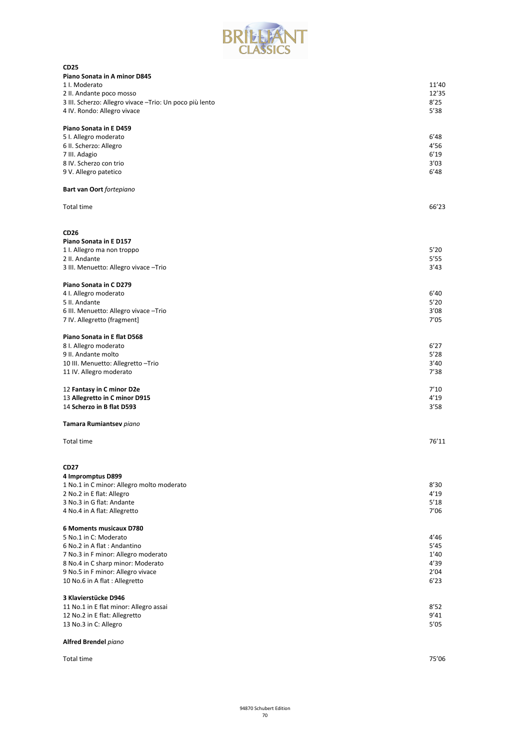

| <b>CD25</b>                                              |       |
|----------------------------------------------------------|-------|
| Piano Sonata in A minor D845                             |       |
| 1 I. Moderato                                            | 11'40 |
| 2 II. Andante poco mosso                                 | 12'35 |
| 3 III. Scherzo: Allegro vivace - Trio: Un poco più lento | 8'25  |
| 4 IV. Rondo: Allegro vivace                              | 5'38  |
| Piano Sonata in E D459                                   |       |
| 5 I. Allegro moderato                                    | 6'48  |
| 6 II. Scherzo: Allegro                                   | 4'56  |
| 7 III. Adagio                                            | 6'19  |
| 8 IV. Scherzo con trio                                   | 3'03  |
| 9 V. Allegro patetico                                    | 6'48  |
| Bart van Oort fortepiano                                 |       |
| <b>Total time</b>                                        | 66'23 |
| CD <sub>26</sub>                                         |       |
| Piano Sonata in E D157                                   |       |
| 1 I. Allegro ma non troppo                               | 5'20  |
| 2 II. Andante                                            | 5'55  |
| 3 III. Menuetto: Allegro vivace - Trio                   | 3'43  |
| Piano Sonata in CD279                                    |       |
| 4 I. Allegro moderato                                    | 6'40  |
| 5 II. Andante                                            | 5'20  |
| 6 III. Menuetto: Allegro vivace - Trio                   | 3'08  |
| 7 IV. Allegretto (fragment]                              | 7'05  |
| Piano Sonata in E flat D568                              |       |
| 8 I. Allegro moderato                                    | 6'27  |
| 9 II. Andante molto                                      | 5'28  |
| 10 III. Menuetto: Allegretto-Trio                        | 3'40  |
| 11 IV. Allegro moderato                                  | 7'38  |
| 12 Fantasy in C minor D2e                                | 7'10  |
| 13 Allegretto in C minor D915                            | 4'19  |
| 14 Scherzo in B flat D593                                | 3'58  |
|                                                          |       |
| Tamara Rumiantsev piano                                  |       |
| Total time                                               | 76'11 |
|                                                          |       |
| <b>CD27</b>                                              |       |
| 4 Impromptus D899                                        |       |
| 1 No.1 in C minor: Allegro molto moderato                | 8'30  |
| 2 No.2 in E flat: Allegro                                | 4'19  |
| 3 No.3 in G flat: Andante                                | 5'18  |
| 4 No.4 in A flat: Allegretto                             | 7'06  |
| 6 Moments musicaux D780                                  |       |
| 5 No.1 in C: Moderato                                    | 4'46  |
| 6 No.2 in A flat : Andantino                             | 5'45  |
| 7 No.3 in F minor: Allegro moderato                      | 1'40  |
| 8 No.4 in C sharp minor: Moderato                        | 4'39  |
| 9 No.5 in F minor: Allegro vivace                        | 2'04  |
| 10 No.6 in A flat : Allegretto                           | 6'23  |
| 3 Klavierstücke D946                                     |       |
| 11 No.1 in E flat minor: Allegro assai                   | 8'52  |
| 12 No.2 in E flat: Allegretto                            | 9'41  |
| 13 No.3 in C: Allegro                                    | 5'05  |
| <b>Alfred Brendel piano</b>                              |       |
|                                                          |       |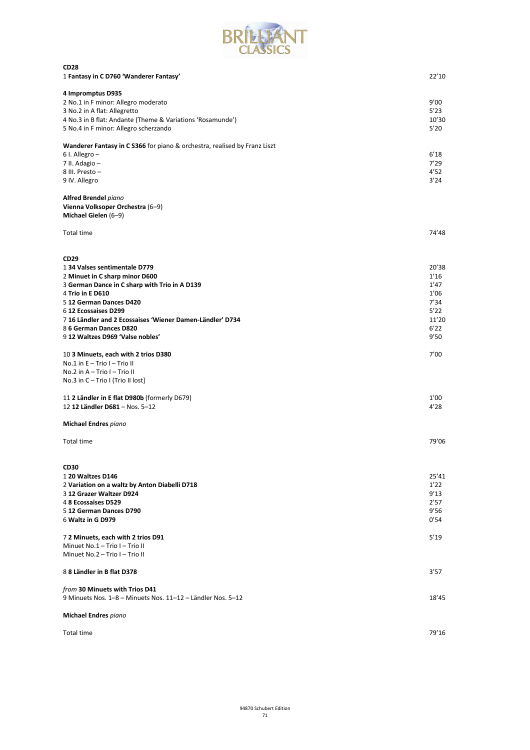

| <b>CD28</b><br>1 Fantasy in C D760 'Wanderer Fantasy'                                                                                                                                                                                                                                                                        | 22'10                                                                  |
|------------------------------------------------------------------------------------------------------------------------------------------------------------------------------------------------------------------------------------------------------------------------------------------------------------------------------|------------------------------------------------------------------------|
| 4 Impromptus D935<br>2 No.1 in F minor: Allegro moderato<br>3 No.2 in A flat: Allegretto<br>4 No.3 in B flat: Andante (Theme & Variations 'Rosamunde')<br>5 No.4 in F minor: Allegro scherzando                                                                                                                              | 9'00<br>5'23<br>10'30<br>5′20                                          |
| Wanderer Fantasy in C S366 for piano & orchestra, realised by Franz Liszt<br>$6$ I. Allegro –<br>7 II. Adagio -<br>8 III. Presto-<br>9 IV. Allegro                                                                                                                                                                           | 6'18<br>7'29<br>4'52<br>3'24                                           |
| <b>Alfred Brendel piano</b><br>Vienna Volksoper Orchestra (6-9)<br>Michael Gielen (6-9)                                                                                                                                                                                                                                      |                                                                        |
| <b>Total time</b>                                                                                                                                                                                                                                                                                                            | 74'48                                                                  |
| <b>CD29</b><br>134 Valses sentimentale D779<br>2 Minuet in C sharp minor D600<br>3 German Dance in C sharp with Trio in A D139<br>4 Trio in E D610<br>512 German Dances D420<br>6 12 Ecossaises D299<br>716 Ländler and 2 Ecossaises 'Wiener Damen-Ländler' D734<br>86 German Dances D820<br>912 Waltzes D969 'Valse nobles' | 20'38<br>1'16<br>1'47<br>1'06<br>7'34<br>5'22<br>11'20<br>6'22<br>9'50 |
| 10 3 Minuets, each with 2 trios D380<br>No.1 in E - Trio I - Trio II<br>No.2 in A - Trio I - Trio II<br>No.3 in $C -$ Trio I (Trio II lost)                                                                                                                                                                                  | 7'00                                                                   |
| 11 2 Ländler in E flat D980b (formerly D679)<br>12 12 Ländler D681 - Nos. 5-12                                                                                                                                                                                                                                               | 1'00<br>4'28                                                           |
| Michael Endres piano                                                                                                                                                                                                                                                                                                         |                                                                        |
| Total time                                                                                                                                                                                                                                                                                                                   | 79'06                                                                  |
| <b>CD30</b><br>1 20 Waltzes D146<br>2 Variation on a waltz by Anton Diabelli D718<br>3 12 Grazer Waltzer D924<br>48 Ecossaises D529<br>512 German Dances D790<br>6 Waltz in G D979                                                                                                                                           | 25'41<br>1'22<br>9'13<br>2'57<br>9'56<br>0'54                          |
| 72 Minuets, each with 2 trios D91<br>Minuet No.1 - Trio I - Trio II<br>Minuet No.2 - Trio I - Trio II                                                                                                                                                                                                                        | 5'19                                                                   |
| 88 Ländler in B flat D378                                                                                                                                                                                                                                                                                                    | 3'57                                                                   |
| from 30 Minuets with Trios D41<br>9 Minuets Nos. 1-8 - Minuets Nos. 11-12 - Ländler Nos. 5-12                                                                                                                                                                                                                                | 18'45                                                                  |
| Michael Endres piano                                                                                                                                                                                                                                                                                                         |                                                                        |
| Total time                                                                                                                                                                                                                                                                                                                   | 79'16                                                                  |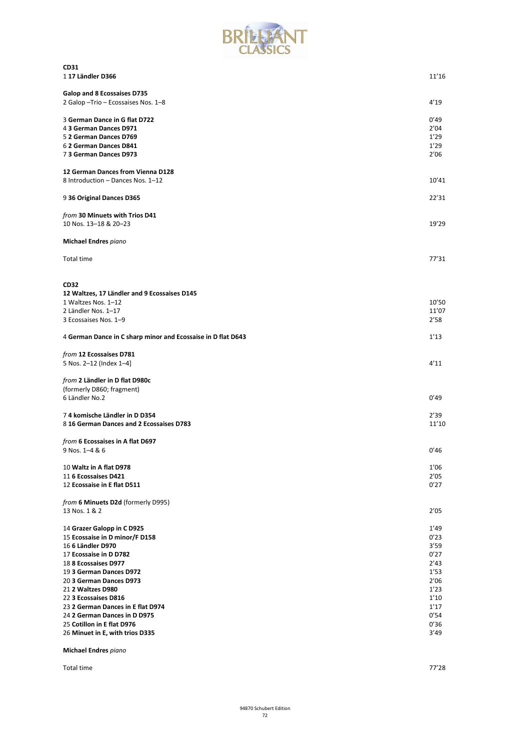

| <b>CD31</b><br>117 Ländler D366                                                                                                                                                                                                                                                                                                                                             | 11'16                                                                                                |
|-----------------------------------------------------------------------------------------------------------------------------------------------------------------------------------------------------------------------------------------------------------------------------------------------------------------------------------------------------------------------------|------------------------------------------------------------------------------------------------------|
| Galop and 8 Ecossaises D735<br>2 Galop - Trio - Ecossaises Nos. 1-8                                                                                                                                                                                                                                                                                                         | 4'19                                                                                                 |
| 3 German Dance in G flat D722<br>4 3 German Dances D971<br>5 2 German Dances D769<br>6 2 German Dances D841<br>73 German Dances D973                                                                                                                                                                                                                                        | 0'49<br>2'04<br>1'29<br>1'29<br>2'06                                                                 |
| 12 German Dances from Vienna D128<br>8 Introduction - Dances Nos. 1-12                                                                                                                                                                                                                                                                                                      | 10'41                                                                                                |
| 9 36 Original Dances D365                                                                                                                                                                                                                                                                                                                                                   | 22'31                                                                                                |
| from 30 Minuets with Trios D41<br>10 Nos. 13-18 & 20-23                                                                                                                                                                                                                                                                                                                     | 19'29                                                                                                |
| Michael Endres piano                                                                                                                                                                                                                                                                                                                                                        |                                                                                                      |
| <b>Total time</b>                                                                                                                                                                                                                                                                                                                                                           | 77'31                                                                                                |
| <b>CD32</b><br>12 Waltzes, 17 Ländler and 9 Ecossaises D145<br>1 Waltzes Nos. 1-12<br>2 Ländler Nos. 1-17<br>3 Ecossaises Nos. 1-9                                                                                                                                                                                                                                          | 10'50<br>11'07<br>2'58                                                                               |
| 4 German Dance in C sharp minor and Ecossaise in D flat D643                                                                                                                                                                                                                                                                                                                | 1'13                                                                                                 |
| from 12 Ecossaises D781<br>5 Nos. 2-12 (Index 1-4)                                                                                                                                                                                                                                                                                                                          | 4'11                                                                                                 |
| from 2 Ländler in D flat D980c<br>(formerly D860; fragment)<br>6 Ländler No.2                                                                                                                                                                                                                                                                                               | 0'49                                                                                                 |
| 74 komische Ländler in D D354<br>816 German Dances and 2 Ecossaises D783                                                                                                                                                                                                                                                                                                    | 2'39<br>11'10                                                                                        |
| from 6 Ecossaises in A flat D697<br>9 Nos. 1-4 & 6                                                                                                                                                                                                                                                                                                                          | 0'46                                                                                                 |
| 10 Waltz in A flat D978<br>11 6 Ecossaises D421<br>12 Ecossaise in E flat D511                                                                                                                                                                                                                                                                                              | 1'06<br>2'05<br>0'27                                                                                 |
| from 6 Minuets D2d (formerly D995)<br>13 Nos. 1 & 2                                                                                                                                                                                                                                                                                                                         | 2'05                                                                                                 |
| 14 Grazer Galopp in C D925<br>15 Ecossaise in D minor/F D158<br>16 6 Ländler D970<br>17 Ecossaise in D D782<br>188 Ecossaises D977<br>19 3 German Dances D972<br>20 3 German Dances D973<br>21 2 Waltzes D980<br>22 3 Ecossaises D816<br>23 2 German Dances in E flat D974<br>24 2 German Dances in D D975<br>25 Cotillon in E flat D976<br>26 Minuet in E, with trios D335 | 1'49<br>0'23<br>3'59<br>0'27<br>2'43<br>1'53<br>2'06<br>1'23<br>1'10<br>1'17<br>0'54<br>0'36<br>3'49 |
|                                                                                                                                                                                                                                                                                                                                                                             |                                                                                                      |

Michael Endres piano

Total time 77'28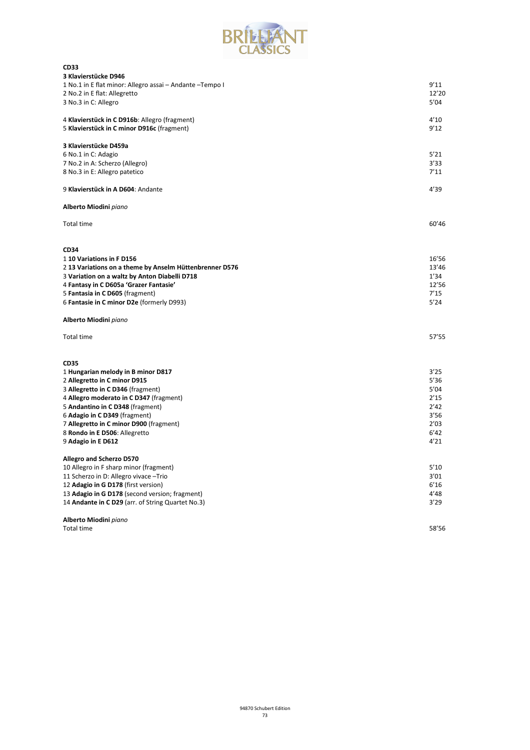

CD<sub>33</sub>

| 3 Klavierstücke D946                                      |       |
|-----------------------------------------------------------|-------|
| 1 No.1 in E flat minor: Allegro assai - Andante - Tempo I | 9'11  |
| 2 No.2 in E flat: Allegretto                              | 12'20 |
| 3 No.3 in C: Allegro                                      | 5'04  |
| 4 Klavierstück in C D916b: Allegro (fragment)             | 4'10  |
| 5 Klavierstück in C minor D916c (fragment)                | 9'12  |
|                                                           |       |
| 3 Klavierstücke D459a                                     |       |
| 6 No.1 in C: Adagio                                       | 5'21  |
| 7 No.2 in A: Scherzo (Allegro)                            | 3'33  |
| 8 No.3 in E: Allegro patetico                             | 7'11  |
| 9 Klavierstück in A D604: Andante                         | 4'39  |
| Alberto Miodini piano                                     |       |
| Total time                                                | 60'46 |
|                                                           |       |
|                                                           |       |
| <b>CD34</b>                                               |       |
| 110 Variations in FD156                                   | 16'56 |
| 213 Variations on a theme by Anselm Hüttenbrenner D576    | 13'46 |
| 3 Variation on a waltz by Anton Diabelli D718             | 1'34  |
| 4 Fantasy in C D605a 'Grazer Fantasie'                    | 12'56 |
| 5 Fantasia in C D605 (fragment)                           | 7'15  |
| 6 Fantasie in C minor D2e (formerly D993)                 | 5'24  |
| Alberto Miodini piano                                     |       |
|                                                           |       |
| Total time                                                | 57'55 |
|                                                           |       |
| <b>CD35</b>                                               |       |
| 1 Hungarian melody in B minor D817                        | 3'25  |
| 2 Allegretto in C minor D915                              | 5'36  |
| 3 Allegretto in C D346 (fragment)                         | 5'04  |
| 4 Allegro moderato in C D347 (fragment)                   | 2'15  |
| 5 Andantino in C D348 (fragment)                          | 2'42  |
| 6 Adagio in C D349 (fragment)                             | 3'56  |
| 7 Allegretto in C minor D900 (fragment)                   | 2'03  |
| 8 Rondo in E D506: Allegretto                             | 6'42  |
| 9 Adagio in E D612                                        | 4'21  |
|                                                           |       |
| <b>Allegro and Scherzo D570</b>                           |       |
| 10 Allegro in F sharp minor (fragment)                    | 5'10  |
| 11 Scherzo in D: Allegro vivace - Trio                    | 3'01  |
| 12 Adagio in G D178 (first version)                       | 6'16  |
| 13 Adagio in G D178 (second version; fragment)            | 4'48  |
| 14 Andante in C D29 (arr. of String Quartet No.3)         | 3'29  |
|                                                           |       |
| Alberto Miodini piano                                     | 58'56 |
| Total time                                                |       |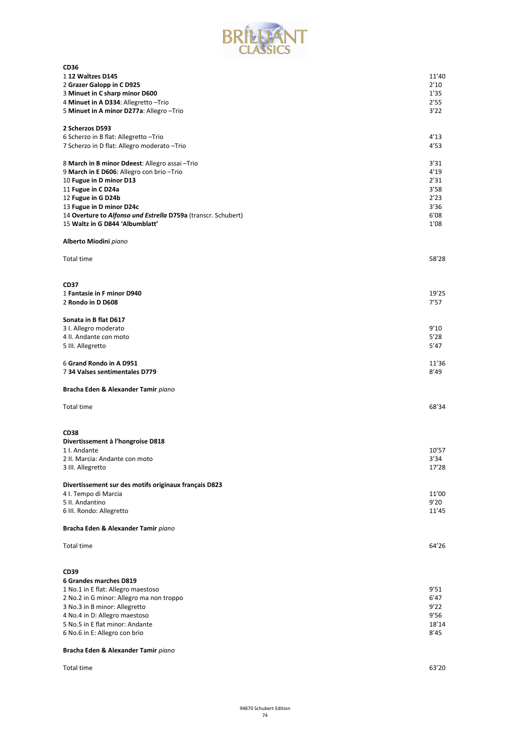

| <b>CD36</b>                                                   |               |
|---------------------------------------------------------------|---------------|
| 1 12 Waltzes D145                                             | 11'40         |
| 2 Grazer Galopp in C D925                                     | 2'10          |
| 3 Minuet in C sharp minor D600                                | 1'35          |
| 4 Minuet in A D334: Allegretto - Trio                         | 2'55          |
| 5 Minuet in A minor D277a: Allegro-Trio                       | 3'22          |
| 2 Scherzos D593                                               |               |
| 6 Scherzo in B flat: Allegretto - Trio                        | 4'13          |
| 7 Scherzo in D flat: Allegro moderato - Trio                  | 4'53          |
|                                                               |               |
| 8 March in B minor Ddeest: Allegro assai - Trio               | 3'31          |
| 9 March in E D606: Allegro con brio - Trio                    | 4'19          |
| 10 Fugue in D minor D13                                       | 2'31          |
| 11 Fugue in C D24a                                            | 3'58          |
| 12 Fugue in G D24b                                            | 2'23          |
| 13 Fugue in D minor D24c                                      | 3'36          |
| 14 Overture to Alfonso und Estrella D759a (transcr. Schubert) | 6'08          |
| 15 Waltz in G D844 'Albumblatt'                               | 1'08          |
| Alberto Miodini piano                                         |               |
|                                                               |               |
| Total time                                                    | 58'28         |
|                                                               |               |
| <b>CD37</b>                                                   |               |
| 1 Fantasie in F minor D940                                    | 19'25         |
| 2 Rondo in D D608                                             | 7'57          |
|                                                               |               |
| Sonata in B flat D617                                         |               |
| 3 I. Allegro moderato                                         | 9'10          |
| 4 II. Andante con moto                                        | 5'28          |
| 5 III. Allegretto                                             | 5'47          |
|                                                               |               |
| 6 Grand Rondo in A D951                                       | 11'36         |
| 7 34 Valses sentimentales D779                                | 8′49          |
|                                                               |               |
| Bracha Eden & Alexander Tamir piano                           |               |
| Total time                                                    | 68'34         |
|                                                               |               |
|                                                               |               |
| <b>CD38</b>                                                   |               |
| Divertissement à l'hongroise D818<br>1 I. Andante             |               |
|                                                               | 10'57         |
| 2 II. Marcia: Andante con moto<br>3 III. Allegretto           | 3'34<br>17'28 |
|                                                               |               |
| Divertissement sur des motifs originaux français D823         |               |
|                                                               |               |
|                                                               |               |
| 4 I. Tempo di Marcia<br>5 II. Andantino                       | 11'00<br>9'20 |
|                                                               | 11'45         |
| 6 III. Rondo: Allegretto                                      |               |
| Bracha Eden & Alexander Tamir piano                           |               |
|                                                               |               |
| Total time                                                    | 64'26         |
|                                                               |               |
| <b>CD39</b>                                                   |               |
| 6 Grandes marches D819                                        |               |
| 1 No.1 in E flat: Allegro maestoso                            | 9'51          |
| 2 No.2 in G minor: Allegro ma non troppo                      | 6'47          |
| 3 No.3 in B minor: Allegretto                                 | 9'22          |
| 4 No.4 in D: Allegro maestoso                                 | 9'56          |
| 5 No.5 in E flat minor: Andante                               | 18'14         |
| 6 No.6 in E: Allegro con brio                                 | 8'45          |
| Bracha Eden & Alexander Tamir piano                           |               |

Total time 63'20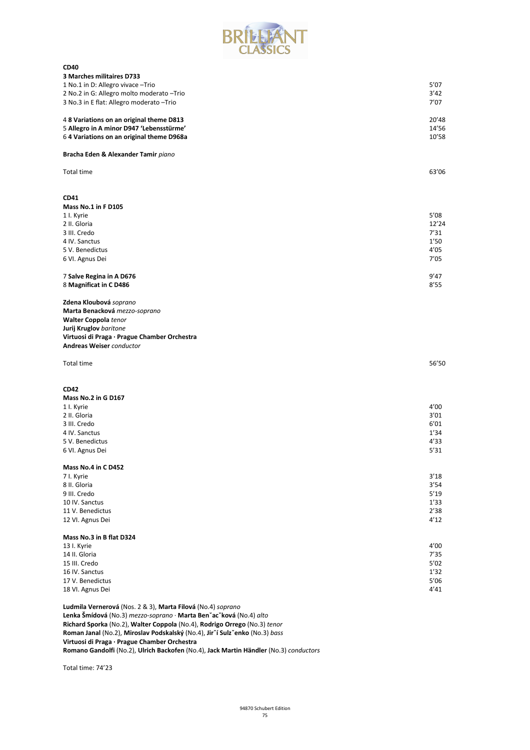

| <b>CD40</b>                                  |       |
|----------------------------------------------|-------|
| 3 Marches militaires D733                    |       |
| 1 No.1 in D: Allegro vivace - Trio           | 5'07  |
| 2 No.2 in G: Allegro molto moderato - Trio   | 3'42  |
| 3 No.3 in E flat: Allegro moderato - Trio    | 7'07  |
| 48 Variations on an original theme D813      | 20'48 |
| 5 Allegro in A minor D947 'Lebensstürme'     | 14'56 |
| 64 Variations on an original theme D968a     | 10'58 |
| Bracha Eden & Alexander Tamir piano          |       |
| Total time                                   | 63'06 |
|                                              |       |
|                                              |       |
| CD41                                         |       |
| Mass No.1 in FD105                           |       |
| 1 I. Kyrie                                   | 5'08  |
| 2 II. Gloria                                 | 12'24 |
| 3 III. Credo                                 | 7'31  |
| 4 IV. Sanctus                                | 1'50  |
| 5 V. Benedictus                              | 4'05  |
| 6 VI. Agnus Dei                              | 7'05  |
| 7 Salve Regina in A D676                     | 9'47  |
| 8 Magnificat in CD486                        | 8'55  |
| Zdena Kloubová soprano                       |       |
| Marta Benacková mezzo-soprano                |       |
| Walter Coppola tenor                         |       |
|                                              |       |
|                                              |       |
| Jurij Kruglov baritone                       |       |
| Virtuosi di Praga · Prague Chamber Orchestra |       |
| <b>Andreas Weiser conductor</b>              |       |
| Total time                                   | 56'50 |
|                                              |       |
| CD42                                         |       |
| Mass No.2 in G D167                          |       |
| 1 I. Kyrie                                   | 4'00  |
| 2 II. Gloria                                 | 3'01  |
| 3 III. Credo                                 | 6'01  |
| 4 IV. Sanctus                                | 1'34  |
| 5 V. Benedictus                              | 4'33  |
| 6 VI. Agnus Dei                              | 5'31  |
| Mass No.4 in C D452                          |       |
| 7 I. Kyrie                                   | 3'18  |
| 8 II. Gloria                                 | 3'54  |
| 9 III. Credo                                 | 5'19  |
| 10 IV. Sanctus                               | 1'33  |
| 11 V. Benedictus                             | 2'38  |
| 12 VI. Agnus Dei                             | 4'12  |
| Mass No.3 in B flat D324                     |       |
| 13 I. Kyrie                                  | 4'00  |
| 14 II. Gloria                                | 7'35  |
| 15 III. Credo                                | 5'02  |
| 16 IV. Sanctus                               | 1'32  |
| 17 V. Benedictus                             | 5'06  |
| 18 VI. Agnus Dei                             | 4'41  |

Ludmila Vernerová (Nos. 2 & 3), Marta Filová (No.4) soprano Lenka Šmídová (No.3) mezzo-soprano · Marta Benˇacˇková (No.4) alto Richard Sporka (No.2), Walter Coppola (No.4), Rodrigo Orrego (No.3) tenor Roman Janal (No.2), Miroslav Podskalský (No.4), Jirˇí Sulzˇenko (No.3) bass Virtuosi di Praga · Prague Chamber Orchestra Romano Gandolfi (No.2), Ulrich Backofen (No.4), Jack Martin Händler (No.3) conductors

Total time: 74'23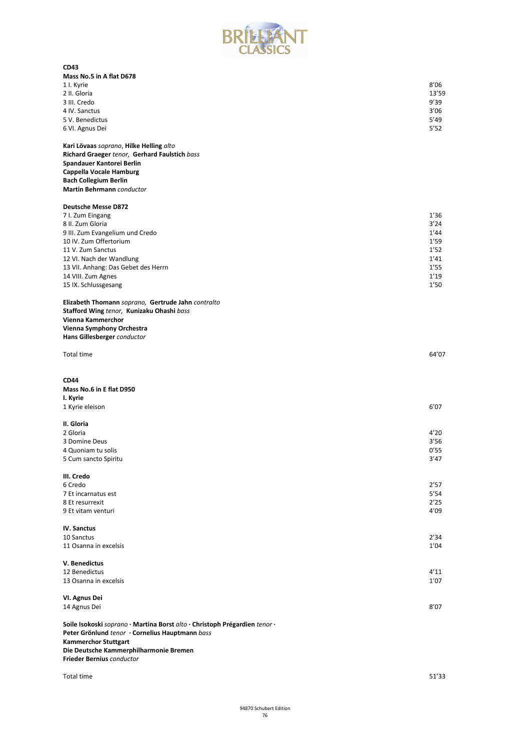

| CD43                                                                       |              |
|----------------------------------------------------------------------------|--------------|
| Mass No.5 in A flat D678                                                   |              |
| 1 I. Kyrie                                                                 | 8'06         |
| 2 II. Gloria                                                               | 13'59        |
| 3 III. Credo                                                               | 9'39         |
| 4 IV. Sanctus                                                              | 3'06         |
| 5 V. Benedictus                                                            | 5'49         |
| 6 VI. Agnus Dei                                                            | 5'52         |
| Kari Lövaas soprano, Hilke Helling alto                                    |              |
| Richard Graeger tenor, Gerhard Faulstich bass                              |              |
| Spandauer Kantorei Berlin                                                  |              |
| Cappella Vocale Hamburg                                                    |              |
| <b>Bach Collegium Berlin</b>                                               |              |
| <b>Martin Behrmann</b> conductor                                           |              |
| <b>Deutsche Messe D872</b>                                                 |              |
| 7 I. Zum Eingang                                                           | 1'36         |
| 8 II. Zum Gloria                                                           | 3'24         |
| 9 III. Zum Evangelium und Credo                                            | 1'44         |
| 10 IV. Zum Offertorium                                                     | 1'59         |
| 11 V. Zum Sanctus                                                          | 1'52         |
| 12 VI. Nach der Wandlung                                                   | 1'41         |
| 13 VII. Anhang: Das Gebet des Herrn                                        | 1'55<br>1'19 |
| 14 VIII. Zum Agnes                                                         | 1'50         |
| 15 IX. Schlussgesang                                                       |              |
| Elizabeth Thomann soprano, Gertrude Jahn contralto                         |              |
| Stafford Wing tenor, Kunizaku Ohashi bass                                  |              |
| Vienna Kammerchor                                                          |              |
| Vienna Symphony Orchestra                                                  |              |
| Hans Gillesberger conductor                                                |              |
| Total time                                                                 | 64'07        |
|                                                                            |              |
| <b>CD44</b>                                                                |              |
| Mass No.6 in E flat D950                                                   |              |
| I. Kyrie                                                                   |              |
| 1 Kyrie eleison                                                            | 6'07         |
|                                                                            |              |
| II. Gloria                                                                 |              |
| 2 Gloria                                                                   | 4'20         |
| 3 Domine Deus                                                              | 3'56         |
| 4 Quoniam tu solis                                                         | 0'55         |
| 5 Cum sancto Spiritu                                                       | 3'47         |
| III. Credo                                                                 |              |
| 6 Credo                                                                    | 2'57         |
| 7 Et incarnatus est                                                        | 5'54         |
| 8 Et resurrexit                                                            | 2'25         |
| 9 Et vitam venturi                                                         | 4'09         |
| <b>IV. Sanctus</b>                                                         |              |
| 10 Sanctus                                                                 | 2'34         |
| 11 Osanna in excelsis                                                      | 1'04         |
| V. Benedictus                                                              |              |
| 12 Benedictus                                                              | 4'11         |
| 13 Osanna in excelsis                                                      | 1'07         |
|                                                                            |              |
| VI. Agnus Dei                                                              |              |
| 14 Agnus Dei                                                               | 8'07         |
| Soile Isokoski soprano · Martina Borst alto · Christoph Prégardien tenor · |              |
|                                                                            |              |
| Peter Grönlund tenor · Cornelius Hauptmann bass                            |              |
| <b>Kammerchor Stuttgart</b>                                                |              |
| Die Deutsche Kammerphilharmonie Bremen                                     |              |

Total time 51'33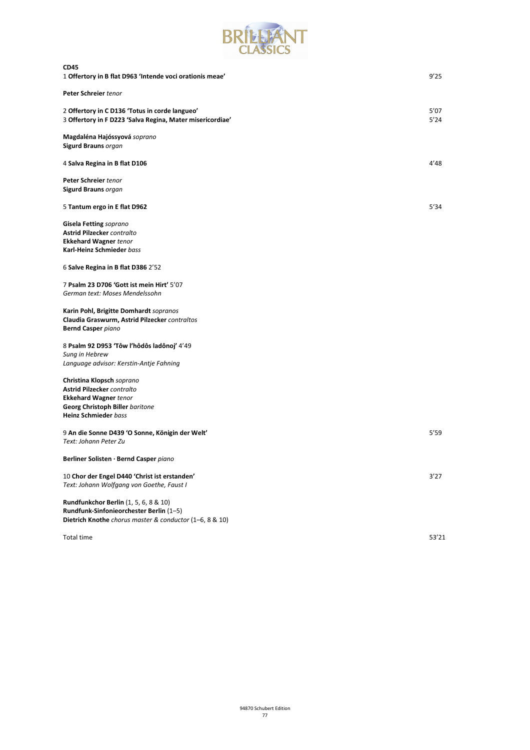

| <b>CD45</b><br>1 Offertory in B flat D963 'Intende voci orationis meae'                                                                                | 9'25         |
|--------------------------------------------------------------------------------------------------------------------------------------------------------|--------------|
| Peter Schreier tenor                                                                                                                                   |              |
| 2 Offertory in C D136 'Totus in corde langueo'<br>3 Offertory in F D223 'Salva Regina, Mater misericordiae'                                            | 5'07<br>5'24 |
| Magdaléna Hajóssyová soprano<br><b>Sigurd Brauns organ</b>                                                                                             |              |
| 4 Salva Regina in B flat D106                                                                                                                          | 4'48         |
| Peter Schreier tenor<br><b>Sigurd Brauns organ</b>                                                                                                     |              |
| 5 Tantum ergo in E flat D962                                                                                                                           | 5'34         |
| Gisela Fetting soprano<br><b>Astrid Pilzecker contralto</b><br><b>Ekkehard Wagner tenor</b><br>Karl-Heinz Schmieder bass                               |              |
| 6 Salve Regina in B flat D386 2'52                                                                                                                     |              |
| 7 Psalm 23 D706 'Gott ist mein Hirt' 5'07<br>German text: Moses Mendelssohn                                                                            |              |
| Karin Pohl, Brigitte Domhardt sopranos<br>Claudia Graswurm, Astrid Pilzecker contraltos<br><b>Bernd Casper piano</b>                                   |              |
| 8 Psalm 92 D953 'Tôw l'hôdôs ladônoj' 4'49<br>Sung in Hebrew                                                                                           |              |
| Language advisor: Kerstin-Antje Fahning                                                                                                                |              |
| Christina Klopsch soprano<br><b>Astrid Pilzecker contralto</b><br>Ekkehard Wagner tenor<br>Georg Christoph Biller baritone<br>Heinz Schmieder bass     |              |
| 9 An die Sonne D439 'O Sonne, Königin der Welt'<br>Text: Johann Peter Zu                                                                               | 5'59         |
| Berliner Solisten · Bernd Casper piano                                                                                                                 |              |
| 10 Chor der Engel D440 'Christ ist erstanden'<br>Text: Johann Wolfgang von Goethe, Faust I                                                             | 3'27         |
| <b>Rundfunkchor Berlin (1, 5, 6, 8 &amp; 10)</b><br>Rundfunk-Sinfonieorchester Berlin (1-5)<br>Dietrich Knothe chorus master & conductor (1-6, 8 & 10) |              |

Total time 53'21 September 2006 and the set of the set of the set of the set of the set of the set of the set of the set of the set of the set of the set of the set of the set of the set of the set of the set of the set of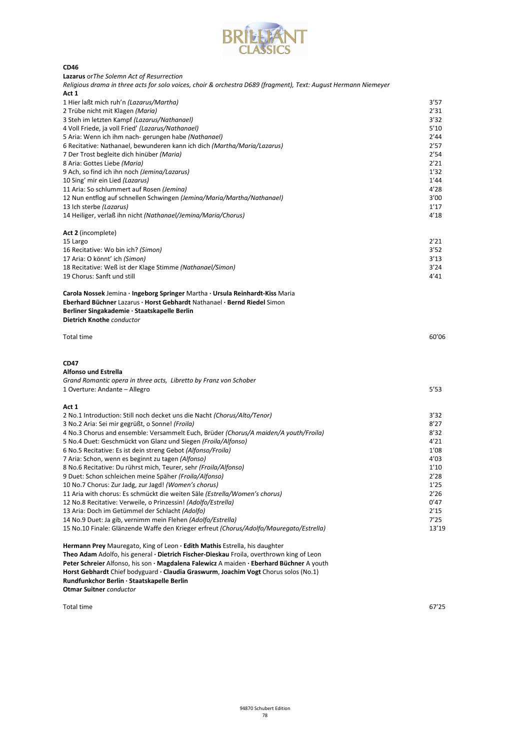

| ٠<br>۰.<br>I<br>۰.<br>×<br>۰.<br>× |
|------------------------------------|
|------------------------------------|

Lazarus orThe Solemn Act of Resurrection Religious drama in three acts for solo voices, choir & orchestra D689 (fragment), Text: August Hermann Niemeyer

| Act 1                                                                    |      |
|--------------------------------------------------------------------------|------|
| 1 Hier laßt mich ruh'n (Lazarus/Martha)                                  | 3'57 |
| 2 Trübe nicht mit Klagen (Maria)                                         | 2'31 |
| 3 Steh im letzten Kampf (Lazarus/Nathanael)                              | 3'32 |
| 4 Voll Friede, ja voll Fried' (Lazarus/Nathanael)                        | 5'10 |
| 5 Aria: Wenn ich ihm nach- gerungen habe (Nathanael)                     | 2'44 |
| 6 Recitative: Nathanael, bewunderen kann ich dich (Martha/Maria/Lazarus) | 2'57 |
| 7 Der Trost begleite dich hinüber (Maria)                                | 2'54 |
| 8 Aria: Gottes Liebe (Maria)                                             | 2'21 |
| 9 Ach, so find ich ihn noch (Jemina/Lazarus)                             | 1'32 |
| 10 Sing' mir ein Lied (Lazarus)                                          | 1'44 |
| 11 Aria: So schlummert auf Rosen (Jemina)                                | 4'28 |
| 12 Nun entflog auf schnellen Schwingen (Jemina/Maria/Martha/Nathanael)   | 3'00 |
| 13 Ich sterbe (Lazarus)                                                  | 1'17 |
| 14 Heiliger, verlaß ihn nicht (Nathanael/Jemina/Maria/Chorus)            | 4'18 |
| <b>Act 2</b> (incomplete)                                                |      |

| 15 Largo                                                  | 2'21 |
|-----------------------------------------------------------|------|
| 16 Recitative: Wo bin ich? (Simon)                        | 3'52 |
| 17 Aria: O könnt' ich (Simon)                             | 3'13 |
| 18 Recitative: Weß ist der Klage Stimme (Nathangel/Simon) | 3'24 |
| 19 Chorus: Sanft und still                                | 4'41 |

Carola Nossek Jemina · Ingeborg Springer Martha · Ursula Reinhardt-Kiss Maria Eberhard Büchner Lazarus · Horst Gebhardt Nathanael · Bernd Riedel Simon Berliner Singakademie · Staatskapelle Berlin Dietrich Knothe conductor

Total time 60'06 and the state of the state of the state of the state of the state of the state of the state of the state of the state of the state of the state of the state of the state of the state of the state of the st

#### CD47

## Alfonso und Estrella

Grand Romantic opera in three acts, Libretto by Franz von Schober 1 Overture: Andante – Allegro 5'53

| Act 1                                                                                   |       |
|-----------------------------------------------------------------------------------------|-------|
| 2 No.1 Introduction: Still noch decket uns die Nacht (Chorus/Alto/Tenor)                | 3'32  |
| 3 No.2 Aria: Sei mir gegrüßt, o Sonne! (Froila)                                         | 8'27  |
| 4 No.3 Chorus and ensemble: Versammelt Euch, Brüder (Chorus/A maiden/A youth/Froila)    | 8'32  |
| 5 No.4 Duet: Geschmückt von Glanz und Siegen (Froila/Alfonso)                           | 4'21  |
| 6 No.5 Recitative: Es ist dein streng Gebot (Alfonso/Froila)                            | 1'08  |
| 7 Aria: Schon, wenn es beginnt zu tagen (Alfonso)                                       | 4'03  |
| 8 No.6 Recitative: Du rührst mich, Teurer, sehr (Froila/Alfonso)                        | 1'10  |
| 9 Duet: Schon schleichen meine Späher (Froila/Alfonso)                                  | 2'28  |
| 10 No.7 Chorus: Zur Jadg, zur Jagd! (Women's chorus)                                    | 1'25  |
| 11 Aria with chorus: Es schmückt die weiten Säle (Estrella/Women's chorus)              | 2'26  |
| 12 No.8 Recitative: Verweile, o Prinzessin! (Adolfo/Estrella)                           | 0'47  |
| 13 Aria: Doch im Getümmel der Schlacht (Adolfo)                                         | 2'15  |
| 14 No.9 Duet: Ja gib, vernimm mein Flehen (Adolfo/Estrella)                             | 7'25  |
| 15 No.10 Finale: Glänzende Waffe den Krieger erfreut (Chorus/Adolfo/Mauregato/Estrella) | 13'19 |
|                                                                                         |       |

Hermann Prey Mauregato, King of Leon · Edith Mathis Estrella, his daughter Theo Adam Adolfo, his general · Dietrich Fischer-Dieskau Froila, overthrown king of Leon Peter Schreier Alfonso, his son · Magdalena Falewicz A maiden · Eberhard Büchner A youth Horst Gebhardt Chief bodyguard · Claudia Graswurm, Joachim Vogt Chorus solos (No.1) Rundfunkchor Berlin · Staatskapelle Berlin Otmar Suitner conductor

Total time 67'25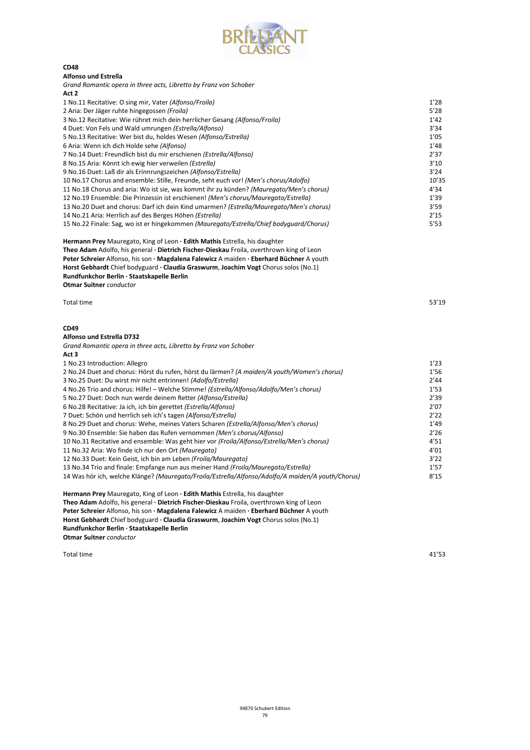

| ۰.<br>۰.<br>×<br>×<br>۰. |
|--------------------------|
|--------------------------|

# Alfonso und Estrella Grand Romantic opera in three acts, Libretto by Franz von Schober Act 2 1 No.11 Recitative: O sing mir, Vater (Alfonso/Froila) 1'28 2 Aria: Der Jäger ruhte hingegossen (Froila) 5'28 3 No.12 Recitative: Wie rühret mich dein herrlicher Gesang (Alfonso/Froila) 1'42 4 Duet: Von Fels und Wald umrungen (Estrella/Alfonso) 3'34 5 No.13 Recitative: Wer bist du, holdes Wesen (Alfonso/Estrella) 1'05 6 Aria: Wenn ich dich Holde sehe (Alfonso) 1'48 7 No.14 Duet: Freundlich bist du mir erschienen (Estrella/Alfonso) 2'37 8 No.15 Aria: Könnt ich ewig hier verweilen (Estrella) 3'10 9 No.16 Duet: Laß dir als Erinnrungszeichen *(Alfonso/Estrella)* (3'24 automation of the State of Alfonso/Estrella) 3'24<br>10 No.17 Chorus and ensemble: Stille, Freunde, seht euch vor! (Men's chorus/Adolfo) 35 10 No.17 Chorus and ensemble: Stille, Freunde, seht euch vor! (Men's chorus/Adolfo) 11 No.18 Chorus and aria: Wo ist sie, was kommt ihr zu künden? (Mauregato/Men's chorus) 4'34 12 No.19 Ensemble: Die Prinzessin ist erschienen! (Men's chorus/Mauregato/Estrella) 1'39 13 No.20 Duet and chorus: Darf ich dein Kind umarmen? (Estrella/Mauregato/Men's chorus) 3'59 14 No.21 Aria: Herrlich auf des Berges Höhen (Estrella) 2'15 15 No.22 Finale: Sag, wo ist er hingekommen (Mauregato/Estrella/Chief bodyguard/Chorus) 5'53 Hermann Prey Mauregato, King of Leon · Edith Mathis Estrella, his daughter Theo Adam Adolfo, his general · Dietrich Fischer-Dieskau Froila, overthrown king of Leon Peter Schreier Alfonso, his son · Magdalena Falewicz A maiden · Eberhard Büchner A youth Horst Gebhardt Chief bodyguard · Claudia Graswurm, Joachim Vogt Chorus solos (No.1) Rundfunkchor Berlin · Staatskapelle Berlin Otmar Suitner conductor Total time 53'19  $CDA9$ Alfonso und Estrella D732 Grand Romantic opera in three acts, Libretto by Franz von Schober Act 3 1 No.23 Introduction: Allegro 1'23 2 No.24 Duet and chorus: Hörst du rufen, hörst du lärmen? (A maiden/A youth/Women's chorus) 1'56 3 No.25 Duet: Du wirst mir nicht entrinnen! (Adolfo/Estrella) 2'44 4 No.26 Trio and chorus: Hilfe! – Welche Stimme! (Estrella/Alfonso/Adolfo/Men's chorus) 1'53 5 No.27 Duet: Doch nun werde deinem Retter (Alfonso/Estrella) 2'39 6 No.28 Recitative: Ja ich, ich bin gerettet (Estrella/Alfonso) 2'07 7 Duet: Schön und herrlich seh ich's tagen (Alfonso/Estrella) 2'22 8 No.29 Duet and chorus: Wehe, meines Vaters Scharen (Estrella/Alfonso/Men's chorus) 1'49 9 No.30 Ensemble: Sie haben das Rufen vernommen (Men's chorus/Alfonso) 2'26 10 No.31 Recitative and ensemble: Was geht hier vor (Froila/Alfonso/Estrella/Men's chorus) 4'51 11 No.32 Aria: Wo finde ich nur den Ort (Mauregato) 4'01 12 No.33 Duet: Kein Geist, ich bin am Leben (Froila/Mauregato) 3'22 13 No.34 Trio and finale: Empfange nun aus meiner Hand (Froila/Mauregato/Estrella) 1'57 14 Was hör ich, welche Klänge? (Mauregato/Froila/Estrella/Alfonso/Adolfo/A maiden/A youth/Chorus) 8'15 Hermann Prey Mauregato, King of Leon · Edith Mathis Estrella, his daughter Theo Adam Adolfo, his general · Dietrich Fischer-Dieskau Froila, overthrown king of Leon

Peter Schreier Alfonso, his son · Magdalena Falewicz A maiden · Eberhard Büchner A youth Horst Gebhardt Chief bodyguard · Claudia Graswurm, Joachim Vogt Chorus solos (No.1) Rundfunkchor Berlin · Staatskapelle Berlin Otmar Suitner conductor

Total time 41'53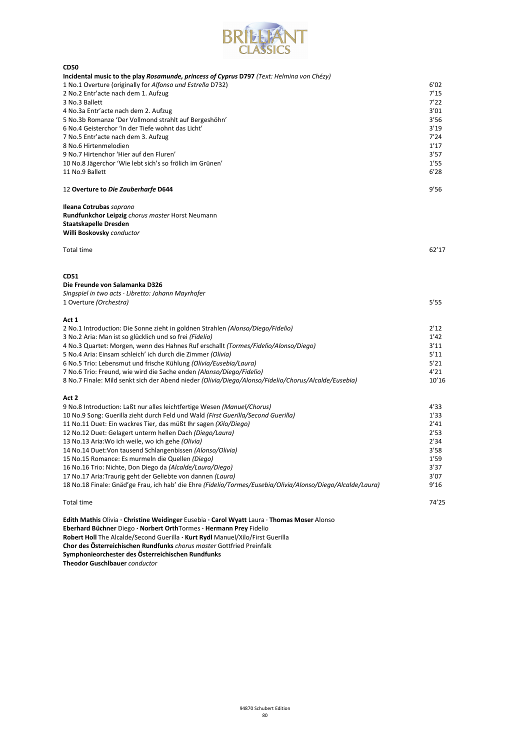

| <b>CD50</b>                                                                                                                                          |              |
|------------------------------------------------------------------------------------------------------------------------------------------------------|--------------|
| <b>Incidental music to the play Rosamunde, princess of Cyprus D797</b> (Text: Helmina von Chézy)                                                     |              |
| 1 No.1 Overture (originally for Alfonso und Estrella D732)                                                                                           | 6'02         |
| 2 No.2 Entr'acte nach dem 1. Aufzug                                                                                                                  | 7'15         |
| 3 No.3 Ballett                                                                                                                                       | 7'22         |
| 4 No.3a Entr'acte nach dem 2. Aufzug                                                                                                                 | 3'01         |
| 5 No.3b Romanze 'Der Vollmond strahlt auf Bergeshöhn'                                                                                                | 3'56         |
| 6 No.4 Geisterchor 'In der Tiefe wohnt das Licht'                                                                                                    | 3'19         |
| 7 No.5 Entr'acte nach dem 3. Aufzug                                                                                                                  | 7'24         |
| 8 No.6 Hirtenmelodien                                                                                                                                | 1'17         |
| 9 No.7 Hirtenchor 'Hier auf den Fluren'                                                                                                              | 3'57         |
| 10 No.8 Jägerchor 'Wie lebt sich's so frölich im Grünen'<br>11 No.9 Ballett                                                                          | 1'55<br>6'28 |
|                                                                                                                                                      |              |
| 12 Overture to Die Zauberharfe D644                                                                                                                  | 9'56         |
| Ileana Cotrubas soprano                                                                                                                              |              |
| Rundfunkchor Leipzig chorus master Horst Neumann                                                                                                     |              |
| Staatskapelle Dresden                                                                                                                                |              |
| Willi Boskovsky conductor                                                                                                                            |              |
| Total time                                                                                                                                           | 62'17        |
| CD51                                                                                                                                                 |              |
| Die Freunde von Salamanka D326                                                                                                                       |              |
| Singspiel in two acts · Libretto: Johann Mayrhofer                                                                                                   |              |
| 1 Overture (Orchestra)                                                                                                                               | 5'55         |
| Act 1                                                                                                                                                |              |
| 2 No.1 Introduction: Die Sonne zieht in goldnen Strahlen (Alonso/Diego/Fidelio)                                                                      | 2'12         |
| 3 No.2 Aria: Man ist so glücklich und so frei (Fidelio)                                                                                              | 1'42         |
| 4 No.3 Quartet: Morgen, wenn des Hahnes Ruf erschallt (Tormes/Fidelio/Alonso/Diego)                                                                  | 3'11         |
| 5 No.4 Aria: Einsam schleich' ich durch die Zimmer (Olivia)                                                                                          | 5'11         |
| 6 No.5 Trio: Lebensmut und frische Kühlung (Olivia/Eusebia/Laura)                                                                                    | 5'21         |
| 7 No.6 Trio: Freund, wie wird die Sache enden (Alonso/Diego/Fidelio)                                                                                 | 4'21         |
| 8 No.7 Finale: Mild senkt sich der Abend nieder (Olivia/Diego/Alonso/Fidelio/Chorus/Alcalde/Eusebia)                                                 | 10'16        |
| Act 2                                                                                                                                                |              |
| 9 No.8 Introduction: Laßt nur alles leichtfertige Wesen (Manuel/Chorus)                                                                              | 4'33         |
| 10 No.9 Song: Guerilla zieht durch Feld und Wald (First Guerilla/Second Guerilla)                                                                    | 1'33         |
| 11 No.11 Duet: Ein wackres Tier, das müßt Ihr sagen (Xilo/Diego)                                                                                     | 2'41         |
| 12 No.12 Duet: Gelagert unterm hellen Dach (Diego/Laura)                                                                                             | 2'53         |
| 13 No.13 Aria: Wo ich weile, wo ich gehe (Olivia)                                                                                                    | 2'34         |
| 14 No.14 Duet: Von tausend Schlangenbissen (Alonso/Olivia)                                                                                           | 3'58         |
| 15 No.15 Romance: Es murmeln die Quellen (Diego)                                                                                                     | 1'59         |
| 16 No.16 Trio: Nichte, Don Diego da (Alcalde/Laura/Diego)                                                                                            | 3'37         |
| 17 No.17 Aria: Traurig geht der Geliebte von dannen (Laura)                                                                                          | 3'07         |
| 18 No.18 Finale: Gnäd'ge Frau, ich hab' die Ehre (Fidelio/Tormes/Eusebia/Olivia/Alonso/Diego/Alcalde/Laura)                                          | 9'16         |
| Total time                                                                                                                                           | 74'25        |
| Edith Mathis Olivia • Christine Weidinger Eusebia • Carol Wyatt Laura • Thomas Moser Alonso                                                          |              |
| Eberhard Büchner Diego · Norbert OrthTormes · Hermann Prey Fidelio<br>Robert Holl The Alcalde/Second Guerilla · Kurt Rydl Manuel/Xilo/First Guerilla |              |
|                                                                                                                                                      |              |

Chor des Österreichischen Rundfunks chorus master Gottfried Preinfalk

Symphonieorchester des Österreichischen Rundfunks

Theodor Guschlbauer conductor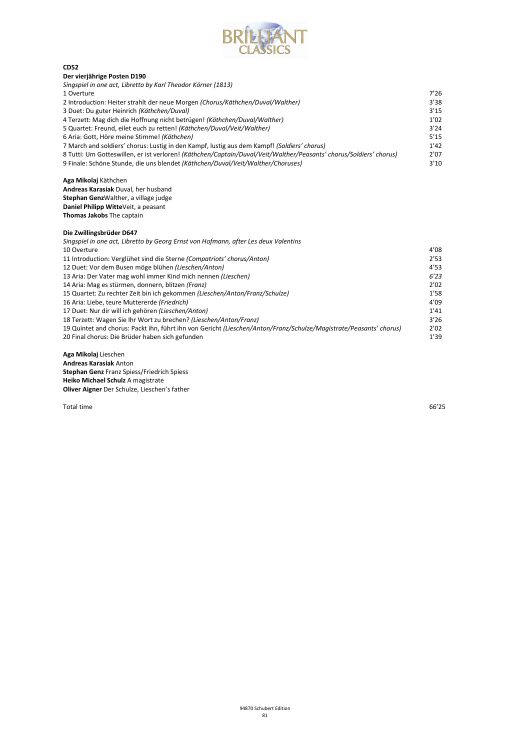

# CD52

| Der vierjährige Posten D190                                                                                        |      |
|--------------------------------------------------------------------------------------------------------------------|------|
| Singspiel in one act, Libretto by Karl Theodor Körner (1813)                                                       |      |
| 1 Overture                                                                                                         | 7'26 |
| 2 Introduction: Heiter strahlt der neue Morgen (Chorus/Käthchen/Duval/Walther)                                     | 3'38 |
| 3 Duet: Du guter Heinrich (Käthchen/Duval)                                                                         | 3'15 |
| 4 Terzett: Mag dich die Hoffnung nicht betrügen! (Käthchen/Duval/Walther)                                          | 1'02 |
| 5 Quartet: Freund, eilet euch zu retten! (Käthchen/Duval/Veit/Walther)                                             | 3'24 |
| 6 Aria: Gott, Höre meine Stimme! (Käthchen)                                                                        | 5'15 |
| 7 March and soldiers' chorus: Lustig in den Kampf, lustig aus dem Kampf! (Soldiers' chorus)                        | 1'42 |
| 8 Tutti: Um Gotteswillen, er ist verloren! (Käthchen/Captain/Duval/Veit/Walther/Peasants' chorus/Soldiers' chorus) | 2'07 |
| 9 Finale: Schöne Stunde, die uns blendet (Käthchen/Duval/Veit/Walther/Choruses)                                    | 3'10 |
| Aga Mikolaj Käthchen                                                                                               |      |
| Andreas Karasiak Duval, her husband                                                                                |      |
| Stephan GenzWalther, a village judge                                                                               |      |
| Daniel Philipp WitteVeit, a peasant                                                                                |      |
| Thomas Jakobs The captain                                                                                          |      |
| Die Zwillingsbrüder D647                                                                                           |      |
| Singspiel in one act, Libretto by Georg Ernst von Hofmann, after Les deux Valentins                                |      |
| 10 Overture                                                                                                        | 4'08 |
| 11 Introduction: Verglühet sind die Sterne (Compatriots' chorus/Anton)                                             | 2'53 |
| 12 Duet: Vor dem Busen möge blühen (Lieschen/Anton)                                                                | 4'53 |
| 13 Aria: Der Vater mag wohl immer Kind mich nennen (Lieschen)                                                      | 6'23 |
| 14 Aria: Mag es stürmen, donnern, blitzen (Franz)                                                                  | 2'02 |
| 15 Quartet: Zu rechter Zeit bin ich gekommen (Lieschen/Anton/Franz/Schulze)                                        | 1'58 |
| 16 Aria: Liebe, teure Muttererde (Friedrich)                                                                       | 4'09 |
| 17 Duet: Nur dir will ich gehören (Lieschen/Anton)                                                                 | 1'41 |
| 18 Terzett: Wagen Sie Ihr Wort zu brechen? (Lieschen/Anton/Franz)                                                  | 3'26 |
| 19 Quintet and chorus: Packt ihn, führt ihn von Gericht (Lieschen/Anton/Franz/Schulze/Magistrate/Peasants' chorus) | 2'02 |
| 20 Final chorus: Die Brüder haben sich gefunden                                                                    | 1'39 |
| Aga Mikolaj Lieschen                                                                                               |      |
| <b>Andreas Karasiak Anton</b>                                                                                      |      |
| Stephan Genz Franz Spiess/Friedrich Spiess                                                                         |      |
| Heiko Michael Schulz A magistrate                                                                                  |      |
|                                                                                                                    |      |
| Oliver Aigner Der Schulze, Lieschen's father                                                                       |      |

Total time 66'25 and the contract of the contract of the contract of the contract of the contract of the contract of the contract of the contract of the contract of the contract of the contract of the contract of the contr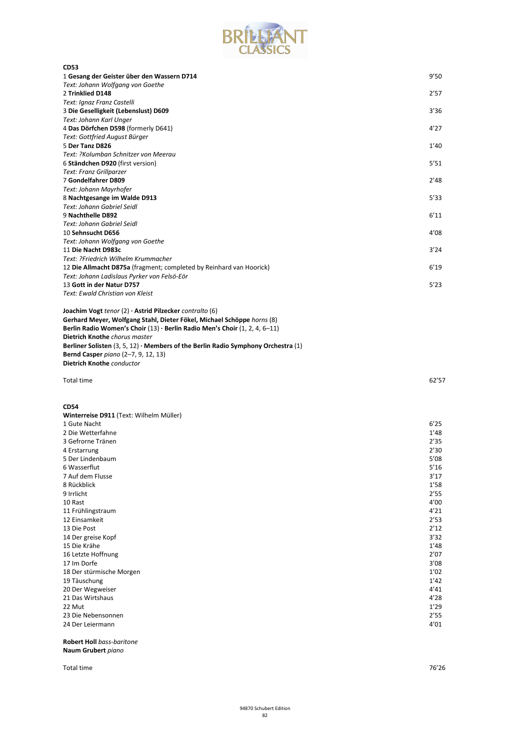

| <b>CD53</b>                                                                                                                                                                                                                                                                                                                                                                                                               |              |
|---------------------------------------------------------------------------------------------------------------------------------------------------------------------------------------------------------------------------------------------------------------------------------------------------------------------------------------------------------------------------------------------------------------------------|--------------|
| 1 Gesang der Geister über den Wassern D714                                                                                                                                                                                                                                                                                                                                                                                | 9'50         |
| Text: Johann Wolfgang von Goethe                                                                                                                                                                                                                                                                                                                                                                                          |              |
| 2 Trinklied D148                                                                                                                                                                                                                                                                                                                                                                                                          | 2'57         |
| Text: Ignaz Franz Castelli                                                                                                                                                                                                                                                                                                                                                                                                |              |
| 3 Die Geselligkeit (Lebenslust) D609<br>Text: Johann Karl Unger                                                                                                                                                                                                                                                                                                                                                           | 3'36         |
| 4 Das Dörfchen D598 (formerly D641)                                                                                                                                                                                                                                                                                                                                                                                       | 4'27         |
| Text: Gottfried August Bürger                                                                                                                                                                                                                                                                                                                                                                                             |              |
| 5 Der Tanz D826                                                                                                                                                                                                                                                                                                                                                                                                           | 1'40         |
| Text: ?Kolumban Schnitzer von Meerau                                                                                                                                                                                                                                                                                                                                                                                      |              |
| 6 Ständchen D920 (first version)<br><b>Text: Franz Grillparzer</b>                                                                                                                                                                                                                                                                                                                                                        | 5'51         |
| 7 Gondelfahrer D809                                                                                                                                                                                                                                                                                                                                                                                                       | 2'48         |
| Text: Johann Mayrhofer                                                                                                                                                                                                                                                                                                                                                                                                    |              |
| 8 Nachtgesange im Walde D913                                                                                                                                                                                                                                                                                                                                                                                              | 5'33         |
| Text: Johann Gabriel Seidl<br>9 Nachthelle D892                                                                                                                                                                                                                                                                                                                                                                           | 6'11         |
| Text: Johann Gabriel Seidl                                                                                                                                                                                                                                                                                                                                                                                                |              |
| 10 Sehnsucht D656                                                                                                                                                                                                                                                                                                                                                                                                         | 4'08         |
| Text: Johann Wolfgang von Goethe                                                                                                                                                                                                                                                                                                                                                                                          |              |
| 11 Die Nacht D983c<br>Text: ?Friedrich Wilhelm Krummacher                                                                                                                                                                                                                                                                                                                                                                 | 3'24         |
| 12 Die Allmacht D875a (fragment; completed by Reinhard van Hoorick)                                                                                                                                                                                                                                                                                                                                                       | 6'19         |
| Text: Johann Ladislaus Pyrker von Felsö-Eör                                                                                                                                                                                                                                                                                                                                                                               |              |
| 13 Gott in der Natur D757                                                                                                                                                                                                                                                                                                                                                                                                 | 5'23         |
| Text: Ewald Christian von Kleist                                                                                                                                                                                                                                                                                                                                                                                          |              |
| Joachim Vogt tenor $(2) \cdot$ Astrid Pilzecker contralto $(6)$<br>Gerhard Meyer, Wolfgang Stahl, Dieter Fökel, Michael Schöppe horns (8)<br>Berlin Radio Women's Choir (13) · Berlin Radio Men's Choir (1, 2, 4, 6-11)<br>Dietrich Knothe chorus master<br>Berliner Solisten $(3, 5, 12) \cdot$ Members of the Berlin Radio Symphony Orchestra $(1)$<br>Bernd Casper piano (2-7, 9, 12, 13)<br>Dietrich Knothe conductor |              |
| Total time                                                                                                                                                                                                                                                                                                                                                                                                                | 62'57        |
|                                                                                                                                                                                                                                                                                                                                                                                                                           |              |
|                                                                                                                                                                                                                                                                                                                                                                                                                           |              |
| <b>CD54</b><br>Winterreise D911 (Text: Wilhelm Müller)                                                                                                                                                                                                                                                                                                                                                                    |              |
| 1 Gute Nacht                                                                                                                                                                                                                                                                                                                                                                                                              | 6'25         |
| 2 Die Wetterfahne                                                                                                                                                                                                                                                                                                                                                                                                         | 1'48         |
| 3 Gefrorne Tränen                                                                                                                                                                                                                                                                                                                                                                                                         | 2'35         |
| 4 Erstarrung                                                                                                                                                                                                                                                                                                                                                                                                              | 2'30         |
| 5 Der Lindenbaum<br>6 Wasserflut                                                                                                                                                                                                                                                                                                                                                                                          | 5'08<br>5'16 |
| 7 Auf dem Flusse                                                                                                                                                                                                                                                                                                                                                                                                          | 3'17         |
| 8 Rückblick                                                                                                                                                                                                                                                                                                                                                                                                               | 1'58         |
| 9 Irrlicht                                                                                                                                                                                                                                                                                                                                                                                                                | 2'55         |
| 10 Rast<br>11 Frühlingstraum                                                                                                                                                                                                                                                                                                                                                                                              | 4'00<br>4'21 |
| 12 Einsamkeit                                                                                                                                                                                                                                                                                                                                                                                                             | 2'53         |
| 13 Die Post                                                                                                                                                                                                                                                                                                                                                                                                               | 2'12         |
| 14 Der greise Kopf                                                                                                                                                                                                                                                                                                                                                                                                        | 3'32         |
| 15 Die Krähe                                                                                                                                                                                                                                                                                                                                                                                                              | 1'48<br>2'07 |
| 16 Letzte Hoffnung<br>17 Im Dorfe                                                                                                                                                                                                                                                                                                                                                                                         | 3'08         |
| 18 Der stürmische Morgen                                                                                                                                                                                                                                                                                                                                                                                                  | 1'02         |
| 19 Täuschung                                                                                                                                                                                                                                                                                                                                                                                                              | 1'42         |
| 20 Der Wegweiser                                                                                                                                                                                                                                                                                                                                                                                                          | 4'41         |
| 21 Das Wirtshaus<br>22 Mut                                                                                                                                                                                                                                                                                                                                                                                                | 4′28<br>1'29 |
| 23 Die Nebensonnen                                                                                                                                                                                                                                                                                                                                                                                                        | 2'55         |
| 24 Der Leiermann                                                                                                                                                                                                                                                                                                                                                                                                          | 4'01         |
| <b>Robert Holl</b> bass-baritone<br>Naum Grubert piano                                                                                                                                                                                                                                                                                                                                                                    |              |
|                                                                                                                                                                                                                                                                                                                                                                                                                           |              |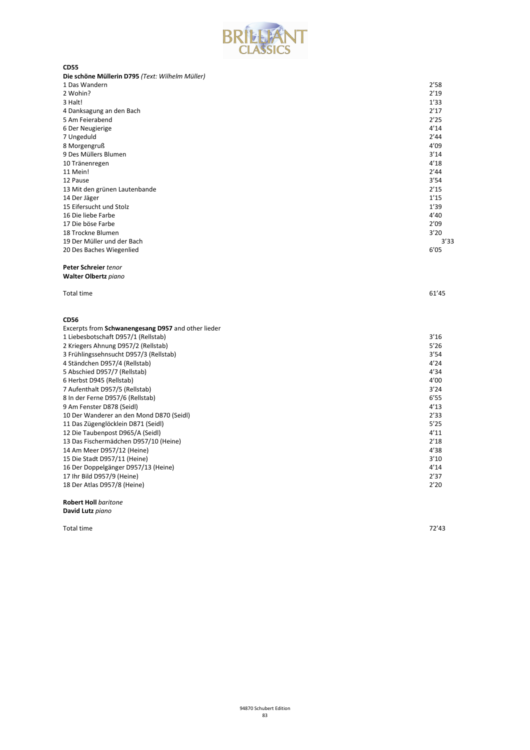

CD55

| Die schöne Müllerin D795 (Text: Wilhelm Müller) |      |
|-------------------------------------------------|------|
| 1 Das Wandern                                   | 2'58 |
| 2 Wohin?                                        | 2'19 |
| 3 Halt!                                         | 1'33 |
| 4 Danksagung an den Bach                        | 2'17 |
| 5 Am Feierabend                                 | 2'25 |
| 6 Der Neugierige                                | 4'14 |
| 7 Ungeduld                                      | 2'44 |
| 8 Morgengruß                                    | 4'09 |
| 9 Des Müllers Blumen                            | 3'14 |
| 10 Tränenregen                                  | 4'18 |
| 11 Mein!                                        | 2'44 |
| 12 Pause                                        | 3'54 |
| 13 Mit den grünen Lautenbande                   | 2'15 |
| 14 Der Jäger                                    | 1'15 |
| 15 Eifersucht und Stolz                         | 1'39 |
| 16 Die liebe Farbe                              | 4'40 |
| 17 Die böse Farbe                               | 2'09 |
| 18 Trockne Blumen                               | 3'20 |
| 19 Der Müller und der Bach                      | 3'33 |
| 20 Des Baches Wiegenlied                        | 6'05 |
|                                                 |      |

# Peter Schreier tenor Walter Olbertz piano

Total time 61'45

# CD56

| Excerpts from Schwanengesang D957 and other lieder |      |
|----------------------------------------------------|------|
| 1 Liebesbotschaft D957/1 (Rellstab)                | 3'16 |
| 2 Kriegers Ahnung D957/2 (Rellstab)                | 5'26 |
| 3 Frühlingssehnsucht D957/3 (Rellstab)             | 3'54 |
| 4 Ständchen D957/4 (Rellstab)                      | 4'24 |
| 5 Abschied D957/7 (Rellstab)                       | 4'34 |
| 6 Herbst D945 (Rellstab)                           | 4'00 |
| 7 Aufenthalt D957/5 (Rellstab)                     | 3'24 |
| 8 In der Ferne D957/6 (Rellstab)                   | 6'55 |
| 9 Am Fenster D878 (Seidl)                          | 4'13 |
| 10 Der Wanderer an den Mond D870 (Seidl)           | 2'33 |
| 11 Das Zügenglöcklein D871 (Seidl)                 | 5'25 |
| 12 Die Taubenpost D965/A (Seidl)                   | 4'11 |
| 13 Das Fischermädchen D957/10 (Heine)              | 2'18 |
| 14 Am Meer D957/12 (Heine)                         | 4'38 |
| 15 Die Stadt D957/11 (Heine)                       | 3'10 |
| 16 Der Doppelgänger D957/13 (Heine)                | 4'14 |
| 17 Ihr Bild D957/9 (Heine)                         | 2'37 |
| 18 Der Atlas D957/8 (Heine)                        | 2'20 |

#### Robert Holl baritone David Lutz piano

Total time 72<sup>'43</sup>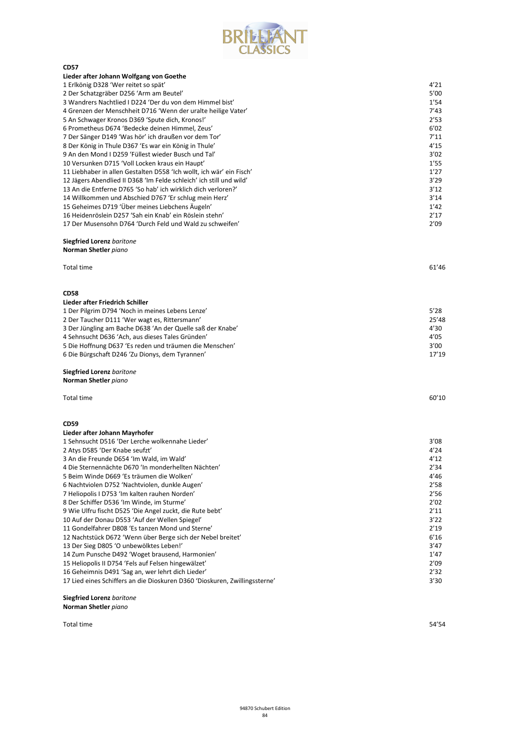

| <b>CD57</b>                                                                                     |       |
|-------------------------------------------------------------------------------------------------|-------|
| Lieder after Johann Wolfgang von Goethe                                                         |       |
| 1 Erlkönig D328 'Wer reitet so spät'                                                            | 4'21  |
| 2 Der Schatzgräber D256 'Arm am Beutel'                                                         | 5'00  |
| 3 Wandrers Nachtlied I D224 'Der du von dem Himmel bist'                                        | 1'54  |
| 4 Grenzen der Menschheit D716 'Wenn der uralte heilige Vater'                                   | 7'43  |
| 5 An Schwager Kronos D369 'Spute dich, Kronos!'                                                 | 2'53  |
| 6 Prometheus D674 'Bedecke deinen Himmel, Zeus'                                                 | 6'02  |
| 7 Der Sänger D149 'Was hör' ich draußen vor dem Tor'                                            | 7'11  |
| 8 Der König in Thule D367 'Es war ein König in Thule'                                           | 4'15  |
| 9 An den Mond I D259 'Füllest wieder Busch und Tal'                                             | 3'02  |
| 10 Versunken D715 'Voll Locken kraus ein Haupt'                                                 | 1'55  |
| 11 Liebhaber in allen Gestalten D558 'Ich wollt, ich wär' ein Fisch'                            | 1'27  |
| 12 Jägers Abendlied II D368 'Im Felde schleich' ich still und wild'                             | 3'29  |
| 13 An die Entferne D765 'So hab' ich wirklich dich verloren?'                                   | 3'12  |
| 14 Willkommen und Abschied D767 'Er schlug mein Herz'                                           | 3'14  |
| 15 Geheimes D719 'Über meines Liebchens Äugeln'                                                 | 1'42  |
| 16 Heidenröslein D257 'Sah ein Knab' ein Röslein stehn'                                         | 2'17  |
| 17 Der Musensohn D764 'Durch Feld und Wald zu schweifen'                                        | 2'09  |
| <b>Siegfried Lorenz</b> baritone                                                                |       |
| Norman Shetler piano                                                                            |       |
| Total time                                                                                      | 61'46 |
| <b>CD58</b>                                                                                     |       |
| Lieder after Friedrich Schiller                                                                 |       |
| 1 Der Pilgrim D794 'Noch in meines Lebens Lenze'                                                | 5'28  |
| 2 Der Taucher D111 'Wer wagt es, Rittersmann'                                                   | 25'48 |
| 3 Der Jüngling am Bache D638 'An der Quelle saß der Knabe'                                      | 4′30  |
| 4 Sehnsucht D636 'Ach, aus dieses Tales Gründen'                                                | 4'05  |
| 5 Die Hoffnung D637 'Es reden und träumen die Menschen'                                         | 3'00  |
| 6 Die Bürgschaft D246 'Zu Dionys, dem Tyrannen'                                                 | 17'19 |
| <b>Siegfried Lorenz</b> baritone                                                                |       |
| Norman Shetler piano                                                                            |       |
|                                                                                                 | 60'10 |
| Total time                                                                                      |       |
|                                                                                                 |       |
| <b>CD59</b>                                                                                     |       |
| Lieder after Johann Mayrhofer                                                                   | 3'08  |
| 1 Sehnsucht D516 'Der Lerche wolkennahe Lieder'                                                 | 4'24  |
| 2 Atys D585 'Der Knabe seufzt'                                                                  | 4'12  |
| 3 An die Freunde D654 'Im Wald, im Wald'<br>4 Die Sternennächte D670 'In monderhellten Nächten' | 2'34  |
| 5 Beim Winde D669 'Es träumen die Wolken'                                                       | 4'46  |
| 6 Nachtviolen D752 'Nachtviolen, dunkle Augen'                                                  | 2'58  |
| 7 Heliopolis I D753 'Im kalten rauhen Norden'                                                   | 2'56  |
| 8 Der Schiffer D536 'Im Winde, im Sturme'                                                       | 2'02  |
| 9 Wie Ulfru fischt D525 'Die Angel zuckt, die Rute bebt'                                        | 2'11  |
| 10 Auf der Donau D553 'Auf der Wellen Spiegel'                                                  | 3'22  |
| 11 Gondelfahrer D808 'Es tanzen Mond und Sterne'                                                | 2'19  |
|                                                                                                 |       |

12 Nachtstück D672 'Wenn über Berge sich der Nebel breitet' aus and der Nebel breitet (\* 1612)<br>13 Der Sieg D805 'O unbewölktes Leben!' 3'47 13 Der Sieg D805 'O unbewölktes Leben!'<br>14 Zum Punsche D492 'Woget brausend, Harmonien' 31 Australian 1999 - Stephen Brausen 1992 - 1997 - 1997 - 199 14 Zum Punsche D492 'Woget brausend, Harmonien' and the state of the state of the state of the state of the state of the state of the state of the state of the state of the state of the state of the state of the state of t 15 Heliopolis II D754 'Fels auf Felsen hingewälzet' 2'09 16 Geheimnis D491 'Sag an, wer lehrt dich Lieder' 2'32

17 Lied eines Schiffers an die Dioskuren D360 'Dioskuren, Zwillingssterne' 3'30

Siegfried Lorenz baritone Norman Shetler piano

Total time 54'54's and the set of the set of the set of the set of the set of the set of the set of the set of the set of the set of the set of the set of the set of the set of the set of the set of the set of the set of t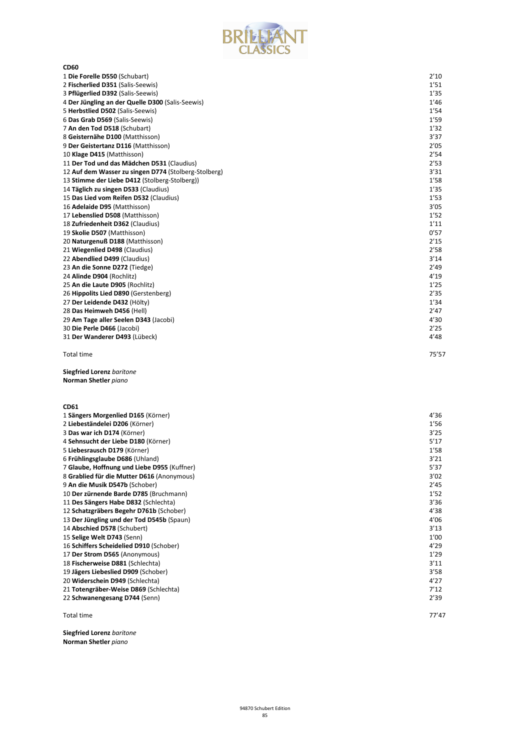

| <b>CD60</b>                                          |       |
|------------------------------------------------------|-------|
| 1 Die Forelle D550 (Schubart)                        | 2'10  |
| 2 Fischerlied D351 (Salis-Seewis)                    | 1'51  |
| 3 Pflügerlied D392 (Salis-Seewis)                    | 1'35  |
| 4 Der Jüngling an der Quelle D300 (Salis-Seewis)     | 1'46  |
| 5 Herbstlied D502 (Salis-Seewis)                     | 1'54  |
| 6 Das Grab D569 (Salis-Seewis)                       | 1'59  |
| 7 An den Tod D518 (Schubart)                         | 1'32  |
| 8 Geisternähe D100 (Matthisson)                      | 3'37  |
| 9 Der Geistertanz D116 (Matthisson)                  | 2'05  |
| 10 Klage D415 (Matthisson)                           | 2'54  |
| 11 Der Tod und das Mädchen D531 (Claudius)           | 2'53  |
| 12 Auf dem Wasser zu singen D774 (Stolberg-Stolberg) | 3'31  |
| 13 Stimme der Liebe D412 (Stolberg-Stolberg))        | 1'58  |
| 14 Täglich zu singen D533 (Claudius)                 | 1'35  |
| 15 Das Lied vom Reifen D532 (Claudius)               | 1'53  |
| 16 Adelaide D95 (Matthisson)                         | 3'05  |
| 17 Lebenslied D508 (Matthisson)                      | 1'52  |
| 18 Zufriedenheit D362 (Claudius)                     | 1'11  |
| 19 Skolie D507 (Matthisson)                          | 0'57  |
| 20 Naturgenuß D188 (Matthisson)                      | 2'15  |
| 21 Wiegenlied D498 (Claudius)                        | 2'58  |
| 22 Abendlied D499 (Claudius)                         | 3'14  |
| 23 An die Sonne D272 (Tiedge)                        | 2'49  |
| 24 Alinde D904 (Rochlitz)                            | 4'19  |
| 25 An die Laute D905 (Rochlitz)                      | 1'25  |
| 26 Hippolits Lied D890 (Gerstenberg)                 | 2'35  |
| 27 Der Leidende D432 (Hölty)                         | 1'34  |
| 28 Das Heimweh D456 (Hell)                           | 2'47  |
| 29 Am Tage aller Seelen D343 (Jacobi)                | 4'30  |
| 30 Die Perle D466 (Jacobi)                           | 2'25  |
| 31 Der Wanderer D493 (Lübeck)                        | 4'48  |
| Total time                                           | 75'57 |
| <b>Siegfried Lorenz baritone</b>                     |       |
| Norman Shetler piano                                 |       |
| CD61                                                 |       |

| 1 Sängers Morgenlied D165 (Körner)          | 4'36  |
|---------------------------------------------|-------|
| 2 Liebeständelei D206 (Körner)              | 1'56  |
| 3 Das war ich D174 (Körner)                 | 3'25  |
| 4 Sehnsucht der Liebe D180 (Körner)         | 5'17  |
| 5 Liebesrausch D179 (Körner)                | 1'58  |
| 6 Frühlingsglaube D686 (Uhland)             | 3'21  |
| 7 Glaube, Hoffnung und Liebe D955 (Kuffner) | 5'37  |
| 8 Grablied für die Mutter D616 (Anonymous)  | 3'02  |
| 9 An die Musik D547b (Schober)              | 2'45  |
| 10 Der zürnende Barde D785 (Bruchmann)      | 1'52  |
| 11 Des Sängers Habe D832 (Schlechta)        | 3'36  |
| 12 Schatzgräbers Begehr D761b (Schober)     | 4'38  |
| 13 Der Jüngling und der Tod D545b (Spaun)   | 4'06  |
| 14 Abschied D578 (Schubert)                 | 3'13  |
| 15 Selige Welt D743 (Senn)                  | 1'00  |
| 16 Schiffers Scheidelied D910 (Schober)     | 4'29  |
| 17 Der Strom D565 (Anonymous)               | 1'29  |
| 18 Fischerweise D881 (Schlechta)            | 3'11  |
| 19 Jägers Liebeslied D909 (Schober)         | 3'58  |
| 20 Widerschein D949 (Schlechta)             | 4'27  |
| 21 Totengräber-Weise D869 (Schlechta)       | 7'12  |
| 22 Schwanengesang D744 (Senn)               | 2'39  |
| Total time                                  | 77'47 |

Siegfried Lorenz baritone Norman Shetler piano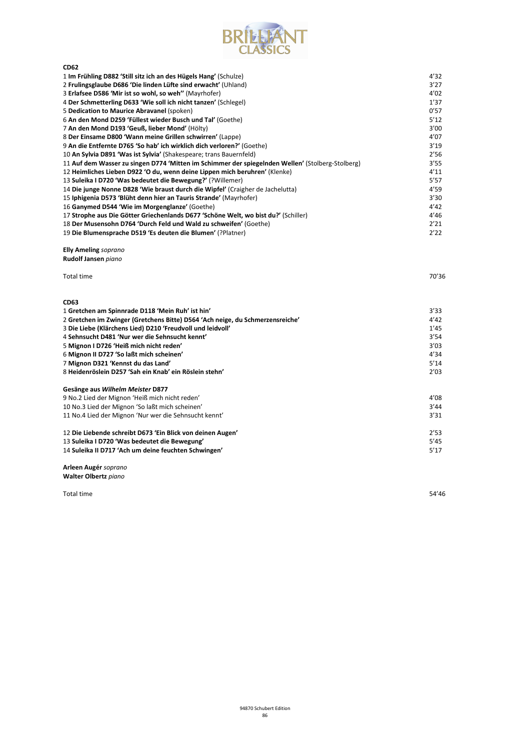

| <b>CD62</b>                                                                                      |      |
|--------------------------------------------------------------------------------------------------|------|
| 1 Im Frühling D882 'Still sitz ich an des Hügels Hang' (Schulze)                                 | 4'32 |
| 2 Frulingsglaube D686 'Die linden Lüfte sind erwacht' (Uhland)                                   | 3'27 |
| 3 Erlafsee D586 'Mir ist so wohl, so weh" (Mayrhofer)                                            | 4'02 |
| 4 Der Schmetterling D633 'Wie soll ich nicht tanzen' (Schlegel)                                  | 1'37 |
| 5 Dedication to Maurice Abravanel (spoken)                                                       | 0'57 |
| 6 An den Mond D259 'Füllest wieder Busch und Tal' (Goethe)                                       | 5'12 |
| 7 An den Mond D193 'Geuß, lieber Mond' (Hölty)                                                   | 3'00 |
| 8 Der Einsame D800 'Wann meine Grillen schwirren' (Lappe)                                        | 4'07 |
| 9 An die Entfernte D765 'So hab' ich wirklich dich verloren?' (Goethe)                           | 3'19 |
| 10 An Sylvia D891 'Was ist Sylvia' (Shakespeare; trans Bauernfeld)                               | 2'56 |
| 11 Auf dem Wasser zu singen D774 'Mitten im Schimmer der spiegelnden Wellen' (Stolberg-Stolberg) | 3'55 |
| 12 Heimliches Lieben D922 'O du, wenn deine Lippen mich beruhren' (Klenke)                       | 4'11 |
| 13 Suleika I D720 'Was bedeutet die Bewegung?' (?Willemer)                                       | 5'57 |
| 14 Die junge Nonne D828 'Wie braust durch die Wipfel' (Craigher de Jachelutta)                   | 4'59 |
| 15 Iphigenia D573 'Blüht denn hier an Tauris Strande' (Mayrhofer)                                | 3'30 |
| 16 Ganymed D544 'Wie im Morgenglanze' (Goethe)                                                   | 4'42 |
| 17 Strophe aus Die Götter Griechenlands D677 'Schöne Welt, wo bist du?' (Schiller)               | 4'46 |
| 18 Der Musensohn D764 'Durch Feld und Wald zu schweifen' (Goethe)                                | 2'21 |
| 19 Die Blumensprache D519 'Es deuten die Blumen' (?Platner)                                      | 2'22 |
|                                                                                                  |      |

Elly Ameling soprano Rudolf Jansen piano

Total time 70'36

| <b>CD63</b><br>1 Gretchen am Spinnrade D118 'Mein Ruh' ist hin'               | 3'33 |
|-------------------------------------------------------------------------------|------|
| 2 Gretchen im Zwinger (Gretchens Bitte) D564 'Ach neige, du Schmerzensreiche' | 4'42 |
|                                                                               |      |
| 3 Die Liebe (Klärchens Lied) D210 'Freudvoll und leidvoll'                    | 1'45 |
| 4 Sehnsucht D481 'Nur wer die Sehnsucht kennt'                                | 3'54 |
| 5 Mignon I D726 'Heiß mich nicht reden'                                       | 3'03 |
| 6 Mignon II D727 'So laßt mich scheinen'                                      | 4'34 |
| 7 Mignon D321 'Kennst du das Land'                                            | 5'14 |
| 8 Heidenröslein D257 'Sah ein Knab' ein Röslein stehn'                        | 2'03 |
| Gesänge aus Wilhelm Meister D877                                              |      |
| 9 No.2 Lied der Mignon 'Heiß mich nicht reden'                                | 4'08 |
| 10 No.3 Lied der Mignon 'So laßt mich scheinen'                               | 3'44 |
| 11 No.4 Lied der Mignon 'Nur wer die Sehnsucht kennt'                         | 3'31 |
| 12 Die Liebende schreibt D673 'Ein Blick von deinen Augen'                    | 2'53 |
| 13 Suleika I D720 'Was bedeutet die Bewegung'                                 | 5'45 |
| 14 Suleika II D717 'Ach um deine feuchten Schwingen'                          | 5'17 |
| .                                                                             |      |

Arleen Augér soprano Walter Olbertz piano

Total time  $54'46$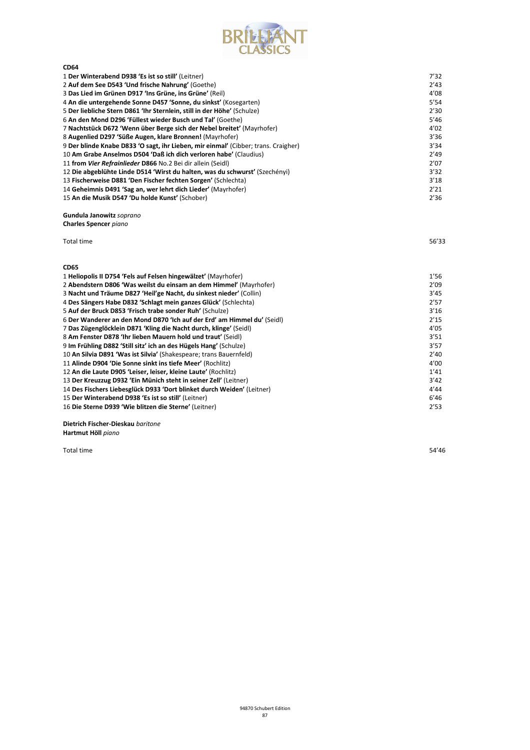

| <b>CD64</b>                                                                        |       |
|------------------------------------------------------------------------------------|-------|
| 1 Der Winterabend D938 'Es ist so still' (Leitner)                                 | 7'32  |
| 2 Auf dem See D543 'Und frische Nahrung' (Goethe)                                  | 2'43  |
| 3 Das Lied im Grünen D917 'Ins Grüne, ins Grüne' (Reil)                            | 4'08  |
| 4 An die untergehende Sonne D457 'Sonne, du sinkst' (Kosegarten)                   | 5'54  |
| 5 Der liebliche Stern D861 'Ihr Sternlein, still in der Höhe' (Schulze)            | 2'30  |
| 6 An den Mond D296 'Füllest wieder Busch und Tal' (Goethe)                         | 5'46  |
| 7 Nachtstück D672 'Wenn über Berge sich der Nebel breitet' (Mayrhofer)             | 4'02  |
| 8 Augenlied D297 'Süße Augen, klare Bronnen! (Mayrhofer)                           | 3'36  |
| 9 Der blinde Knabe D833 'O sagt, ihr Lieben, mir einmal' (Cibber; trans. Craigher) | 3'34  |
| 10 Am Grabe Anselmos D504 'Daß ich dich verloren habe' (Claudius)                  | 2'49  |
| 11 from Vier Refrainlieder D866 No.2 Bei dir allein (Seidl)                        | 2'07  |
| 12 Die abgeblühte Linde D514 'Wirst du halten, was du schwurst' (Szechényi)        | 3'32  |
| 13 Fischerweise D881 'Den Fischer fechten Sorgen' (Schlechta)                      | 3'18  |
| 14 Geheimnis D491 'Sag an, wer lehrt dich Lieder' (Mayrhofer)                      | 2'21  |
| 15 An die Musik D547 'Du holde Kunst' (Schober)                                    | 2'36  |
| Gundula Janowitz soprano                                                           |       |
| Charles Spencer piano                                                              |       |
| Total time                                                                         | 56'33 |
|                                                                                    |       |

| <b>CD65</b>                                                             |      |
|-------------------------------------------------------------------------|------|
| 1 Heliopolis II D754 'Fels auf Felsen hingewälzet' (Mayrhofer)          | 1'56 |
| 2 Abendstern D806 'Was weilst du einsam an dem Himmel' (Mayrhofer)      | 2'09 |
| 3 Nacht und Träume D827 'Heil'ge Nacht, du sinkest nieder' (Collin)     | 3'45 |
| 4 Des Sängers Habe D832 'Schlagt mein ganzes Glück' (Schlechta)         | 2'57 |
| 5 Auf der Bruck D853 'Frisch trabe sonder Ruh' (Schulze)                | 3'16 |
| 6 Der Wanderer an den Mond D870 'Ich auf der Erd' am Himmel du' (Seidl) | 2'15 |
| 7 Das Zügenglöcklein D871 'Kling die Nacht durch, klinge' (Seidl)       | 4'05 |
| 8 Am Fenster D878 'Ihr lieben Mauern hold und traut' (Seidl)            | 3'51 |
| 9 Im Frühling D882 'Still sitz' ich an des Hügels Hang' (Schulze)       | 3'57 |
| 10 An Silvia D891 'Was ist Silvia' (Shakespeare; trans Bauernfeld)      | 2'40 |
| 11 Alinde D904 'Die Sonne sinkt ins tiefe Meer' (Rochlitz)              | 4'00 |
| 12 An die Laute D905 'Leiser, leiser, kleine Laute' (Rochlitz)          | 1'41 |
| 13 Der Kreuzzug D932 'Ein Münich steht in seiner Zell' (Leitner)        | 3'42 |
| 14 Des Fischers Liebesglück D933 'Dort blinket durch Weiden' (Leitner)  | 4'44 |
| 15 Der Winterabend D938 'Es ist so still' (Leitner)                     | 6'46 |
| 16 Die Sterne D939 'Wie blitzen die Sterne' (Leitner)                   | 2'53 |

Dietrich Fischer-Dieskau baritone Hartmut Höll piano

Total time 54'46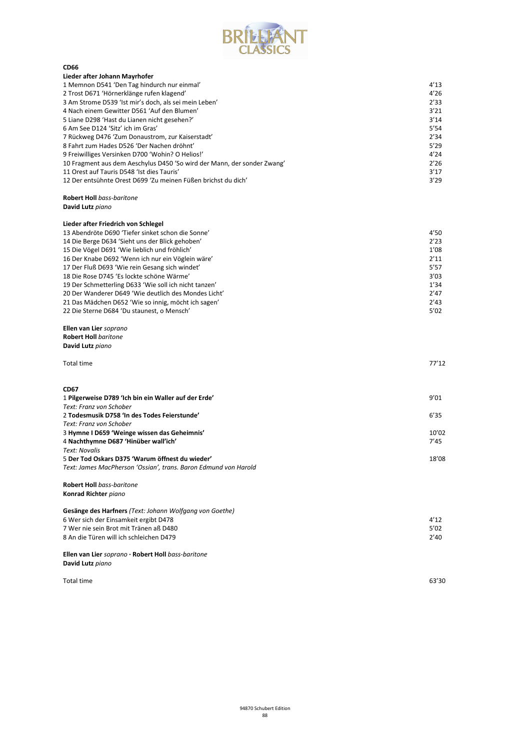

| . .<br>I<br>- -<br>$\sim$ |
|---------------------------|
|---------------------------|

| Lieder after Johann Mayrhofer                                           |      |
|-------------------------------------------------------------------------|------|
| 1 Memnon D541 'Den Tag hindurch nur einmal'                             | 4'13 |
| 2 Trost D671 'Hörnerklänge rufen klagend'                               | 4'26 |
| 3 Am Strome D539 'Ist mir's doch, als sei mein Leben'                   | 2'33 |
| 4 Nach einem Gewitter D561 'Auf den Blumen'                             | 3'21 |
| 5 Liane D298 'Hast du Lianen nicht gesehen?'                            | 3'14 |
| 6 Am See D124 'Sitz' ich im Gras'                                       | 5'54 |
| 7 Rückweg D476 'Zum Donaustrom, zur Kaiserstadt'                        | 2'34 |
| 8 Fahrt zum Hades D526 'Der Nachen dröhnt'                              | 5'29 |
| 9 Freiwilliges Versinken D700 'Wohin? O Helios!'                        | 4'24 |
| 10 Fragment aus dem Aeschylus D450 'So wird der Mann, der sonder Zwang' | 2'26 |
| 11 Orest auf Tauris D548 'Ist dies Tauris'                              | 3'17 |
| 12 Der entsühnte Orest D699 'Zu meinen Füßen brichst du dich'           | 3'29 |

Robert Holl bass-baritone David Lutz piano

| Lieder after Friedrich von Schlegel                   |      |
|-------------------------------------------------------|------|
| 13 Abendröte D690 'Tiefer sinket schon die Sonne'     | 4'50 |
| 14 Die Berge D634 'Sieht uns der Blick gehoben'       | 2'23 |
| 15 Die Vögel D691 'Wie lieblich und fröhlich'         | 1'08 |
| 16 Der Knabe D692 'Wenn ich nur ein Vöglein wäre'     | 2'11 |
| 17 Der Fluß D693 'Wie rein Gesang sich windet'        | 5'57 |
| 18 Die Rose D745 'Es lockte schöne Wärme'             | 3'03 |
| 19 Der Schmetterling D633 'Wie soll ich nicht tanzen' | 1'34 |
| 20 Der Wanderer D649 'Wie deutlich des Mondes Licht'  | 2'47 |
| 21 Das Mädchen D652 'Wie so innig, möcht ich sagen'   | 2'43 |
| 22 Die Sterne D684 'Du staunest, o Mensch'            | 5'02 |

#### Ellen van Lier soprano Robert Holl baritone David Lutz piano

| Total time  | 77'12 |
|-------------|-------|
| <b>CD67</b> |       |

| 1 Pilgerweise D789 'Ich bin ein Waller auf der Erde'                    | 9'01          |
|-------------------------------------------------------------------------|---------------|
| Text: Franz von Schober                                                 |               |
| 2 Todesmusik D758 'In des Todes Feierstunde'<br>Text: Franz von Schober | 6'35          |
|                                                                         | 10'02<br>7'45 |
| 3 Hymne I D659 'Weinge wissen das Geheimnis'                            |               |
| 4 Nachthymne D687 'Hinüber wall'ich'                                    |               |
| Text: Novalis                                                           |               |
| 5 Der Tod Oskars D375 'Warum öffnest du wieder'                         | 18'08         |
| Text: James MacPherson 'Ossian', trans. Baron Edmund von Harold         |               |
| <b>Robert Holl</b> bass-baritone                                        |               |
| Konrad Richter piano                                                    |               |

Gesänge des Harfners (Text: Johann Wolfgang von Goethe) 6 Wer sich der Einsamkeit ergibt D478 auch der Einsamkeit ergibt D478 auch der Einsamkeit ergibt D478 auch der<br>1980 - The Sein Brot mit Tränen aß D480 auch der Einsamkeit der Einsteinung der Einsteinung der Einsamkeit der 7 Wer nie sein Brot mit Tränen aß D480 5'02 8 An die Türen will ich schleichen D479

Ellen van Lier soprano · Robert Holl bass-baritone David Lutz piano

Total time 63'30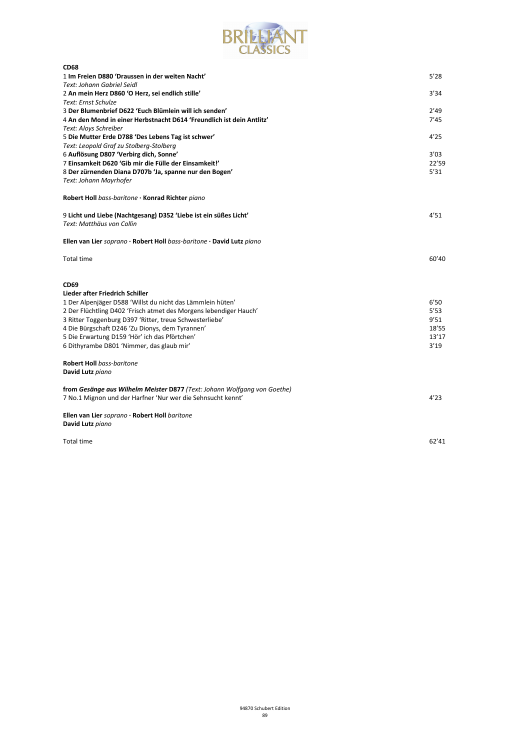

| <b>CD68</b>                                                                              |       |
|------------------------------------------------------------------------------------------|-------|
| 1 Im Freien D880 'Draussen in der weiten Nacht'                                          | 5'28  |
| Text: Johann Gabriel Seidl                                                               |       |
| 2 An mein Herz D860 'O Herz, sei endlich stille'                                         | 3'34  |
| Text: Ernst Schulze                                                                      |       |
| 3 Der Blumenbrief D622 'Euch Blümlein will ich senden'                                   | 2'49  |
| 4 An den Mond in einer Herbstnacht D614 'Freundlich ist dein Antlitz'                    | 7'45  |
| Text: Aloys Schreiber                                                                    |       |
| 5 Die Mutter Erde D788 'Des Lebens Tag ist schwer'                                       | 4'25  |
| Text: Leopold Graf zu Stolberg-Stolberg                                                  |       |
| 6 Auflösung D807 'Verbirg dich, Sonne'                                                   | 3'03  |
| 7 Einsamkeit D620 'Gib mir die Fülle der Einsamkeit!'                                    | 22'59 |
| 8 Der zürnenden Diana D707b 'Ja, spanne nur den Bogen'                                   | 5'31  |
| Text: Johann Mayrhofer                                                                   |       |
| Robert Holl bass-baritone · Konrad Richter piano                                         |       |
| 9 Licht und Liebe (Nachtgesang) D352 'Liebe ist ein süßes Licht'                         | 4'51  |
| Text: Matthäus von Collin                                                                |       |
| <b>Ellen van Lier</b> soprano $\cdot$ Robert Holl bass-baritone $\cdot$ David Lutz piano |       |
| <b>Total time</b>                                                                        | 60'40 |
| <b>CD69</b>                                                                              |       |
| Lieder after Friedrich Schiller                                                          |       |
| 1 Der Alpenjäger D588 'Willst du nicht das Lämmlein hüten'                               | 6'50  |
| 2 Der Flüchtling D402 'Frisch atmet des Morgens lebendiger Hauch'                        | 5'53  |
| 3 Ritter Toggenburg D397 'Ritter, treue Schwesterliebe'                                  | 9'51  |
| 4 Die Bürgschaft D246 'Zu Dionys, dem Tyrannen'                                          | 18'55 |
| 5 Die Erwartung D159 'Hör' ich das Pförtchen'                                            | 13'17 |
| 6 Dithyrambe D801 'Nimmer, das glaub mir'                                                | 3'19  |
| <b>Robert Holl</b> bass-baritone                                                         |       |
| David Lutz piano                                                                         |       |
| from Gesänge aus Wilhelm Meister D877 (Text: Johann Wolfgang von Goethe)                 |       |
| 7 No.1 Mignon und der Harfner 'Nur wer die Sehnsucht kennt'                              | 4'23  |
| Ellen van Lier soprano $\cdot$ Robert Holl baritone<br>David Lutz piano                  |       |
| <b>Total time</b>                                                                        | 62'41 |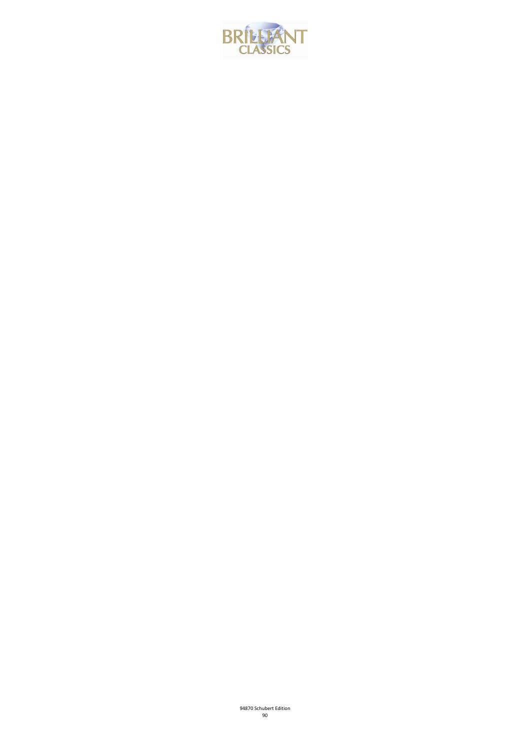